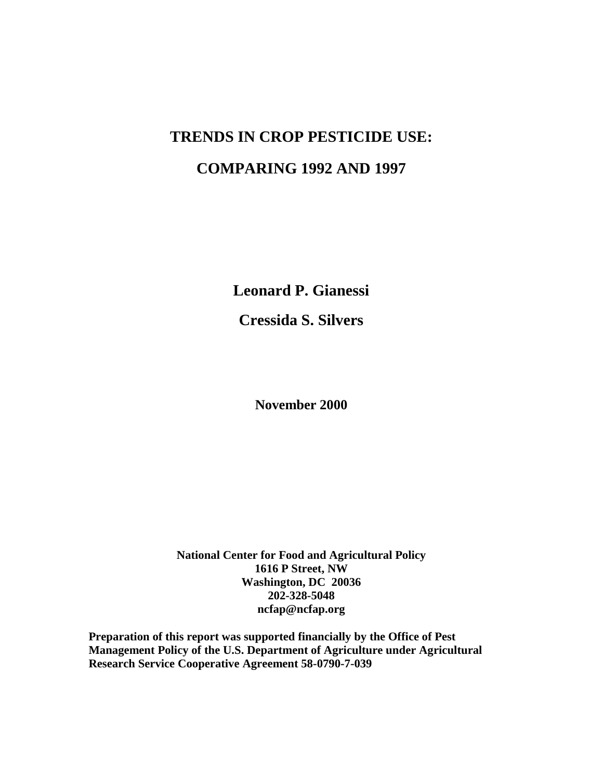# **TRENDS IN CROP PESTICIDE USE: COMPARING 1992 AND 1997**

**Leonard P. Gianessi Cressida S. Silvers**

**November 2000**

**National Center for Food and Agricultural Policy 1616 P Street, NW Washington, DC 20036 202-328-5048 ncfap@ncfap.org**

**Preparation of this report was supported financially by the Office of Pest Management Policy of the U.S. Department of Agriculture under Agricultural Research Service Cooperative Agreement 58-0790-7-039**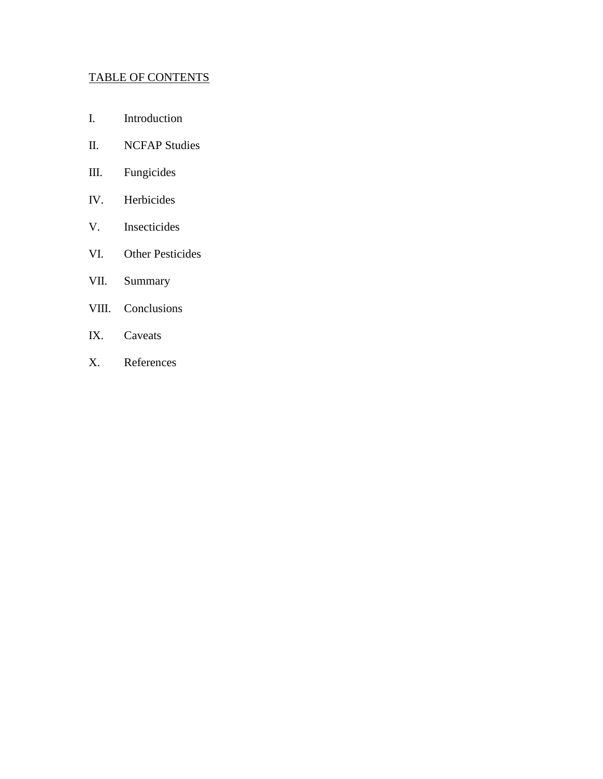## TABLE OF CONTENTS

- I. Introduction
- II. NCFAP Studies
- III. Fungicides
- IV. Herbicides
- V. Insecticides
- VI. Other Pesticides
- VII. Summary
- VIII. Conclusions
- IX. Caveats
- X. References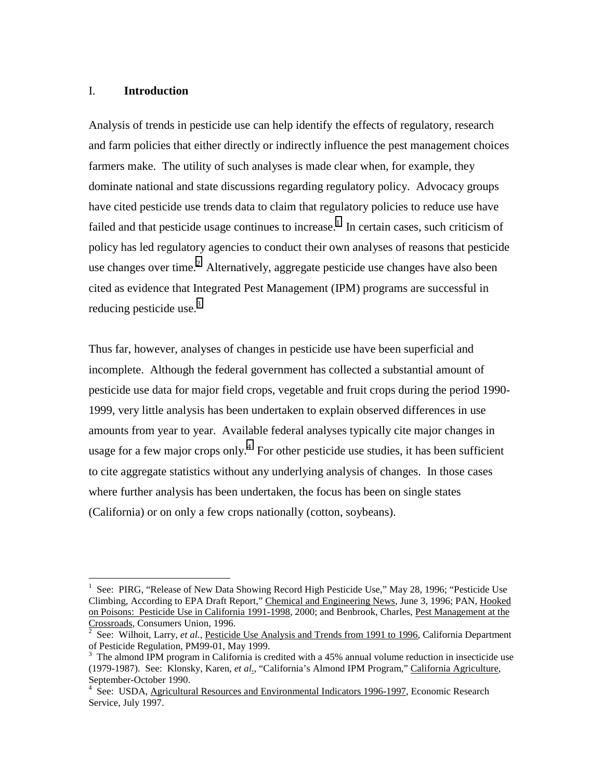## I. **Introduction**

 $\overline{a}$ 

Analysis of trends in pesticide use can help identify the effects of regulatory, research and farm policies that either directly or indirectly influence the pest management choices farmers make. The utility of such analyses is made clear when, for example, they dominate national and state discussions regarding regulatory policy. Advocacy groups have cited pesticide use trends data to claim that regulatory policies to reduce use have failed and that pesticide usage continues to increase.<sup>1</sup> In certain cases, such criticism of policy has led regulatory agencies to conduct their own analyses of reasons that pesticide use changes over time.<sup>2</sup> Alternatively, aggregate pesticide use changes have also been cited as evidence that Integrated Pest Management (IPM) programs are successful in reducing pesticide use. $3$ 

Thus far, however, analyses of changes in pesticide use have been superficial and incomplete. Although the federal government has collected a substantial amount of pesticide use data for major field crops, vegetable and fruit crops during the period 1990- 1999, very little analysis has been undertaken to explain observed differences in use amounts from year to year. Available federal analyses typically cite major changes in usage for a few major crops only.<sup>4</sup> For other pesticide use studies, it has been sufficient to cite aggregate statistics without any underlying analysis of changes. In those cases where further analysis has been undertaken, the focus has been on single states (California) or on only a few crops nationally (cotton, soybeans).

<sup>1</sup> See: PIRG, "Release of New Data Showing Record High Pesticide Use," May 28, 1996; "Pesticide Use Climbing, According to EPA Draft Report," Chemical and Engineering News, June 3, 1996; PAN, Hooked on Poisons: Pesticide Use in California 1991-1998, 2000; and Benbrook, Charles, Pest Management at the Crossroads, Consumers Union, 1996.

See: Wilhoit, Larry, *et al.,* Pesticide Use Analysis and Trends from 1991 to 1996, California Department of Pesticide Regulation, PM99-01, May 1999.

<sup>&</sup>lt;sup>3</sup> The almond IPM program in California is credited with a 45% annual volume reduction in insecticide use (1979-1987). See: Klonsky, Karen, *et al*., "California's Almond IPM Program," California Agriculture, September-October 1990.

<sup>&</sup>lt;sup>4</sup> See: USDA, Agricultural Resources and Environmental Indicators 1996-1997, Economic Research Service, July 1997.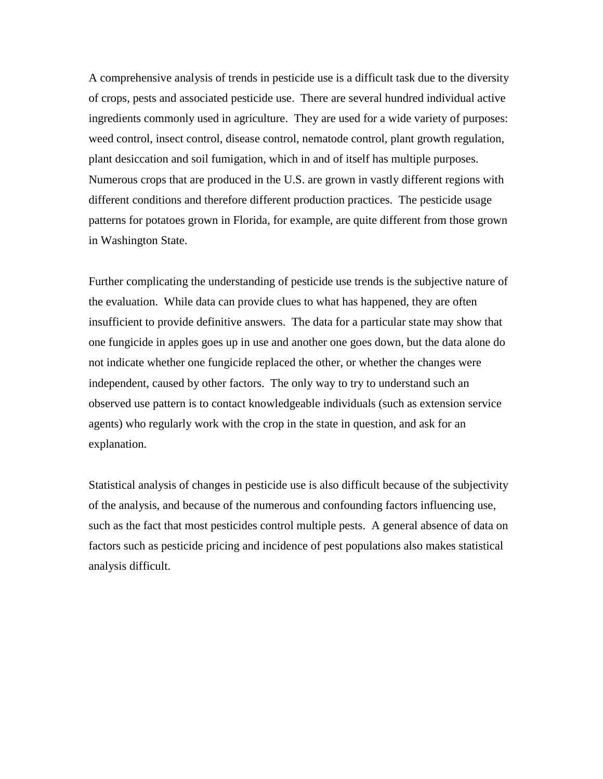A comprehensive analysis of trends in pesticide use is a difficult task due to the diversity of crops, pests and associated pesticide use. There are several hundred individual active ingredients commonly used in agriculture. They are used for a wide variety of purposes: weed control, insect control, disease control, nematode control, plant growth regulation, plant desiccation and soil fumigation, which in and of itself has multiple purposes. Numerous crops that are produced in the U.S. are grown in vastly different regions with different conditions and therefore different production practices. The pesticide usage patterns for potatoes grown in Florida, for example, are quite different from those grown in Washington State.

Further complicating the understanding of pesticide use trends is the subjective nature of the evaluation. While data can provide clues to what has happened, they are often insufficient to provide definitive answers. The data for a particular state may show that one fungicide in apples goes up in use and another one goes down, but the data alone do not indicate whether one fungicide replaced the other, or whether the changes were independent, caused by other factors. The only way to try to understand such an observed use pattern is to contact knowledgeable individuals (such as extension service agents) who regularly work with the crop in the state in question, and ask for an explanation.

Statistical analysis of changes in pesticide use is also difficult because of the subjectivity of the analysis, and because of the numerous and confounding factors influencing use, such as the fact that most pesticides control multiple pests. A general absence of data on factors such as pesticide pricing and incidence of pest populations also makes statistical analysis difficult.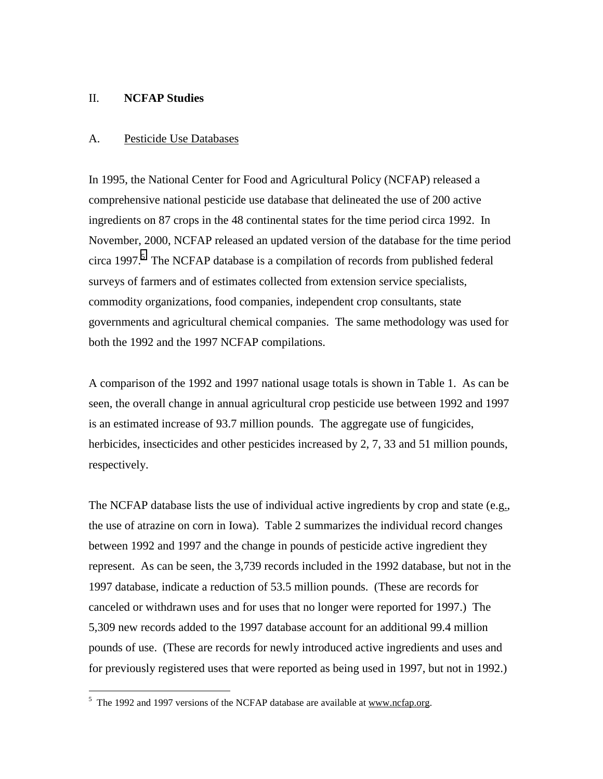## II. **NCFAP Studies**

#### A. Pesticide Use Databases

In 1995, the National Center for Food and Agricultural Policy (NCFAP) released a comprehensive national pesticide use database that delineated the use of 200 active ingredients on 87 crops in the 48 continental states for the time period circa 1992. In November, 2000, NCFAP released an updated version of the database for the time period circa 1997.<sup>5</sup> The NCFAP database is a compilation of records from published federal surveys of farmers and of estimates collected from extension service specialists, commodity organizations, food companies, independent crop consultants, state governments and agricultural chemical companies. The same methodology was used for both the 1992 and the 1997 NCFAP compilations.

A comparison of the 1992 and 1997 national usage totals is shown in Table 1. As can be seen, the overall change in annual agricultural crop pesticide use between 1992 and 1997 is an estimated increase of 93.7 million pounds. The aggregate use of fungicides, herbicides, insecticides and other pesticides increased by 2, 7, 33 and 51 million pounds, respectively.

The NCFAP database lists the use of individual active ingredients by crop and state (e.g., the use of atrazine on corn in Iowa). Table 2 summarizes the individual record changes between 1992 and 1997 and the change in pounds of pesticide active ingredient they represent. As can be seen, the 3,739 records included in the 1992 database, but not in the 1997 database, indicate a reduction of 53.5 million pounds. (These are records for canceled or withdrawn uses and for uses that no longer were reported for 1997.) The 5,309 new records added to the 1997 database account for an additional 99.4 million pounds of use. (These are records for newly introduced active ingredients and uses and for previously registered uses that were reported as being used in 1997, but not in 1992.)

<sup>&</sup>lt;sup>5</sup> The 1992 and 1997 versions of the NCFAP database are available at www.ncfap.org.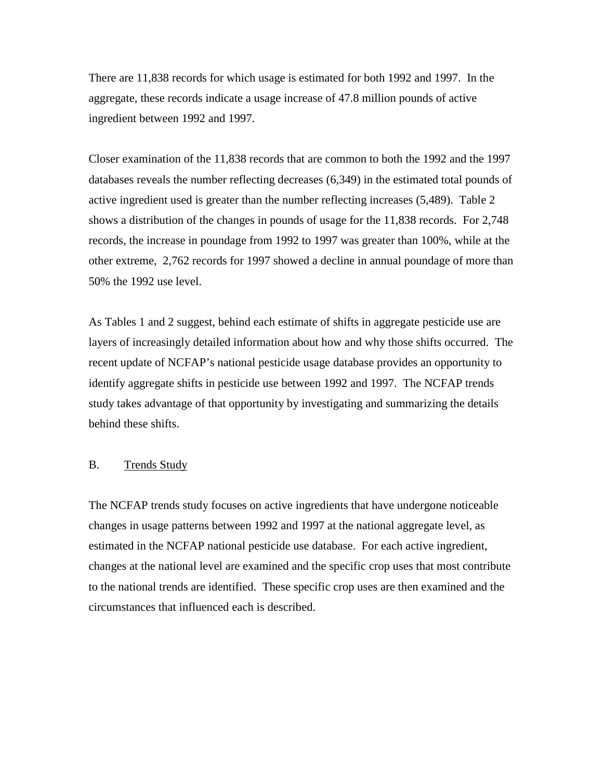There are 11,838 records for which usage is estimated for both 1992 and 1997. In the aggregate, these records indicate a usage increase of 47.8 million pounds of active ingredient between 1992 and 1997.

Closer examination of the 11,838 records that are common to both the 1992 and the 1997 databases reveals the number reflecting decreases (6,349) in the estimated total pounds of active ingredient used is greater than the number reflecting increases (5,489). Table 2 shows a distribution of the changes in pounds of usage for the 11,838 records. For 2,748 records, the increase in poundage from 1992 to 1997 was greater than 100%, while at the other extreme, 2,762 records for 1997 showed a decline in annual poundage of more than 50% the 1992 use level.

As Tables 1 and 2 suggest, behind each estimate of shifts in aggregate pesticide use are layers of increasingly detailed information about how and why those shifts occurred. The recent update of NCFAP's national pesticide usage database provides an opportunity to identify aggregate shifts in pesticide use between 1992 and 1997. The NCFAP trends study takes advantage of that opportunity by investigating and summarizing the details behind these shifts.

#### B. Trends Study

The NCFAP trends study focuses on active ingredients that have undergone noticeable changes in usage patterns between 1992 and 1997 at the national aggregate level, as estimated in the NCFAP national pesticide use database. For each active ingredient, changes at the national level are examined and the specific crop uses that most contribute to the national trends are identified. These specific crop uses are then examined and the circumstances that influenced each is described.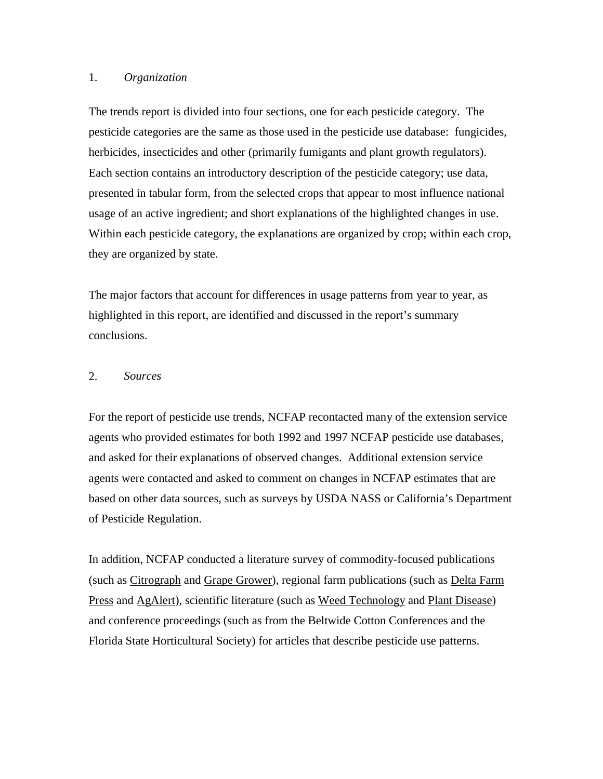### 1. *Organization*

The trends report is divided into four sections, one for each pesticide category. The pesticide categories are the same as those used in the pesticide use database: fungicides, herbicides, insecticides and other (primarily fumigants and plant growth regulators). Each section contains an introductory description of the pesticide category; use data, presented in tabular form, from the selected crops that appear to most influence national usage of an active ingredient; and short explanations of the highlighted changes in use. Within each pesticide category, the explanations are organized by crop; within each crop, they are organized by state.

The major factors that account for differences in usage patterns from year to year, as highlighted in this report, are identified and discussed in the report's summary conclusions.

## 2. *Sources*

For the report of pesticide use trends, NCFAP recontacted many of the extension service agents who provided estimates for both 1992 and 1997 NCFAP pesticide use databases, and asked for their explanations of observed changes. Additional extension service agents were contacted and asked to comment on changes in NCFAP estimates that are based on other data sources, such as surveys by USDA NASS or California's Department of Pesticide Regulation.

In addition, NCFAP conducted a literature survey of commodity-focused publications (such as Citrograph and Grape Grower), regional farm publications (such as Delta Farm Press and AgAlert), scientific literature (such as Weed Technology and Plant Disease) and conference proceedings (such as from the Beltwide Cotton Conferences and the Florida State Horticultural Society) for articles that describe pesticide use patterns.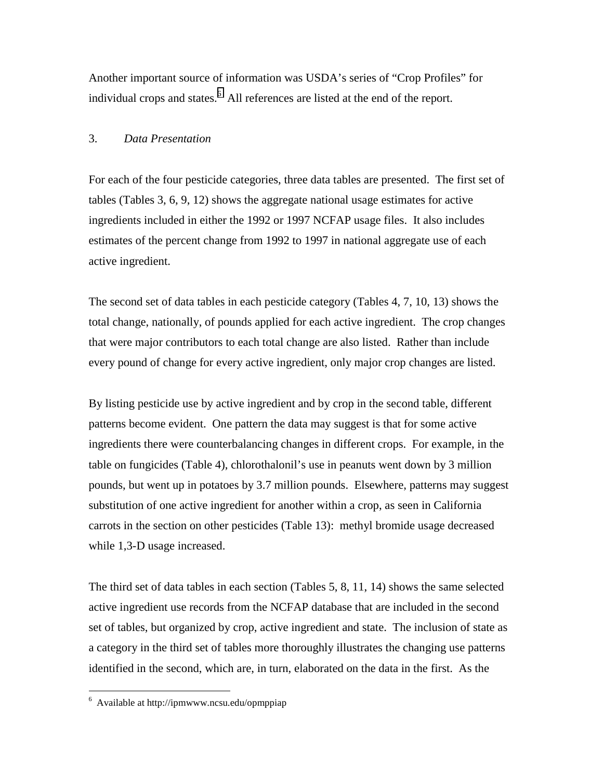Another important source of information was USDA's series of "Crop Profiles" for individual crops and states.<sup>6</sup> All references are listed at the end of the report.

## 3. *Data Presentation*

For each of the four pesticide categories, three data tables are presented. The first set of tables (Tables 3, 6, 9, 12) shows the aggregate national usage estimates for active ingredients included in either the 1992 or 1997 NCFAP usage files. It also includes estimates of the percent change from 1992 to 1997 in national aggregate use of each active ingredient.

The second set of data tables in each pesticide category (Tables 4, 7, 10, 13) shows the total change, nationally, of pounds applied for each active ingredient. The crop changes that were major contributors to each total change are also listed. Rather than include every pound of change for every active ingredient, only major crop changes are listed.

By listing pesticide use by active ingredient and by crop in the second table, different patterns become evident. One pattern the data may suggest is that for some active ingredients there were counterbalancing changes in different crops. For example, in the table on fungicides (Table 4), chlorothalonil's use in peanuts went down by 3 million pounds, but went up in potatoes by 3.7 million pounds. Elsewhere, patterns may suggest substitution of one active ingredient for another within a crop, as seen in California carrots in the section on other pesticides (Table 13): methyl bromide usage decreased while 1,3-D usage increased.

The third set of data tables in each section (Tables 5, 8, 11, 14) shows the same selected active ingredient use records from the NCFAP database that are included in the second set of tables, but organized by crop, active ingredient and state. The inclusion of state as a category in the third set of tables more thoroughly illustrates the changing use patterns identified in the second, which are, in turn, elaborated on the data in the first. As the

 $\overline{a}$ 

<sup>6</sup> Available at http://ipmwww.ncsu.edu/opmppiap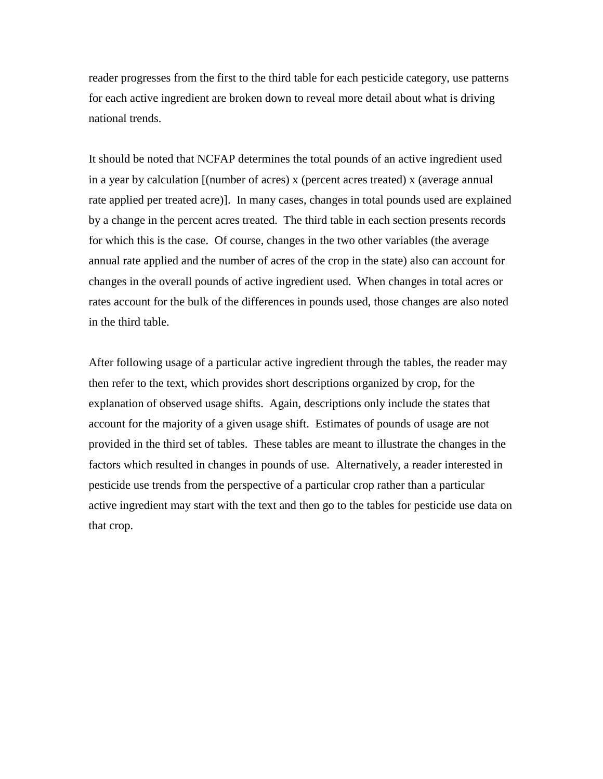reader progresses from the first to the third table for each pesticide category, use patterns for each active ingredient are broken down to reveal more detail about what is driving national trends.

It should be noted that NCFAP determines the total pounds of an active ingredient used in a year by calculation [(number of acres) x (percent acres treated) x (average annual rate applied per treated acre)]. In many cases, changes in total pounds used are explained by a change in the percent acres treated. The third table in each section presents records for which this is the case. Of course, changes in the two other variables (the average annual rate applied and the number of acres of the crop in the state) also can account for changes in the overall pounds of active ingredient used. When changes in total acres or rates account for the bulk of the differences in pounds used, those changes are also noted in the third table.

After following usage of a particular active ingredient through the tables, the reader may then refer to the text, which provides short descriptions organized by crop, for the explanation of observed usage shifts. Again, descriptions only include the states that account for the majority of a given usage shift. Estimates of pounds of usage are not provided in the third set of tables. These tables are meant to illustrate the changes in the factors which resulted in changes in pounds of use. Alternatively, a reader interested in pesticide use trends from the perspective of a particular crop rather than a particular active ingredient may start with the text and then go to the tables for pesticide use data on that crop.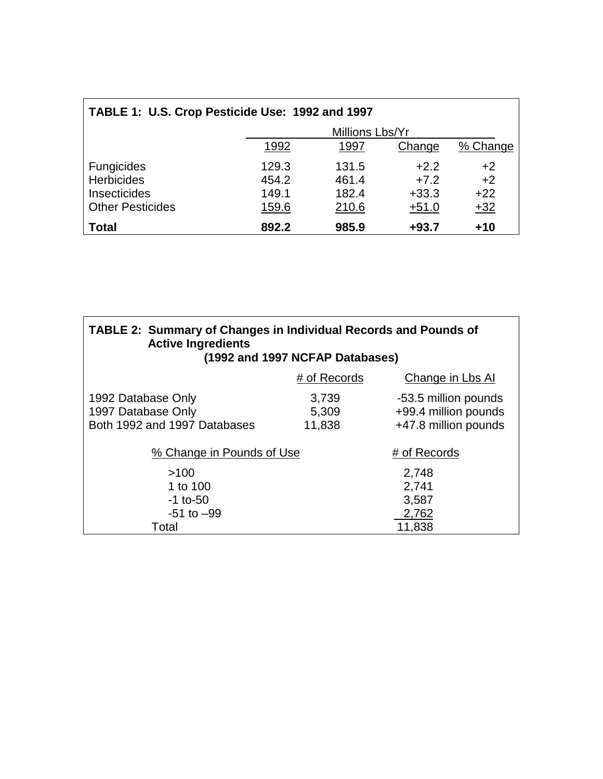| TABLE 1: U.S. Crop Pesticide Use: 1992 and 1997 |       |                 |         |          |
|-------------------------------------------------|-------|-----------------|---------|----------|
|                                                 |       | Millions Lbs/Yr |         |          |
|                                                 | 1992  | 1997            | Change  | % Change |
| Fungicides                                      | 129.3 | 131.5           | $+2.2$  | $+2$     |
| <b>Herbicides</b>                               | 454.2 | 461.4           | $+7.2$  | $+2$     |
| Insecticides                                    | 149.1 | 182.4           | $+33.3$ | $+22$    |
| <b>Other Pesticides</b>                         | 159.6 | 210.6           | $+51.0$ | $+32$    |
| <b>Total</b>                                    | 892.2 | 985.9           | $+93.7$ | $+10$    |

| <b>TABLE 2: Summary of Changes in Individual Records and Pounds of</b><br><b>Active Ingredients</b><br>(1992 and 1997 NCFAP Databases) |                          |                                                                      |
|----------------------------------------------------------------------------------------------------------------------------------------|--------------------------|----------------------------------------------------------------------|
|                                                                                                                                        | # of Records             | Change in Lbs Al                                                     |
| 1992 Database Only<br>1997 Database Only<br>Both 1992 and 1997 Databases                                                               | 3,739<br>5,309<br>11,838 | -53.5 million pounds<br>+99.4 million pounds<br>+47.8 million pounds |
| % Change in Pounds of Use                                                                                                              |                          | # of Records                                                         |
| >100<br>1 to 100<br>$-1$ to-50<br>$-51$ to $-99$                                                                                       |                          | 2,748<br>2,741<br>3,587<br>2,762                                     |
| Total                                                                                                                                  |                          | 11,838                                                               |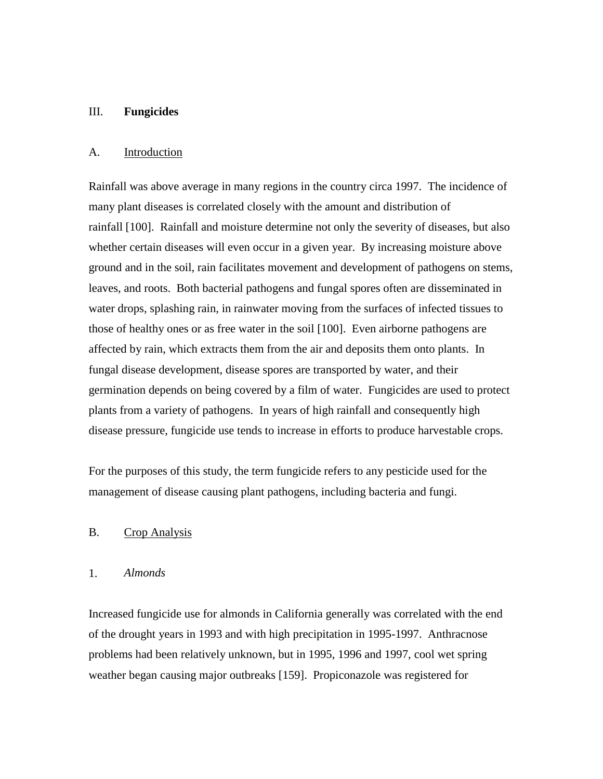#### III. **Fungicides**

#### A. Introduction

Rainfall was above average in many regions in the country circa 1997. The incidence of many plant diseases is correlated closely with the amount and distribution of rainfall [100]. Rainfall and moisture determine not only the severity of diseases, but also whether certain diseases will even occur in a given year. By increasing moisture above ground and in the soil, rain facilitates movement and development of pathogens on stems, leaves, and roots. Both bacterial pathogens and fungal spores often are disseminated in water drops, splashing rain, in rainwater moving from the surfaces of infected tissues to those of healthy ones or as free water in the soil [100]. Even airborne pathogens are affected by rain, which extracts them from the air and deposits them onto plants. In fungal disease development, disease spores are transported by water, and their germination depends on being covered by a film of water. Fungicides are used to protect plants from a variety of pathogens. In years of high rainfall and consequently high disease pressure, fungicide use tends to increase in efforts to produce harvestable crops.

For the purposes of this study, the term fungicide refers to any pesticide used for the management of disease causing plant pathogens, including bacteria and fungi.

## B. Crop Analysis

#### 1. *Almonds*

Increased fungicide use for almonds in California generally was correlated with the end of the drought years in 1993 and with high precipitation in 1995-1997. Anthracnose problems had been relatively unknown, but in 1995, 1996 and 1997, cool wet spring weather began causing major outbreaks [159]. Propiconazole was registered for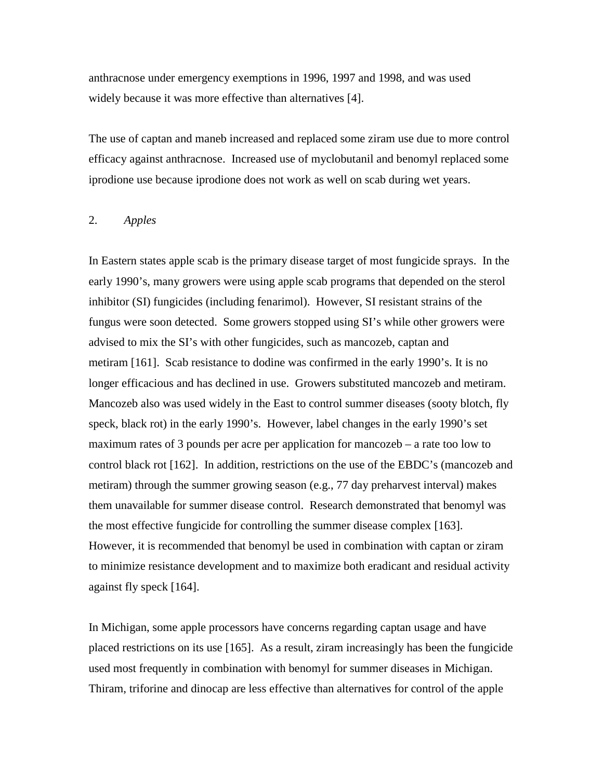anthracnose under emergency exemptions in 1996, 1997 and 1998, and was used widely because it was more effective than alternatives [4].

The use of captan and maneb increased and replaced some ziram use due to more control efficacy against anthracnose. Increased use of myclobutanil and benomyl replaced some iprodione use because iprodione does not work as well on scab during wet years.

## 2. *Apples*

In Eastern states apple scab is the primary disease target of most fungicide sprays. In the early 1990's, many growers were using apple scab programs that depended on the sterol inhibitor (SI) fungicides (including fenarimol). However, SI resistant strains of the fungus were soon detected. Some growers stopped using SI's while other growers were advised to mix the SI's with other fungicides, such as mancozeb, captan and metiram [161]. Scab resistance to dodine was confirmed in the early 1990's. It is no longer efficacious and has declined in use. Growers substituted mancozeb and metiram. Mancozeb also was used widely in the East to control summer diseases (sooty blotch, fly speck, black rot) in the early 1990's. However, label changes in the early 1990's set maximum rates of 3 pounds per acre per application for mancozeb – a rate too low to control black rot [162]. In addition, restrictions on the use of the EBDC's (mancozeb and metiram) through the summer growing season (e.g., 77 day preharvest interval) makes them unavailable for summer disease control. Research demonstrated that benomyl was the most effective fungicide for controlling the summer disease complex [163]. However, it is recommended that benomyl be used in combination with captan or ziram to minimize resistance development and to maximize both eradicant and residual activity against fly speck [164].

In Michigan, some apple processors have concerns regarding captan usage and have placed restrictions on its use [165]. As a result, ziram increasingly has been the fungicide used most frequently in combination with benomyl for summer diseases in Michigan. Thiram, triforine and dinocap are less effective than alternatives for control of the apple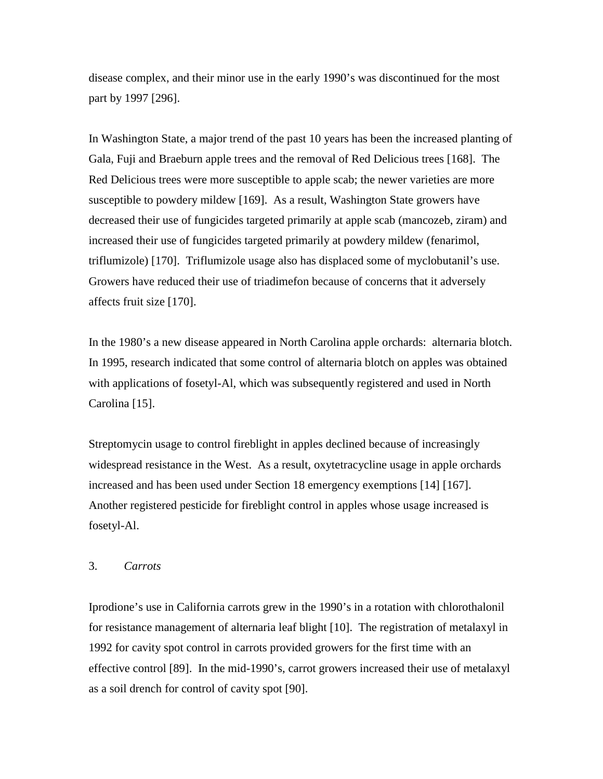disease complex, and their minor use in the early 1990's was discontinued for the most part by 1997 [296].

In Washington State, a major trend of the past 10 years has been the increased planting of Gala, Fuji and Braeburn apple trees and the removal of Red Delicious trees [168]. The Red Delicious trees were more susceptible to apple scab; the newer varieties are more susceptible to powdery mildew [169]. As a result, Washington State growers have decreased their use of fungicides targeted primarily at apple scab (mancozeb, ziram) and increased their use of fungicides targeted primarily at powdery mildew (fenarimol, triflumizole) [170]. Triflumizole usage also has displaced some of myclobutanil's use. Growers have reduced their use of triadimefon because of concerns that it adversely affects fruit size [170].

In the 1980's a new disease appeared in North Carolina apple orchards: alternaria blotch. In 1995, research indicated that some control of alternaria blotch on apples was obtained with applications of fosetyl-Al, which was subsequently registered and used in North Carolina [15].

Streptomycin usage to control fireblight in apples declined because of increasingly widespread resistance in the West. As a result, oxytetracycline usage in apple orchards increased and has been used under Section 18 emergency exemptions [14] [167]. Another registered pesticide for fireblight control in apples whose usage increased is fosetyl-Al.

#### 3. *Carrots*

Iprodione's use in California carrots grew in the 1990's in a rotation with chlorothalonil for resistance management of alternaria leaf blight [10]. The registration of metalaxyl in 1992 for cavity spot control in carrots provided growers for the first time with an effective control [89]. In the mid-1990's, carrot growers increased their use of metalaxyl as a soil drench for control of cavity spot [90].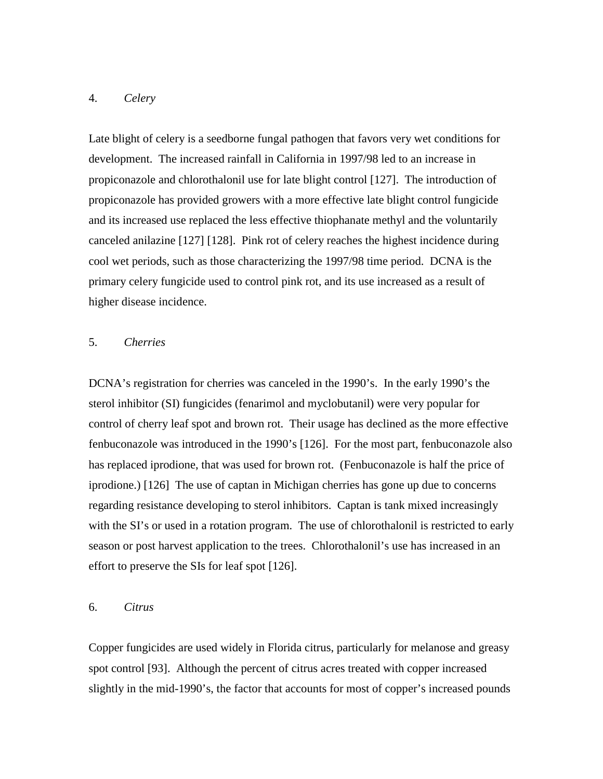## 4. *Celery*

Late blight of celery is a seedborne fungal pathogen that favors very wet conditions for development. The increased rainfall in California in 1997/98 led to an increase in propiconazole and chlorothalonil use for late blight control [127]. The introduction of propiconazole has provided growers with a more effective late blight control fungicide and its increased use replaced the less effective thiophanate methyl and the voluntarily canceled anilazine [127] [128]. Pink rot of celery reaches the highest incidence during cool wet periods, such as those characterizing the 1997/98 time period. DCNA is the primary celery fungicide used to control pink rot, and its use increased as a result of higher disease incidence.

## 5. *Cherries*

DCNA's registration for cherries was canceled in the 1990's. In the early 1990's the sterol inhibitor (SI) fungicides (fenarimol and myclobutanil) were very popular for control of cherry leaf spot and brown rot. Their usage has declined as the more effective fenbuconazole was introduced in the 1990's [126]. For the most part, fenbuconazole also has replaced iprodione, that was used for brown rot. (Fenbuconazole is half the price of iprodione.) [126] The use of captan in Michigan cherries has gone up due to concerns regarding resistance developing to sterol inhibitors. Captan is tank mixed increasingly with the SI's or used in a rotation program. The use of chlorothalonil is restricted to early season or post harvest application to the trees. Chlorothalonil's use has increased in an effort to preserve the SIs for leaf spot [126].

## 6. *Citrus*

Copper fungicides are used widely in Florida citrus, particularly for melanose and greasy spot control [93]. Although the percent of citrus acres treated with copper increased slightly in the mid-1990's, the factor that accounts for most of copper's increased pounds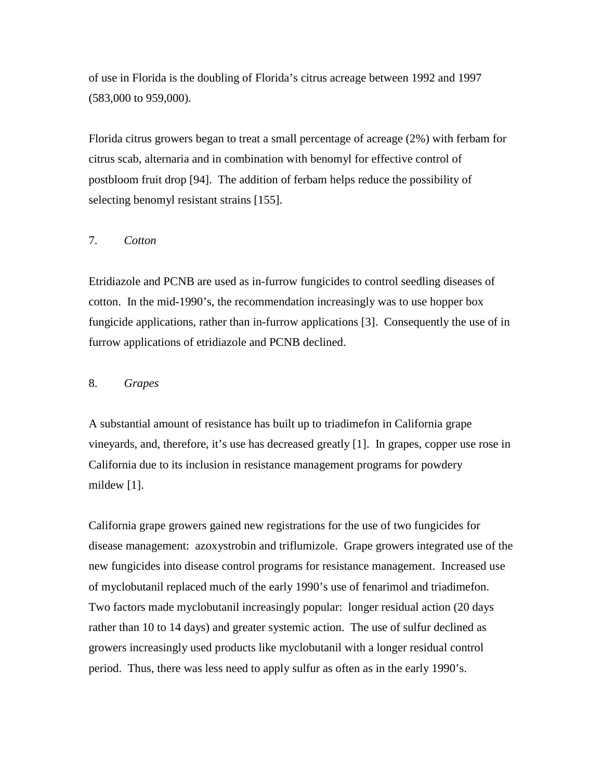of use in Florida is the doubling of Florida's citrus acreage between 1992 and 1997 (583,000 to 959,000).

Florida citrus growers began to treat a small percentage of acreage (2%) with ferbam for citrus scab, alternaria and in combination with benomyl for effective control of postbloom fruit drop [94]. The addition of ferbam helps reduce the possibility of selecting benomyl resistant strains [155].

## 7. *Cotton*

Etridiazole and PCNB are used as in-furrow fungicides to control seedling diseases of cotton. In the mid-1990's, the recommendation increasingly was to use hopper box fungicide applications, rather than in-furrow applications [3]. Consequently the use of in furrow applications of etridiazole and PCNB declined.

## 8. *Grapes*

A substantial amount of resistance has built up to triadimefon in California grape vineyards, and, therefore, it's use has decreased greatly [1]. In grapes, copper use rose in California due to its inclusion in resistance management programs for powdery mildew [1].

California grape growers gained new registrations for the use of two fungicides for disease management: azoxystrobin and triflumizole. Grape growers integrated use of the new fungicides into disease control programs for resistance management. Increased use of myclobutanil replaced much of the early 1990's use of fenarimol and triadimefon. Two factors made myclobutanil increasingly popular: longer residual action (20 days rather than 10 to 14 days) and greater systemic action. The use of sulfur declined as growers increasingly used products like myclobutanil with a longer residual control period. Thus, there was less need to apply sulfur as often as in the early 1990's.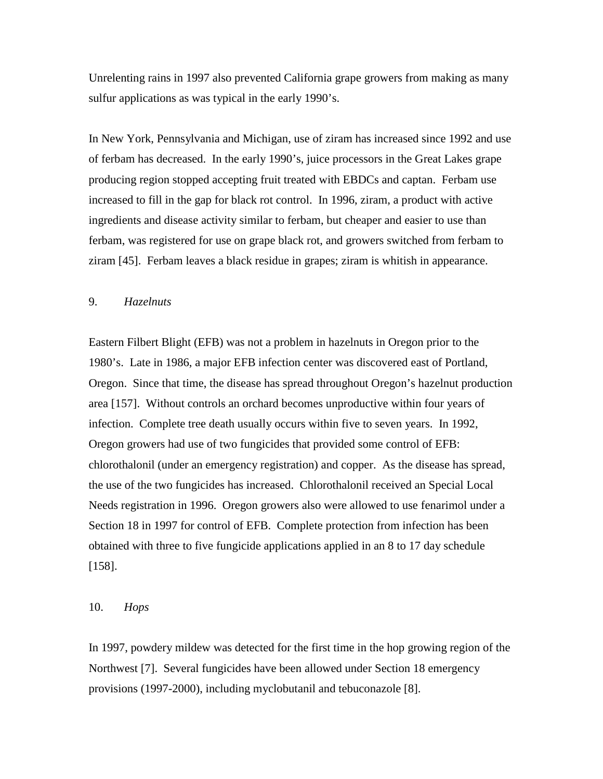Unrelenting rains in 1997 also prevented California grape growers from making as many sulfur applications as was typical in the early 1990's.

In New York, Pennsylvania and Michigan, use of ziram has increased since 1992 and use of ferbam has decreased. In the early 1990's, juice processors in the Great Lakes grape producing region stopped accepting fruit treated with EBDCs and captan. Ferbam use increased to fill in the gap for black rot control. In 1996, ziram, a product with active ingredients and disease activity similar to ferbam, but cheaper and easier to use than ferbam, was registered for use on grape black rot, and growers switched from ferbam to ziram [45]. Ferbam leaves a black residue in grapes; ziram is whitish in appearance.

#### 9. *Hazelnuts*

Eastern Filbert Blight (EFB) was not a problem in hazelnuts in Oregon prior to the 1980's. Late in 1986, a major EFB infection center was discovered east of Portland, Oregon. Since that time, the disease has spread throughout Oregon's hazelnut production area [157]. Without controls an orchard becomes unproductive within four years of infection. Complete tree death usually occurs within five to seven years. In 1992, Oregon growers had use of two fungicides that provided some control of EFB: chlorothalonil (under an emergency registration) and copper. As the disease has spread, the use of the two fungicides has increased. Chlorothalonil received an Special Local Needs registration in 1996. Oregon growers also were allowed to use fenarimol under a Section 18 in 1997 for control of EFB. Complete protection from infection has been obtained with three to five fungicide applications applied in an 8 to 17 day schedule [158].

#### 10. *Hops*

In 1997, powdery mildew was detected for the first time in the hop growing region of the Northwest [7]. Several fungicides have been allowed under Section 18 emergency provisions (1997-2000), including myclobutanil and tebuconazole [8].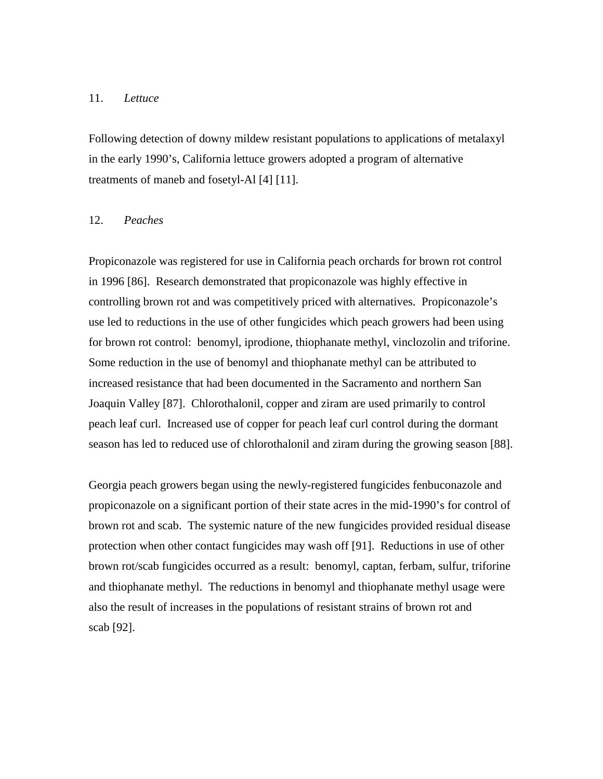## 11. *Lettuce*

Following detection of downy mildew resistant populations to applications of metalaxyl in the early 1990's, California lettuce growers adopted a program of alternative treatments of maneb and fosetyl-Al [4] [11].

#### 12. *Peaches*

Propiconazole was registered for use in California peach orchards for brown rot control in 1996 [86]. Research demonstrated that propiconazole was highly effective in controlling brown rot and was competitively priced with alternatives. Propiconazole's use led to reductions in the use of other fungicides which peach growers had been using for brown rot control: benomyl, iprodione, thiophanate methyl, vinclozolin and triforine. Some reduction in the use of benomyl and thiophanate methyl can be attributed to increased resistance that had been documented in the Sacramento and northern San Joaquin Valley [87]. Chlorothalonil, copper and ziram are used primarily to control peach leaf curl. Increased use of copper for peach leaf curl control during the dormant season has led to reduced use of chlorothalonil and ziram during the growing season [88].

Georgia peach growers began using the newly-registered fungicides fenbuconazole and propiconazole on a significant portion of their state acres in the mid-1990's for control of brown rot and scab. The systemic nature of the new fungicides provided residual disease protection when other contact fungicides may wash off [91]. Reductions in use of other brown rot/scab fungicides occurred as a result: benomyl, captan, ferbam, sulfur, triforine and thiophanate methyl. The reductions in benomyl and thiophanate methyl usage were also the result of increases in the populations of resistant strains of brown rot and scab [92].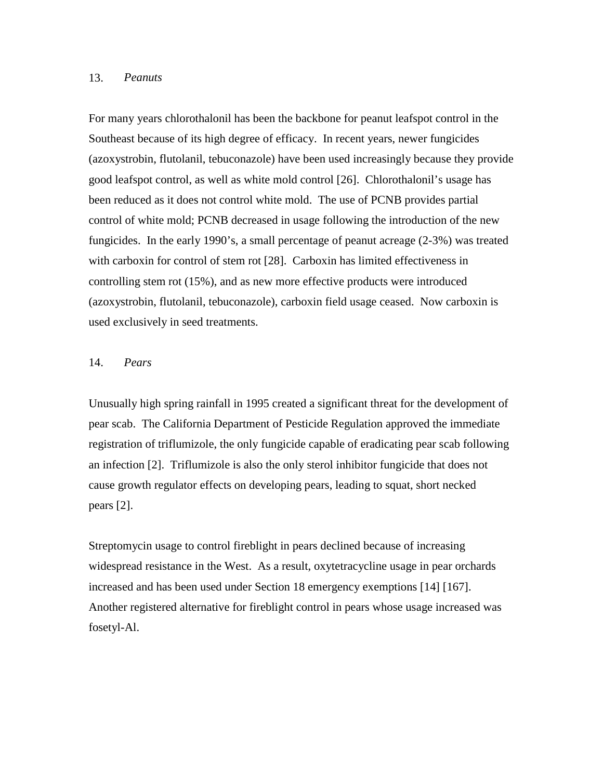## 13. *Peanuts*

For many years chlorothalonil has been the backbone for peanut leafspot control in the Southeast because of its high degree of efficacy. In recent years, newer fungicides (azoxystrobin, flutolanil, tebuconazole) have been used increasingly because they provide good leafspot control, as well as white mold control [26]. Chlorothalonil's usage has been reduced as it does not control white mold. The use of PCNB provides partial control of white mold; PCNB decreased in usage following the introduction of the new fungicides. In the early 1990's, a small percentage of peanut acreage (2-3%) was treated with carboxin for control of stem rot [28]. Carboxin has limited effectiveness in controlling stem rot (15%), and as new more effective products were introduced (azoxystrobin, flutolanil, tebuconazole), carboxin field usage ceased. Now carboxin is used exclusively in seed treatments.

## 14. *Pears*

Unusually high spring rainfall in 1995 created a significant threat for the development of pear scab. The California Department of Pesticide Regulation approved the immediate registration of triflumizole, the only fungicide capable of eradicating pear scab following an infection [2]. Triflumizole is also the only sterol inhibitor fungicide that does not cause growth regulator effects on developing pears, leading to squat, short necked pears [2].

Streptomycin usage to control fireblight in pears declined because of increasing widespread resistance in the West. As a result, oxytetracycline usage in pear orchards increased and has been used under Section 18 emergency exemptions [14] [167]. Another registered alternative for fireblight control in pears whose usage increased was fosetyl-Al.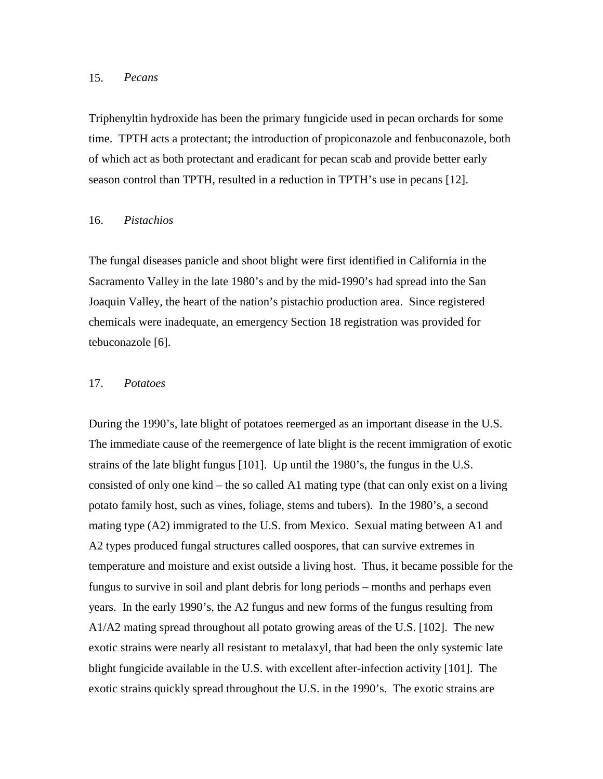## 15. *Pecans*

Triphenyltin hydroxide has been the primary fungicide used in pecan orchards for some time. TPTH acts a protectant; the introduction of propiconazole and fenbuconazole, both of which act as both protectant and eradicant for pecan scab and provide better early season control than TPTH, resulted in a reduction in TPTH's use in pecans [12].

#### 16. *Pistachios*

The fungal diseases panicle and shoot blight were first identified in California in the Sacramento Valley in the late 1980's and by the mid-1990's had spread into the San Joaquin Valley, the heart of the nation's pistachio production area. Since registered chemicals were inadequate, an emergency Section 18 registration was provided for tebuconazole [6].

## 17. *Potatoes*

During the 1990's, late blight of potatoes reemerged as an important disease in the U.S. The immediate cause of the reemergence of late blight is the recent immigration of exotic strains of the late blight fungus [101]. Up until the 1980's, the fungus in the U.S. consisted of only one kind – the so called A1 mating type (that can only exist on a living potato family host, such as vines, foliage, stems and tubers). In the 1980's, a second mating type (A2) immigrated to the U.S. from Mexico. Sexual mating between A1 and A2 types produced fungal structures called oospores, that can survive extremes in temperature and moisture and exist outside a living host. Thus, it became possible for the fungus to survive in soil and plant debris for long periods – months and perhaps even years. In the early 1990's, the A2 fungus and new forms of the fungus resulting from A1/A2 mating spread throughout all potato growing areas of the U.S. [102]. The new exotic strains were nearly all resistant to metalaxyl, that had been the only systemic late blight fungicide available in the U.S. with excellent after-infection activity [101]. The exotic strains quickly spread throughout the U.S. in the 1990's. The exotic strains are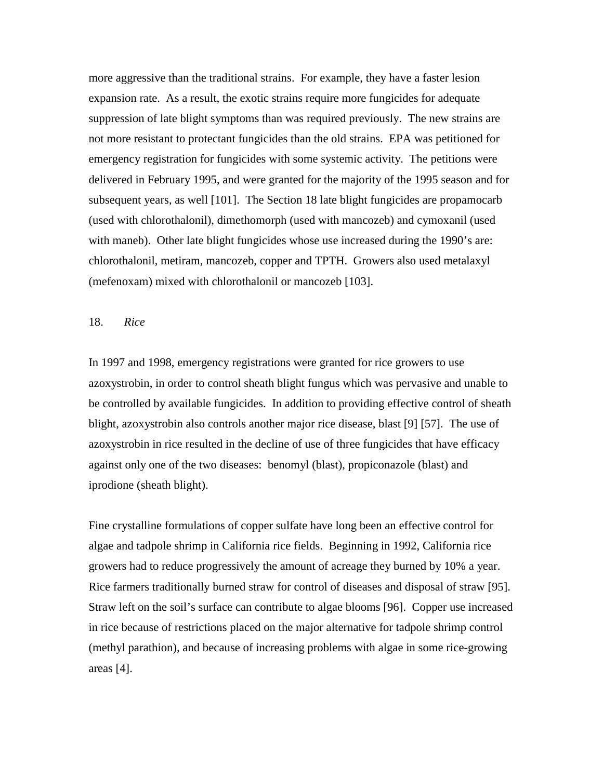more aggressive than the traditional strains. For example, they have a faster lesion expansion rate. As a result, the exotic strains require more fungicides for adequate suppression of late blight symptoms than was required previously. The new strains are not more resistant to protectant fungicides than the old strains. EPA was petitioned for emergency registration for fungicides with some systemic activity. The petitions were delivered in February 1995, and were granted for the majority of the 1995 season and for subsequent years, as well [101]. The Section 18 late blight fungicides are propamocarb (used with chlorothalonil), dimethomorph (used with mancozeb) and cymoxanil (used with maneb). Other late blight fungicides whose use increased during the 1990's are: chlorothalonil, metiram, mancozeb, copper and TPTH. Growers also used metalaxyl (mefenoxam) mixed with chlorothalonil or mancozeb [103].

## 18. *Rice*

In 1997 and 1998, emergency registrations were granted for rice growers to use azoxystrobin, in order to control sheath blight fungus which was pervasive and unable to be controlled by available fungicides. In addition to providing effective control of sheath blight, azoxystrobin also controls another major rice disease, blast [9] [57]. The use of azoxystrobin in rice resulted in the decline of use of three fungicides that have efficacy against only one of the two diseases: benomyl (blast), propiconazole (blast) and iprodione (sheath blight).

Fine crystalline formulations of copper sulfate have long been an effective control for algae and tadpole shrimp in California rice fields. Beginning in 1992, California rice growers had to reduce progressively the amount of acreage they burned by 10% a year. Rice farmers traditionally burned straw for control of diseases and disposal of straw [95]. Straw left on the soil's surface can contribute to algae blooms [96]. Copper use increased in rice because of restrictions placed on the major alternative for tadpole shrimp control (methyl parathion), and because of increasing problems with algae in some rice-growing areas [4].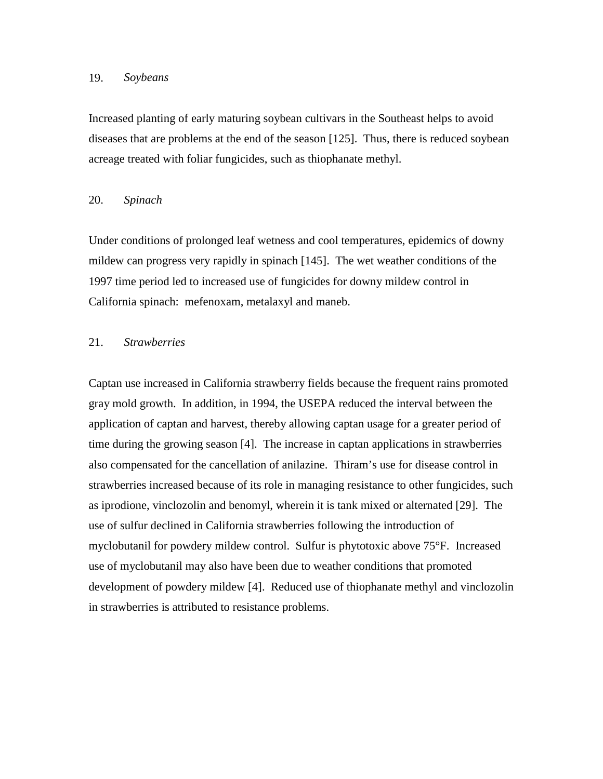## 19. *Soybeans*

Increased planting of early maturing soybean cultivars in the Southeast helps to avoid diseases that are problems at the end of the season [125]. Thus, there is reduced soybean acreage treated with foliar fungicides, such as thiophanate methyl.

## 20. *Spinach*

Under conditions of prolonged leaf wetness and cool temperatures, epidemics of downy mildew can progress very rapidly in spinach [145]. The wet weather conditions of the 1997 time period led to increased use of fungicides for downy mildew control in California spinach: mefenoxam, metalaxyl and maneb.

## 21. *Strawberries*

Captan use increased in California strawberry fields because the frequent rains promoted gray mold growth. In addition, in 1994, the USEPA reduced the interval between the application of captan and harvest, thereby allowing captan usage for a greater period of time during the growing season [4]. The increase in captan applications in strawberries also compensated for the cancellation of anilazine. Thiram's use for disease control in strawberries increased because of its role in managing resistance to other fungicides, such as iprodione, vinclozolin and benomyl, wherein it is tank mixed or alternated [29]. The use of sulfur declined in California strawberries following the introduction of myclobutanil for powdery mildew control. Sulfur is phytotoxic above 75°F. Increased use of myclobutanil may also have been due to weather conditions that promoted development of powdery mildew [4]. Reduced use of thiophanate methyl and vinclozolin in strawberries is attributed to resistance problems.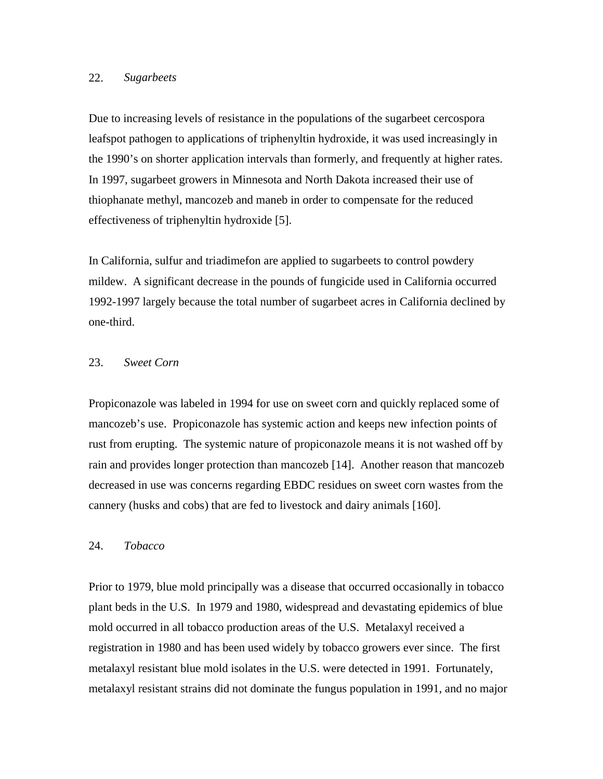## 22. *Sugarbeets*

Due to increasing levels of resistance in the populations of the sugarbeet cercospora leafspot pathogen to applications of triphenyltin hydroxide, it was used increasingly in the 1990's on shorter application intervals than formerly, and frequently at higher rates. In 1997, sugarbeet growers in Minnesota and North Dakota increased their use of thiophanate methyl, mancozeb and maneb in order to compensate for the reduced effectiveness of triphenyltin hydroxide [5].

In California, sulfur and triadimefon are applied to sugarbeets to control powdery mildew. A significant decrease in the pounds of fungicide used in California occurred 1992-1997 largely because the total number of sugarbeet acres in California declined by one-third.

## 23. *Sweet Corn*

Propiconazole was labeled in 1994 for use on sweet corn and quickly replaced some of mancozeb's use. Propiconazole has systemic action and keeps new infection points of rust from erupting. The systemic nature of propiconazole means it is not washed off by rain and provides longer protection than mancozeb [14]. Another reason that mancozeb decreased in use was concerns regarding EBDC residues on sweet corn wastes from the cannery (husks and cobs) that are fed to livestock and dairy animals [160].

#### 24. *Tobacco*

Prior to 1979, blue mold principally was a disease that occurred occasionally in tobacco plant beds in the U.S. In 1979 and 1980, widespread and devastating epidemics of blue mold occurred in all tobacco production areas of the U.S. Metalaxyl received a registration in 1980 and has been used widely by tobacco growers ever since. The first metalaxyl resistant blue mold isolates in the U.S. were detected in 1991. Fortunately, metalaxyl resistant strains did not dominate the fungus population in 1991, and no major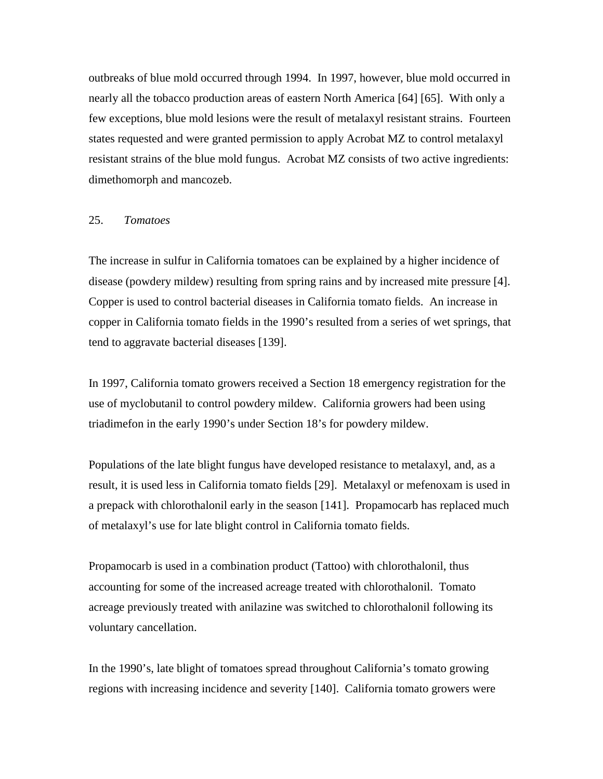outbreaks of blue mold occurred through 1994. In 1997, however, blue mold occurred in nearly all the tobacco production areas of eastern North America [64] [65]. With only a few exceptions, blue mold lesions were the result of metalaxyl resistant strains. Fourteen states requested and were granted permission to apply Acrobat MZ to control metalaxyl resistant strains of the blue mold fungus. Acrobat MZ consists of two active ingredients: dimethomorph and mancozeb.

#### 25. *Tomatoes*

The increase in sulfur in California tomatoes can be explained by a higher incidence of disease (powdery mildew) resulting from spring rains and by increased mite pressure [4]. Copper is used to control bacterial diseases in California tomato fields. An increase in copper in California tomato fields in the 1990's resulted from a series of wet springs, that tend to aggravate bacterial diseases [139].

In 1997, California tomato growers received a Section 18 emergency registration for the use of myclobutanil to control powdery mildew. California growers had been using triadimefon in the early 1990's under Section 18's for powdery mildew.

Populations of the late blight fungus have developed resistance to metalaxyl, and, as a result, it is used less in California tomato fields [29]. Metalaxyl or mefenoxam is used in a prepack with chlorothalonil early in the season [141]. Propamocarb has replaced much of metalaxyl's use for late blight control in California tomato fields.

Propamocarb is used in a combination product (Tattoo) with chlorothalonil, thus accounting for some of the increased acreage treated with chlorothalonil. Tomato acreage previously treated with anilazine was switched to chlorothalonil following its voluntary cancellation.

In the 1990's, late blight of tomatoes spread throughout California's tomato growing regions with increasing incidence and severity [140]. California tomato growers were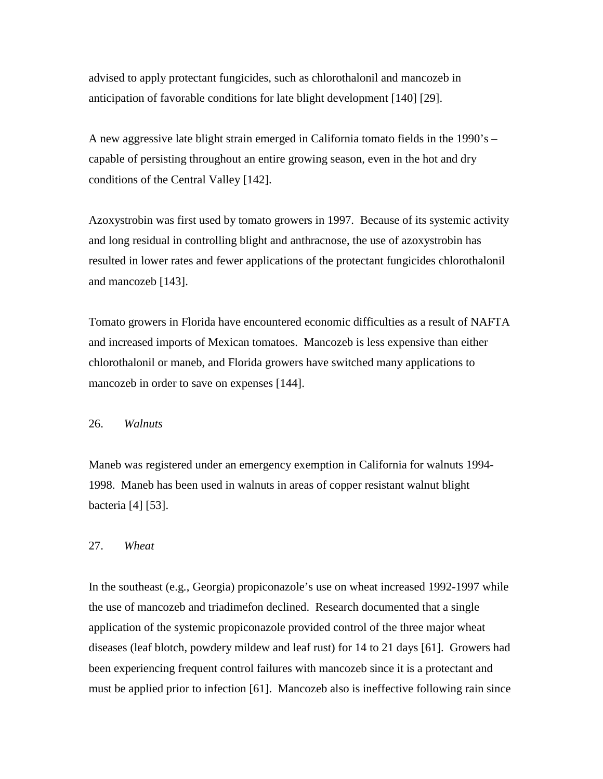advised to apply protectant fungicides, such as chlorothalonil and mancozeb in anticipation of favorable conditions for late blight development [140] [29].

A new aggressive late blight strain emerged in California tomato fields in the 1990's – capable of persisting throughout an entire growing season, even in the hot and dry conditions of the Central Valley [142].

Azoxystrobin was first used by tomato growers in 1997. Because of its systemic activity and long residual in controlling blight and anthracnose, the use of azoxystrobin has resulted in lower rates and fewer applications of the protectant fungicides chlorothalonil and mancozeb [143].

Tomato growers in Florida have encountered economic difficulties as a result of NAFTA and increased imports of Mexican tomatoes. Mancozeb is less expensive than either chlorothalonil or maneb, and Florida growers have switched many applications to mancozeb in order to save on expenses [144].

## 26. *Walnuts*

Maneb was registered under an emergency exemption in California for walnuts 1994- 1998. Maneb has been used in walnuts in areas of copper resistant walnut blight bacteria [4] [53].

#### 27. *Wheat*

In the southeast (e.g*.*, Georgia) propiconazole's use on wheat increased 1992-1997 while the use of mancozeb and triadimefon declined. Research documented that a single application of the systemic propiconazole provided control of the three major wheat diseases (leaf blotch, powdery mildew and leaf rust) for 14 to 21 days [61]. Growers had been experiencing frequent control failures with mancozeb since it is a protectant and must be applied prior to infection [61]. Mancozeb also is ineffective following rain since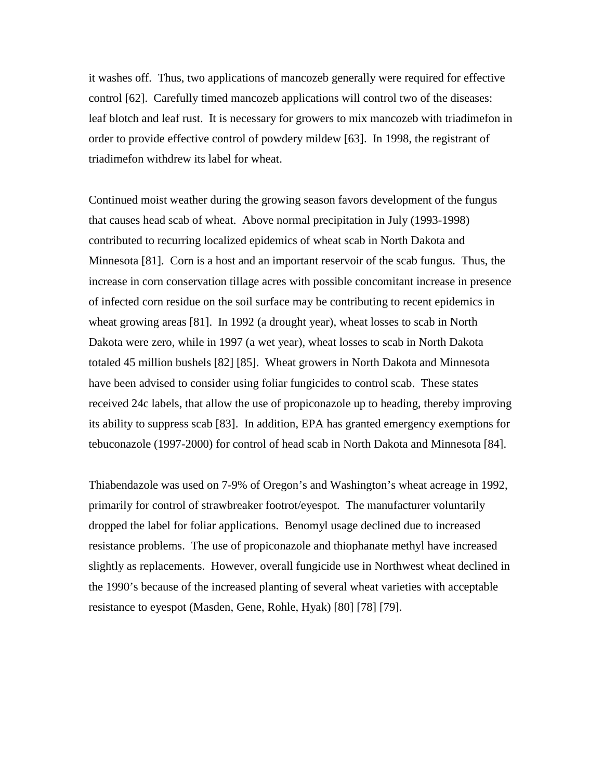it washes off. Thus, two applications of mancozeb generally were required for effective control [62]. Carefully timed mancozeb applications will control two of the diseases: leaf blotch and leaf rust. It is necessary for growers to mix mancozeb with triadimefon in order to provide effective control of powdery mildew [63]. In 1998, the registrant of triadimefon withdrew its label for wheat.

Continued moist weather during the growing season favors development of the fungus that causes head scab of wheat. Above normal precipitation in July (1993-1998) contributed to recurring localized epidemics of wheat scab in North Dakota and Minnesota [81]. Corn is a host and an important reservoir of the scab fungus. Thus, the increase in corn conservation tillage acres with possible concomitant increase in presence of infected corn residue on the soil surface may be contributing to recent epidemics in wheat growing areas [81]. In 1992 (a drought year), wheat losses to scab in North Dakota were zero, while in 1997 (a wet year), wheat losses to scab in North Dakota totaled 45 million bushels [82] [85]. Wheat growers in North Dakota and Minnesota have been advised to consider using foliar fungicides to control scab. These states received 24c labels, that allow the use of propiconazole up to heading, thereby improving its ability to suppress scab [83]. In addition, EPA has granted emergency exemptions for tebuconazole (1997-2000) for control of head scab in North Dakota and Minnesota [84].

Thiabendazole was used on 7-9% of Oregon's and Washington's wheat acreage in 1992, primarily for control of strawbreaker footrot/eyespot. The manufacturer voluntarily dropped the label for foliar applications. Benomyl usage declined due to increased resistance problems. The use of propiconazole and thiophanate methyl have increased slightly as replacements. However, overall fungicide use in Northwest wheat declined in the 1990's because of the increased planting of several wheat varieties with acceptable resistance to eyespot (Masden, Gene, Rohle, Hyak) [80] [78] [79].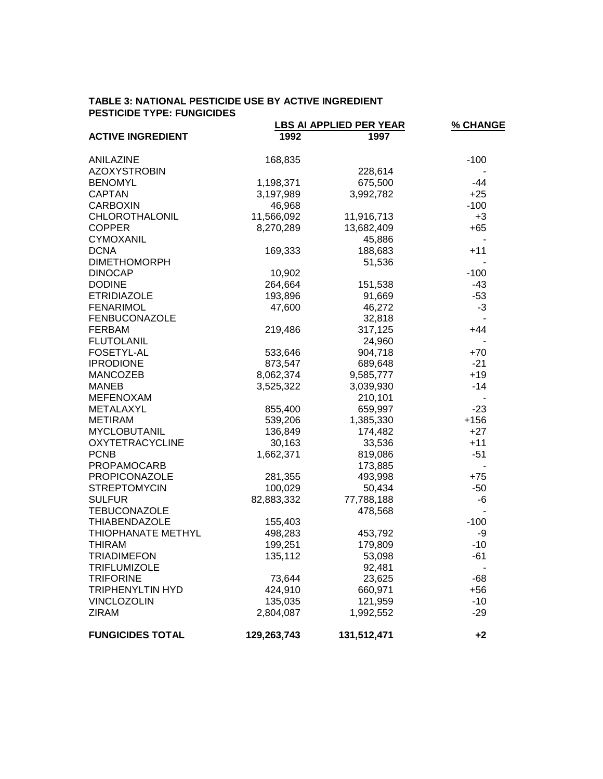## **TABLE 3: NATIONAL PESTICIDE USE BY ACTIVE INGREDIENT PESTICIDE TYPE: FUNGICIDES**

|                          |             | LBS AI APPLIED PER YEAR | % CHANGE                 |
|--------------------------|-------------|-------------------------|--------------------------|
| <b>ACTIVE INGREDIENT</b> | 1992        | 1997                    |                          |
| ANILAZINE                | 168,835     |                         | $-100$                   |
| <b>AZOXYSTROBIN</b>      |             | 228,614                 |                          |
| <b>BENOMYL</b>           | 1,198,371   | 675,500                 | $-44$                    |
| <b>CAPTAN</b>            | 3,197,989   | 3,992,782               | $+25$                    |
| <b>CARBOXIN</b>          | 46,968      |                         | $-100$                   |
| CHLOROTHALONIL           | 11,566,092  | 11,916,713              | $+3$                     |
| <b>COPPER</b>            | 8,270,289   | 13,682,409              | $+65$                    |
| <b>CYMOXANIL</b>         |             | 45,886                  |                          |
| <b>DCNA</b>              | 169,333     | 188,683                 | $+11$                    |
| <b>DIMETHOMORPH</b>      |             | 51,536                  |                          |
| <b>DINOCAP</b>           | 10,902      |                         | $-100$                   |
| <b>DODINE</b>            | 264,664     | 151,538                 | $-43$                    |
| <b>ETRIDIAZOLE</b>       | 193,896     | 91,669                  | $-53$                    |
| <b>FENARIMOL</b>         | 47,600      | 46,272                  | $-3$                     |
| <b>FENBUCONAZOLE</b>     |             | 32,818                  |                          |
| <b>FERBAM</b>            | 219,486     | 317,125                 | $+44$                    |
| <b>FLUTOLANIL</b>        |             | 24,960                  |                          |
| FOSETYL-AL               | 533,646     | 904,718                 | $+70$                    |
| <b>IPRODIONE</b>         | 873,547     | 689,648                 | $-21$                    |
| <b>MANCOZEB</b>          | 8,062,374   | 9,585,777               | $+19$                    |
| <b>MANEB</b>             | 3,525,322   | 3,039,930               | $-14$                    |
| <b>MEFENOXAM</b>         |             | 210,101                 |                          |
| METALAXYL                | 855,400     | 659,997                 | $-23$                    |
| <b>METIRAM</b>           | 539,206     | 1,385,330               | $+156$                   |
| <b>MYCLOBUTANIL</b>      | 136,849     | 174,482                 | $+27$                    |
| <b>OXYTETRACYCLINE</b>   | 30,163      | 33,536                  | $+11$                    |
| <b>PCNB</b>              | 1,662,371   | 819,086                 | $-51$                    |
| PROPAMOCARB              |             | 173,885                 |                          |
| PROPICONAZOLE            | 281,355     | 493,998                 | $+75$                    |
| <b>STREPTOMYCIN</b>      | 100,029     | 50,434                  | $-50$                    |
| <b>SULFUR</b>            | 82,883,332  | 77,788,188              | -6                       |
| <b>TEBUCONAZOLE</b>      |             | 478,568                 | $\overline{\phantom{a}}$ |
| <b>THIABENDAZOLE</b>     | 155,403     |                         | $-100$                   |
| THIOPHANATE METHYL       | 498,283     | 453,792                 | -9                       |
| <b>THIRAM</b>            | 199,251     | 179,809                 | $-10$                    |
| <b>TRIADIMEFON</b>       | 135,112     | 53,098                  | $-61$                    |
| <b>TRIFLUMIZOLE</b>      |             | 92,481                  |                          |
| <b>TRIFORINE</b>         | 73,644      | 23,625                  | $-68$                    |
| <b>TRIPHENYLTIN HYD</b>  | 424,910     | 660,971                 | $+56$                    |
| <b>VINCLOZOLIN</b>       | 135,035     | 121,959                 | $-10$                    |
| <b>ZIRAM</b>             | 2,804,087   | 1,992,552               | $-29$                    |
| <b>FUNGICIDES TOTAL</b>  | 129,263,743 | 131,512,471             | $+2$                     |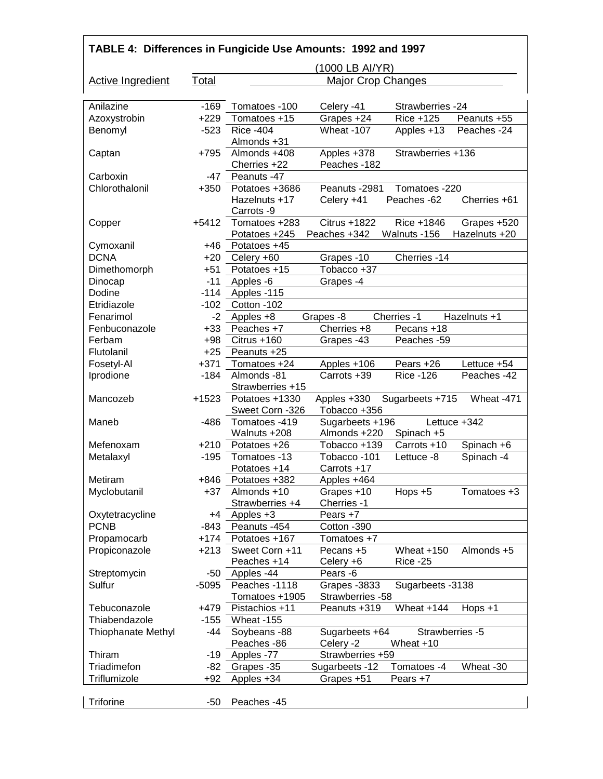| TABLE 4: Differences in Fungicide Use Amounts: 1992 and 1997 |                 |                                 |                                   |                   |               |
|--------------------------------------------------------------|-----------------|---------------------------------|-----------------------------------|-------------------|---------------|
|                                                              | (1000 LB AI/YR) |                                 |                                   |                   |               |
| <b>Active Ingredient</b>                                     | Total           | <b>Major Crop Changes</b>       |                                   |                   |               |
| Anilazine                                                    | $-169$          | Tomatoes -100                   | Celery -41                        | Strawberries -24  |               |
| Azoxystrobin                                                 | $+229$          | Tomatoes +15                    | Grapes +24                        | Rice +125         | Peanuts +55   |
| Benomyl                                                      | $-523$          | <b>Rice -404</b>                | Wheat -107                        | Apples +13        | Peaches -24   |
|                                                              |                 | Almonds +31                     |                                   |                   |               |
| Captan                                                       | $+795$          | Almonds +408                    | Apples +378                       | Strawberries +136 |               |
|                                                              |                 | Cherries +22                    | Peaches -182                      |                   |               |
| Carboxin                                                     | $-47$           | Peanuts -47                     |                                   |                   |               |
| Chlorothalonil                                               | $+350$          | Potatoes +3686                  | Peanuts -2981                     | Tomatoes -220     |               |
|                                                              |                 | Hazelnuts +17<br>Carrots -9     | Celery +41                        | Peaches -62       | Cherries +61  |
| Copper                                                       | $+5412$         | Tomatoes +283                   | Citrus +1822                      | Rice +1846        | Grapes +520   |
|                                                              |                 | Potatoes +245                   | Peaches +342                      | Walnuts -156      | Hazelnuts +20 |
| Cymoxanil                                                    | $+46$           | Potatoes +45                    |                                   |                   |               |
| <b>DCNA</b>                                                  | $+20$           | Celery +60                      | Grapes -10                        | Cherries -14      |               |
| Dimethomorph                                                 | $+51$           | Potatoes +15                    | Tobacco +37                       |                   |               |
| Dinocap                                                      | $-11$           | Apples -6                       | Grapes -4                         |                   |               |
| Dodine                                                       | $-114$          | Apples -115                     |                                   |                   |               |
| Etridiazole                                                  | $-102$          | Cotton -102                     |                                   |                   |               |
|                                                              | $-2$            |                                 |                                   |                   |               |
| Fenarimol                                                    |                 | Apples +8                       | Grapes -8                         | Cherries -1       | Hazelnuts +1  |
| Fenbuconazole                                                | $+33$           | Peaches +7                      | Cherries +8                       | Pecans +18        |               |
| Ferbam                                                       | $+98$           | Citrus +160                     | Grapes -43                        | Peaches -59       |               |
| Flutolanil                                                   | $+25$           | Peanuts +25                     |                                   |                   |               |
| Fosetyl-Al                                                   | $+371$          | Tomatoes +24                    | Apples +106                       | Pears +26         | Lettuce +54   |
| Iprodione                                                    | $-184$          | Almonds -81                     | Carrots +39                       | <b>Rice -126</b>  | Peaches -42   |
|                                                              |                 | Strawberries +15                |                                   |                   |               |
| Mancozeb                                                     | $+1523$         | Potatoes +1330                  | Apples +330                       | Sugarbeets +715   | Wheat -471    |
|                                                              |                 | Sweet Corn -326                 | Tobacco +356                      |                   |               |
| Maneb                                                        | $-486$          | Tomatoes -419                   | Sugarbeets +196                   |                   | Lettuce +342  |
|                                                              |                 | Walnuts +208                    | Almonds +220                      | Spinach +5        |               |
| Mefenoxam                                                    | $+210$          | Potatoes +26                    | Tobacco +139                      | Carrots +10       | Spinach +6    |
| Metalaxyl                                                    | $-195$          | Tomatoes -13                    | Tobacco-101                       | Lettuce -8        | Spinach -4    |
|                                                              |                 | Potatoes +14                    | Carrots +17                       |                   |               |
| Metiram                                                      | $+846$          | Potatoes +382                   | Apples +464                       |                   |               |
| Myclobutanil                                                 | +37             | Almonds +10                     | Grapes +10                        | Hops $+5$         | Tomatoes +3   |
|                                                              |                 | Strawberries +4                 | Cherries -1                       |                   |               |
| Oxytetracycline                                              | +4              | Apples +3                       | Pears +7                          |                   |               |
| <b>PCNB</b>                                                  | $-843$          | Peanuts -454                    | Cotton -390                       |                   |               |
| Propamocarb                                                  | $+174$          | Potatoes +167                   | Tomatoes +7                       |                   |               |
| Propiconazole                                                | $+213$          | Sweet Corn +11                  | Pecans +5                         | Wheat $+150$      | Almonds +5    |
|                                                              |                 | Peaches +14                     | Celery +6                         | Rice -25          |               |
| Streptomycin                                                 | -50             | Apples -44                      | Pears -6                          |                   |               |
| Sulfur                                                       | $-5095$         | Peaches -1118<br>Tomatoes +1905 | Grapes - 3833<br>Strawberries -58 | Sugarbeets -3138  |               |
| Tebuconazole                                                 | +479            | Pistachios +11                  | Peanuts +319                      | Wheat +144        | $Hops + 1$    |
| Thiabendazole                                                | $-155$          | Wheat -155                      |                                   |                   |               |
| <b>Thiophanate Methyl</b>                                    | $-44$           | Soybeans -88                    | Sugarbeets +64                    | Strawberries -5   |               |
|                                                              |                 | Peaches -86                     | Celery -2                         | Wheat +10         |               |
| Thiram                                                       | -19             | Apples -77                      | Strawberries +59                  |                   |               |
| Triadimefon                                                  |                 |                                 |                                   |                   |               |
|                                                              | -82             | Grapes -35                      | Sugarbeets -12                    | Tomatoes -4       | Wheat -30     |
| Triflumizole                                                 | $+92$           | Apples +34                      | Grapes +51                        | Pears +7          |               |
| <b>Triforine</b>                                             | -50             | Peaches -45                     |                                   |                   |               |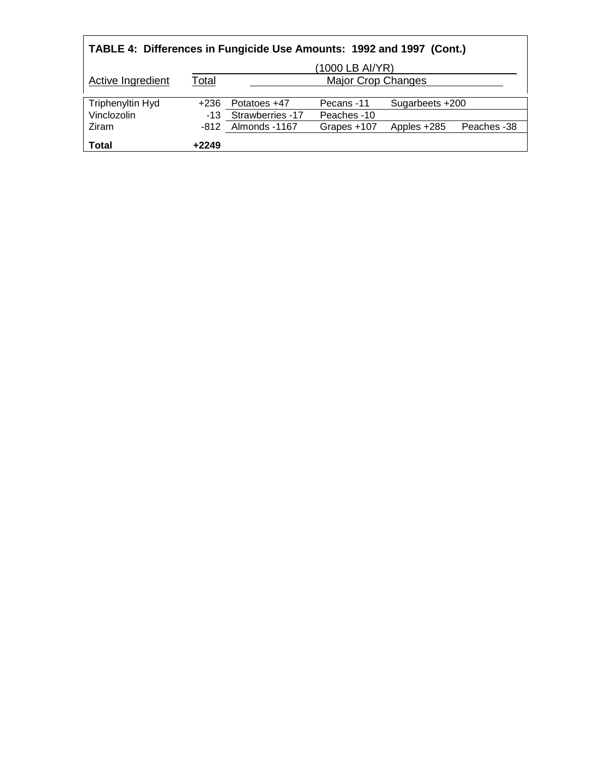| TABLE 4: Differences in Fungicide Use Amounts: 1992 and 1997 (Cont.) |                 |                      |                           |                 |             |
|----------------------------------------------------------------------|-----------------|----------------------|---------------------------|-----------------|-------------|
|                                                                      | (1000 LB AI/YR) |                      |                           |                 |             |
| Active Ingredient                                                    | <u>Total</u>    |                      | <b>Major Crop Changes</b> |                 |             |
|                                                                      |                 |                      |                           |                 |             |
| <b>Triphenyltin Hyd</b>                                              | +236            | Potatoes +47         | Pecans -11                | Sugarbeets +200 |             |
| Vinclozolin                                                          |                 | -13 Strawberries -17 | Peaches -10               |                 |             |
| Ziram                                                                |                 | -812 Almonds -1167   | Grapes +107               | Apples +285     | Peaches -38 |
| <b>Total</b>                                                         | $+2249$         |                      |                           |                 |             |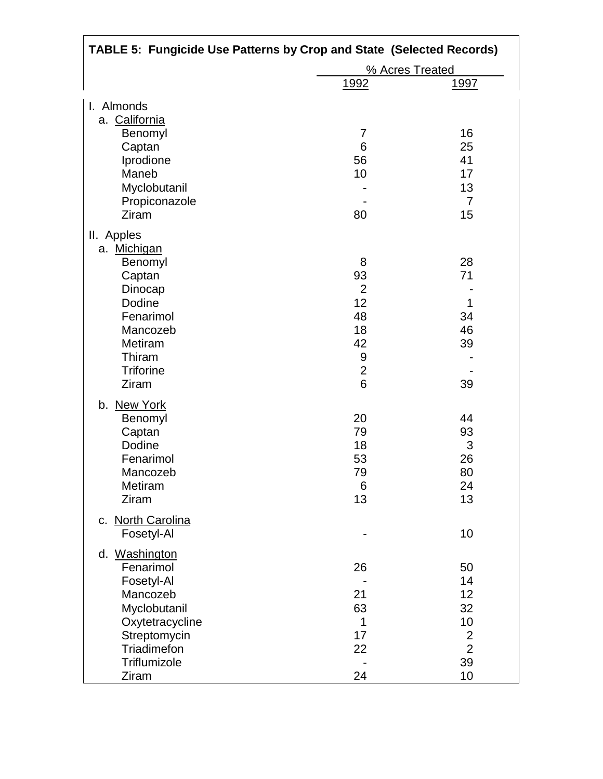| <b>TABLE 5: Fungicide Use Patterns by Crop and State (Selected Records)</b> |                 |                |  |
|-----------------------------------------------------------------------------|-----------------|----------------|--|
|                                                                             | % Acres Treated |                |  |
|                                                                             | <u>1992</u>     | <u> 1997 </u>  |  |
| I. Almonds                                                                  |                 |                |  |
| a. California                                                               |                 |                |  |
| Benomyl                                                                     | 7               | 16             |  |
| Captan                                                                      | 6               | 25             |  |
| Iprodione                                                                   | 56              | 41             |  |
| Maneb                                                                       | 10              | 17             |  |
| Myclobutanil                                                                |                 | 13             |  |
| Propiconazole                                                               |                 | $\overline{7}$ |  |
| Ziram                                                                       | 80              | 15             |  |
| II. Apples                                                                  |                 |                |  |
| a. Michigan                                                                 |                 |                |  |
| Benomyl                                                                     | 8               | 28             |  |
| Captan                                                                      | 93              | 71             |  |
| Dinocap                                                                     | $\overline{2}$  |                |  |
| Dodine                                                                      | 12              | 1              |  |
| Fenarimol                                                                   | 48              | 34             |  |
| Mancozeb                                                                    | 18              | 46             |  |
| Metiram                                                                     | 42              | 39             |  |
| Thiram                                                                      | 9               |                |  |
| <b>Triforine</b>                                                            | $\overline{2}$  |                |  |
| Ziram                                                                       | 6               | 39             |  |
| b. New York                                                                 |                 |                |  |
| Benomyl                                                                     | 20              | 44             |  |
| Captan                                                                      | 79              | 93             |  |
| Dodine                                                                      | 18              | 3              |  |
| Fenarimol                                                                   | 53              | 26             |  |
| Mancozeb                                                                    | 79              | 80             |  |
| Metiram                                                                     | 6               | 24             |  |
| Ziram                                                                       | 13              | 13             |  |
| c. North Carolina                                                           |                 |                |  |
| Fosetyl-Al                                                                  |                 | 10             |  |
| d. Washington                                                               |                 |                |  |
| Fenarimol                                                                   | 26              | 50             |  |
| Fosetyl-Al                                                                  |                 | 14             |  |
| Mancozeb                                                                    | 21              | 12             |  |
| Myclobutanil                                                                | 63              | 32             |  |
| Oxytetracycline                                                             | 1               | 10             |  |
| Streptomycin                                                                | 17              | $\overline{2}$ |  |
| <b>Triadimefon</b>                                                          | 22              | $\overline{2}$ |  |
| Triflumizole                                                                |                 | 39             |  |
| Ziram                                                                       | 24              | 10             |  |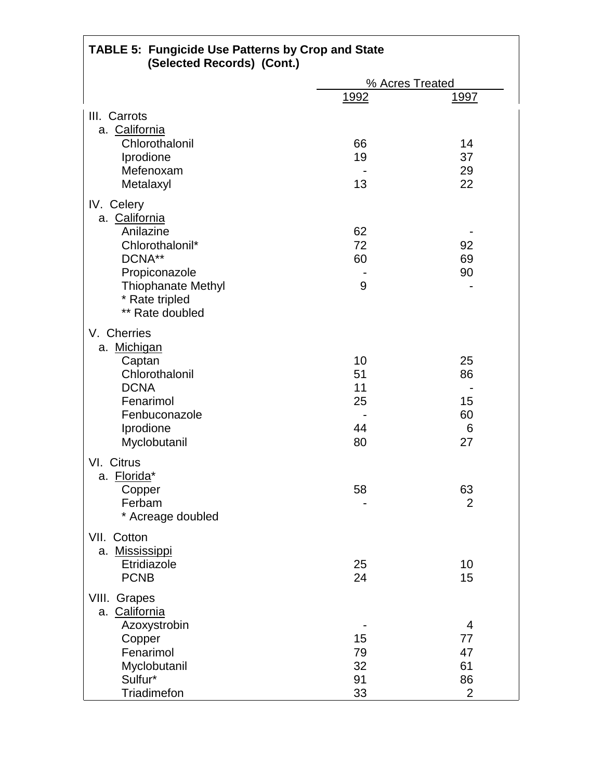| <b>TABLE 5: Fungicide Use Patterns by Crop and State</b><br>(Selected Records) (Cont.) |      |                 |
|----------------------------------------------------------------------------------------|------|-----------------|
|                                                                                        |      | % Acres Treated |
|                                                                                        | 1992 | <u> 1997 </u>   |
| III. Carrots                                                                           |      |                 |
| a. California                                                                          |      |                 |
| Chlorothalonil                                                                         | 66   | 14              |
| Iprodione                                                                              | 19   | 37              |
| Mefenoxam                                                                              |      | 29              |
| Metalaxyl                                                                              | 13   | 22              |
|                                                                                        |      |                 |
| IV. Celery<br>a. California                                                            |      |                 |
| Anilazine                                                                              | 62   |                 |
| Chlorothalonil*                                                                        | 72   | 92              |
| DCNA**                                                                                 | 60   | 69              |
| Propiconazole                                                                          |      | 90              |
| <b>Thiophanate Methyl</b>                                                              | 9    |                 |
| * Rate tripled                                                                         |      |                 |
| ** Rate doubled                                                                        |      |                 |
| V. Cherries                                                                            |      |                 |
|                                                                                        |      |                 |
| a. Michigan                                                                            | 10   | 25              |
| Captan<br>Chlorothalonil                                                               | 51   | 86              |
| <b>DCNA</b>                                                                            | 11   |                 |
| Fenarimol                                                                              | 25   | 15              |
| Fenbuconazole                                                                          |      | 60              |
| Iprodione                                                                              | 44   | 6               |
| Myclobutanil                                                                           | 80   | 27              |
|                                                                                        |      |                 |
| VI. Citrus                                                                             |      |                 |
| a. Florida*                                                                            |      |                 |
| Copper                                                                                 | 58   | 63              |
| Ferbam                                                                                 |      | 2               |
| * Acreage doubled                                                                      |      |                 |
| VII. Cotton                                                                            |      |                 |
| a. Mississippi                                                                         |      |                 |
| Etridiazole                                                                            | 25   | 10              |
| <b>PCNB</b>                                                                            | 24   | 15              |
| VIII. Grapes                                                                           |      |                 |
| a. California                                                                          |      |                 |
| Azoxystrobin                                                                           |      | 4               |
| Copper                                                                                 | 15   | 77              |
| Fenarimol                                                                              | 79   | 47              |
| Myclobutanil                                                                           | 32   | 61              |
| Sulfur*                                                                                | 91   | 86              |
| Triadimefon                                                                            | 33   | $\overline{2}$  |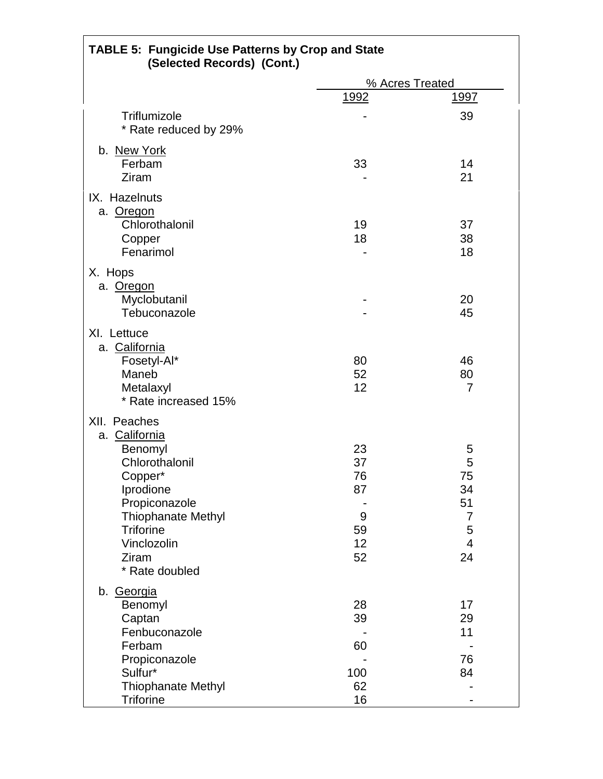| <b>TABLE 5: Fungicide Use Patterns by Crop and State</b><br>(Selected Records) (Cont.)                                                                                                         |                                             |                                                                         |
|------------------------------------------------------------------------------------------------------------------------------------------------------------------------------------------------|---------------------------------------------|-------------------------------------------------------------------------|
|                                                                                                                                                                                                |                                             | % Acres Treated                                                         |
|                                                                                                                                                                                                | <u>1992</u>                                 | <u> 1997 </u>                                                           |
| Triflumizole<br>* Rate reduced by 29%                                                                                                                                                          |                                             | 39                                                                      |
| b. New York<br>Ferbam<br>Ziram                                                                                                                                                                 | 33                                          | 14<br>21                                                                |
| IX. Hazelnuts<br>a. Oregon<br>Chlorothalonil<br>Copper<br>Fenarimol                                                                                                                            | 19<br>18                                    | 37<br>38<br>18                                                          |
| X. Hops<br>a. Oregon<br>Myclobutanil<br>Tebuconazole                                                                                                                                           |                                             | 20<br>45                                                                |
| XI. Lettuce<br>a. California<br>Fosetyl-Al*<br>Maneb<br>Metalaxyl<br>* Rate increased 15%                                                                                                      | 80<br>52<br>12                              | 46<br>80<br>7                                                           |
| XII. Peaches<br>a. California<br>Benomyl<br>Chlorothalonil<br>Copper*<br>Iprodione<br>Propiconazole<br><b>Thiophanate Methyl</b><br><b>Triforine</b><br>Vinclozolin<br>Ziram<br>* Rate doubled | 23<br>37<br>76<br>87<br>9<br>59<br>12<br>52 | 5<br>5<br>75<br>34<br>51<br>$\overline{7}$<br>5<br>$\overline{4}$<br>24 |
| b. Georgia<br>Benomyl<br>Captan<br>Fenbuconazole<br>Ferbam<br>Propiconazole<br>Sulfur*<br><b>Thiophanate Methyl</b><br><b>Triforine</b>                                                        | 28<br>39<br>60<br>100<br>62<br>16           | 17<br>29<br>11<br>76<br>84                                              |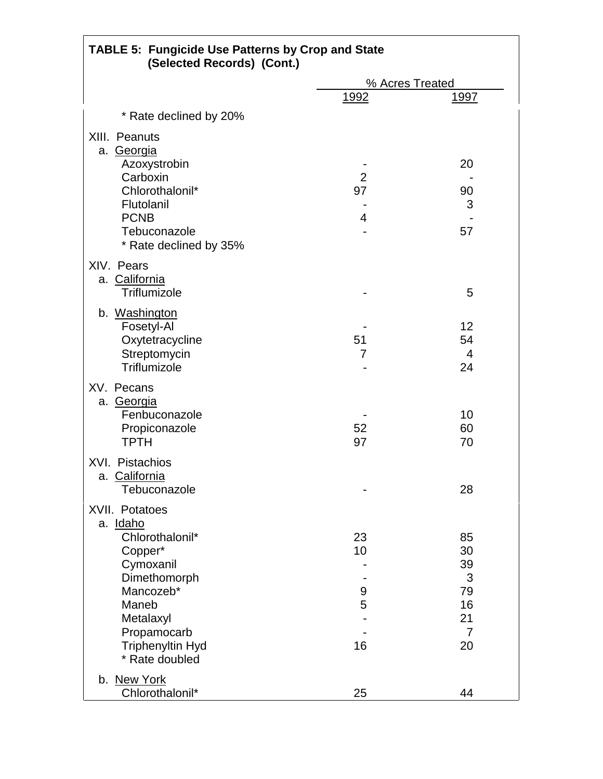| <b>TABLE 5: Fungicide Use Patterns by Crop and State</b><br>(Selected Records) (Cont.) |                |                 |
|----------------------------------------------------------------------------------------|----------------|-----------------|
|                                                                                        |                | % Acres Treated |
|                                                                                        | <u>1992</u>    | <u> 1997 </u>   |
| * Rate declined by 20%                                                                 |                |                 |
| XIII. Peanuts<br>a. Georgia                                                            |                |                 |
| Azoxystrobin<br>Carboxin                                                               | $\overline{2}$ | 20              |
| Chlorothalonil*                                                                        | 97             | 90              |
| Flutolanil                                                                             |                | 3               |
| <b>PCNB</b>                                                                            | 4              |                 |
| Tebuconazole                                                                           |                | 57              |
| * Rate declined by 35%                                                                 |                |                 |
| XIV. Pears<br>a. California                                                            |                |                 |
| Triflumizole                                                                           |                | 5               |
| b. Washington                                                                          |                |                 |
| Fosetyl-Al                                                                             |                | 12              |
| Oxytetracycline                                                                        | 51             | 54              |
| Streptomycin<br>Triflumizole                                                           | 7              | 4               |
|                                                                                        |                | 24              |
| XV. Pecans                                                                             |                |                 |
| a. Georgia                                                                             |                |                 |
| Fenbuconazole                                                                          | 52             | 10<br>60        |
| Propiconazole<br><b>TPTH</b>                                                           | 97             | 70              |
|                                                                                        |                |                 |
| XVI. Pistachios                                                                        |                |                 |
| a. California<br>Tebuconazole                                                          |                | 28              |
|                                                                                        |                |                 |
| XVII. Potatoes                                                                         |                |                 |
| a. Idaho<br>Chlorothalonil*                                                            | 23             | 85              |
| Copper*                                                                                | 10             | 30              |
| Cymoxanil                                                                              |                | 39              |
| Dimethomorph                                                                           |                | 3               |
| Mancozeb*                                                                              | 9              | 79              |
| Maneb                                                                                  | 5              | 16              |
| Metalaxyl                                                                              |                | 21              |
| Propamocarb                                                                            |                | $\overline{7}$  |
| Triphenyltin Hyd                                                                       | 16             | 20              |
| * Rate doubled                                                                         |                |                 |
| b. New York                                                                            |                |                 |
| Chlorothalonil*                                                                        | 25             | 44              |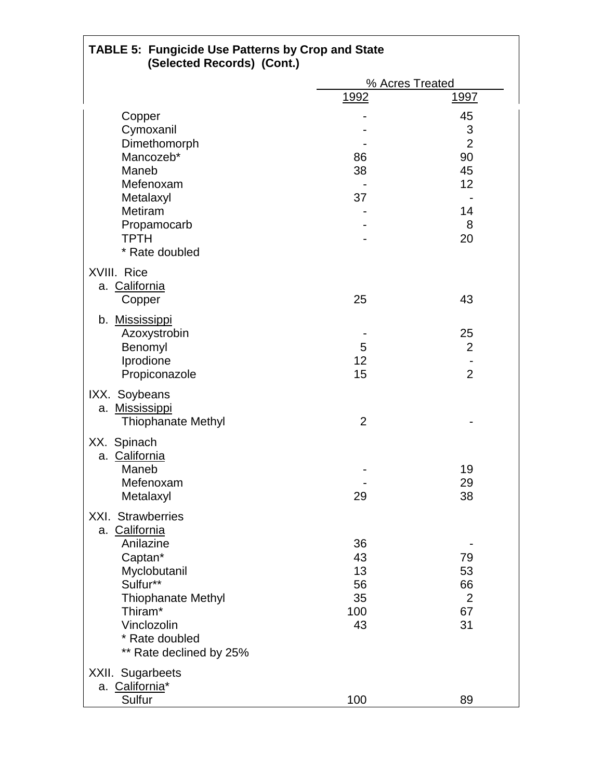| <b>TABLE 5: Fungicide Use Patterns by Crop and State</b><br>(Selected Records) (Cont.) |                |                 |
|----------------------------------------------------------------------------------------|----------------|-----------------|
|                                                                                        |                | % Acres Treated |
|                                                                                        | 1992           | <u> 1997 </u>   |
| Copper                                                                                 |                | 45              |
| Cymoxanil                                                                              |                | $\mathfrak 3$   |
| Dimethomorph                                                                           |                | $\overline{2}$  |
| Mancozeb*                                                                              | 86             | 90              |
| Maneb                                                                                  | 38             | 45              |
| Mefenoxam                                                                              |                | 12              |
| Metalaxyl                                                                              | 37             |                 |
| Metiram                                                                                |                | 14              |
| Propamocarb                                                                            |                | 8               |
| <b>TPTH</b>                                                                            |                | 20              |
| * Rate doubled                                                                         |                |                 |
| XVIII. Rice                                                                            |                |                 |
| a. California                                                                          |                |                 |
| Copper                                                                                 | 25             | 43              |
|                                                                                        |                |                 |
| b. Mississippi                                                                         |                |                 |
| Azoxystrobin                                                                           |                | 25              |
| Benomyl                                                                                | 5              | 2               |
| Iprodione                                                                              | 12             |                 |
| Propiconazole                                                                          | 15             | $\overline{2}$  |
| IXX. Soybeans                                                                          |                |                 |
| a. Mississippi                                                                         |                |                 |
| Thiophanate Methyl                                                                     | $\overline{2}$ |                 |
|                                                                                        |                |                 |
| XX. Spinach<br>a. California                                                           |                |                 |
| Maneb                                                                                  |                | 19              |
| Mefenoxam                                                                              |                | 29              |
| Metalaxyl                                                                              | 29             | 38              |
|                                                                                        |                |                 |
| XXI. Strawberries                                                                      |                |                 |
| a. California                                                                          |                |                 |
| Anilazine                                                                              | 36             |                 |
| Captan*                                                                                | 43             | 79              |
| Myclobutanil                                                                           | 13             | 53              |
| Sulfur**                                                                               | 56             | 66              |
| <b>Thiophanate Methyl</b>                                                              | 35             | $\overline{2}$  |
| Thiram*                                                                                | 100            | 67              |
| Vinclozolin                                                                            | 43             | 31              |
| * Rate doubled                                                                         |                |                 |
| ** Rate declined by 25%                                                                |                |                 |
| XXII. Sugarbeets                                                                       |                |                 |
| a. California*                                                                         |                |                 |
| Sulfur                                                                                 | 100            | 89              |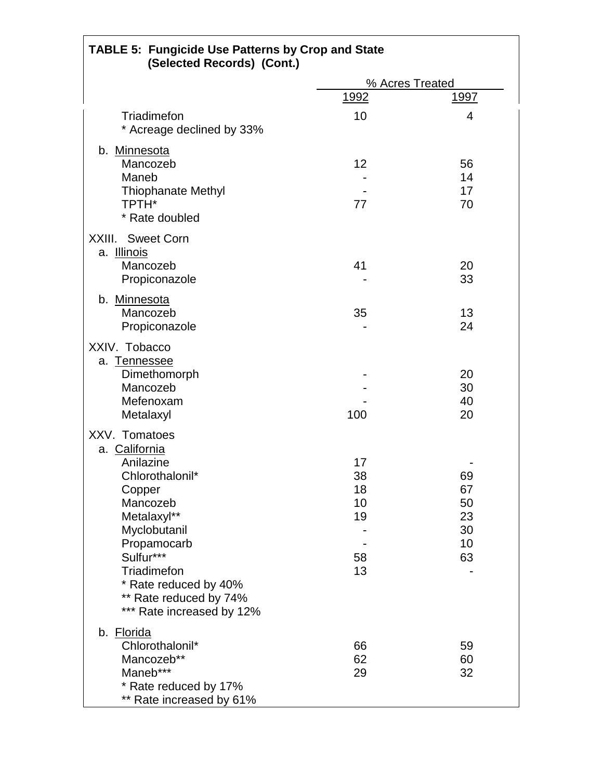| <b>TABLE 5: Fungicide Use Patterns by Crop and State</b><br>(Selected Records) (Cont.) |             |                 |
|----------------------------------------------------------------------------------------|-------------|-----------------|
|                                                                                        |             | % Acres Treated |
|                                                                                        | <u>1992</u> | <u>1997</u>     |
| Triadimefon                                                                            | 10          | 4               |
| * Acreage declined by 33%                                                              |             |                 |
|                                                                                        |             |                 |
| b. Minnesota<br>Mancozeb                                                               | 12          | 56              |
| Maneb                                                                                  |             | 14              |
| <b>Thiophanate Methyl</b>                                                              |             | 17              |
| <b>TPTH*</b>                                                                           | 77          | 70              |
| * Rate doubled                                                                         |             |                 |
| XXIII. Sweet Corn                                                                      |             |                 |
| a. Illinois                                                                            |             |                 |
| Mancozeb                                                                               | 41          | 20              |
| Propiconazole                                                                          |             | 33              |
| b. Minnesota                                                                           |             |                 |
| Mancozeb                                                                               | 35          | 13              |
| Propiconazole                                                                          |             | 24              |
| XXIV. Tobacco                                                                          |             |                 |
| a. Tennessee                                                                           |             |                 |
| Dimethomorph                                                                           |             | 20              |
| Mancozeb                                                                               |             | 30              |
| Mefenoxam                                                                              |             | 40              |
| Metalaxyl                                                                              | 100         | 20              |
| XXV. Tomatoes                                                                          |             |                 |
| a. California                                                                          |             |                 |
| Anilazine                                                                              | 17          |                 |
| Chlorothalonil*                                                                        | 38          | 69              |
| Copper                                                                                 | 18          | 67              |
| Mancozeb                                                                               | 10          | 50<br>23        |
| Metalaxyl**<br>Myclobutanil                                                            | 19          | 30              |
| Propamocarb                                                                            |             | 10              |
| Sulfur***                                                                              | 58          | 63              |
| Triadimefon                                                                            | 13          |                 |
| * Rate reduced by 40%                                                                  |             |                 |
| ** Rate reduced by 74%                                                                 |             |                 |
| *** Rate increased by 12%                                                              |             |                 |
| b. Florida                                                                             |             |                 |
| Chlorothalonil*                                                                        | 66          | 59              |
| Mancozeb**                                                                             | 62          | 60              |
| Maneb***                                                                               | 29          | 32              |
| * Rate reduced by 17%                                                                  |             |                 |
| ** Rate increased by 61%                                                               |             |                 |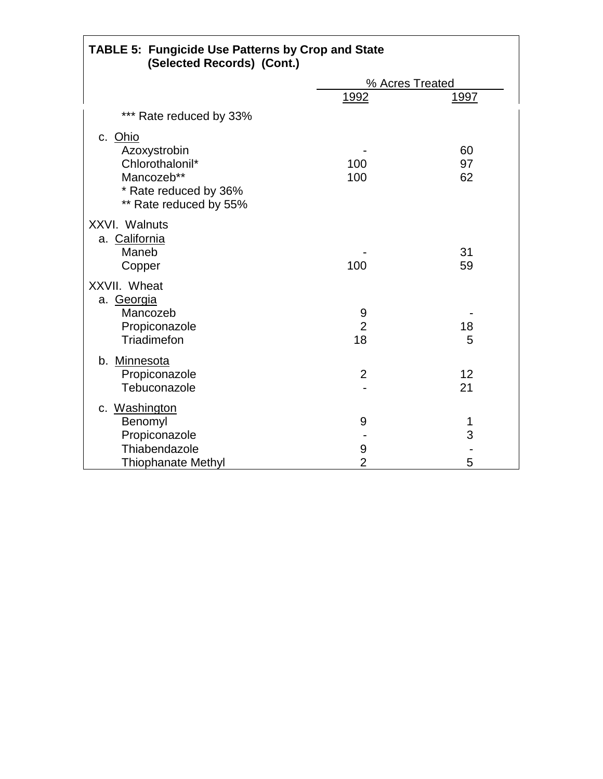| <b>TABLE 5: Fungicide Use Patterns by Crop and State</b><br>(Selected Records) (Cont.)                      |                           |                 |
|-------------------------------------------------------------------------------------------------------------|---------------------------|-----------------|
|                                                                                                             |                           | % Acres Treated |
|                                                                                                             | 1992                      | <u>1997</u>     |
| *** Rate reduced by 33%                                                                                     |                           |                 |
| c. Ohio<br>Azoxystrobin<br>Chlorothalonil*<br>Mancozeb**<br>* Rate reduced by 36%<br>** Rate reduced by 55% | 100<br>100                | 60<br>97<br>62  |
| <b>XXVI. Walnuts</b><br>a. California<br>Maneb<br>Copper                                                    | 100                       | 31<br>59        |
| XXVII. Wheat<br>a. Georgia<br>Mancozeb<br>Propiconazole<br>Triadimefon                                      | 9<br>$\overline{2}$<br>18 | 18<br>5         |
| b. Minnesota<br>Propiconazole<br>Tebuconazole                                                               | $\overline{2}$            | 12<br>21        |
| c. Washington<br>Benomyl<br>Propiconazole<br>Thiabendazole<br><b>Thiophanate Methyl</b>                     | 9<br>9<br>$\overline{2}$  | 1<br>3<br>5     |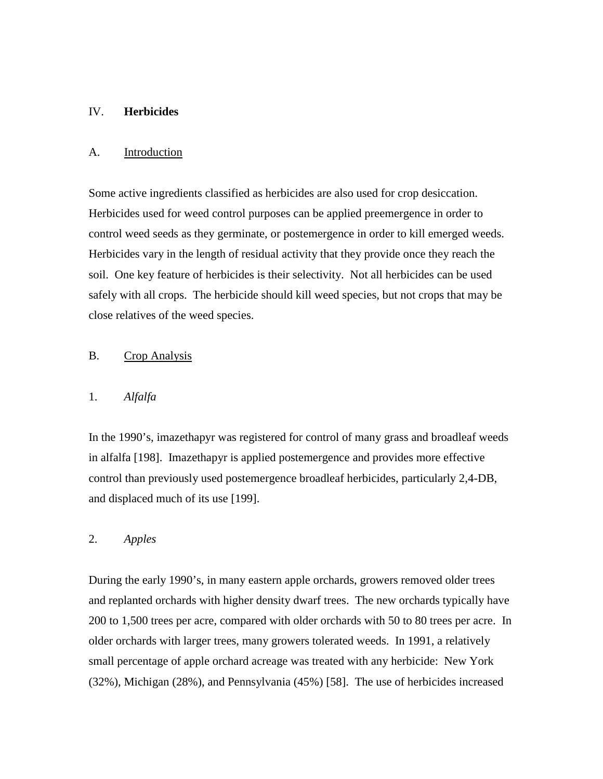## IV. **Herbicides**

## A. Introduction

Some active ingredients classified as herbicides are also used for crop desiccation. Herbicides used for weed control purposes can be applied preemergence in order to control weed seeds as they germinate, or postemergence in order to kill emerged weeds. Herbicides vary in the length of residual activity that they provide once they reach the soil. One key feature of herbicides is their selectivity. Not all herbicides can be used safely with all crops. The herbicide should kill weed species, but not crops that may be close relatives of the weed species.

## B. Crop Analysis

## 1. *Alfalfa*

In the 1990's, imazethapyr was registered for control of many grass and broadleaf weeds in alfalfa [198]. Imazethapyr is applied postemergence and provides more effective control than previously used postemergence broadleaf herbicides, particularly 2,4-DB, and displaced much of its use [199].

## 2. *Apples*

During the early 1990's, in many eastern apple orchards, growers removed older trees and replanted orchards with higher density dwarf trees. The new orchards typically have 200 to 1,500 trees per acre, compared with older orchards with 50 to 80 trees per acre. In older orchards with larger trees, many growers tolerated weeds. In 1991, a relatively small percentage of apple orchard acreage was treated with any herbicide: New York (32%), Michigan (28%), and Pennsylvania (45%) [58]. The use of herbicides increased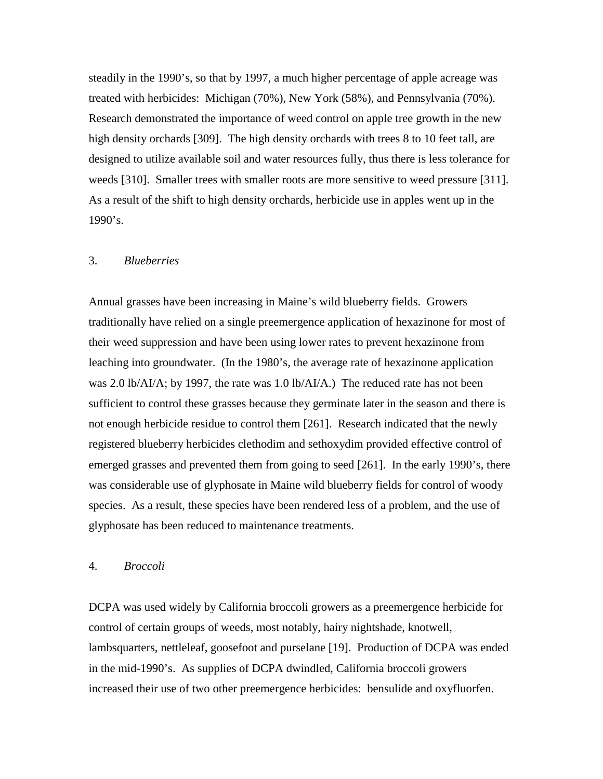steadily in the 1990's, so that by 1997, a much higher percentage of apple acreage was treated with herbicides: Michigan (70%), New York (58%), and Pennsylvania (70%). Research demonstrated the importance of weed control on apple tree growth in the new high density orchards [309]. The high density orchards with trees 8 to 10 feet tall, are designed to utilize available soil and water resources fully, thus there is less tolerance for weeds [310]. Smaller trees with smaller roots are more sensitive to weed pressure [311]. As a result of the shift to high density orchards, herbicide use in apples went up in the 1990's.

# 3. *Blueberries*

Annual grasses have been increasing in Maine's wild blueberry fields. Growers traditionally have relied on a single preemergence application of hexazinone for most of their weed suppression and have been using lower rates to prevent hexazinone from leaching into groundwater. (In the 1980's, the average rate of hexazinone application was 2.0 lb/AI/A; by 1997, the rate was 1.0 lb/AI/A.) The reduced rate has not been sufficient to control these grasses because they germinate later in the season and there is not enough herbicide residue to control them [261]. Research indicated that the newly registered blueberry herbicides clethodim and sethoxydim provided effective control of emerged grasses and prevented them from going to seed [261]. In the early 1990's, there was considerable use of glyphosate in Maine wild blueberry fields for control of woody species. As a result, these species have been rendered less of a problem, and the use of glyphosate has been reduced to maintenance treatments.

#### 4. *Broccoli*

DCPA was used widely by California broccoli growers as a preemergence herbicide for control of certain groups of weeds, most notably, hairy nightshade, knotwell, lambsquarters, nettleleaf, goosefoot and purselane [19]. Production of DCPA was ended in the mid-1990's. As supplies of DCPA dwindled, California broccoli growers increased their use of two other preemergence herbicides: bensulide and oxyfluorfen.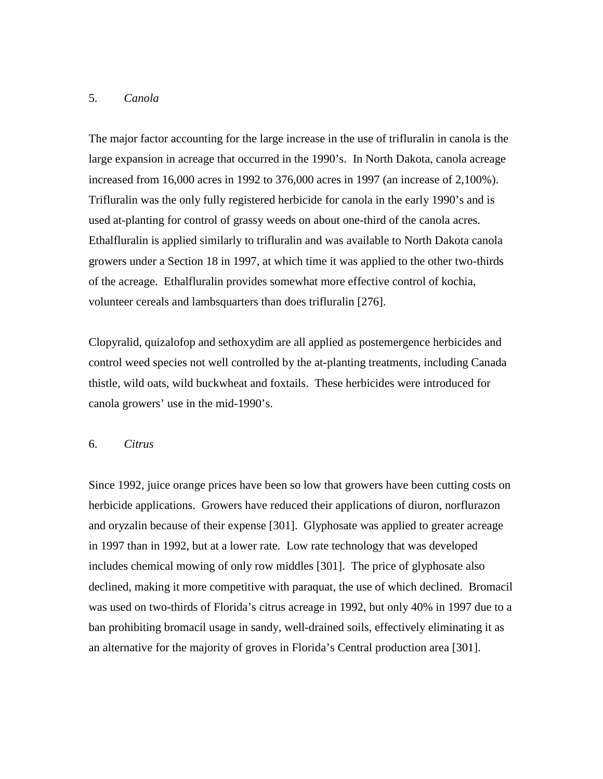# 5. *Canola*

The major factor accounting for the large increase in the use of trifluralin in canola is the large expansion in acreage that occurred in the 1990's. In North Dakota, canola acreage increased from 16,000 acres in 1992 to 376,000 acres in 1997 (an increase of 2,100%). Trifluralin was the only fully registered herbicide for canola in the early 1990's and is used at-planting for control of grassy weeds on about one-third of the canola acres. Ethalfluralin is applied similarly to trifluralin and was available to North Dakota canola growers under a Section 18 in 1997, at which time it was applied to the other two-thirds of the acreage. Ethalfluralin provides somewhat more effective control of kochia, volunteer cereals and lambsquarters than does trifluralin [276].

Clopyralid, quizalofop and sethoxydim are all applied as postemergence herbicides and control weed species not well controlled by the at-planting treatments, including Canada thistle, wild oats, wild buckwheat and foxtails. These herbicides were introduced for canola growers' use in the mid-1990's.

### 6. *Citrus*

Since 1992, juice orange prices have been so low that growers have been cutting costs on herbicide applications. Growers have reduced their applications of diuron, norflurazon and oryzalin because of their expense [301]. Glyphosate was applied to greater acreage in 1997 than in 1992, but at a lower rate. Low rate technology that was developed includes chemical mowing of only row middles [301]. The price of glyphosate also declined, making it more competitive with paraquat, the use of which declined. Bromacil was used on two-thirds of Florida's citrus acreage in 1992, but only 40% in 1997 due to a ban prohibiting bromacil usage in sandy, well-drained soils, effectively eliminating it as an alternative for the majority of groves in Florida's Central production area [301].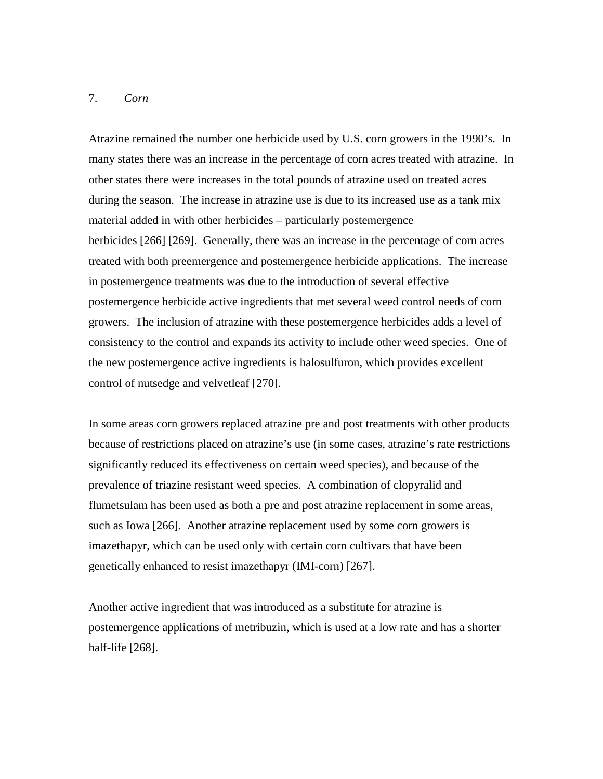### 7. *Corn*

Atrazine remained the number one herbicide used by U.S. corn growers in the 1990's. In many states there was an increase in the percentage of corn acres treated with atrazine. In other states there were increases in the total pounds of atrazine used on treated acres during the season. The increase in atrazine use is due to its increased use as a tank mix material added in with other herbicides – particularly postemergence herbicides [266] [269]. Generally, there was an increase in the percentage of corn acres treated with both preemergence and postemergence herbicide applications. The increase in postemergence treatments was due to the introduction of several effective postemergence herbicide active ingredients that met several weed control needs of corn growers. The inclusion of atrazine with these postemergence herbicides adds a level of consistency to the control and expands its activity to include other weed species. One of the new postemergence active ingredients is halosulfuron, which provides excellent control of nutsedge and velvetleaf [270].

In some areas corn growers replaced atrazine pre and post treatments with other products because of restrictions placed on atrazine's use (in some cases, atrazine's rate restrictions significantly reduced its effectiveness on certain weed species), and because of the prevalence of triazine resistant weed species. A combination of clopyralid and flumetsulam has been used as both a pre and post atrazine replacement in some areas, such as Iowa [266]. Another atrazine replacement used by some corn growers is imazethapyr, which can be used only with certain corn cultivars that have been genetically enhanced to resist imazethapyr (IMI-corn) [267].

Another active ingredient that was introduced as a substitute for atrazine is postemergence applications of metribuzin, which is used at a low rate and has a shorter half-life [268].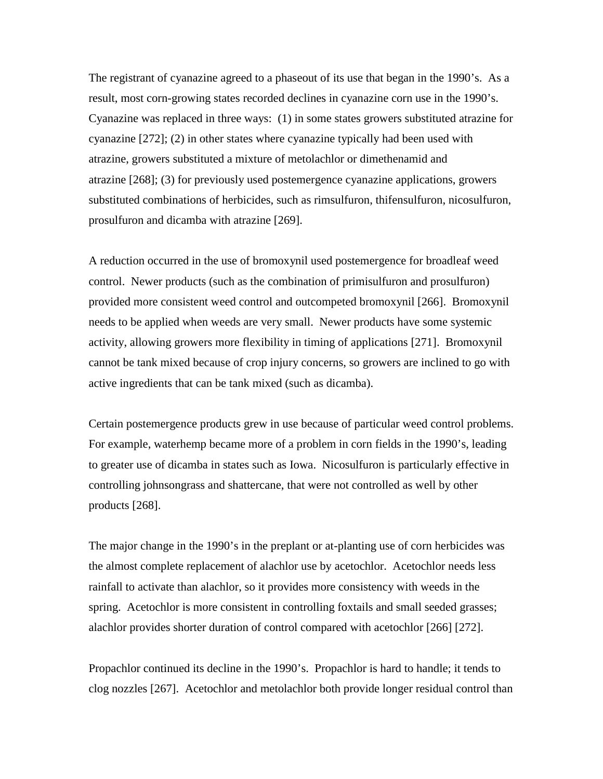The registrant of cyanazine agreed to a phaseout of its use that began in the 1990's. As a result, most corn-growing states recorded declines in cyanazine corn use in the 1990's. Cyanazine was replaced in three ways: (1) in some states growers substituted atrazine for cyanazine [272]; (2) in other states where cyanazine typically had been used with atrazine, growers substituted a mixture of metolachlor or dimethenamid and atrazine [268]; (3) for previously used postemergence cyanazine applications, growers substituted combinations of herbicides, such as rimsulfuron, thifensulfuron, nicosulfuron, prosulfuron and dicamba with atrazine [269].

A reduction occurred in the use of bromoxynil used postemergence for broadleaf weed control. Newer products (such as the combination of primisulfuron and prosulfuron) provided more consistent weed control and outcompeted bromoxynil [266]. Bromoxynil needs to be applied when weeds are very small. Newer products have some systemic activity, allowing growers more flexibility in timing of applications [271]. Bromoxynil cannot be tank mixed because of crop injury concerns, so growers are inclined to go with active ingredients that can be tank mixed (such as dicamba).

Certain postemergence products grew in use because of particular weed control problems. For example, waterhemp became more of a problem in corn fields in the 1990's, leading to greater use of dicamba in states such as Iowa. Nicosulfuron is particularly effective in controlling johnsongrass and shattercane, that were not controlled as well by other products [268].

The major change in the 1990's in the preplant or at-planting use of corn herbicides was the almost complete replacement of alachlor use by acetochlor. Acetochlor needs less rainfall to activate than alachlor, so it provides more consistency with weeds in the spring. Acetochlor is more consistent in controlling foxtails and small seeded grasses; alachlor provides shorter duration of control compared with acetochlor [266] [272].

Propachlor continued its decline in the 1990's. Propachlor is hard to handle; it tends to clog nozzles [267]. Acetochlor and metolachlor both provide longer residual control than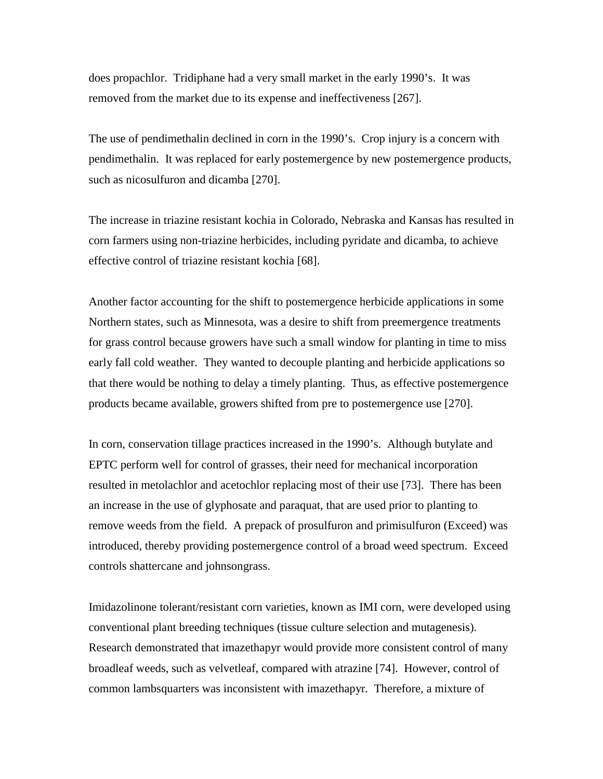does propachlor. Tridiphane had a very small market in the early 1990's. It was removed from the market due to its expense and ineffectiveness [267].

The use of pendimethalin declined in corn in the 1990's. Crop injury is a concern with pendimethalin. It was replaced for early postemergence by new postemergence products, such as nicosulfuron and dicamba [270].

The increase in triazine resistant kochia in Colorado, Nebraska and Kansas has resulted in corn farmers using non-triazine herbicides, including pyridate and dicamba, to achieve effective control of triazine resistant kochia [68].

Another factor accounting for the shift to postemergence herbicide applications in some Northern states, such as Minnesota, was a desire to shift from preemergence treatments for grass control because growers have such a small window for planting in time to miss early fall cold weather. They wanted to decouple planting and herbicide applications so that there would be nothing to delay a timely planting. Thus, as effective postemergence products became available, growers shifted from pre to postemergence use [270].

In corn, conservation tillage practices increased in the 1990's. Although butylate and EPTC perform well for control of grasses, their need for mechanical incorporation resulted in metolachlor and acetochlor replacing most of their use [73]. There has been an increase in the use of glyphosate and paraquat, that are used prior to planting to remove weeds from the field. A prepack of prosulfuron and primisulfuron (Exceed) was introduced, thereby providing postemergence control of a broad weed spectrum. Exceed controls shattercane and johnsongrass.

Imidazolinone tolerant/resistant corn varieties, known as IMI corn, were developed using conventional plant breeding techniques (tissue culture selection and mutagenesis). Research demonstrated that imazethapyr would provide more consistent control of many broadleaf weeds, such as velvetleaf, compared with atrazine [74]. However, control of common lambsquarters was inconsistent with imazethapyr. Therefore, a mixture of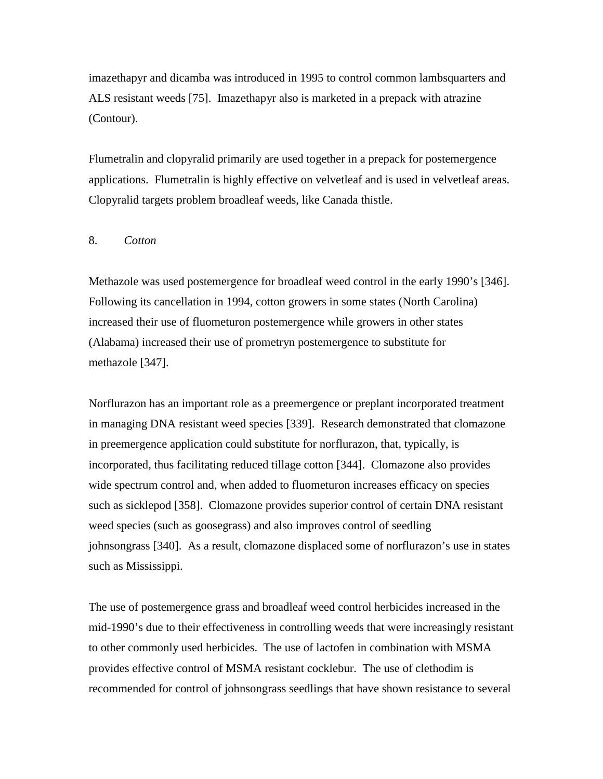imazethapyr and dicamba was introduced in 1995 to control common lambsquarters and ALS resistant weeds [75]. Imazethapyr also is marketed in a prepack with atrazine (Contour).

Flumetralin and clopyralid primarily are used together in a prepack for postemergence applications. Flumetralin is highly effective on velvetleaf and is used in velvetleaf areas. Clopyralid targets problem broadleaf weeds, like Canada thistle.

# 8. *Cotton*

Methazole was used postemergence for broadleaf weed control in the early 1990's [346]. Following its cancellation in 1994, cotton growers in some states (North Carolina) increased their use of fluometuron postemergence while growers in other states (Alabama) increased their use of prometryn postemergence to substitute for methazole [347].

Norflurazon has an important role as a preemergence or preplant incorporated treatment in managing DNA resistant weed species [339]. Research demonstrated that clomazone in preemergence application could substitute for norflurazon, that, typically, is incorporated, thus facilitating reduced tillage cotton [344]. Clomazone also provides wide spectrum control and, when added to fluometuron increases efficacy on species such as sicklepod [358]. Clomazone provides superior control of certain DNA resistant weed species (such as goosegrass) and also improves control of seedling johnsongrass [340]. As a result, clomazone displaced some of norflurazon's use in states such as Mississippi.

The use of postemergence grass and broadleaf weed control herbicides increased in the mid-1990's due to their effectiveness in controlling weeds that were increasingly resistant to other commonly used herbicides. The use of lactofen in combination with MSMA provides effective control of MSMA resistant cocklebur. The use of clethodim is recommended for control of johnsongrass seedlings that have shown resistance to several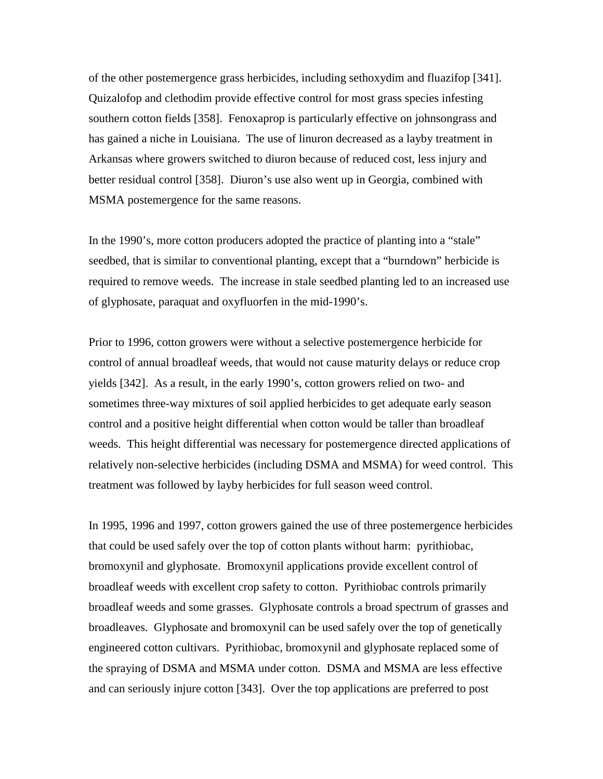of the other postemergence grass herbicides, including sethoxydim and fluazifop [341]. Quizalofop and clethodim provide effective control for most grass species infesting southern cotton fields [358]. Fenoxaprop is particularly effective on johnsongrass and has gained a niche in Louisiana. The use of linuron decreased as a layby treatment in Arkansas where growers switched to diuron because of reduced cost, less injury and better residual control [358]. Diuron's use also went up in Georgia, combined with MSMA postemergence for the same reasons.

In the 1990's, more cotton producers adopted the practice of planting into a "stale" seedbed, that is similar to conventional planting, except that a "burndown" herbicide is required to remove weeds. The increase in stale seedbed planting led to an increased use of glyphosate, paraquat and oxyfluorfen in the mid-1990's.

Prior to 1996, cotton growers were without a selective postemergence herbicide for control of annual broadleaf weeds, that would not cause maturity delays or reduce crop yields [342]. As a result, in the early 1990's, cotton growers relied on two- and sometimes three-way mixtures of soil applied herbicides to get adequate early season control and a positive height differential when cotton would be taller than broadleaf weeds. This height differential was necessary for postemergence directed applications of relatively non-selective herbicides (including DSMA and MSMA) for weed control. This treatment was followed by layby herbicides for full season weed control.

In 1995, 1996 and 1997, cotton growers gained the use of three postemergence herbicides that could be used safely over the top of cotton plants without harm: pyrithiobac, bromoxynil and glyphosate. Bromoxynil applications provide excellent control of broadleaf weeds with excellent crop safety to cotton. Pyrithiobac controls primarily broadleaf weeds and some grasses. Glyphosate controls a broad spectrum of grasses and broadleaves. Glyphosate and bromoxynil can be used safely over the top of genetically engineered cotton cultivars. Pyrithiobac, bromoxynil and glyphosate replaced some of the spraying of DSMA and MSMA under cotton. DSMA and MSMA are less effective and can seriously injure cotton [343]. Over the top applications are preferred to post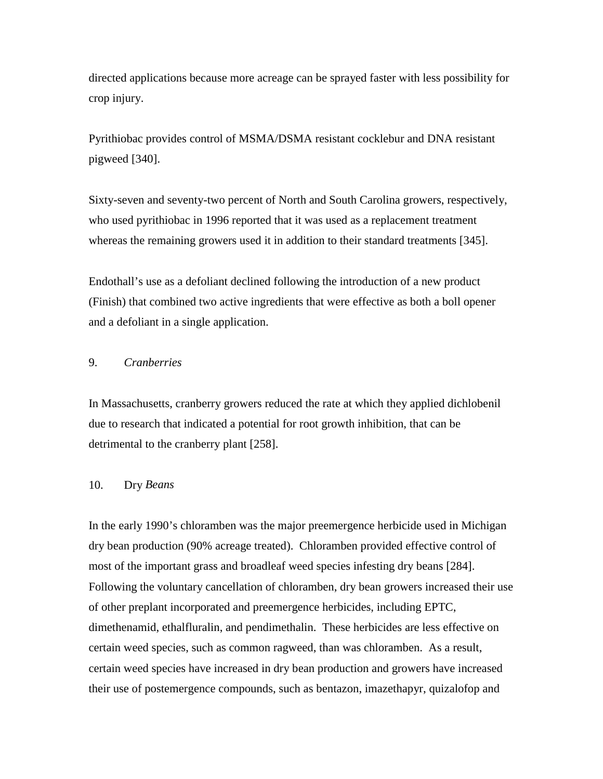directed applications because more acreage can be sprayed faster with less possibility for crop injury.

Pyrithiobac provides control of MSMA/DSMA resistant cocklebur and DNA resistant pigweed [340].

Sixty-seven and seventy-two percent of North and South Carolina growers, respectively, who used pyrithiobac in 1996 reported that it was used as a replacement treatment whereas the remaining growers used it in addition to their standard treatments [345].

Endothall's use as a defoliant declined following the introduction of a new product (Finish) that combined two active ingredients that were effective as both a boll opener and a defoliant in a single application.

# 9. *Cranberries*

In Massachusetts, cranberry growers reduced the rate at which they applied dichlobenil due to research that indicated a potential for root growth inhibition, that can be detrimental to the cranberry plant [258].

### 10. Dry *Beans*

In the early 1990's chloramben was the major preemergence herbicide used in Michigan dry bean production (90% acreage treated). Chloramben provided effective control of most of the important grass and broadleaf weed species infesting dry beans [284]. Following the voluntary cancellation of chloramben, dry bean growers increased their use of other preplant incorporated and preemergence herbicides, including EPTC, dimethenamid, ethalfluralin, and pendimethalin. These herbicides are less effective on certain weed species, such as common ragweed, than was chloramben. As a result, certain weed species have increased in dry bean production and growers have increased their use of postemergence compounds, such as bentazon, imazethapyr, quizalofop and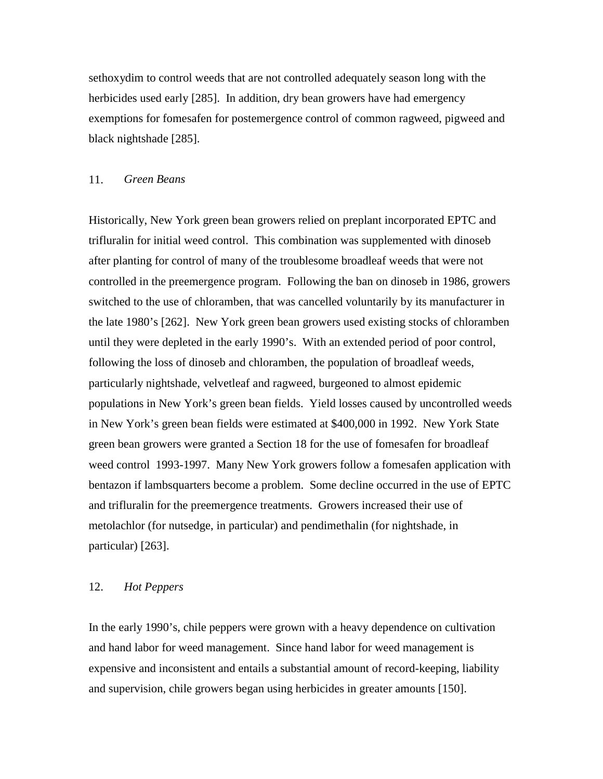sethoxydim to control weeds that are not controlled adequately season long with the herbicides used early [285]. In addition, dry bean growers have had emergency exemptions for fomesafen for postemergence control of common ragweed, pigweed and black nightshade [285].

#### 11. *Green Beans*

Historically, New York green bean growers relied on preplant incorporated EPTC and trifluralin for initial weed control. This combination was supplemented with dinoseb after planting for control of many of the troublesome broadleaf weeds that were not controlled in the preemergence program. Following the ban on dinoseb in 1986, growers switched to the use of chloramben, that was cancelled voluntarily by its manufacturer in the late 1980's [262]. New York green bean growers used existing stocks of chloramben until they were depleted in the early 1990's. With an extended period of poor control, following the loss of dinoseb and chloramben, the population of broadleaf weeds, particularly nightshade, velvetleaf and ragweed, burgeoned to almost epidemic populations in New York's green bean fields. Yield losses caused by uncontrolled weeds in New York's green bean fields were estimated at \$400,000 in 1992. New York State green bean growers were granted a Section 18 for the use of fomesafen for broadleaf weed control 1993-1997. Many New York growers follow a fomesafen application with bentazon if lambsquarters become a problem. Some decline occurred in the use of EPTC and trifluralin for the preemergence treatments. Growers increased their use of metolachlor (for nutsedge, in particular) and pendimethalin (for nightshade, in particular) [263].

### 12. *Hot Peppers*

In the early 1990's, chile peppers were grown with a heavy dependence on cultivation and hand labor for weed management. Since hand labor for weed management is expensive and inconsistent and entails a substantial amount of record-keeping, liability and supervision, chile growers began using herbicides in greater amounts [150].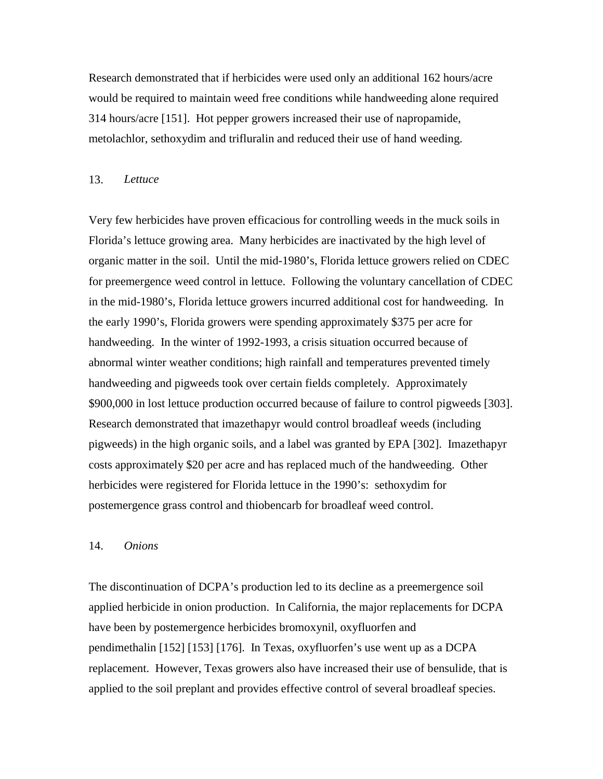Research demonstrated that if herbicides were used only an additional 162 hours/acre would be required to maintain weed free conditions while handweeding alone required 314 hours/acre [151]. Hot pepper growers increased their use of napropamide, metolachlor, sethoxydim and trifluralin and reduced their use of hand weeding.

#### 13. *Lettuce*

Very few herbicides have proven efficacious for controlling weeds in the muck soils in Florida's lettuce growing area. Many herbicides are inactivated by the high level of organic matter in the soil. Until the mid-1980's, Florida lettuce growers relied on CDEC for preemergence weed control in lettuce. Following the voluntary cancellation of CDEC in the mid-1980's, Florida lettuce growers incurred additional cost for handweeding. In the early 1990's, Florida growers were spending approximately \$375 per acre for handweeding. In the winter of 1992-1993, a crisis situation occurred because of abnormal winter weather conditions; high rainfall and temperatures prevented timely handweeding and pigweeds took over certain fields completely. Approximately \$900,000 in lost lettuce production occurred because of failure to control pigweeds [303]. Research demonstrated that imazethapyr would control broadleaf weeds (including pigweeds) in the high organic soils, and a label was granted by EPA [302]. Imazethapyr costs approximately \$20 per acre and has replaced much of the handweeding. Other herbicides were registered for Florida lettuce in the 1990's: sethoxydim for postemergence grass control and thiobencarb for broadleaf weed control.

#### 14. *Onions*

The discontinuation of DCPA's production led to its decline as a preemergence soil applied herbicide in onion production. In California, the major replacements for DCPA have been by postemergence herbicides bromoxynil, oxyfluorfen and pendimethalin [152] [153] [176]. In Texas, oxyfluorfen's use went up as a DCPA replacement. However, Texas growers also have increased their use of bensulide, that is applied to the soil preplant and provides effective control of several broadleaf species.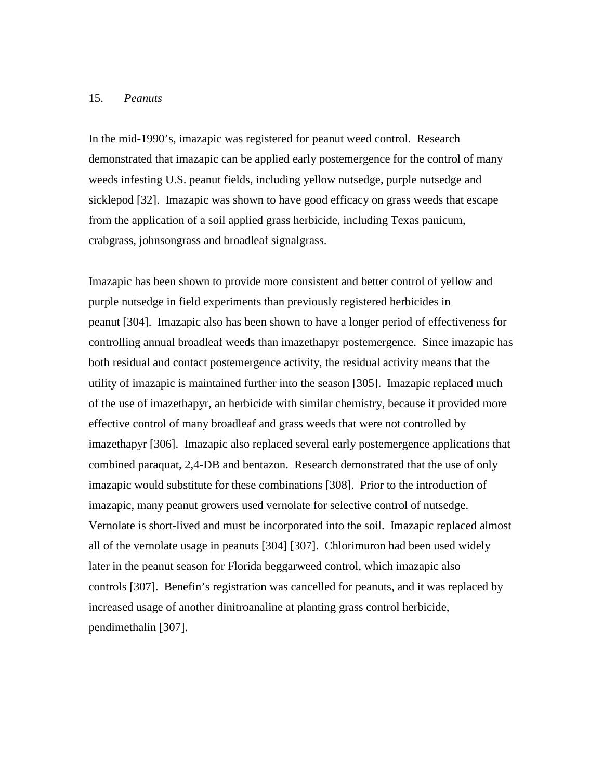#### 15. *Peanuts*

In the mid-1990's, imazapic was registered for peanut weed control. Research demonstrated that imazapic can be applied early postemergence for the control of many weeds infesting U.S. peanut fields, including yellow nutsedge, purple nutsedge and sicklepod [32]. Imazapic was shown to have good efficacy on grass weeds that escape from the application of a soil applied grass herbicide, including Texas panicum, crabgrass, johnsongrass and broadleaf signalgrass.

Imazapic has been shown to provide more consistent and better control of yellow and purple nutsedge in field experiments than previously registered herbicides in peanut [304]. Imazapic also has been shown to have a longer period of effectiveness for controlling annual broadleaf weeds than imazethapyr postemergence. Since imazapic has both residual and contact postemergence activity, the residual activity means that the utility of imazapic is maintained further into the season [305]. Imazapic replaced much of the use of imazethapyr, an herbicide with similar chemistry, because it provided more effective control of many broadleaf and grass weeds that were not controlled by imazethapyr [306]. Imazapic also replaced several early postemergence applications that combined paraquat, 2,4-DB and bentazon. Research demonstrated that the use of only imazapic would substitute for these combinations [308]. Prior to the introduction of imazapic, many peanut growers used vernolate for selective control of nutsedge. Vernolate is short-lived and must be incorporated into the soil. Imazapic replaced almost all of the vernolate usage in peanuts [304] [307]. Chlorimuron had been used widely later in the peanut season for Florida beggarweed control, which imazapic also controls [307]. Benefin's registration was cancelled for peanuts, and it was replaced by increased usage of another dinitroanaline at planting grass control herbicide, pendimethalin [307].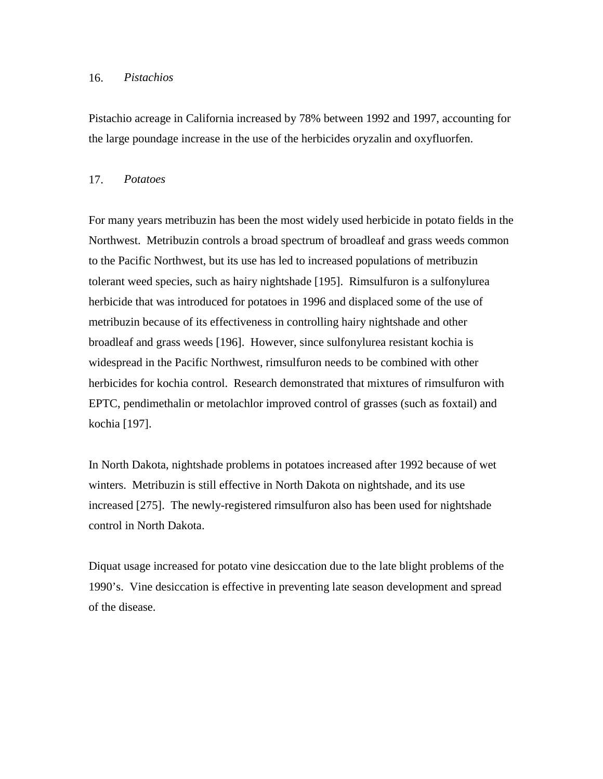#### 16. *Pistachios*

Pistachio acreage in California increased by 78% between 1992 and 1997, accounting for the large poundage increase in the use of the herbicides oryzalin and oxyfluorfen.

#### 17. *Potatoes*

For many years metribuzin has been the most widely used herbicide in potato fields in the Northwest. Metribuzin controls a broad spectrum of broadleaf and grass weeds common to the Pacific Northwest, but its use has led to increased populations of metribuzin tolerant weed species, such as hairy nightshade [195]. Rimsulfuron is a sulfonylurea herbicide that was introduced for potatoes in 1996 and displaced some of the use of metribuzin because of its effectiveness in controlling hairy nightshade and other broadleaf and grass weeds [196]. However, since sulfonylurea resistant kochia is widespread in the Pacific Northwest, rimsulfuron needs to be combined with other herbicides for kochia control. Research demonstrated that mixtures of rimsulfuron with EPTC, pendimethalin or metolachlor improved control of grasses (such as foxtail) and kochia [197].

In North Dakota, nightshade problems in potatoes increased after 1992 because of wet winters. Metribuzin is still effective in North Dakota on nightshade, and its use increased [275]. The newly-registered rimsulfuron also has been used for nightshade control in North Dakota.

Diquat usage increased for potato vine desiccation due to the late blight problems of the 1990's. Vine desiccation is effective in preventing late season development and spread of the disease.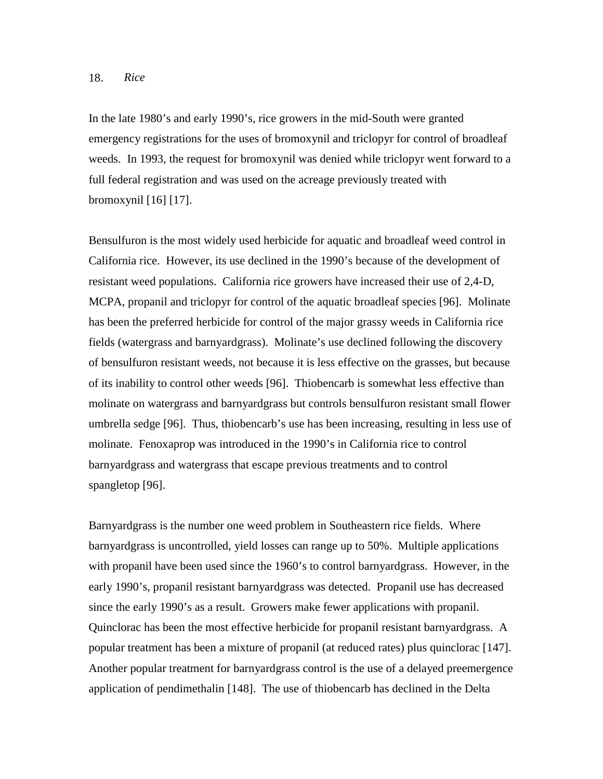### 18. *Rice*

In the late 1980's and early 1990's, rice growers in the mid-South were granted emergency registrations for the uses of bromoxynil and triclopyr for control of broadleaf weeds. In 1993, the request for bromoxynil was denied while triclopyr went forward to a full federal registration and was used on the acreage previously treated with bromoxynil [16] [17].

Bensulfuron is the most widely used herbicide for aquatic and broadleaf weed control in California rice. However, its use declined in the 1990's because of the development of resistant weed populations. California rice growers have increased their use of 2,4-D, MCPA, propanil and triclopyr for control of the aquatic broadleaf species [96]. Molinate has been the preferred herbicide for control of the major grassy weeds in California rice fields (watergrass and barnyardgrass). Molinate's use declined following the discovery of bensulfuron resistant weeds, not because it is less effective on the grasses, but because of its inability to control other weeds [96]. Thiobencarb is somewhat less effective than molinate on watergrass and barnyardgrass but controls bensulfuron resistant small flower umbrella sedge [96]. Thus, thiobencarb's use has been increasing, resulting in less use of molinate. Fenoxaprop was introduced in the 1990's in California rice to control barnyardgrass and watergrass that escape previous treatments and to control spangletop [96].

Barnyardgrass is the number one weed problem in Southeastern rice fields. Where barnyardgrass is uncontrolled, yield losses can range up to 50%. Multiple applications with propanil have been used since the 1960's to control barnyardgrass. However, in the early 1990's, propanil resistant barnyardgrass was detected. Propanil use has decreased since the early 1990's as a result. Growers make fewer applications with propanil. Quinclorac has been the most effective herbicide for propanil resistant barnyardgrass. A popular treatment has been a mixture of propanil (at reduced rates) plus quinclorac [147]. Another popular treatment for barnyardgrass control is the use of a delayed preemergence application of pendimethalin [148]. The use of thiobencarb has declined in the Delta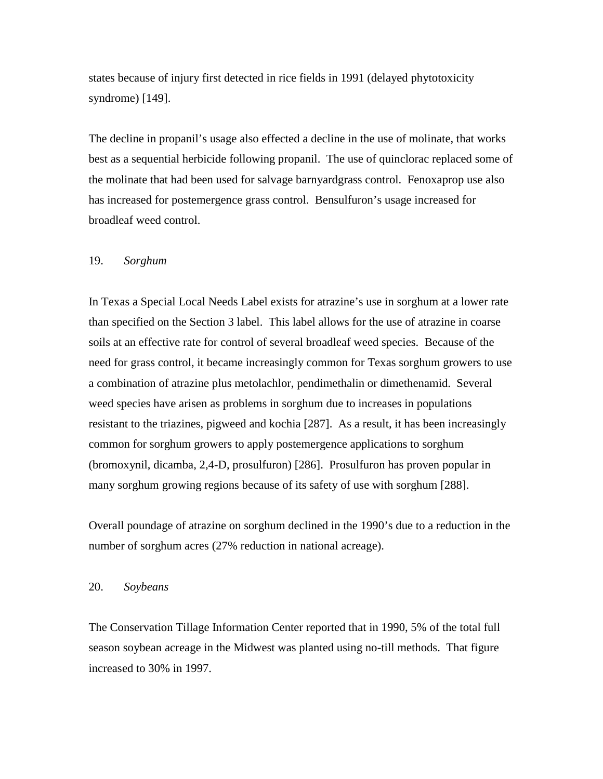states because of injury first detected in rice fields in 1991 (delayed phytotoxicity syndrome) [149].

The decline in propanil's usage also effected a decline in the use of molinate, that works best as a sequential herbicide following propanil. The use of quinclorac replaced some of the molinate that had been used for salvage barnyardgrass control. Fenoxaprop use also has increased for postemergence grass control. Bensulfuron's usage increased for broadleaf weed control.

#### 19. *Sorghum*

In Texas a Special Local Needs Label exists for atrazine's use in sorghum at a lower rate than specified on the Section 3 label. This label allows for the use of atrazine in coarse soils at an effective rate for control of several broadleaf weed species. Because of the need for grass control, it became increasingly common for Texas sorghum growers to use a combination of atrazine plus metolachlor, pendimethalin or dimethenamid. Several weed species have arisen as problems in sorghum due to increases in populations resistant to the triazines, pigweed and kochia [287]. As a result, it has been increasingly common for sorghum growers to apply postemergence applications to sorghum (bromoxynil, dicamba, 2,4-D, prosulfuron) [286]. Prosulfuron has proven popular in many sorghum growing regions because of its safety of use with sorghum [288].

Overall poundage of atrazine on sorghum declined in the 1990's due to a reduction in the number of sorghum acres (27% reduction in national acreage).

#### 20. *Soybeans*

The Conservation Tillage Information Center reported that in 1990, 5% of the total full season soybean acreage in the Midwest was planted using no-till methods. That figure increased to 30% in 1997.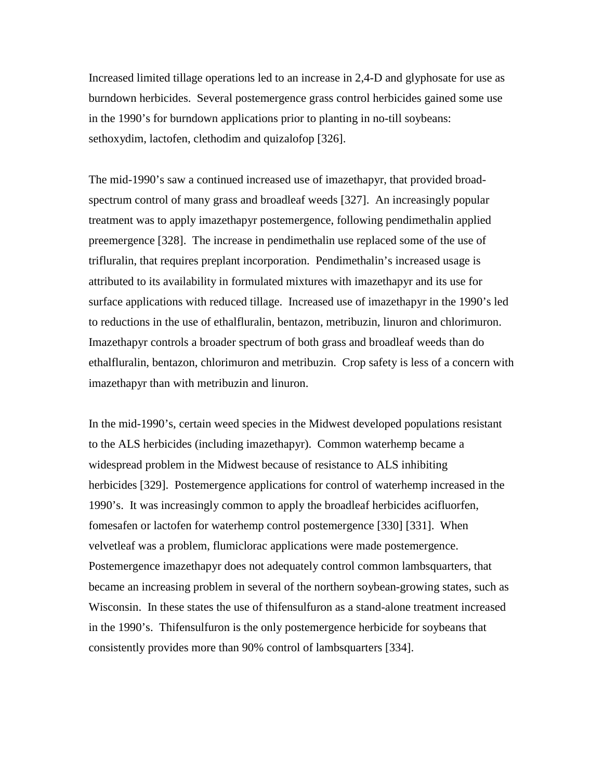Increased limited tillage operations led to an increase in 2,4-D and glyphosate for use as burndown herbicides. Several postemergence grass control herbicides gained some use in the 1990's for burndown applications prior to planting in no-till soybeans: sethoxydim, lactofen, clethodim and quizalofop [326].

The mid-1990's saw a continued increased use of imazethapyr, that provided broadspectrum control of many grass and broadleaf weeds [327]. An increasingly popular treatment was to apply imazethapyr postemergence, following pendimethalin applied preemergence [328]. The increase in pendimethalin use replaced some of the use of trifluralin, that requires preplant incorporation. Pendimethalin's increased usage is attributed to its availability in formulated mixtures with imazethapyr and its use for surface applications with reduced tillage. Increased use of imazethapyr in the 1990's led to reductions in the use of ethalfluralin, bentazon, metribuzin, linuron and chlorimuron. Imazethapyr controls a broader spectrum of both grass and broadleaf weeds than do ethalfluralin, bentazon, chlorimuron and metribuzin. Crop safety is less of a concern with imazethapyr than with metribuzin and linuron.

In the mid-1990's, certain weed species in the Midwest developed populations resistant to the ALS herbicides (including imazethapyr). Common waterhemp became a widespread problem in the Midwest because of resistance to ALS inhibiting herbicides [329]. Postemergence applications for control of waterhemp increased in the 1990's. It was increasingly common to apply the broadleaf herbicides acifluorfen, fomesafen or lactofen for waterhemp control postemergence [330] [331]. When velvetleaf was a problem, flumiclorac applications were made postemergence. Postemergence imazethapyr does not adequately control common lambsquarters, that became an increasing problem in several of the northern soybean-growing states, such as Wisconsin. In these states the use of thifensulfuron as a stand-alone treatment increased in the 1990's. Thifensulfuron is the only postemergence herbicide for soybeans that consistently provides more than 90% control of lambsquarters [334].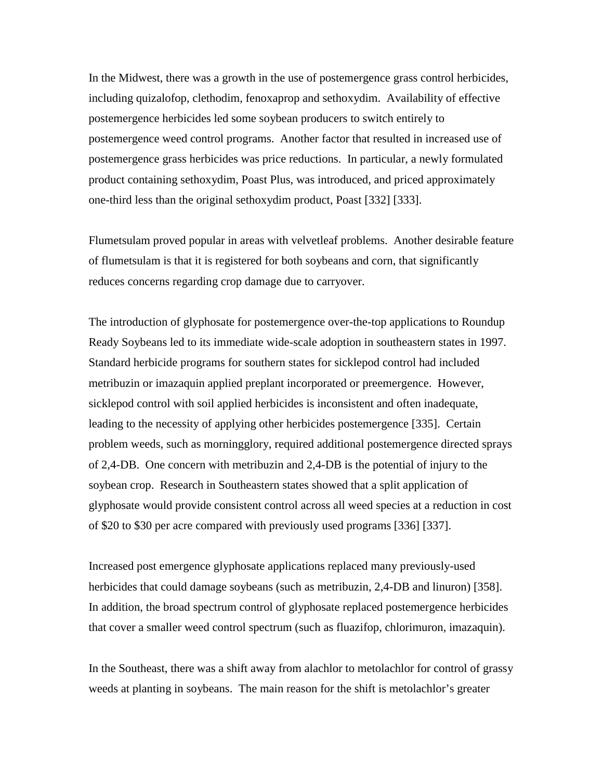In the Midwest, there was a growth in the use of postemergence grass control herbicides, including quizalofop, clethodim, fenoxaprop and sethoxydim. Availability of effective postemergence herbicides led some soybean producers to switch entirely to postemergence weed control programs. Another factor that resulted in increased use of postemergence grass herbicides was price reductions. In particular, a newly formulated product containing sethoxydim, Poast Plus, was introduced, and priced approximately one-third less than the original sethoxydim product, Poast [332] [333].

Flumetsulam proved popular in areas with velvetleaf problems. Another desirable feature of flumetsulam is that it is registered for both soybeans and corn, that significantly reduces concerns regarding crop damage due to carryover.

The introduction of glyphosate for postemergence over-the-top applications to Roundup Ready Soybeans led to its immediate wide-scale adoption in southeastern states in 1997. Standard herbicide programs for southern states for sicklepod control had included metribuzin or imazaquin applied preplant incorporated or preemergence. However, sicklepod control with soil applied herbicides is inconsistent and often inadequate, leading to the necessity of applying other herbicides postemergence [335]. Certain problem weeds, such as morningglory, required additional postemergence directed sprays of 2,4-DB. One concern with metribuzin and 2,4-DB is the potential of injury to the soybean crop. Research in Southeastern states showed that a split application of glyphosate would provide consistent control across all weed species at a reduction in cost of \$20 to \$30 per acre compared with previously used programs [336] [337].

Increased post emergence glyphosate applications replaced many previously-used herbicides that could damage soybeans (such as metribuzin, 2,4-DB and linuron) [358]. In addition, the broad spectrum control of glyphosate replaced postemergence herbicides that cover a smaller weed control spectrum (such as fluazifop, chlorimuron, imazaquin).

In the Southeast, there was a shift away from alachlor to metolachlor for control of grassy weeds at planting in soybeans. The main reason for the shift is metolachlor's greater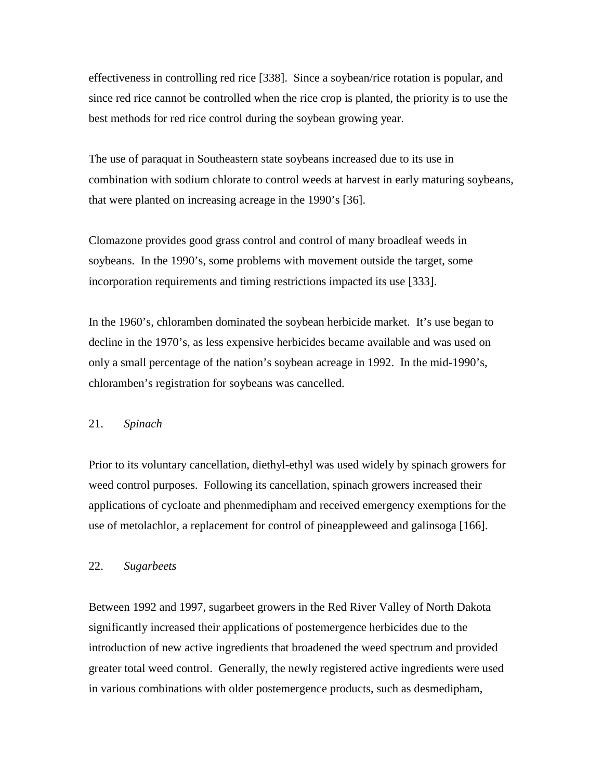effectiveness in controlling red rice [338]. Since a soybean/rice rotation is popular, and since red rice cannot be controlled when the rice crop is planted, the priority is to use the best methods for red rice control during the soybean growing year.

The use of paraquat in Southeastern state soybeans increased due to its use in combination with sodium chlorate to control weeds at harvest in early maturing soybeans, that were planted on increasing acreage in the 1990's [36].

Clomazone provides good grass control and control of many broadleaf weeds in soybeans. In the 1990's, some problems with movement outside the target, some incorporation requirements and timing restrictions impacted its use [333].

In the 1960's, chloramben dominated the soybean herbicide market. It's use began to decline in the 1970's, as less expensive herbicides became available and was used on only a small percentage of the nation's soybean acreage in 1992. In the mid-1990's, chloramben's registration for soybeans was cancelled.

### 21. *Spinach*

Prior to its voluntary cancellation, diethyl-ethyl was used widely by spinach growers for weed control purposes. Following its cancellation, spinach growers increased their applications of cycloate and phenmedipham and received emergency exemptions for the use of metolachlor, a replacement for control of pineappleweed and galinsoga [166].

#### 22. *Sugarbeets*

Between 1992 and 1997, sugarbeet growers in the Red River Valley of North Dakota significantly increased their applications of postemergence herbicides due to the introduction of new active ingredients that broadened the weed spectrum and provided greater total weed control. Generally, the newly registered active ingredients were used in various combinations with older postemergence products, such as desmedipham,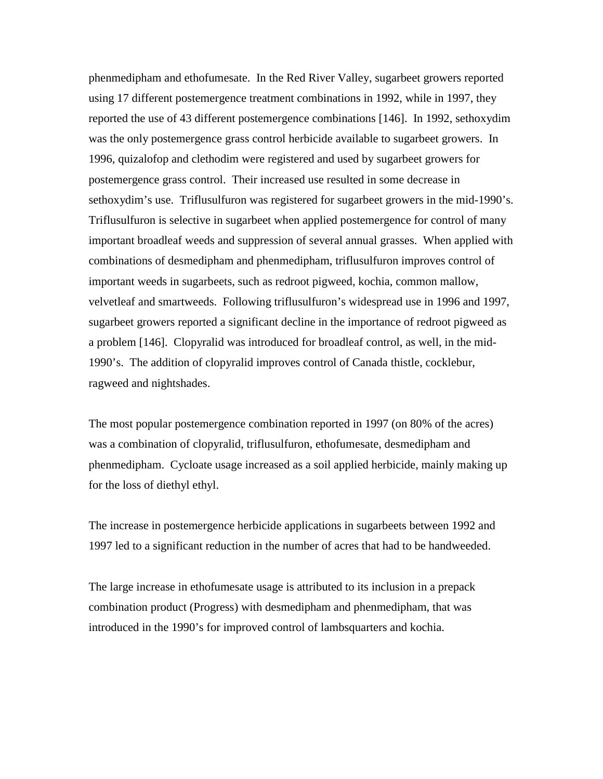phenmedipham and ethofumesate. In the Red River Valley, sugarbeet growers reported using 17 different postemergence treatment combinations in 1992, while in 1997, they reported the use of 43 different postemergence combinations [146]. In 1992, sethoxydim was the only postemergence grass control herbicide available to sugarbeet growers. In 1996, quizalofop and clethodim were registered and used by sugarbeet growers for postemergence grass control. Their increased use resulted in some decrease in sethoxydim's use. Triflusulfuron was registered for sugarbeet growers in the mid-1990's. Triflusulfuron is selective in sugarbeet when applied postemergence for control of many important broadleaf weeds and suppression of several annual grasses. When applied with combinations of desmedipham and phenmedipham, triflusulfuron improves control of important weeds in sugarbeets, such as redroot pigweed, kochia, common mallow, velvetleaf and smartweeds. Following triflusulfuron's widespread use in 1996 and 1997, sugarbeet growers reported a significant decline in the importance of redroot pigweed as a problem [146]. Clopyralid was introduced for broadleaf control, as well, in the mid-1990's. The addition of clopyralid improves control of Canada thistle, cocklebur, ragweed and nightshades.

The most popular postemergence combination reported in 1997 (on 80% of the acres) was a combination of clopyralid, triflusulfuron, ethofumesate, desmedipham and phenmedipham. Cycloate usage increased as a soil applied herbicide, mainly making up for the loss of diethyl ethyl.

The increase in postemergence herbicide applications in sugarbeets between 1992 and 1997 led to a significant reduction in the number of acres that had to be handweeded.

The large increase in ethofumesate usage is attributed to its inclusion in a prepack combination product (Progress) with desmedipham and phenmedipham, that was introduced in the 1990's for improved control of lambsquarters and kochia.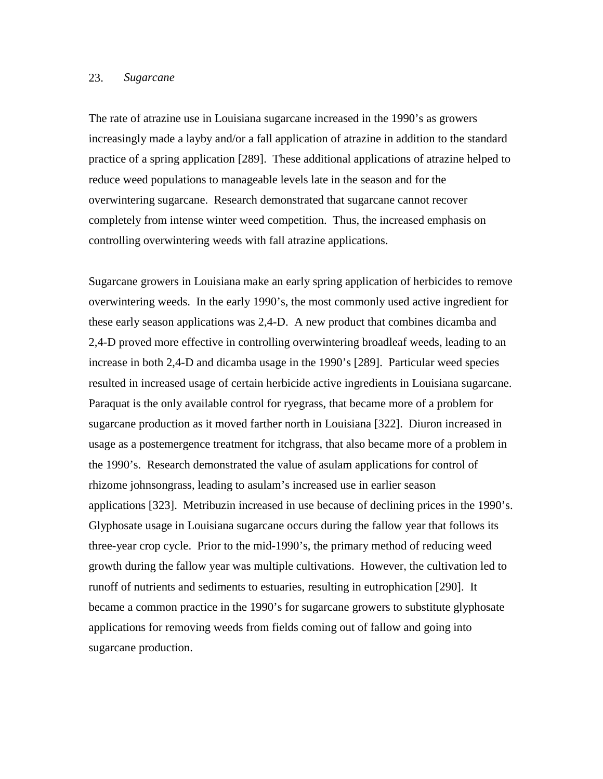#### 23. *Sugarcane*

The rate of atrazine use in Louisiana sugarcane increased in the 1990's as growers increasingly made a layby and/or a fall application of atrazine in addition to the standard practice of a spring application [289]. These additional applications of atrazine helped to reduce weed populations to manageable levels late in the season and for the overwintering sugarcane. Research demonstrated that sugarcane cannot recover completely from intense winter weed competition. Thus, the increased emphasis on controlling overwintering weeds with fall atrazine applications.

Sugarcane growers in Louisiana make an early spring application of herbicides to remove overwintering weeds. In the early 1990's, the most commonly used active ingredient for these early season applications was 2,4-D. A new product that combines dicamba and 2,4-D proved more effective in controlling overwintering broadleaf weeds, leading to an increase in both 2,4-D and dicamba usage in the 1990's [289]. Particular weed species resulted in increased usage of certain herbicide active ingredients in Louisiana sugarcane. Paraquat is the only available control for ryegrass, that became more of a problem for sugarcane production as it moved farther north in Louisiana [322]. Diuron increased in usage as a postemergence treatment for itchgrass, that also became more of a problem in the 1990's. Research demonstrated the value of asulam applications for control of rhizome johnsongrass, leading to asulam's increased use in earlier season applications [323]. Metribuzin increased in use because of declining prices in the 1990's. Glyphosate usage in Louisiana sugarcane occurs during the fallow year that follows its three-year crop cycle. Prior to the mid-1990's, the primary method of reducing weed growth during the fallow year was multiple cultivations. However, the cultivation led to runoff of nutrients and sediments to estuaries, resulting in eutrophication [290]. It became a common practice in the 1990's for sugarcane growers to substitute glyphosate applications for removing weeds from fields coming out of fallow and going into sugarcane production.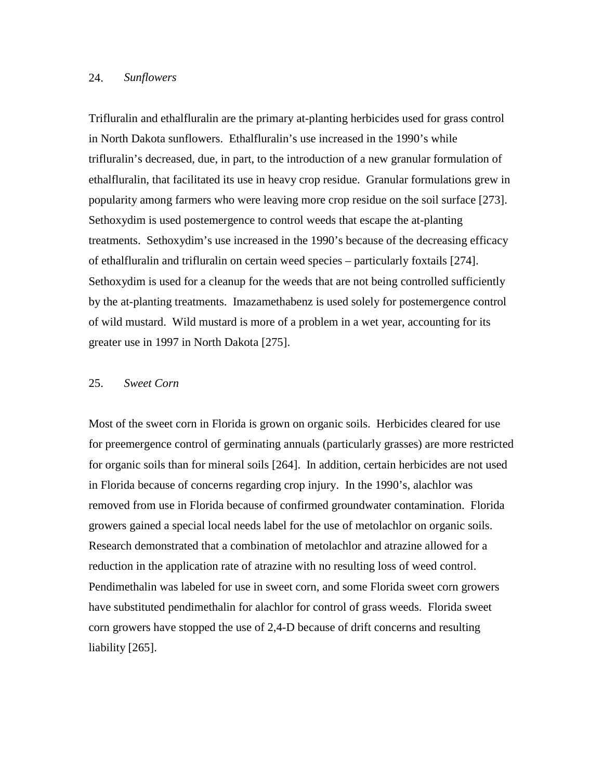### 24. *Sunflowers*

Trifluralin and ethalfluralin are the primary at-planting herbicides used for grass control in North Dakota sunflowers. Ethalfluralin's use increased in the 1990's while trifluralin's decreased, due, in part, to the introduction of a new granular formulation of ethalfluralin, that facilitated its use in heavy crop residue. Granular formulations grew in popularity among farmers who were leaving more crop residue on the soil surface [273]. Sethoxydim is used postemergence to control weeds that escape the at-planting treatments. Sethoxydim's use increased in the 1990's because of the decreasing efficacy of ethalfluralin and trifluralin on certain weed species – particularly foxtails [274]. Sethoxydim is used for a cleanup for the weeds that are not being controlled sufficiently by the at-planting treatments. Imazamethabenz is used solely for postemergence control of wild mustard. Wild mustard is more of a problem in a wet year, accounting for its greater use in 1997 in North Dakota [275].

#### 25. *Sweet Corn*

Most of the sweet corn in Florida is grown on organic soils. Herbicides cleared for use for preemergence control of germinating annuals (particularly grasses) are more restricted for organic soils than for mineral soils [264]. In addition, certain herbicides are not used in Florida because of concerns regarding crop injury. In the 1990's, alachlor was removed from use in Florida because of confirmed groundwater contamination. Florida growers gained a special local needs label for the use of metolachlor on organic soils. Research demonstrated that a combination of metolachlor and atrazine allowed for a reduction in the application rate of atrazine with no resulting loss of weed control. Pendimethalin was labeled for use in sweet corn, and some Florida sweet corn growers have substituted pendimethalin for alachlor for control of grass weeds. Florida sweet corn growers have stopped the use of 2,4-D because of drift concerns and resulting liability [265].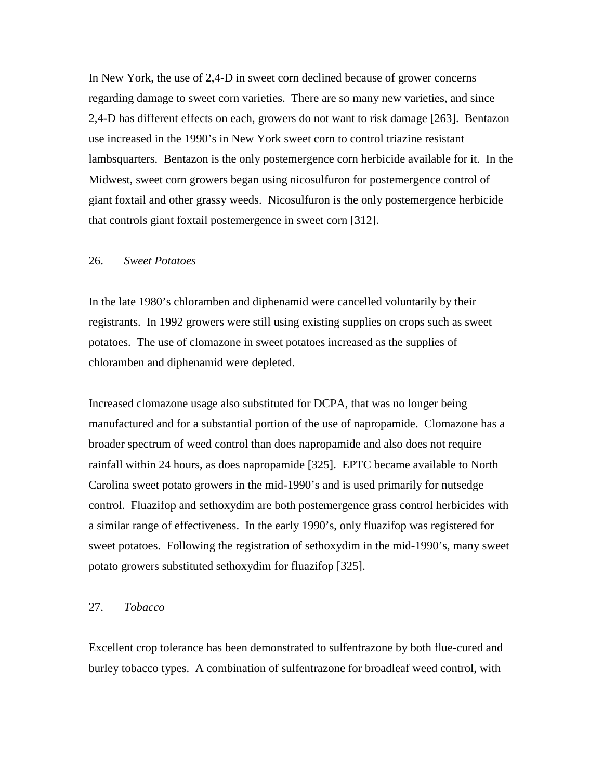In New York, the use of 2,4-D in sweet corn declined because of grower concerns regarding damage to sweet corn varieties. There are so many new varieties, and since 2,4-D has different effects on each, growers do not want to risk damage [263]. Bentazon use increased in the 1990's in New York sweet corn to control triazine resistant lambsquarters. Bentazon is the only postemergence corn herbicide available for it. In the Midwest, sweet corn growers began using nicosulfuron for postemergence control of giant foxtail and other grassy weeds. Nicosulfuron is the only postemergence herbicide that controls giant foxtail postemergence in sweet corn [312].

### 26. *Sweet Potatoes*

In the late 1980's chloramben and diphenamid were cancelled voluntarily by their registrants. In 1992 growers were still using existing supplies on crops such as sweet potatoes. The use of clomazone in sweet potatoes increased as the supplies of chloramben and diphenamid were depleted.

Increased clomazone usage also substituted for DCPA, that was no longer being manufactured and for a substantial portion of the use of napropamide. Clomazone has a broader spectrum of weed control than does napropamide and also does not require rainfall within 24 hours, as does napropamide [325]. EPTC became available to North Carolina sweet potato growers in the mid-1990's and is used primarily for nutsedge control. Fluazifop and sethoxydim are both postemergence grass control herbicides with a similar range of effectiveness. In the early 1990's, only fluazifop was registered for sweet potatoes. Following the registration of sethoxydim in the mid-1990's, many sweet potato growers substituted sethoxydim for fluazifop [325].

### 27. *Tobacco*

Excellent crop tolerance has been demonstrated to sulfentrazone by both flue-cured and burley tobacco types. A combination of sulfentrazone for broadleaf weed control, with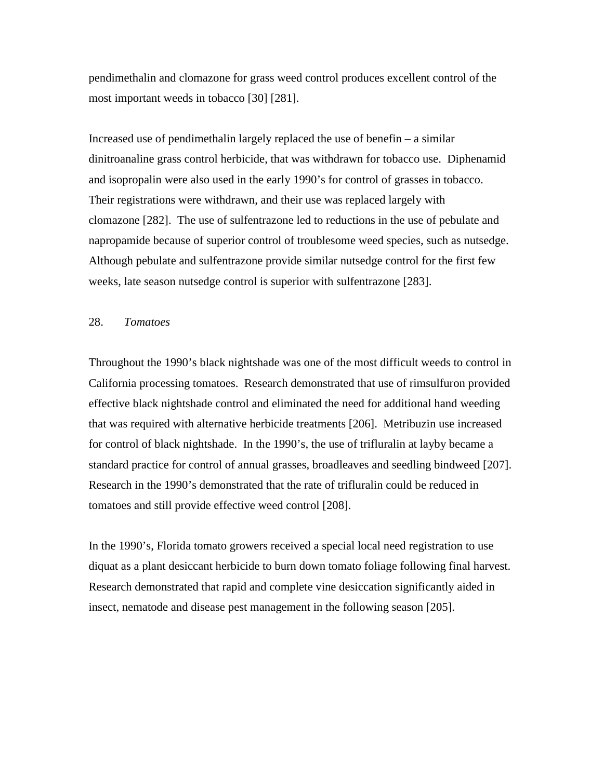pendimethalin and clomazone for grass weed control produces excellent control of the most important weeds in tobacco [30] [281].

Increased use of pendimethalin largely replaced the use of benefin – a similar dinitroanaline grass control herbicide, that was withdrawn for tobacco use. Diphenamid and isopropalin were also used in the early 1990's for control of grasses in tobacco. Their registrations were withdrawn, and their use was replaced largely with clomazone [282]. The use of sulfentrazone led to reductions in the use of pebulate and napropamide because of superior control of troublesome weed species, such as nutsedge. Although pebulate and sulfentrazone provide similar nutsedge control for the first few weeks, late season nutsedge control is superior with sulfentrazone [283].

### 28. *Tomatoes*

Throughout the 1990's black nightshade was one of the most difficult weeds to control in California processing tomatoes. Research demonstrated that use of rimsulfuron provided effective black nightshade control and eliminated the need for additional hand weeding that was required with alternative herbicide treatments [206]. Metribuzin use increased for control of black nightshade. In the 1990's, the use of trifluralin at layby became a standard practice for control of annual grasses, broadleaves and seedling bindweed [207]. Research in the 1990's demonstrated that the rate of trifluralin could be reduced in tomatoes and still provide effective weed control [208].

In the 1990's, Florida tomato growers received a special local need registration to use diquat as a plant desiccant herbicide to burn down tomato foliage following final harvest. Research demonstrated that rapid and complete vine desiccation significantly aided in insect, nematode and disease pest management in the following season [205].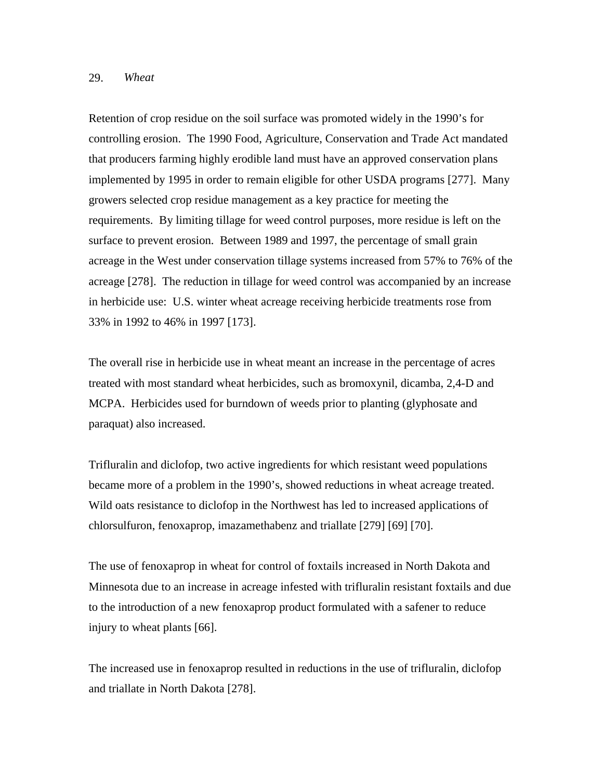### 29. *Wheat*

Retention of crop residue on the soil surface was promoted widely in the 1990's for controlling erosion. The 1990 Food, Agriculture, Conservation and Trade Act mandated that producers farming highly erodible land must have an approved conservation plans implemented by 1995 in order to remain eligible for other USDA programs [277]. Many growers selected crop residue management as a key practice for meeting the requirements. By limiting tillage for weed control purposes, more residue is left on the surface to prevent erosion. Between 1989 and 1997, the percentage of small grain acreage in the West under conservation tillage systems increased from 57% to 76% of the acreage [278]. The reduction in tillage for weed control was accompanied by an increase in herbicide use: U.S. winter wheat acreage receiving herbicide treatments rose from 33% in 1992 to 46% in 1997 [173].

The overall rise in herbicide use in wheat meant an increase in the percentage of acres treated with most standard wheat herbicides, such as bromoxynil, dicamba, 2,4-D and MCPA. Herbicides used for burndown of weeds prior to planting (glyphosate and paraquat) also increased.

Trifluralin and diclofop, two active ingredients for which resistant weed populations became more of a problem in the 1990's, showed reductions in wheat acreage treated. Wild oats resistance to diclofop in the Northwest has led to increased applications of chlorsulfuron, fenoxaprop, imazamethabenz and triallate [279] [69] [70].

The use of fenoxaprop in wheat for control of foxtails increased in North Dakota and Minnesota due to an increase in acreage infested with trifluralin resistant foxtails and due to the introduction of a new fenoxaprop product formulated with a safener to reduce injury to wheat plants [66].

The increased use in fenoxaprop resulted in reductions in the use of trifluralin, diclofop and triallate in North Dakota [278].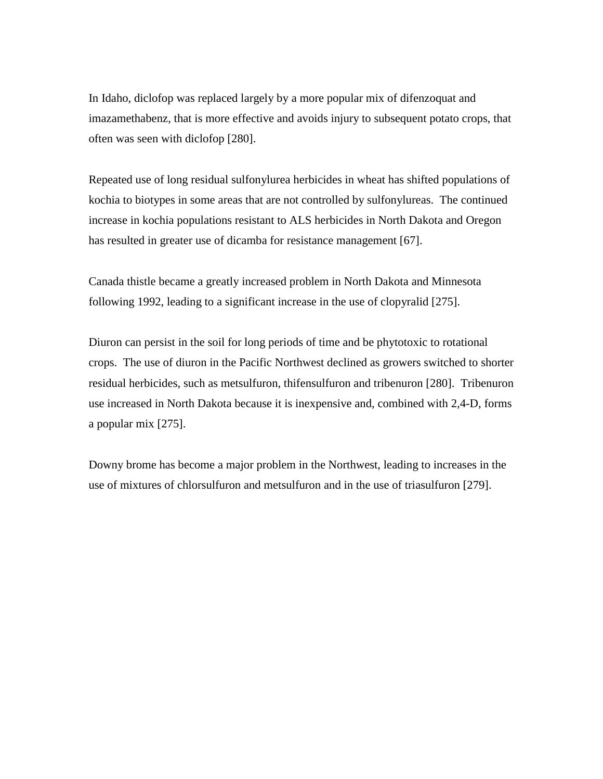In Idaho, diclofop was replaced largely by a more popular mix of difenzoquat and imazamethabenz, that is more effective and avoids injury to subsequent potato crops, that often was seen with diclofop [280].

Repeated use of long residual sulfonylurea herbicides in wheat has shifted populations of kochia to biotypes in some areas that are not controlled by sulfonylureas. The continued increase in kochia populations resistant to ALS herbicides in North Dakota and Oregon has resulted in greater use of dicamba for resistance management [67].

Canada thistle became a greatly increased problem in North Dakota and Minnesota following 1992, leading to a significant increase in the use of clopyralid [275].

Diuron can persist in the soil for long periods of time and be phytotoxic to rotational crops. The use of diuron in the Pacific Northwest declined as growers switched to shorter residual herbicides, such as metsulfuron, thifensulfuron and tribenuron [280]. Tribenuron use increased in North Dakota because it is inexpensive and, combined with 2,4-D, forms a popular mix [275].

Downy brome has become a major problem in the Northwest, leading to increases in the use of mixtures of chlorsulfuron and metsulfuron and in the use of triasulfuron [279].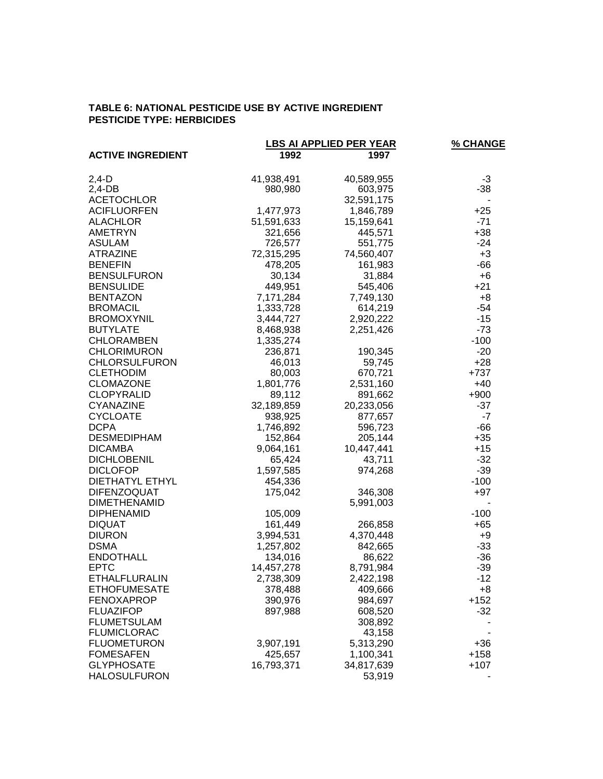### **TABLE 6: NATIONAL PESTICIDE USE BY ACTIVE INGREDIENT PESTICIDE TYPE: HERBICIDES**

|                                      |                       | <b>LBS AI APPLIED PER YEAR</b> | % CHANGE       |
|--------------------------------------|-----------------------|--------------------------------|----------------|
| <b>ACTIVE INGREDIENT</b>             | 1992                  | 1997                           |                |
| $2,4-D$                              | 41,938,491            | 40,589,955                     | -3             |
| $2,4$ -DB                            | 980,980               | 603,975                        | $-38$          |
| <b>ACETOCHLOR</b>                    |                       | 32,591,175                     |                |
| <b>ACIFLUORFEN</b>                   | 1,477,973             | 1,846,789                      | $+25$          |
| <b>ALACHLOR</b>                      | 51,591,633            | 15,159,641                     | $-71$          |
| AMETRYN                              | 321,656               | 445,571                        | $+38$          |
| <b>ASULAM</b>                        | 726,577               | 551,775                        | $-24$          |
| <b>ATRAZINE</b>                      | 72,315,295            | 74,560,407                     | $+3$           |
| <b>BENEFIN</b>                       | 478,205               | 161,983                        | $-66$          |
| <b>BENSULFURON</b>                   | 30,134                | 31,884                         | $+6$           |
| <b>BENSULIDE</b>                     | 449,951               | 545,406                        | $+21$          |
| <b>BENTAZON</b>                      | 7,171,284             | 7,749,130                      | $+8$           |
| <b>BROMACIL</b>                      | 1,333,728             | 614,219                        | $-54$          |
| <b>BROMOXYNIL</b>                    | 3,444,727             | 2,920,222                      | $-15$          |
| <b>BUTYLATE</b>                      | 8,468,938             | 2,251,426                      | $-73$          |
| <b>CHLORAMBEN</b>                    | 1,335,274             |                                | $-100$         |
| <b>CHLORIMURON</b>                   | 236,871               | 190,345                        | $-20$          |
| <b>CHLORSULFURON</b>                 | 46,013                | 59,745                         | $+28$          |
| <b>CLETHODIM</b>                     | 80,003                | 670,721                        | $+737$         |
| <b>CLOMAZONE</b>                     | 1,801,776             | 2,531,160                      | $+40$          |
| <b>CLOPYRALID</b>                    | 89,112                | 891,662                        | $+900$         |
| <b>CYANAZINE</b>                     | 32,189,859            | 20,233,056                     | $-37$          |
| <b>CYCLOATE</b>                      | 938,925               | 877,657                        | $-7$           |
| <b>DCPA</b>                          | 1,746,892             | 596,723                        | $-66$          |
| <b>DESMEDIPHAM</b>                   | 152,864               | 205,144                        | $+35$          |
| <b>DICAMBA</b>                       | 9,064,161             | 10,447,441                     | $+15$          |
| <b>DICHLOBENIL</b>                   | 65,424                | 43,711                         | $-32$          |
| <b>DICLOFOP</b>                      | 1,597,585             | 974,268                        | $-39$          |
| <b>DIETHATYL ETHYL</b>               | 454,336               |                                | $-100$         |
| <b>DIFENZOQUAT</b>                   | 175,042               | 346,308                        | $+97$          |
| <b>DIMETHENAMID</b>                  |                       | 5,991,003                      |                |
| <b>DIPHENAMID</b>                    | 105,009               |                                | $-100$         |
| <b>DIQUAT</b>                        | 161,449               | 266,858                        | $+65$          |
| <b>DIURON</b><br><b>DSMA</b>         | 3,994,531             | 4,370,448                      | $+9$           |
| <b>ENDOTHALL</b>                     | 1,257,802             | 842,665                        | $-33$<br>$-36$ |
| <b>EPTC</b>                          | 134,016<br>14,457,278 | 86,622                         | $-39$          |
|                                      |                       | 8,791,984                      |                |
| ETHALFLURALIN<br><b>ETHOFUMESATE</b> | 2,738,309<br>378,488  | 2,422,198<br>409,666           | -12            |
| <b>FENOXAPROP</b>                    | 390,976               | 984,697                        | +8<br>$+152$   |
| <b>FLUAZIFOP</b>                     | 897,988               | 608,520                        | $-32$          |
| <b>FLUMETSULAM</b>                   |                       | 308,892                        |                |
| <b>FLUMICLORAC</b>                   |                       | 43,158                         |                |
| <b>FLUOMETURON</b>                   | 3,907,191             | 5,313,290                      | $+36$          |
| <b>FOMESAFEN</b>                     | 425,657               | 1,100,341                      | +158           |
| <b>GLYPHOSATE</b>                    | 16,793,371            | 34,817,639                     | $+107$         |
| <b>HALOSULFURON</b>                  |                       | 53,919                         |                |
|                                      |                       |                                |                |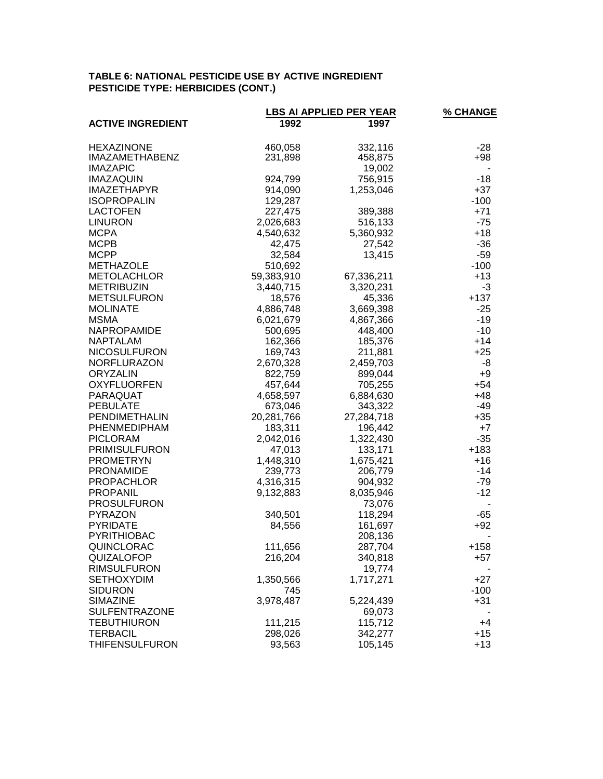# **TABLE 6: NATIONAL PESTICIDE USE BY ACTIVE INGREDIENT PESTICIDE TYPE: HERBICIDES (CONT.)**

|                                 |                      | <b>LBS AI APPLIED PER YEAR</b> | <b>% CHANGE</b> |
|---------------------------------|----------------------|--------------------------------|-----------------|
| <b>ACTIVE INGREDIENT</b>        | 1992                 | 1997                           |                 |
| <b>HEXAZINONE</b>               | 460,058              | 332,116                        | -28             |
| <b>IMAZAMETHABENZ</b>           | 231,898              | 458,875                        | +98             |
| <b>IMAZAPIC</b>                 |                      | 19,002                         |                 |
| <b>IMAZAQUIN</b>                | 924,799              | 756,915                        | $-18$           |
| <b>IMAZETHAPYR</b>              | 914,090              | 1,253,046                      | $+37$           |
| <b>ISOPROPALIN</b>              | 129,287              |                                | $-100$          |
| <b>LACTOFEN</b>                 | 227,475              | 389,388                        | $+71$           |
| <b>LINURON</b>                  | 2,026,683            | 516,133                        | $-75$           |
| <b>MCPA</b>                     | 4,540,632            | 5,360,932                      | $+18$           |
| <b>MCPB</b>                     | 42,475               | 27,542                         | $-36$           |
| <b>MCPP</b>                     | 32,584               | 13,415                         | $-59$           |
| <b>METHAZOLE</b>                | 510,692              |                                | $-100$          |
| <b>METOLACHLOR</b>              | 59,383,910           | 67,336,211                     | $+13$           |
| <b>METRIBUZIN</b>               | 3,440,715            | 3,320,231                      | -3              |
| <b>METSULFURON</b>              | 18,576               | 45,336                         | $+137$          |
| <b>MOLINATE</b>                 | 4,886,748            | 3,669,398                      | $-25$           |
| <b>MSMA</b>                     | 6,021,679            | 4,867,366                      | $-19$           |
| NAPROPAMIDE                     | 500,695              | 448,400                        | $-10$           |
| <b>NAPTALAM</b>                 | 162,366              | 185,376                        | $+14$           |
| <b>NICOSULFURON</b>             | 169,743              | 211,881                        | $+25$           |
| <b>NORFLURAZON</b>              | 2,670,328            | 2,459,703                      | -8              |
| <b>ORYZALIN</b>                 | 822,759              | 899,044                        | $+9$            |
| <b>OXYFLUORFEN</b>              | 457,644              | 705,255                        | $+54$           |
| PARAQUAT                        | 4,658,597            | 6,884,630                      | $+48$           |
| <b>PEBULATE</b>                 | 673,046              | 343,322                        | -49             |
| PENDIMETHALIN                   | 20,281,766           | 27,284,718                     | $+35$           |
| PHENMEDIPHAM<br><b>PICLORAM</b> | 183,311<br>2,042,016 | 196,442<br>1,322,430           | $+7$<br>$-35$   |
| <b>PRIMISULFURON</b>            | 47,013               | 133,171                        | $+183$          |
| <b>PROMETRYN</b>                | 1,448,310            | 1,675,421                      | $+16$           |
| <b>PRONAMIDE</b>                | 239,773              | 206,779                        | $-14$           |
| <b>PROPACHLOR</b>               | 4,316,315            | 904,932                        | $-79$           |
| <b>PROPANIL</b>                 | 9,132,883            | 8,035,946                      | $-12$           |
| <b>PROSULFURON</b>              |                      | 73,076                         |                 |
| <b>PYRAZON</b>                  | 340,501              | 118,294                        | $-65$           |
| <b>PYRIDATE</b>                 | 84,556               | 161,697                        | $+92$           |
| PYRITHIOBAC                     |                      | 208,136                        |                 |
| QUINCLORAC                      | 111,656              | 287,704                        | $+158$          |
| QUIZALOFOP                      | 216,204              | 340,818                        | +57             |
| <b>RIMSULFURON</b>              |                      | 19,774                         |                 |
| <b>SETHOXYDIM</b>               | 1,350,566            | 1,717,271                      | $+27$           |
| <b>SIDURON</b>                  | 745                  |                                | $-100$          |
| <b>SIMAZINE</b>                 | 3,978,487            | 5,224,439                      | $+31$           |
| <b>SULFENTRAZONE</b>            |                      | 69,073                         |                 |
| <b>TEBUTHIURON</b>              | 111,215              | 115,712                        | +4              |
| <b>TERBACIL</b>                 | 298,026              | 342,277                        | $+15$           |
| <b>THIFENSULFURON</b>           | 93,563               | 105,145                        | $+13$           |
|                                 |                      |                                |                 |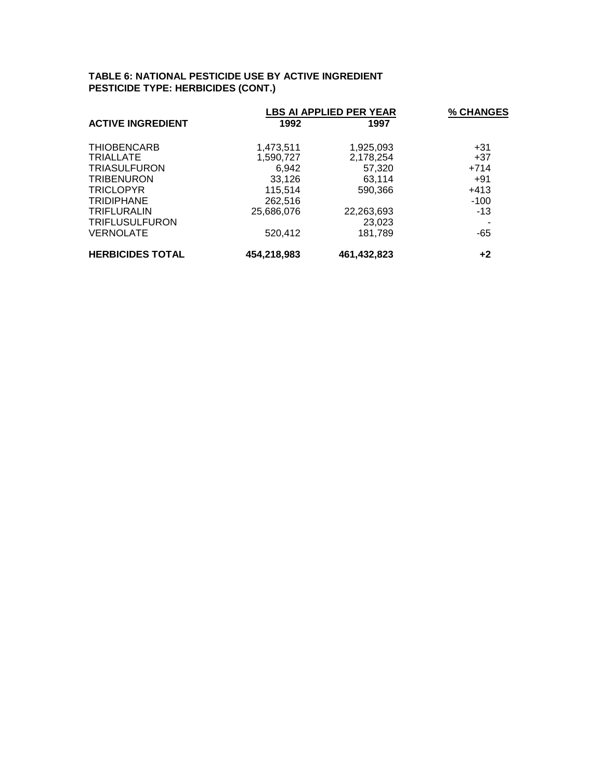# **TABLE 6: NATIONAL PESTICIDE USE BY ACTIVE INGREDIENT PESTICIDE TYPE: HERBICIDES (CONT.)**

|                          |             | <b>LBS AI APPLIED PER YEAR</b> |        |  |
|--------------------------|-------------|--------------------------------|--------|--|
| <b>ACTIVE INGREDIENT</b> | 1992        | 1997                           |        |  |
| <b>THIOBENCARB</b>       | 1.473.511   | 1.925.093                      | $+31$  |  |
| <b>TRIALLATE</b>         | 1,590,727   | 2,178,254                      | $+37$  |  |
| <b>TRIASULFURON</b>      | 6,942       | 57,320                         | $+714$ |  |
| <b>TRIBENURON</b>        | 33,126      | 63,114                         | $+91$  |  |
| <b>TRICLOPYR</b>         | 115,514     | 590,366                        | $+413$ |  |
| <b>TRIDIPHANE</b>        | 262,516     |                                | $-100$ |  |
| <b>TRIFLURALIN</b>       | 25,686,076  | 22,263,693                     | $-13$  |  |
| <b>TRIFLUSULFURON</b>    |             | 23,023                         |        |  |
| <b>VERNOLATE</b>         | 520,412     | 181.789                        | -65    |  |
| <b>HERBICIDES TOTAL</b>  | 454,218,983 | 461,432,823                    | $+2$   |  |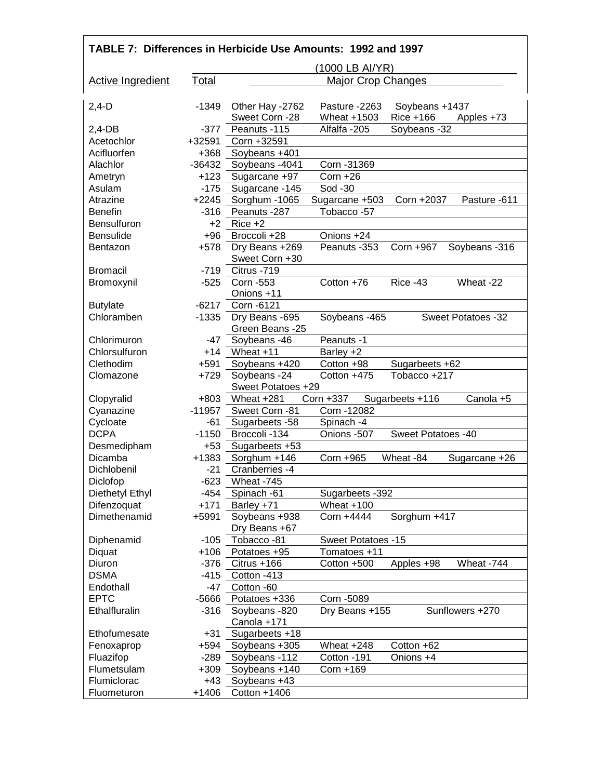| TABLE 7: Differences in Herbicide Use Amounts: 1992 and 1997 |          |                                    |                           |                    |                    |
|--------------------------------------------------------------|----------|------------------------------------|---------------------------|--------------------|--------------------|
|                                                              |          |                                    | (1000 LB AI/YR)           |                    |                    |
| <b>Active Ingredient</b>                                     | Total    |                                    | <b>Major Crop Changes</b> |                    |                    |
| $2,4-D$                                                      | -1349    | Other Hay -2762                    | Pasture -2263             | Soybeans +1437     |                    |
|                                                              |          | Sweet Corn -28                     | Wheat +1503               | Rice +166          | Apples +73         |
| 2,4-DB                                                       | $-377$   | Peanuts -115                       | Alfalfa-205               | Soybeans -32       |                    |
| Acetochlor                                                   | +32591   | Corn +32591                        |                           |                    |                    |
| Acifluorfen                                                  | $+368$   | Soybeans +401                      |                           |                    |                    |
| Alachlor                                                     | $-36432$ | Soybeans -4041                     | Corn - 31369              |                    |                    |
| Ametryn                                                      | $+123$   | Sugarcane +97                      | $Corn + 26$               |                    |                    |
| Asulam                                                       | $-175$   | Sugarcane -145                     | Sod -30                   |                    |                    |
| Atrazine                                                     | $+2245$  | Sorghum -1065                      | Sugarcane +503            | Corn +2037         | Pasture -611       |
| <b>Benefin</b>                                               | $-316$   | Peanuts -287                       | Tobacco-57                |                    |                    |
| <b>Bensulfuron</b>                                           | $+2$     | $Rice +2$                          |                           |                    |                    |
| <b>Bensulide</b>                                             | $+96$    | Broccoli +28                       | Onions +24                |                    |                    |
| <b>Bentazon</b>                                              | $+578$   | Dry Beans +269<br>Sweet Corn +30   | Peanuts -353              | Corn +967          | Soybeans -316      |
| <b>Bromacil</b>                                              | $-719$   | Citrus -719                        |                           |                    |                    |
| Bromoxynil                                                   | $-525$   | Corn -553                          | Cotton +76                | Rice -43           | Wheat -22          |
|                                                              |          | Onions +11                         |                           |                    |                    |
| <b>Butylate</b>                                              | -6217    | Corn -6121                         |                           |                    |                    |
| Chloramben                                                   | $-1335$  | Dry Beans -695<br>Green Beans -25  | Soybeans -465             |                    | Sweet Potatoes -32 |
| Chlorimuron                                                  | -47      | Soybeans -46                       | Peanuts -1                |                    |                    |
| Chlorsulfuron                                                |          | $+14$ Wheat $+11$                  | Barley +2                 |                    |                    |
| Clethodim                                                    | $+591$   | Soybeans +420                      | Cotton +98                | Sugarbeets +62     |                    |
| Clomazone                                                    | $+729$   | Soybeans -24<br>Sweet Potatoes +29 | Cotton +475               | Tobacco +217       |                    |
| Clopyralid                                                   | $+803$   | Wheat +281                         | Corn +337                 | Sugarbeets +116    | Canola +5          |
| Cyanazine                                                    | -11957   | Sweet Corn -81                     | Corn -12082               |                    |                    |
| Cycloate                                                     | -61      | Sugarbeets -58                     | Spinach -4                |                    |                    |
| <b>DCPA</b>                                                  | $-1150$  | Broccoli -134                      | Onions -507               | Sweet Potatoes -40 |                    |
| Desmedipham                                                  | +53      | Sugarbeets +53                     |                           |                    |                    |
| Dicamba                                                      | $+1383$  | Sorghum +146                       | Corn +965                 | Wheat -84          | Sugarcane +26      |
| Dichlobenil                                                  | $-21$    | Cranberries -4                     |                           |                    |                    |
| Diclofop                                                     | -623     | Wheat -745                         |                           |                    |                    |
| Diethetyl Ethyl                                              | $-454$   | Spinach -61                        | Sugarbeets - 392          |                    |                    |
| Difenzoquat                                                  | $+171$   | Barley +71                         | Wheat +100                |                    |                    |
| Dimethenamid                                                 | $+5991$  | Soybeans +938                      | Corn +4444                | Sorghum +417       |                    |
|                                                              |          | Dry Beans +67                      |                           |                    |                    |
| Diphenamid                                                   | $-105$   | Tobacco-81                         | Sweet Potatoes -15        |                    |                    |
| Diquat                                                       | $+106$   | Potatoes +95                       | Tomatoes +11              |                    |                    |
| Diuron                                                       | $-376$   | Citrus +166                        | Cotton +500               | Apples +98         | Wheat -744         |
| <b>DSMA</b>                                                  | $-415$   | Cotton -413                        |                           |                    |                    |
| Endothall                                                    | $-47$    | Cotton -60                         |                           |                    |                    |
| <b>EPTC</b>                                                  | $-5666$  | Potatoes +336                      | Corn -5089                |                    |                    |
| Ethalfluralin                                                | $-316$   | Soybeans -820<br>Canola +171       | Dry Beans +155            |                    | Sunflowers +270    |
| Ethofumesate                                                 | $+31$    | Sugarbeets +18                     |                           |                    |                    |
| Fenoxaprop                                                   | $+594$   | Soybeans +305                      | Wheat +248                | Cotton +62         |                    |
| Fluazifop                                                    | $-289$   | Soybeans -112                      | Cotton -191               | Onions +4          |                    |
| Flumetsulam                                                  | $+309$   | Soybeans +140                      | Corn +169                 |                    |                    |
| Flumiclorac                                                  | $+43$    | Soybeans +43                       |                           |                    |                    |
| Fluometuron                                                  | $+1406$  | Cotton +1406                       |                           |                    |                    |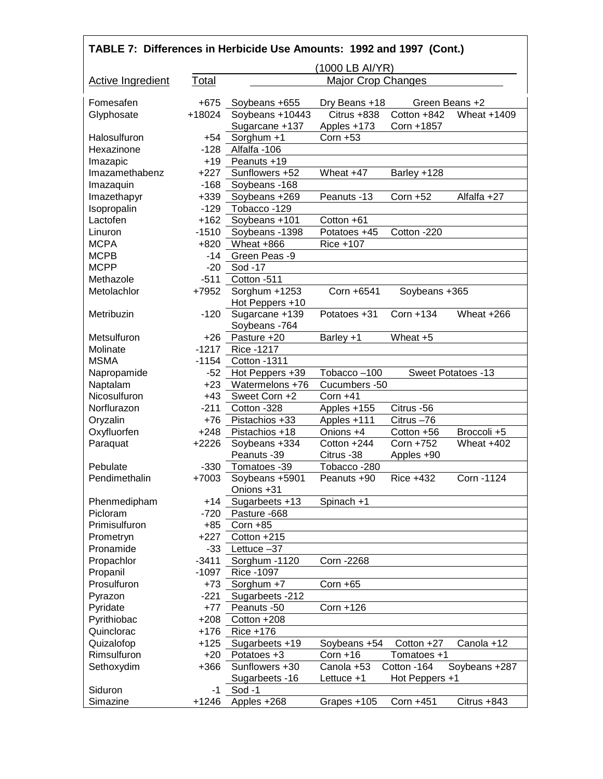| TABLE 7: Differences in Herbicide Use Amounts: 1992 and 1997 (Cont.) |         |                                  |                              |                |                           |
|----------------------------------------------------------------------|---------|----------------------------------|------------------------------|----------------|---------------------------|
|                                                                      |         |                                  | (1000 LB AI/YR)              |                |                           |
| <b>Active Ingredient</b>                                             | Total   |                                  | <b>Major Crop Changes</b>    |                |                           |
| Fomesafen                                                            | $+675$  |                                  |                              | Green Beans +2 |                           |
| Glyphosate                                                           | +18024  | Soybeans +655<br>Soybeans +10443 | Dry Beans +18<br>Citrus +838 | Cotton +842    | Wheat +1409               |
|                                                                      |         | Sugarcane +137                   | Apples +173                  | Corn +1857     |                           |
| Halosulfuron                                                         | $+54$   | Sorghum +1                       | Corn $+53$                   |                |                           |
| Hexazinone                                                           | $-128$  | Alfalfa -106                     |                              |                |                           |
| Imazapic                                                             | $+19$   | Peanuts +19                      |                              |                |                           |
| Imazamethabenz                                                       | $+227$  | Sunflowers +52                   | Wheat +47                    | Barley +128    |                           |
| Imazaquin                                                            | $-168$  | Soybeans -168                    |                              |                |                           |
| Imazethapyr                                                          | $+339$  | Soybeans +269                    | Peanuts -13                  | Corn +52       | Alfalfa +27               |
| Isopropalin                                                          | $-129$  | Tobacco -129                     |                              |                |                           |
| Lactofen                                                             | $+162$  | Soybeans +101                    | Cotton +61                   |                |                           |
| Linuron                                                              | $-1510$ | Soybeans -1398                   | Potatoes +45                 | Cotton -220    |                           |
| <b>MCPA</b>                                                          | $+820$  | Wheat +866                       | Rice +107                    |                |                           |
| <b>MCPB</b>                                                          | $-14$   | Green Peas -9                    |                              |                |                           |
| <b>MCPP</b>                                                          | $-20$   | Sod -17                          |                              |                |                           |
| Methazole                                                            | $-511$  | Cotton -511                      |                              |                |                           |
| Metolachlor                                                          | +7952   | Sorghum +1253                    | Corn +6541                   | Soybeans +365  |                           |
|                                                                      |         | Hot Peppers +10                  |                              |                |                           |
| Metribuzin                                                           | $-120$  | Sugarcane +139                   | Potatoes +31                 | Corn +134      | Wheat +266                |
|                                                                      |         | Soybeans -764                    |                              |                |                           |
| Metsulfuron                                                          | $+26$   | Pasture +20                      | Barley +1                    | Wheat +5       |                           |
| Molinate                                                             | $-1217$ | Rice -1217                       |                              |                |                           |
| <b>MSMA</b>                                                          | $-1154$ | Cotton -1311                     |                              |                |                           |
| Napropamide                                                          | $-52$   | Hot Peppers +39                  | Tobacco-100                  |                | <b>Sweet Potatoes -13</b> |
| Naptalam                                                             | $+23$   | Watermelons +76                  | Cucumbers -50                |                |                           |
| Nicosulfuron                                                         | $+43$   | Sweet Corn +2                    | $Corn + 41$                  |                |                           |
| Norflurazon                                                          | $-211$  | Cotton -328                      | Apples +155                  | Citrus -56     |                           |
| Oryzalin                                                             | $+76$   | Pistachios +33                   | Apples +111                  | Citrus-76      |                           |
| Oxyfluorfen                                                          | $+248$  | Pistachios +18                   | Onions +4                    | Cotton +56     | Broccoli +5               |
| Paraquat                                                             | $+2226$ | Soybeans +334                    | Cotton +244                  | Corn +752      | Wheat $+402$              |
|                                                                      |         | Peanuts -39                      | Citrus -38                   | Apples +90     |                           |
| Pebulate                                                             | $-330$  | Tomatoes -39                     | Tobacco-280                  |                |                           |
| Pendimethalin                                                        | $+7003$ | Soybeans +5901                   | Peanuts +90                  | Rice +432      | Corn -1124                |
|                                                                      |         | Onions +31                       |                              |                |                           |
| Phenmedipham                                                         | $+14$   | Sugarbeets +13                   | Spinach +1                   |                |                           |
| Picloram                                                             | $-720$  | Pasture -668                     |                              |                |                           |
| Primisulfuron                                                        | $+85$   | $Corn + 85$                      |                              |                |                           |
| Prometryn                                                            | $+227$  | Cotton +215                      |                              |                |                           |
| Pronamide                                                            | $-33$   | Lettuce $-37$                    |                              |                |                           |
| Propachlor                                                           | $-3411$ | Sorghum -1120                    | Corn - 2268                  |                |                           |
| Propanil                                                             | $-1097$ | Rice -1097                       |                              |                |                           |
| Prosulfuron                                                          | $+73$   | Sorghum +7                       | Corn $+65$                   |                |                           |
| Pyrazon                                                              | $-221$  | Sugarbeets -212                  |                              |                |                           |
| Pyridate                                                             | $+77$   | Peanuts -50                      | Corn +126                    |                |                           |
| Pyrithiobac                                                          | $+208$  | Cotton +208                      |                              |                |                           |
| Quinclorac                                                           | $+176$  | Rice +176                        |                              |                |                           |
| Quizalofop                                                           | $+125$  | Sugarbeets +19                   | Soybeans +54                 | Cotton +27     | Canola +12                |
| Rimsulfuron                                                          | $+20$   | Potatoes +3                      | $Corn + 16$                  | Tomatoes +1    |                           |
| Sethoxydim                                                           | $+366$  | Sunflowers +30                   | Canola +53                   | Cotton -164    | Soybeans +287             |
|                                                                      |         | Sugarbeets -16                   | Lettuce +1                   | Hot Peppers +1 |                           |
| Siduron                                                              | -1      | Sod-1                            |                              |                |                           |
| Simazine                                                             | $+1246$ | Apples +268                      | Grapes +105                  | Corn +451      | Citrus +843               |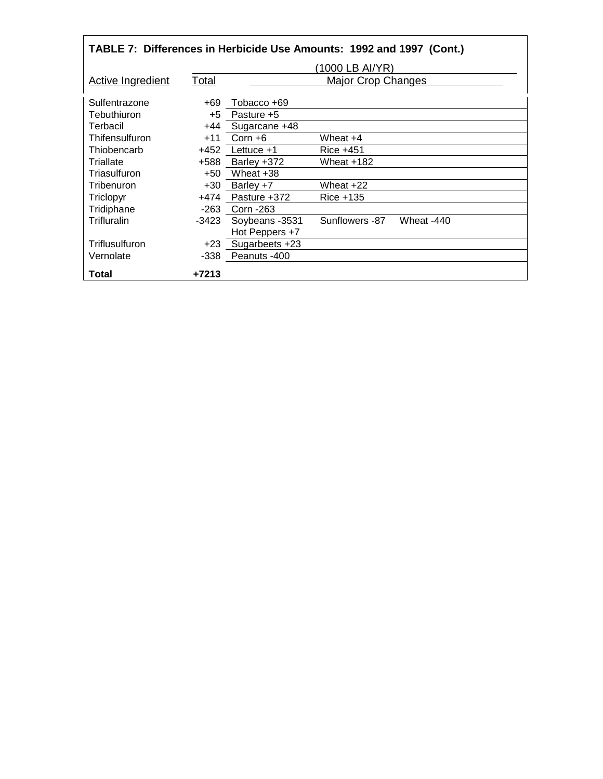| TABLE 7: Differences in Herbicide Use Amounts: 1992 and 1997 (Cont.) |         |                 |                           |            |
|----------------------------------------------------------------------|---------|-----------------|---------------------------|------------|
|                                                                      |         |                 | (1000 LB AI/YR)           |            |
| <b>Active Ingredient</b>                                             | Total   |                 | <b>Major Crop Changes</b> |            |
| Sulfentrazone                                                        | +69     | Tobacco +69     |                           |            |
| Tebuthiuron                                                          | +5      | Pasture +5      |                           |            |
| Terbacil                                                             | +44     | Sugarcane +48   |                           |            |
| Thifensulfuron                                                       | $+11$   | $Corn + 6$      | Wheat +4                  |            |
| Thiobencarb                                                          | +452    | Lettuce $+1$    | Rice +451                 |            |
| Triallate                                                            | +588    | Barley +372     | Wheat +182                |            |
| Triasulfuron                                                         | +50     | Wheat +38       |                           |            |
| Tribenuron                                                           | +30     | Barley +7       | Wheat +22                 |            |
| Triclopyr                                                            | +474    | Pasture +372    | Rice +135                 |            |
| Tridiphane                                                           | -263    | Corn - 263      |                           |            |
| Trifluralin                                                          | -3423   | Soybeans - 3531 | Sunflowers -87            | Wheat -440 |
|                                                                      |         | Hot Peppers +7  |                           |            |
| Triflusulfuron                                                       | +23     | Sugarbeets +23  |                           |            |
| Vernolate                                                            | -338    | Peanuts -400    |                           |            |
| Total                                                                | $+7213$ |                 |                           |            |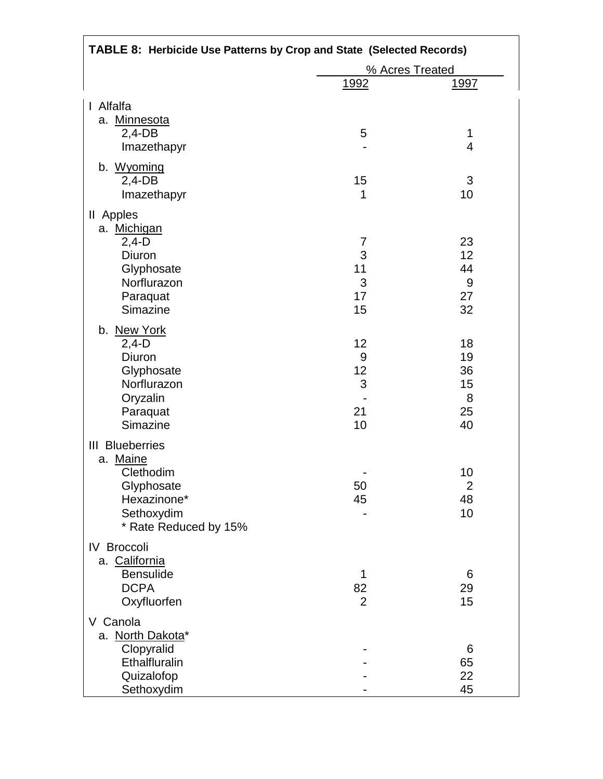| TABLE 8: Herbicide Use Patterns by Crop and State (Selected Records) |                 |                |  |
|----------------------------------------------------------------------|-----------------|----------------|--|
|                                                                      | % Acres Treated |                |  |
|                                                                      | <u> 1992 </u>   | <u>1997</u>    |  |
| Alfalfa<br>$\mathsf{I}$                                              |                 |                |  |
| a. Minnesota                                                         |                 |                |  |
| $2,4$ -DB                                                            | 5               | 1              |  |
| Imazethapyr                                                          |                 | 4              |  |
| b. Wyoming                                                           |                 |                |  |
| $2,4$ -DB                                                            | 15              | 3              |  |
| Imazethapyr                                                          | 1               | 10             |  |
| II Apples                                                            |                 |                |  |
| a. Michigan                                                          |                 |                |  |
| $2,4-D$                                                              | 7               | 23             |  |
| Diuron                                                               | 3               | 12             |  |
| Glyphosate                                                           | 11              | 44             |  |
| Norflurazon                                                          | 3               | 9              |  |
| Paraquat                                                             | 17              | 27             |  |
| Simazine                                                             | 15              | 32             |  |
| b. New York                                                          |                 |                |  |
| $2,4-D$                                                              | 12              | 18             |  |
| Diuron                                                               | 9               | 19             |  |
| Glyphosate                                                           | 12              | 36             |  |
| Norflurazon                                                          | 3               | 15             |  |
| Oryzalin                                                             |                 | 8              |  |
| Paraquat                                                             | 21              | 25             |  |
| Simazine                                                             | 10              | 40             |  |
| <b>III</b> Blueberries                                               |                 |                |  |
| a. Maine                                                             |                 |                |  |
| Clethodim                                                            |                 | 10             |  |
| Glyphosate                                                           | 50              | $\overline{2}$ |  |
| Hexazinone*<br>Sethoxydim                                            | 45              | 48<br>10       |  |
| * Rate Reduced by 15%                                                |                 |                |  |
|                                                                      |                 |                |  |
| <b>IV Broccoli</b>                                                   |                 |                |  |
| a. California<br><b>Bensulide</b>                                    | 1               | 6              |  |
| <b>DCPA</b>                                                          | 82              | 29             |  |
| Oxyfluorfen                                                          | $\overline{2}$  | 15             |  |
|                                                                      |                 |                |  |
| V Canola                                                             |                 |                |  |
| a. North Dakota*                                                     |                 |                |  |
| Clopyralid<br>Ethalfluralin                                          |                 | 6<br>65        |  |
| Quizalofop                                                           |                 | 22             |  |
| Sethoxydim                                                           |                 | 45             |  |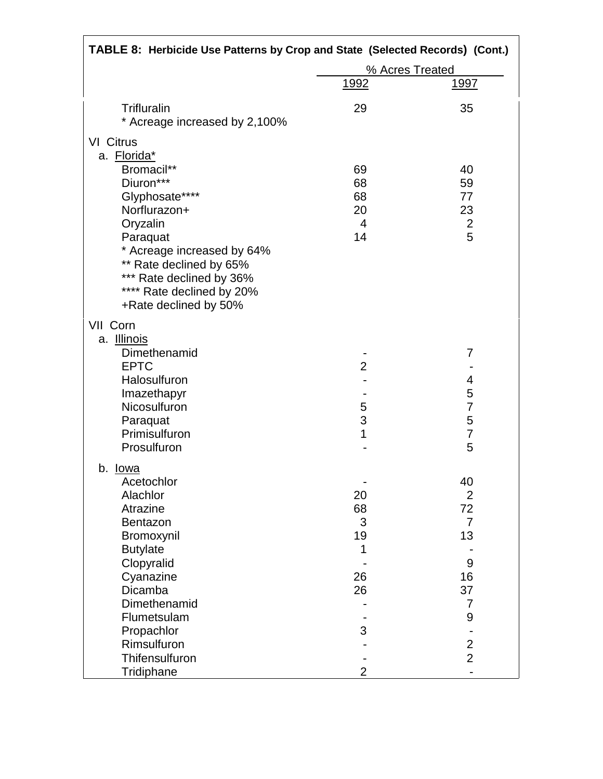| TABLE 8: Herbicide Use Patterns by Crop and State (Selected Records) (Cont.) |                 |                |  |
|------------------------------------------------------------------------------|-----------------|----------------|--|
|                                                                              | % Acres Treated |                |  |
|                                                                              | <u>1992</u>     | <u>1997</u>    |  |
| <b>Trifluralin</b><br>* Acreage increased by 2,100%                          | 29              | 35             |  |
| <b>VI</b> Citrus                                                             |                 |                |  |
| a. Florida*                                                                  |                 |                |  |
| Bromacil**                                                                   | 69              | 40             |  |
| Diuron***                                                                    | 68              | 59             |  |
| Glyphosate****                                                               | 68              | 77             |  |
| Norflurazon+                                                                 | 20              | 23             |  |
| Oryzalin                                                                     | $\overline{4}$  | $\overline{c}$ |  |
| Paraquat                                                                     | 14              | 5              |  |
| * Acreage increased by 64%                                                   |                 |                |  |
| ** Rate declined by 65%                                                      |                 |                |  |
| *** Rate declined by 36%                                                     |                 |                |  |
| **** Rate declined by 20%                                                    |                 |                |  |
| +Rate declined by 50%                                                        |                 |                |  |
| VII Corn                                                                     |                 |                |  |
| a. <b>Illinois</b>                                                           |                 |                |  |
| Dimethenamid                                                                 |                 | 7              |  |
| <b>EPTC</b>                                                                  | $\overline{2}$  |                |  |
| Halosulfuron                                                                 |                 | 4              |  |
| Imazethapyr                                                                  |                 | 5              |  |
| Nicosulfuron                                                                 | 5               | $\overline{7}$ |  |
| Paraquat                                                                     | 3               | 5              |  |
| Primisulfuron                                                                | 1               | $\overline{7}$ |  |
| Prosulfuron                                                                  |                 | 5              |  |
| b. <u>Iowa</u>                                                               |                 |                |  |
| Acetochlor                                                                   |                 | 40             |  |
| Alachlor                                                                     | 20              | $\overline{2}$ |  |
| Atrazine                                                                     | 68              | 72             |  |
| Bentazon                                                                     | 3               | $\overline{7}$ |  |
| Bromoxynil                                                                   | 19              | 13             |  |
| <b>Butylate</b>                                                              | 1               |                |  |
| Clopyralid                                                                   |                 | 9              |  |
| Cyanazine                                                                    | 26              | 16             |  |
| Dicamba                                                                      | 26              | 37             |  |
| Dimethenamid                                                                 |                 | 7              |  |
| Flumetsulam                                                                  |                 | 9              |  |
| Propachlor                                                                   | 3               |                |  |
| Rimsulfuron                                                                  |                 | $\overline{2}$ |  |
| Thifensulfuron                                                               |                 | $\overline{2}$ |  |
| Tridiphane                                                                   | 2               |                |  |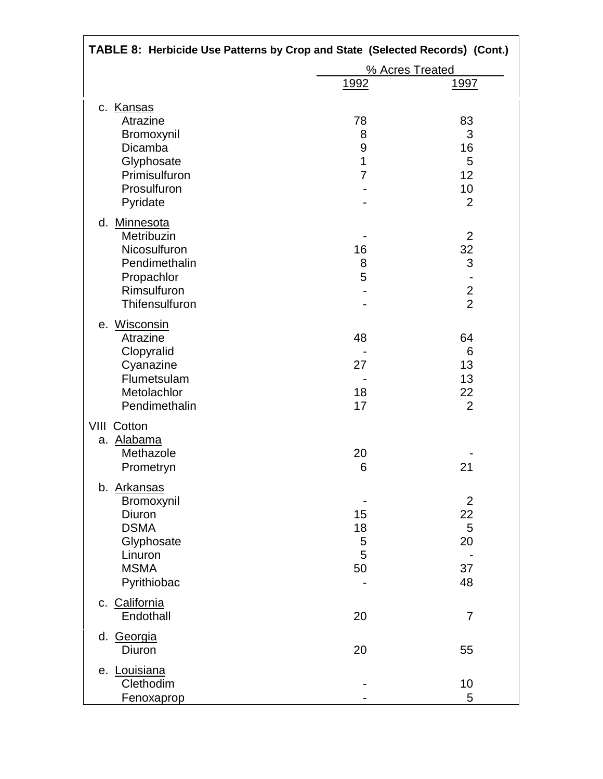| TABLE 8: Herbicide Use Patterns by Crop and State (Selected Records) (Cont.) |                 |                 |  |
|------------------------------------------------------------------------------|-----------------|-----------------|--|
|                                                                              | % Acres Treated |                 |  |
|                                                                              | <u>1992</u>     | <u> 1997 </u>   |  |
| c. Kansas                                                                    |                 |                 |  |
| Atrazine                                                                     | 78              | 83              |  |
| Bromoxynil                                                                   | 8               | 3               |  |
| Dicamba                                                                      | 9               | 16              |  |
| Glyphosate                                                                   | 1               | 5               |  |
| Primisulfuron                                                                | 7               | 12 <sup>2</sup> |  |
| Prosulfuron                                                                  |                 | 10              |  |
| Pyridate                                                                     |                 | $\overline{2}$  |  |
| d. Minnesota                                                                 |                 |                 |  |
| Metribuzin                                                                   |                 | $\overline{2}$  |  |
| Nicosulfuron                                                                 | 16              | 32              |  |
| Pendimethalin                                                                | 8               | 3               |  |
| Propachlor                                                                   | 5               |                 |  |
| Rimsulfuron                                                                  |                 | $\mathbf{2}$    |  |
| Thifensulfuron                                                               |                 | $\overline{2}$  |  |
| e. Wisconsin                                                                 |                 |                 |  |
| Atrazine                                                                     | 48              | 64              |  |
| Clopyralid                                                                   |                 | 6               |  |
| Cyanazine                                                                    | 27              | 13              |  |
| Flumetsulam                                                                  |                 | 13              |  |
| Metolachlor                                                                  | 18              | 22              |  |
| Pendimethalin                                                                | 17              | $\overline{2}$  |  |
| <b>VIII Cotton</b>                                                           |                 |                 |  |
| a. Alabama                                                                   |                 |                 |  |
| Methazole                                                                    | 20              |                 |  |
| Prometryn                                                                    | 6               | 21              |  |
| b. Arkansas                                                                  |                 |                 |  |
| Bromoxynil                                                                   |                 | $\overline{2}$  |  |
| Diuron                                                                       | 15              | 22              |  |
| <b>DSMA</b>                                                                  | 18              | 5               |  |
| Glyphosate                                                                   | 5               | 20              |  |
| Linuron                                                                      | 5               |                 |  |
| <b>MSMA</b>                                                                  | 50              | 37              |  |
| Pyrithiobac                                                                  |                 | 48              |  |
| c. California                                                                |                 |                 |  |
| Endothall                                                                    | 20              | $\overline{7}$  |  |
| d. Georgia                                                                   |                 |                 |  |
| Diuron                                                                       | 20              | 55              |  |
| e. Louisiana                                                                 |                 |                 |  |
| Clethodim                                                                    |                 | 10              |  |
| Fenoxaprop                                                                   |                 | 5               |  |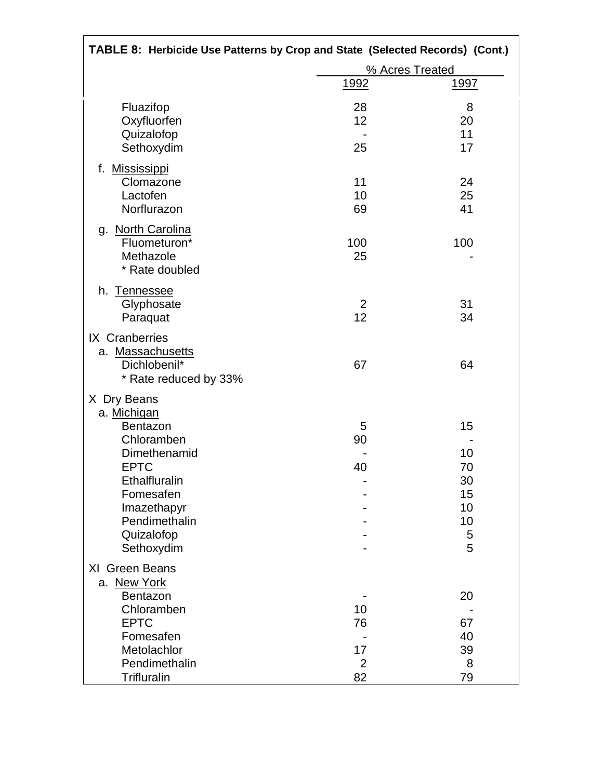| TABLE 8: Herbicide Use Patterns by Crop and State (Selected Records) (Cont.) |                 |               |  |
|------------------------------------------------------------------------------|-----------------|---------------|--|
|                                                                              | % Acres Treated |               |  |
|                                                                              | <u> 1992 </u>   | <u> 1997 </u> |  |
| Fluazifop                                                                    | 28              | 8             |  |
| Oxyfluorfen                                                                  | 12              | 20            |  |
| Quizalofop                                                                   |                 | 11            |  |
| Sethoxydim                                                                   | 25              | 17            |  |
| f. Mississippi                                                               |                 |               |  |
| Clomazone                                                                    | 11              | 24            |  |
| Lactofen                                                                     | 10              | 25            |  |
| Norflurazon                                                                  | 69              | 41            |  |
| g. North Carolina                                                            |                 |               |  |
| Fluometuron*                                                                 | 100             | 100           |  |
| Methazole                                                                    | 25              |               |  |
| * Rate doubled                                                               |                 |               |  |
| h.<br><b>Tennessee</b>                                                       |                 |               |  |
| Glyphosate                                                                   | 2               | 31            |  |
| Paraquat                                                                     | 12              | 34            |  |
| IX Cranberries                                                               |                 |               |  |
| a. Massachusetts                                                             |                 |               |  |
| Dichlobenil*                                                                 | 67              | 64            |  |
| * Rate reduced by 33%                                                        |                 |               |  |
| X Dry Beans                                                                  |                 |               |  |
| a. Michigan                                                                  |                 |               |  |
| Bentazon                                                                     | 5               | 15            |  |
| Chloramben                                                                   | 90              |               |  |
| Dimethenamid                                                                 |                 | 10            |  |
| <b>EPTC</b>                                                                  | 40              | 70            |  |
| Ethalfluralin                                                                |                 | 30            |  |
| Fomesafen                                                                    |                 | 15            |  |
| Imazethapyr                                                                  |                 | 10            |  |
| Pendimethalin                                                                |                 | 10            |  |
| Quizalofop                                                                   |                 | 5<br>5        |  |
| Sethoxydim                                                                   |                 |               |  |
| XI Green Beans                                                               |                 |               |  |
| a. New York                                                                  |                 |               |  |
| Bentazon<br>Chloramben                                                       | 10              | 20            |  |
| <b>EPTC</b>                                                                  | 76              | 67            |  |
| Fomesafen                                                                    |                 | 40            |  |
| Metolachlor                                                                  | 17              | 39            |  |
| Pendimethalin                                                                | $\overline{2}$  | 8             |  |
| <b>Trifluralin</b>                                                           | 82              | 79            |  |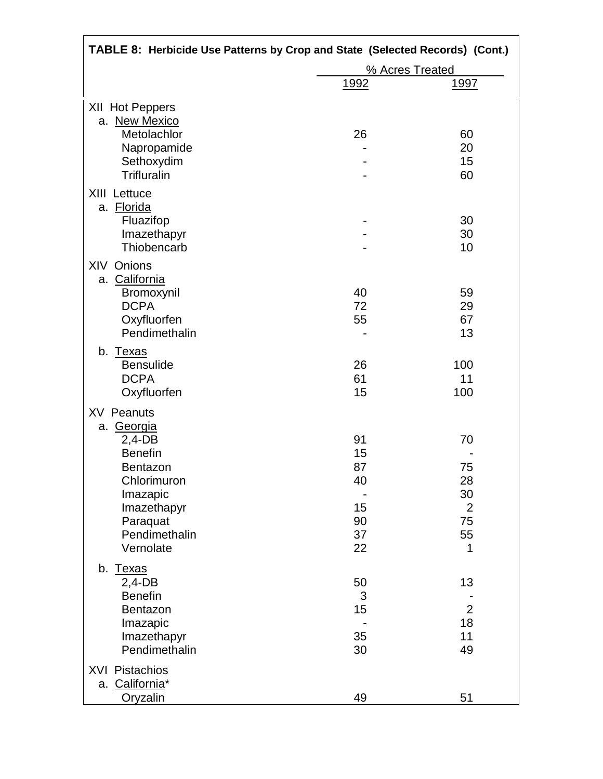| TABLE 8: Herbicide Use Patterns by Crop and State (Selected Records) (Cont.) |                 |                      |  |
|------------------------------------------------------------------------------|-----------------|----------------------|--|
|                                                                              | % Acres Treated |                      |  |
|                                                                              | <u>1992</u>     | <u> 1997 </u>        |  |
| XII Hot Peppers<br>a. New Mexico                                             |                 |                      |  |
| Metolachlor                                                                  | 26              | 60                   |  |
| Napropamide                                                                  |                 | 20                   |  |
| Sethoxydim                                                                   |                 | 15                   |  |
| Trifluralin                                                                  |                 | 60                   |  |
| XIII Lettuce<br>a. Florida                                                   |                 |                      |  |
| Fluazifop                                                                    |                 | 30                   |  |
| Imazethapyr                                                                  |                 | 30                   |  |
| Thiobencarb                                                                  |                 | 10                   |  |
| XIV Onions                                                                   |                 |                      |  |
| a. California                                                                | 40              | 59                   |  |
| Bromoxynil<br><b>DCPA</b>                                                    | 72              | 29                   |  |
| Oxyfluorfen                                                                  | 55              | 67                   |  |
| Pendimethalin                                                                |                 | 13                   |  |
| b. Texas                                                                     |                 |                      |  |
| <b>Bensulide</b>                                                             | 26              | 100                  |  |
| <b>DCPA</b>                                                                  | 61              | 11                   |  |
| Oxyfluorfen                                                                  | 15              | 100                  |  |
| <b>XV Peanuts</b>                                                            |                 |                      |  |
| a. Georgia                                                                   |                 |                      |  |
| $2,4-DB$                                                                     | 91              | 70                   |  |
| <b>Benefin</b>                                                               | 15              |                      |  |
| Bentazon                                                                     | 87              | 75                   |  |
| Chlorimuron                                                                  | 40              | 28                   |  |
| Imazapic                                                                     |                 | 30                   |  |
| Imazethapyr                                                                  | 15              | $\overline{2}$       |  |
| Paraquat                                                                     | 90              | 75                   |  |
| Pendimethalin                                                                | 37              | 55                   |  |
| Vernolate                                                                    | 22              | 1                    |  |
| b. Texas                                                                     |                 |                      |  |
| $2,4-DB$                                                                     | 50              | 13                   |  |
| <b>Benefin</b>                                                               | 3               |                      |  |
| Bentazon                                                                     | 15              | $\overline{2}$<br>18 |  |
| Imazapic                                                                     |                 |                      |  |
| Imazethapyr<br>Pendimethalin                                                 | 35<br>30        | 11<br>49             |  |
|                                                                              |                 |                      |  |
| <b>XVI Pistachios</b>                                                        |                 |                      |  |
| a. California*                                                               |                 |                      |  |
| Oryzalin                                                                     | 49              | 51                   |  |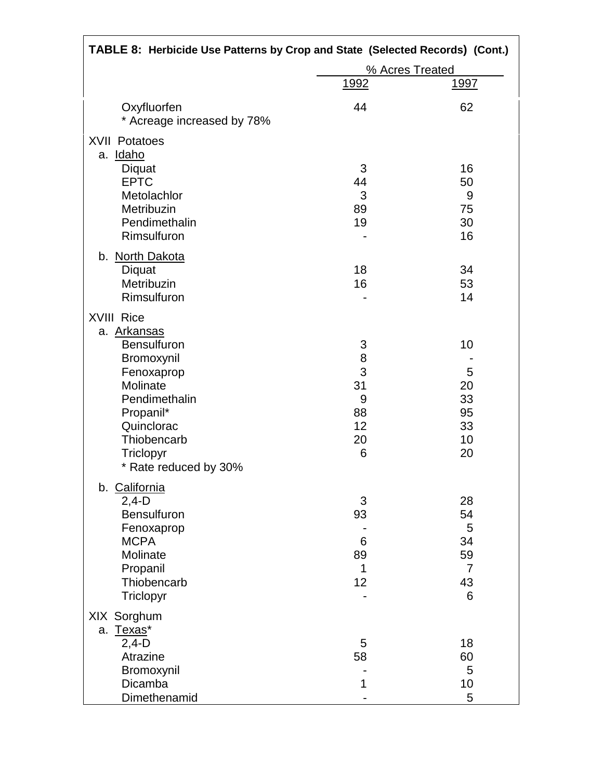| TABLE 8: Herbicide Use Patterns by Crop and State (Selected Records) (Cont.)                                                          |                                               |                                                        |  |
|---------------------------------------------------------------------------------------------------------------------------------------|-----------------------------------------------|--------------------------------------------------------|--|
|                                                                                                                                       | % Acres Treated                               |                                                        |  |
|                                                                                                                                       | <u>1992</u>                                   | <u>1997</u>                                            |  |
| Oxyfluorfen<br>* Acreage increased by 78%                                                                                             | 44                                            | 62                                                     |  |
| <b>XVII Potatoes</b><br>a. Idaho<br>Diquat<br><b>EPTC</b>                                                                             | 3<br>44                                       | 16<br>50                                               |  |
| Metolachlor<br>Metribuzin<br>Pendimethalin<br>Rimsulfuron                                                                             | 3<br>89<br>19                                 | 9<br>75<br>30<br>16                                    |  |
| b. North Dakota<br>Diquat<br>Metribuzin<br>Rimsulfuron                                                                                | 18<br>16                                      | 34<br>53<br>14                                         |  |
| <b>XVIII Rice</b><br>a. Arkansas<br><b>Bensulfuron</b>                                                                                |                                               | 10                                                     |  |
| Bromoxynil<br>Fenoxaprop<br>Molinate<br>Pendimethalin<br>Propanil*<br>Quinclorac<br>Thiobencarb<br>Triclopyr<br>* Rate reduced by 30% | 3<br>8<br>3<br>31<br>9<br>88<br>12<br>20<br>6 | 5<br>20<br>33<br>95<br>33<br>10<br>20                  |  |
| b. California<br>$2,4-D$<br><b>Bensulfuron</b><br>Fenoxaprop<br><b>MCPA</b><br>Molinate<br>Propanil<br>Thiobencarb<br>Triclopyr       | 3<br>93<br>6<br>89<br>1<br>12                 | 28<br>54<br>5<br>34<br>59<br>$\overline{7}$<br>43<br>6 |  |
| XIX Sorghum<br>a. Texas*<br>$2,4-D$<br>Atrazine                                                                                       | 5<br>58                                       | 18<br>60                                               |  |
| Bromoxynil<br>Dicamba<br>Dimethenamid                                                                                                 | 1                                             | 5<br>10<br>5                                           |  |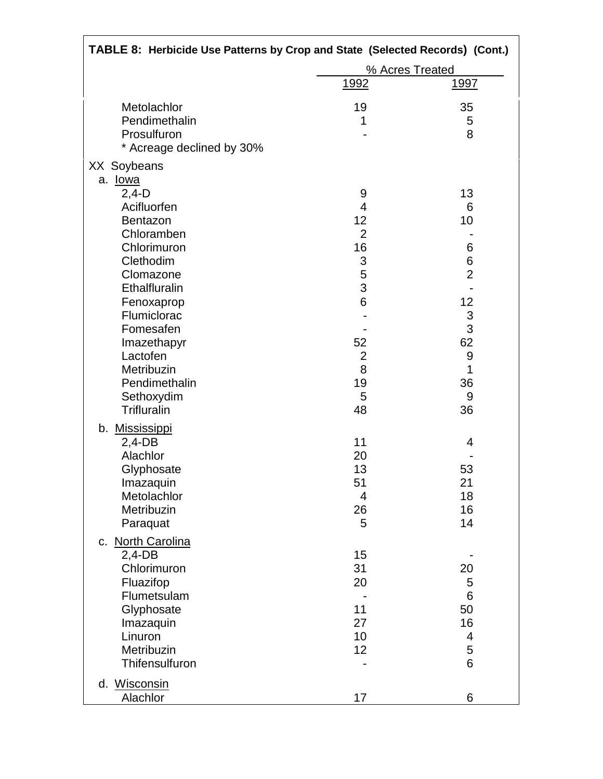| TABLE 8: Herbicide Use Patterns by Crop and State (Selected Records) (Cont.)                                                                                                                                                                           |                                                                                                                   |                                                                                                   |
|--------------------------------------------------------------------------------------------------------------------------------------------------------------------------------------------------------------------------------------------------------|-------------------------------------------------------------------------------------------------------------------|---------------------------------------------------------------------------------------------------|
|                                                                                                                                                                                                                                                        |                                                                                                                   | % Acres Treated                                                                                   |
|                                                                                                                                                                                                                                                        | <u>1992</u>                                                                                                       | <u>1997</u>                                                                                       |
| Metolachlor<br>Pendimethalin<br>Prosulfuron<br>* Acreage declined by 30%                                                                                                                                                                               | 19<br>1                                                                                                           | 35<br>5<br>8                                                                                      |
| XX Soybeans                                                                                                                                                                                                                                            |                                                                                                                   |                                                                                                   |
| a. lowa<br>$2,4-D$<br>Acifluorfen<br>Bentazon<br>Chloramben<br>Chlorimuron<br>Clethodim<br>Clomazone<br>Ethalfluralin<br>Fenoxaprop<br>Flumiclorac<br>Fomesafen<br>Imazethapyr<br>Lactofen<br>Metribuzin<br>Pendimethalin<br>Sethoxydim<br>Trifluralin | 9<br>$\overline{4}$<br>12<br>$\overline{2}$<br>16<br>3<br>5<br>3<br>6<br>52<br>$\mathbf{2}$<br>8<br>19<br>5<br>48 | 13<br>6<br>10<br>6<br>6<br>$\overline{2}$<br>12<br>$\frac{3}{3}$<br>62<br>9<br>1<br>36<br>9<br>36 |
| b. Mississippi<br>$2,4$ -DB<br>Alachlor<br>Glyphosate<br>Imazaquin<br>Metolachlor<br>Metribuzin<br>Paraquat<br>c. North Carolina<br>$2,4$ -DB<br>Chlorimuron<br>Fluazifop<br>Flumetsulam                                                               | 11<br>20<br>13<br>51<br>$\overline{4}$<br>26<br>5<br>15<br>31<br>20                                               | 4<br>53<br>21<br>18<br>16<br>14<br>20<br>5<br>6                                                   |
| Glyphosate<br>Imazaquin<br>Linuron<br>Metribuzin<br>Thifensulfuron<br>d. Wisconsin<br>Alachlor                                                                                                                                                         | 11<br>27<br>10<br>12<br>17                                                                                        | 50<br>16<br>4<br>5<br>6<br>6                                                                      |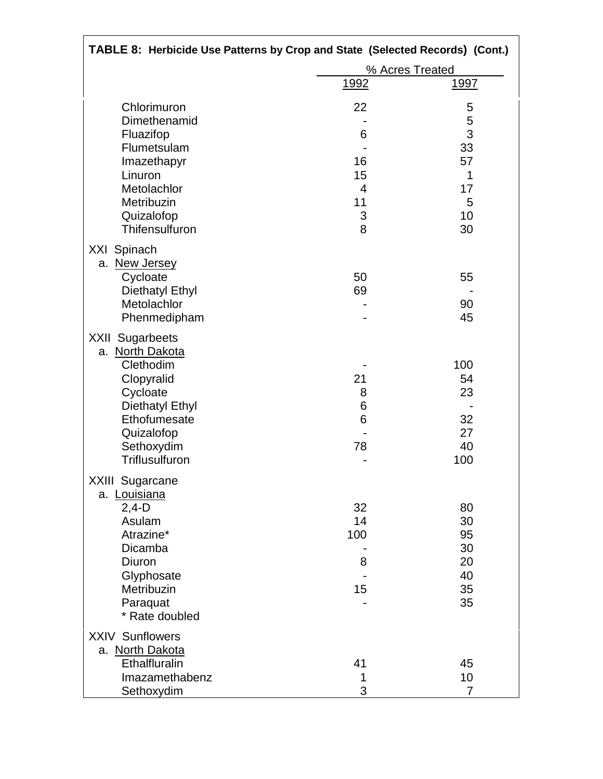| TABLE 8: Herbicide Use Patterns by Crop and State (Selected Records) (Cont.)                                                                                             |                                      |                                              |
|--------------------------------------------------------------------------------------------------------------------------------------------------------------------------|--------------------------------------|----------------------------------------------|
|                                                                                                                                                                          |                                      | % Acres Treated                              |
|                                                                                                                                                                          | <u>1992</u>                          | <u> 1997 </u>                                |
| Chlorimuron<br>Dimethenamid                                                                                                                                              | 22                                   | 5<br>5                                       |
| Fluazifop<br>Flumetsulam<br>Imazethapyr                                                                                                                                  | 6<br>16                              | 3<br>33<br>57                                |
| Linuron<br>Metolachlor<br>Metribuzin<br>Quizalofop<br>Thifensulfuron                                                                                                     | 15<br>$\overline{4}$<br>11<br>3<br>8 | 1<br>17<br>5<br>10<br>30                     |
| XXI Spinach<br>a. New Jersey<br>Cycloate<br><b>Diethatyl Ethyl</b><br>Metolachlor<br>Phenmedipham                                                                        | 50<br>69                             | 55<br>90<br>45                               |
| <b>XXII Sugarbeets</b><br>a. North Dakota<br>Clethodim<br>Clopyralid<br>Cycloate<br><b>Diethatyl Ethyl</b><br>Ethofumesate<br>Quizalofop<br>Sethoxydim<br>Triflusulfuron | 21<br>8<br>6<br>6<br>78              | 100<br>54<br>23<br>32<br>27<br>40<br>100     |
| XXIII Sugarcane<br>a. Louisiana<br>$2,4-D$<br>Asulam<br>Atrazine*<br>Dicamba<br>Diuron<br>Glyphosate<br>Metribuzin<br>Paraquat<br>* Rate doubled                         | 32<br>14<br>100<br>8<br>15           | 80<br>30<br>95<br>30<br>20<br>40<br>35<br>35 |
| <b>XXIV Sunflowers</b><br>a. North Dakota<br>Ethalfluralin<br>Imazamethabenz<br>Sethoxydim                                                                               | 41<br>1<br>3                         | 45<br>10<br>$\overline{7}$                   |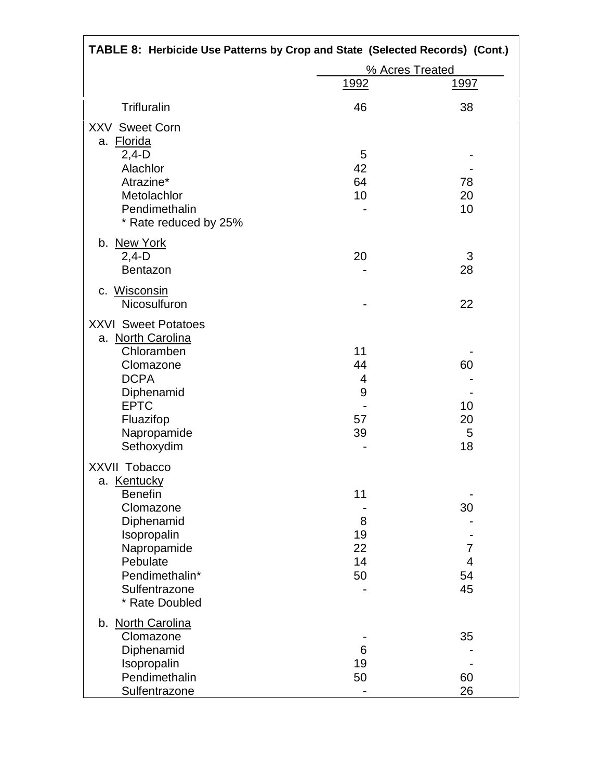| TABLE 8: Herbicide Use Patterns by Crop and State (Selected Records) (Cont.) |                 |               |  |
|------------------------------------------------------------------------------|-----------------|---------------|--|
|                                                                              | % Acres Treated |               |  |
|                                                                              | <u>1992</u>     | <u> 1997 </u> |  |
| <b>Trifluralin</b>                                                           | 46              | 38            |  |
| <b>XXV Sweet Corn</b><br>a. Florida                                          |                 |               |  |
| $2,4-D$                                                                      | 5               |               |  |
| Alachlor                                                                     | 42              |               |  |
| Atrazine*                                                                    | 64              | 78            |  |
| Metolachlor                                                                  | 10              | 20            |  |
| Pendimethalin<br>* Rate reduced by 25%                                       |                 | 10            |  |
| b. New York                                                                  |                 |               |  |
| $2,4-D$                                                                      | 20              | 3             |  |
| <b>Bentazon</b>                                                              |                 | 28            |  |
| c. Wisconsin<br>Nicosulfuron                                                 |                 | 22            |  |
| <b>XXVI Sweet Potatoes</b>                                                   |                 |               |  |
| a. North Carolina                                                            |                 |               |  |
| Chloramben                                                                   | 11              |               |  |
| Clomazone                                                                    | 44              | 60            |  |
| <b>DCPA</b>                                                                  | 4               |               |  |
| Diphenamid                                                                   | 9               |               |  |
| <b>EPTC</b>                                                                  |                 | 10            |  |
| Fluazifop                                                                    | 57              | 20            |  |
| Napropamide                                                                  | 39              | 5             |  |
| Sethoxydim                                                                   |                 | 18            |  |
| XXVII Tobacco                                                                |                 |               |  |
| a. Kentucky                                                                  |                 |               |  |
| <b>Benefin</b>                                                               | 11              |               |  |
| Clomazone                                                                    |                 | 30            |  |
| Diphenamid                                                                   | 8               |               |  |
| Isopropalin                                                                  | 19              |               |  |
| Napropamide                                                                  | 22              | 7             |  |
| Pebulate                                                                     | 14              | 4             |  |
| Pendimethalin*                                                               | 50              | 54            |  |
| Sulfentrazone                                                                |                 | 45            |  |
| * Rate Doubled                                                               |                 |               |  |
| b. North Carolina                                                            |                 |               |  |
| Clomazone                                                                    |                 | 35            |  |
| Diphenamid                                                                   | 6               |               |  |
| Isopropalin                                                                  | 19              |               |  |
| Pendimethalin                                                                | 50              | 60            |  |
| Sulfentrazone                                                                |                 | 26            |  |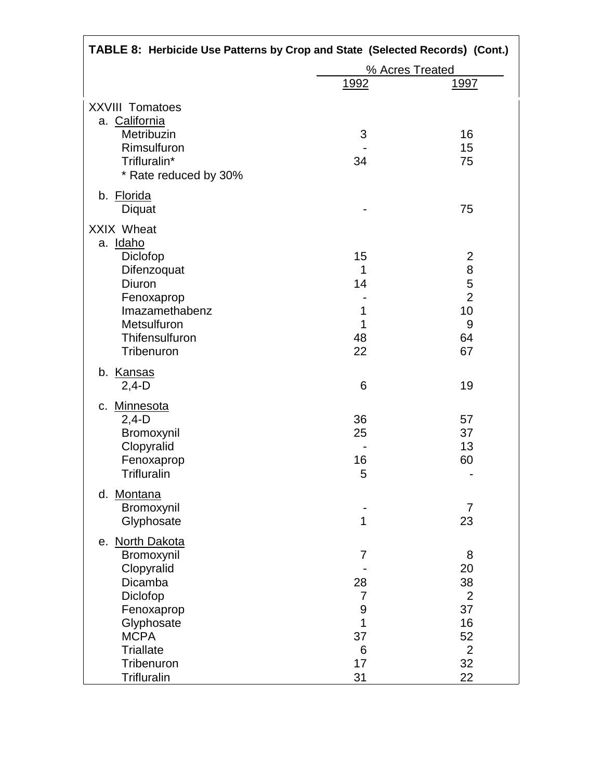| TABLE 8: Herbicide Use Patterns by Crop and State (Selected Records) (Cont.) |                  |                |  |
|------------------------------------------------------------------------------|------------------|----------------|--|
|                                                                              | % Acres Treated  |                |  |
|                                                                              | <u>1992</u>      | <u>1997</u>    |  |
| <b>XXVIII Tomatoes</b>                                                       |                  |                |  |
| a. California                                                                |                  |                |  |
| Metribuzin                                                                   | 3                | 16             |  |
| Rimsulfuron                                                                  |                  | 15             |  |
| Trifluralin*                                                                 | 34               | 75             |  |
| * Rate reduced by 30%                                                        |                  |                |  |
| b. Florida                                                                   |                  |                |  |
| Diquat                                                                       |                  | 75             |  |
| XXIX Wheat                                                                   |                  |                |  |
| a. Idaho                                                                     |                  |                |  |
| Diclofop                                                                     | 15               | $\overline{2}$ |  |
| Difenzoquat                                                                  | 1                | 8              |  |
| Diuron                                                                       | 14               | 5              |  |
| Fenoxaprop                                                                   |                  | $\overline{2}$ |  |
| Imazamethabenz                                                               | 1                | 10             |  |
| Metsulfuron                                                                  | 1                | 9              |  |
| Thifensulfuron                                                               | 48               | 64             |  |
| Tribenuron                                                                   | 22               | 67             |  |
| b. Kansas                                                                    |                  |                |  |
| $2,4-D$                                                                      | 6                | 19             |  |
| c. Minnesota                                                                 |                  |                |  |
| $2,4-D$                                                                      | 36               | 57             |  |
| Bromoxynil                                                                   | 25               | 37             |  |
| Clopyralid                                                                   |                  | 13             |  |
| Fenoxaprop                                                                   | 16               | 60             |  |
| <b>Trifluralin</b>                                                           | 5                |                |  |
| d. Montana                                                                   |                  |                |  |
| Bromoxynil                                                                   |                  | $\overline{7}$ |  |
| Glyphosate                                                                   | 1                | 23             |  |
| e. North Dakota                                                              |                  |                |  |
| Bromoxynil                                                                   | $\overline{7}$   | 8              |  |
| Clopyralid                                                                   |                  | 20             |  |
| Dicamba                                                                      | 28               | 38             |  |
| Diclofop                                                                     | $\overline{7}$   | $\overline{2}$ |  |
| Fenoxaprop                                                                   | $\boldsymbol{9}$ | 37             |  |
| Glyphosate                                                                   | 1                | 16             |  |
| <b>MCPA</b>                                                                  | 37               | 52             |  |
| <b>Triallate</b>                                                             | 6                | $\overline{2}$ |  |
| Tribenuron                                                                   | 17               | 32             |  |
| <b>Trifluralin</b>                                                           | 31               | 22             |  |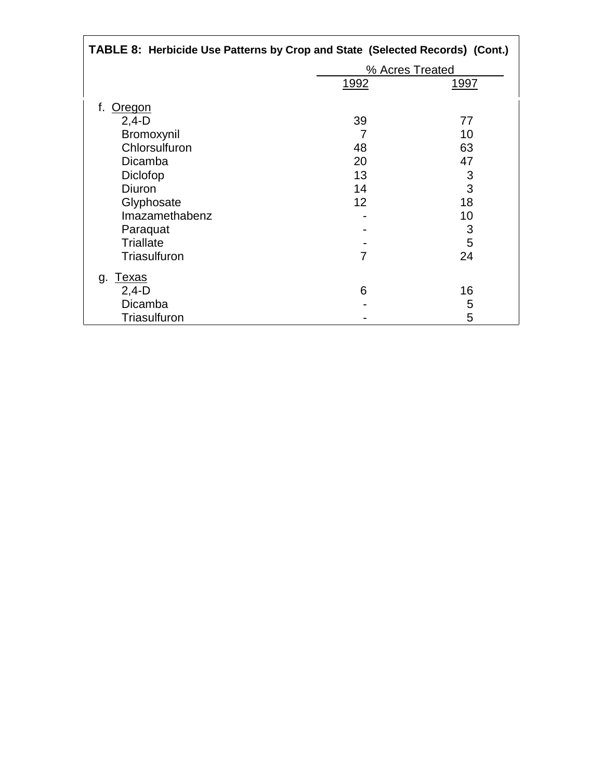| TABLE 8: Herbicide Use Patterns by Crop and State (Selected Records) (Cont.) |                 |      |  |  |
|------------------------------------------------------------------------------|-----------------|------|--|--|
|                                                                              | % Acres Treated |      |  |  |
|                                                                              | 1992            | 1997 |  |  |
| f.<br>Oregon                                                                 |                 |      |  |  |
| $2,4-D$                                                                      | 39              | 77   |  |  |
| Bromoxynil                                                                   | 7               | 10   |  |  |
| Chlorsulfuron                                                                | 48              | 63   |  |  |
| Dicamba                                                                      | 20              | 47   |  |  |
| Diclofop                                                                     | 13              | 3    |  |  |
| Diuron                                                                       | 14              | 3    |  |  |
| Glyphosate                                                                   | 12              | 18   |  |  |
| Imazamethabenz                                                               |                 | 10   |  |  |
| Paraquat                                                                     |                 | 3    |  |  |
| <b>Triallate</b>                                                             |                 | 5    |  |  |
| Triasulfuron                                                                 | 7               | 24   |  |  |
| <u>Texas</u><br>g.                                                           |                 |      |  |  |
| $2,4-D$                                                                      | 6               | 16   |  |  |
| Dicamba                                                                      |                 | 5    |  |  |
| Triasulfuron                                                                 |                 | 5    |  |  |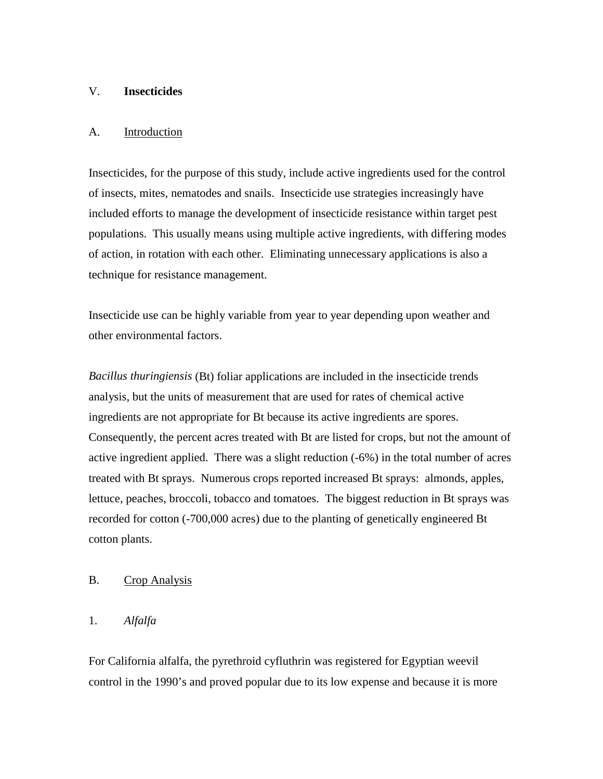## V. **Insecticides**

### A. Introduction

Insecticides, for the purpose of this study, include active ingredients used for the control of insects, mites, nematodes and snails. Insecticide use strategies increasingly have included efforts to manage the development of insecticide resistance within target pest populations. This usually means using multiple active ingredients, with differing modes of action, in rotation with each other. Eliminating unnecessary applications is also a technique for resistance management.

Insecticide use can be highly variable from year to year depending upon weather and other environmental factors.

*Bacillus thuringiensis* (Bt) foliar applications are included in the insecticide trends analysis, but the units of measurement that are used for rates of chemical active ingredients are not appropriate for Bt because its active ingredients are spores. Consequently, the percent acres treated with Bt are listed for crops, but not the amount of active ingredient applied. There was a slight reduction (-6%) in the total number of acres treated with Bt sprays. Numerous crops reported increased Bt sprays: almonds, apples, lettuce, peaches, broccoli, tobacco and tomatoes. The biggest reduction in Bt sprays was recorded for cotton (-700,000 acres) due to the planting of genetically engineered Bt cotton plants.

# B. Crop Analysis

# 1. *Alfalfa*

For California alfalfa, the pyrethroid cyfluthrin was registered for Egyptian weevil control in the 1990's and proved popular due to its low expense and because it is more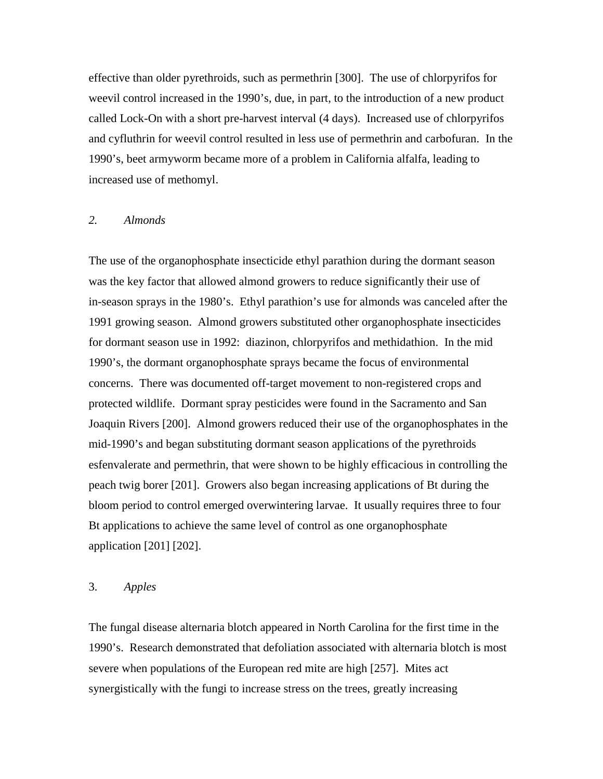effective than older pyrethroids, such as permethrin [300]. The use of chlorpyrifos for weevil control increased in the 1990's, due, in part, to the introduction of a new product called Lock-On with a short pre-harvest interval (4 days). Increased use of chlorpyrifos and cyfluthrin for weevil control resulted in less use of permethrin and carbofuran. In the 1990's, beet armyworm became more of a problem in California alfalfa, leading to increased use of methomyl.

#### *2. Almonds*

The use of the organophosphate insecticide ethyl parathion during the dormant season was the key factor that allowed almond growers to reduce significantly their use of in-season sprays in the 1980's. Ethyl parathion's use for almonds was canceled after the 1991 growing season. Almond growers substituted other organophosphate insecticides for dormant season use in 1992: diazinon, chlorpyrifos and methidathion. In the mid 1990's, the dormant organophosphate sprays became the focus of environmental concerns. There was documented off-target movement to non-registered crops and protected wildlife. Dormant spray pesticides were found in the Sacramento and San Joaquin Rivers [200]. Almond growers reduced their use of the organophosphates in the mid-1990's and began substituting dormant season applications of the pyrethroids esfenvalerate and permethrin, that were shown to be highly efficacious in controlling the peach twig borer [201]. Growers also began increasing applications of Bt during the bloom period to control emerged overwintering larvae. It usually requires three to four Bt applications to achieve the same level of control as one organophosphate application [201] [202].

### 3. *Apples*

The fungal disease alternaria blotch appeared in North Carolina for the first time in the 1990's. Research demonstrated that defoliation associated with alternaria blotch is most severe when populations of the European red mite are high [257]. Mites act synergistically with the fungi to increase stress on the trees, greatly increasing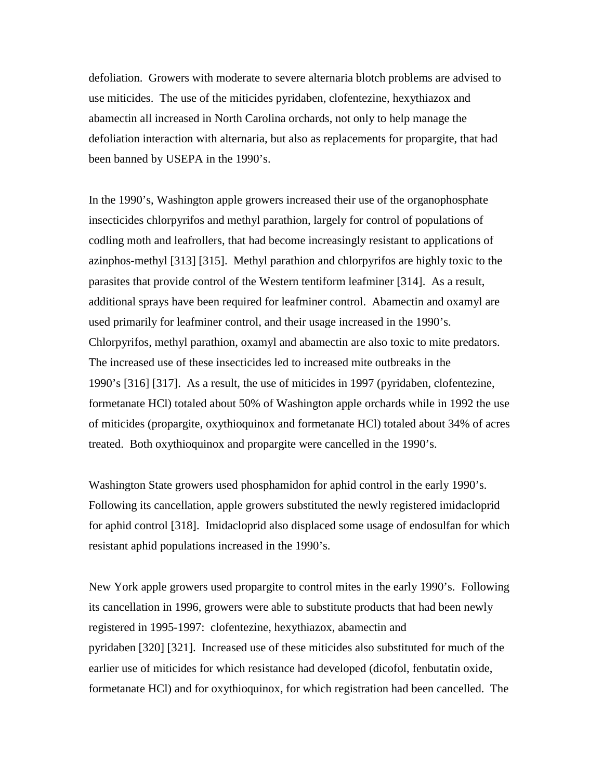defoliation. Growers with moderate to severe alternaria blotch problems are advised to use miticides. The use of the miticides pyridaben, clofentezine, hexythiazox and abamectin all increased in North Carolina orchards, not only to help manage the defoliation interaction with alternaria, but also as replacements for propargite, that had been banned by USEPA in the 1990's.

In the 1990's, Washington apple growers increased their use of the organophosphate insecticides chlorpyrifos and methyl parathion, largely for control of populations of codling moth and leafrollers, that had become increasingly resistant to applications of azinphos-methyl [313] [315]. Methyl parathion and chlorpyrifos are highly toxic to the parasites that provide control of the Western tentiform leafminer [314]. As a result, additional sprays have been required for leafminer control. Abamectin and oxamyl are used primarily for leafminer control, and their usage increased in the 1990's. Chlorpyrifos, methyl parathion, oxamyl and abamectin are also toxic to mite predators. The increased use of these insecticides led to increased mite outbreaks in the 1990's [316] [317]. As a result, the use of miticides in 1997 (pyridaben, clofentezine, formetanate HCl) totaled about 50% of Washington apple orchards while in 1992 the use of miticides (propargite, oxythioquinox and formetanate HCl) totaled about 34% of acres treated. Both oxythioquinox and propargite were cancelled in the 1990's.

Washington State growers used phosphamidon for aphid control in the early 1990's. Following its cancellation, apple growers substituted the newly registered imidacloprid for aphid control [318]. Imidacloprid also displaced some usage of endosulfan for which resistant aphid populations increased in the 1990's.

New York apple growers used propargite to control mites in the early 1990's. Following its cancellation in 1996, growers were able to substitute products that had been newly registered in 1995-1997: clofentezine, hexythiazox, abamectin and pyridaben [320] [321]. Increased use of these miticides also substituted for much of the earlier use of miticides for which resistance had developed (dicofol, fenbutatin oxide, formetanate HCl) and for oxythioquinox, for which registration had been cancelled. The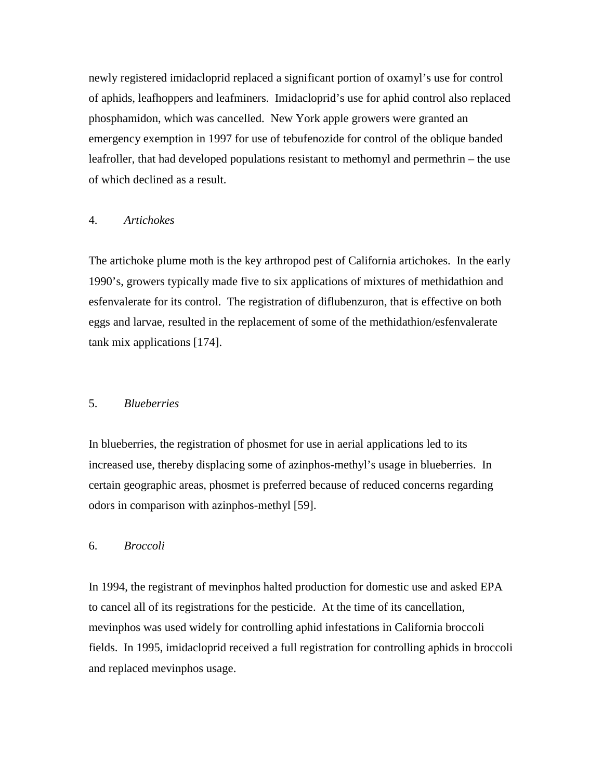newly registered imidacloprid replaced a significant portion of oxamyl's use for control of aphids, leafhoppers and leafminers. Imidacloprid's use for aphid control also replaced phosphamidon, which was cancelled. New York apple growers were granted an emergency exemption in 1997 for use of tebufenozide for control of the oblique banded leafroller, that had developed populations resistant to methomyl and permethrin – the use of which declined as a result.

### 4. *Artichokes*

The artichoke plume moth is the key arthropod pest of California artichokes. In the early 1990's, growers typically made five to six applications of mixtures of methidathion and esfenvalerate for its control. The registration of diflubenzuron, that is effective on both eggs and larvae, resulted in the replacement of some of the methidathion/esfenvalerate tank mix applications [174].

#### 5. *Blueberries*

In blueberries, the registration of phosmet for use in aerial applications led to its increased use, thereby displacing some of azinphos-methyl's usage in blueberries. In certain geographic areas, phosmet is preferred because of reduced concerns regarding odors in comparison with azinphos-methyl [59].

### 6. *Broccoli*

In 1994, the registrant of mevinphos halted production for domestic use and asked EPA to cancel all of its registrations for the pesticide. At the time of its cancellation, mevinphos was used widely for controlling aphid infestations in California broccoli fields. In 1995, imidacloprid received a full registration for controlling aphids in broccoli and replaced mevinphos usage.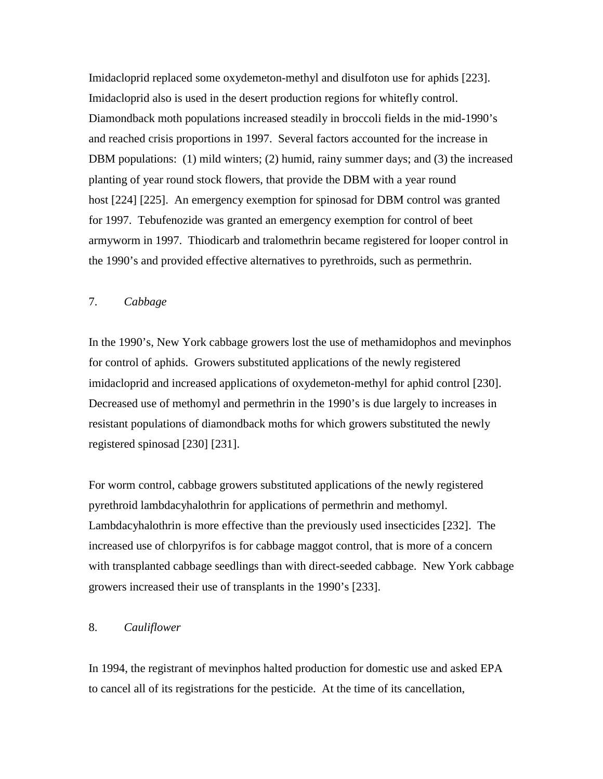Imidacloprid replaced some oxydemeton-methyl and disulfoton use for aphids [223]. Imidacloprid also is used in the desert production regions for whitefly control. Diamondback moth populations increased steadily in broccoli fields in the mid-1990's and reached crisis proportions in 1997. Several factors accounted for the increase in DBM populations: (1) mild winters; (2) humid, rainy summer days; and (3) the increased planting of year round stock flowers, that provide the DBM with a year round host [224] [225]. An emergency exemption for spinosad for DBM control was granted for 1997. Tebufenozide was granted an emergency exemption for control of beet armyworm in 1997. Thiodicarb and tralomethrin became registered for looper control in the 1990's and provided effective alternatives to pyrethroids, such as permethrin.

# 7. *Cabbage*

In the 1990's, New York cabbage growers lost the use of methamidophos and mevinphos for control of aphids. Growers substituted applications of the newly registered imidacloprid and increased applications of oxydemeton-methyl for aphid control [230]. Decreased use of methomyl and permethrin in the 1990's is due largely to increases in resistant populations of diamondback moths for which growers substituted the newly registered spinosad [230] [231].

For worm control, cabbage growers substituted applications of the newly registered pyrethroid lambdacyhalothrin for applications of permethrin and methomyl. Lambdacyhalothrin is more effective than the previously used insecticides [232]. The increased use of chlorpyrifos is for cabbage maggot control, that is more of a concern with transplanted cabbage seedlings than with direct-seeded cabbage. New York cabbage growers increased their use of transplants in the 1990's [233].

# 8. *Cauliflower*

In 1994, the registrant of mevinphos halted production for domestic use and asked EPA to cancel all of its registrations for the pesticide. At the time of its cancellation,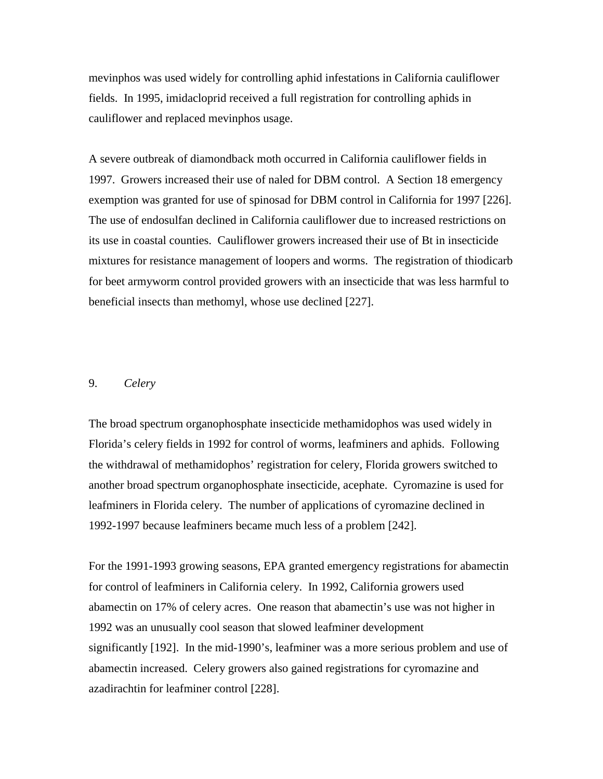mevinphos was used widely for controlling aphid infestations in California cauliflower fields. In 1995, imidacloprid received a full registration for controlling aphids in cauliflower and replaced mevinphos usage.

A severe outbreak of diamondback moth occurred in California cauliflower fields in 1997. Growers increased their use of naled for DBM control. A Section 18 emergency exemption was granted for use of spinosad for DBM control in California for 1997 [226]. The use of endosulfan declined in California cauliflower due to increased restrictions on its use in coastal counties. Cauliflower growers increased their use of Bt in insecticide mixtures for resistance management of loopers and worms. The registration of thiodicarb for beet armyworm control provided growers with an insecticide that was less harmful to beneficial insects than methomyl, whose use declined [227].

#### 9. *Celery*

The broad spectrum organophosphate insecticide methamidophos was used widely in Florida's celery fields in 1992 for control of worms, leafminers and aphids. Following the withdrawal of methamidophos' registration for celery, Florida growers switched to another broad spectrum organophosphate insecticide, acephate. Cyromazine is used for leafminers in Florida celery. The number of applications of cyromazine declined in 1992-1997 because leafminers became much less of a problem [242].

For the 1991-1993 growing seasons, EPA granted emergency registrations for abamectin for control of leafminers in California celery. In 1992, California growers used abamectin on 17% of celery acres. One reason that abamectin's use was not higher in 1992 was an unusually cool season that slowed leafminer development significantly [192]. In the mid-1990's, leafminer was a more serious problem and use of abamectin increased. Celery growers also gained registrations for cyromazine and azadirachtin for leafminer control [228].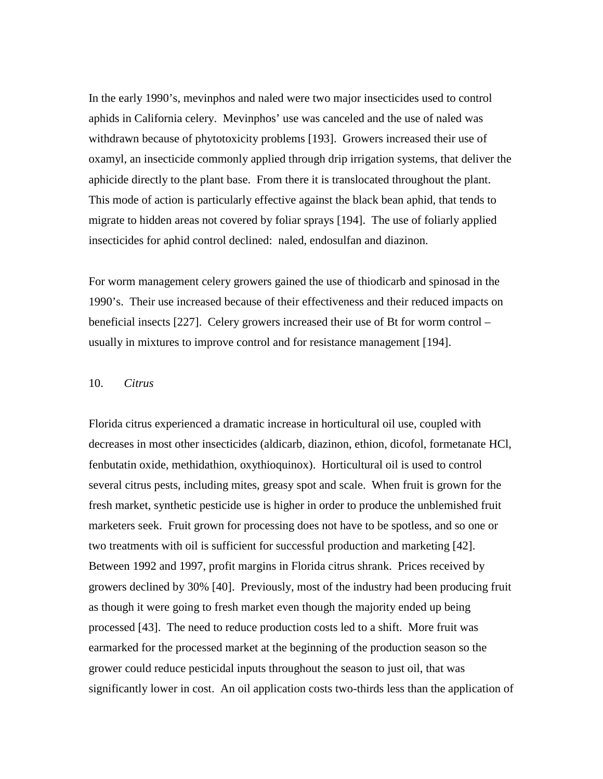In the early 1990's, mevinphos and naled were two major insecticides used to control aphids in California celery. Mevinphos' use was canceled and the use of naled was withdrawn because of phytotoxicity problems [193]. Growers increased their use of oxamyl, an insecticide commonly applied through drip irrigation systems, that deliver the aphicide directly to the plant base. From there it is translocated throughout the plant. This mode of action is particularly effective against the black bean aphid, that tends to migrate to hidden areas not covered by foliar sprays [194]. The use of foliarly applied insecticides for aphid control declined: naled, endosulfan and diazinon.

For worm management celery growers gained the use of thiodicarb and spinosad in the 1990's. Their use increased because of their effectiveness and their reduced impacts on beneficial insects [227]. Celery growers increased their use of Bt for worm control – usually in mixtures to improve control and for resistance management [194].

### 10. *Citrus*

Florida citrus experienced a dramatic increase in horticultural oil use, coupled with decreases in most other insecticides (aldicarb, diazinon, ethion, dicofol, formetanate HCl, fenbutatin oxide, methidathion, oxythioquinox). Horticultural oil is used to control several citrus pests, including mites, greasy spot and scale. When fruit is grown for the fresh market, synthetic pesticide use is higher in order to produce the unblemished fruit marketers seek. Fruit grown for processing does not have to be spotless, and so one or two treatments with oil is sufficient for successful production and marketing [42]. Between 1992 and 1997, profit margins in Florida citrus shrank. Prices received by growers declined by 30% [40]. Previously, most of the industry had been producing fruit as though it were going to fresh market even though the majority ended up being processed [43]. The need to reduce production costs led to a shift. More fruit was earmarked for the processed market at the beginning of the production season so the grower could reduce pesticidal inputs throughout the season to just oil, that was significantly lower in cost. An oil application costs two-thirds less than the application of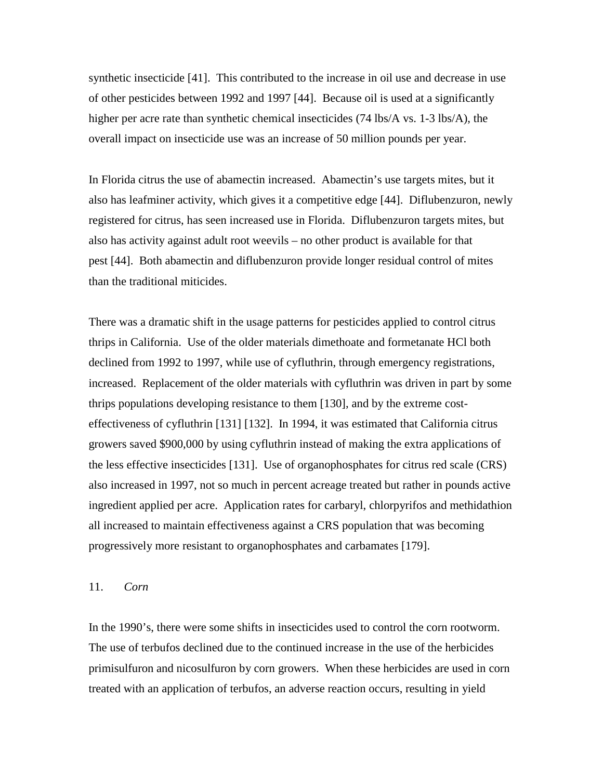synthetic insecticide [41]. This contributed to the increase in oil use and decrease in use of other pesticides between 1992 and 1997 [44]. Because oil is used at a significantly higher per acre rate than synthetic chemical insecticides (74 lbs/A vs. 1-3 lbs/A), the overall impact on insecticide use was an increase of 50 million pounds per year.

In Florida citrus the use of abamectin increased. Abamectin's use targets mites, but it also has leafminer activity, which gives it a competitive edge [44]. Diflubenzuron, newly registered for citrus, has seen increased use in Florida. Diflubenzuron targets mites, but also has activity against adult root weevils – no other product is available for that pest [44]. Both abamectin and diflubenzuron provide longer residual control of mites than the traditional miticides.

There was a dramatic shift in the usage patterns for pesticides applied to control citrus thrips in California. Use of the older materials dimethoate and formetanate HCl both declined from 1992 to 1997, while use of cyfluthrin, through emergency registrations, increased. Replacement of the older materials with cyfluthrin was driven in part by some thrips populations developing resistance to them [130], and by the extreme costeffectiveness of cyfluthrin [131] [132]. In 1994, it was estimated that California citrus growers saved \$900,000 by using cyfluthrin instead of making the extra applications of the less effective insecticides [131]. Use of organophosphates for citrus red scale (CRS) also increased in 1997, not so much in percent acreage treated but rather in pounds active ingredient applied per acre. Application rates for carbaryl, chlorpyrifos and methidathion all increased to maintain effectiveness against a CRS population that was becoming progressively more resistant to organophosphates and carbamates [179].

### 11. *Corn*

In the 1990's, there were some shifts in insecticides used to control the corn rootworm. The use of terbufos declined due to the continued increase in the use of the herbicides primisulfuron and nicosulfuron by corn growers. When these herbicides are used in corn treated with an application of terbufos, an adverse reaction occurs, resulting in yield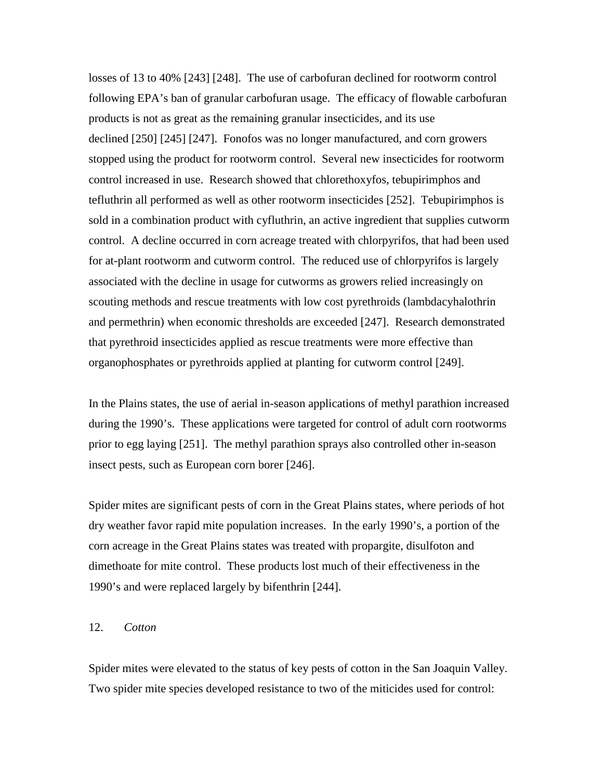losses of 13 to 40% [243] [248]. The use of carbofuran declined for rootworm control following EPA's ban of granular carbofuran usage. The efficacy of flowable carbofuran products is not as great as the remaining granular insecticides, and its use declined [250] [245] [247]. Fonofos was no longer manufactured, and corn growers stopped using the product for rootworm control. Several new insecticides for rootworm control increased in use. Research showed that chlorethoxyfos, tebupirimphos and tefluthrin all performed as well as other rootworm insecticides [252]. Tebupirimphos is sold in a combination product with cyfluthrin, an active ingredient that supplies cutworm control. A decline occurred in corn acreage treated with chlorpyrifos, that had been used for at-plant rootworm and cutworm control. The reduced use of chlorpyrifos is largely associated with the decline in usage for cutworms as growers relied increasingly on scouting methods and rescue treatments with low cost pyrethroids (lambdacyhalothrin and permethrin) when economic thresholds are exceeded [247]. Research demonstrated that pyrethroid insecticides applied as rescue treatments were more effective than organophosphates or pyrethroids applied at planting for cutworm control [249].

In the Plains states, the use of aerial in-season applications of methyl parathion increased during the 1990's. These applications were targeted for control of adult corn rootworms prior to egg laying [251]. The methyl parathion sprays also controlled other in-season insect pests, such as European corn borer [246].

Spider mites are significant pests of corn in the Great Plains states, where periods of hot dry weather favor rapid mite population increases. In the early 1990's, a portion of the corn acreage in the Great Plains states was treated with propargite, disulfoton and dimethoate for mite control. These products lost much of their effectiveness in the 1990's and were replaced largely by bifenthrin [244].

# 12. *Cotton*

Spider mites were elevated to the status of key pests of cotton in the San Joaquin Valley. Two spider mite species developed resistance to two of the miticides used for control: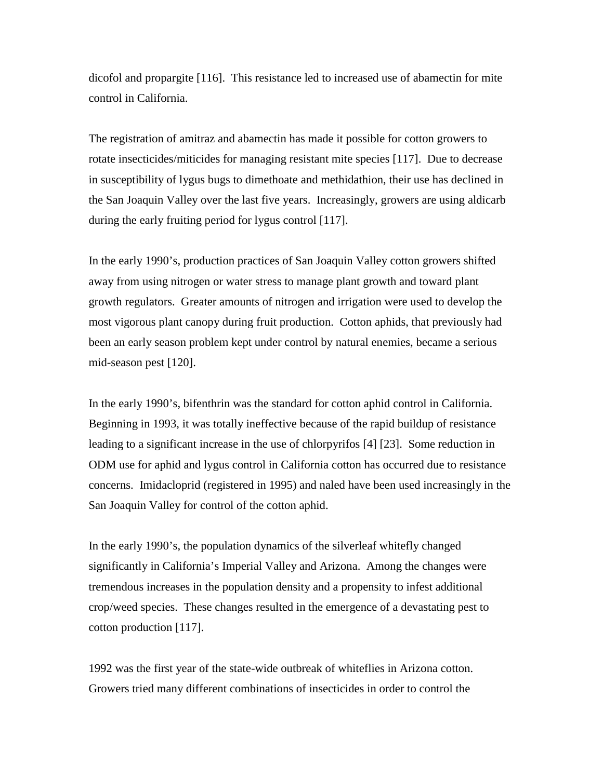dicofol and propargite [116]. This resistance led to increased use of abamectin for mite control in California.

The registration of amitraz and abamectin has made it possible for cotton growers to rotate insecticides/miticides for managing resistant mite species [117]. Due to decrease in susceptibility of lygus bugs to dimethoate and methidathion, their use has declined in the San Joaquin Valley over the last five years. Increasingly, growers are using aldicarb during the early fruiting period for lygus control [117].

In the early 1990's, production practices of San Joaquin Valley cotton growers shifted away from using nitrogen or water stress to manage plant growth and toward plant growth regulators. Greater amounts of nitrogen and irrigation were used to develop the most vigorous plant canopy during fruit production. Cotton aphids, that previously had been an early season problem kept under control by natural enemies, became a serious mid-season pest [120].

In the early 1990's, bifenthrin was the standard for cotton aphid control in California. Beginning in 1993, it was totally ineffective because of the rapid buildup of resistance leading to a significant increase in the use of chlorpyrifos [4] [23]. Some reduction in ODM use for aphid and lygus control in California cotton has occurred due to resistance concerns. Imidacloprid (registered in 1995) and naled have been used increasingly in the San Joaquin Valley for control of the cotton aphid.

In the early 1990's, the population dynamics of the silverleaf whitefly changed significantly in California's Imperial Valley and Arizona. Among the changes were tremendous increases in the population density and a propensity to infest additional crop/weed species. These changes resulted in the emergence of a devastating pest to cotton production [117].

1992 was the first year of the state-wide outbreak of whiteflies in Arizona cotton. Growers tried many different combinations of insecticides in order to control the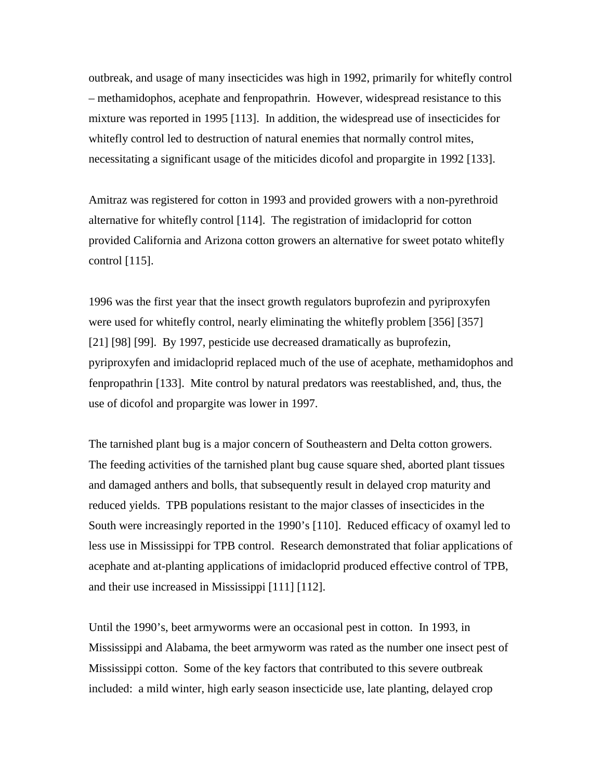outbreak, and usage of many insecticides was high in 1992, primarily for whitefly control – methamidophos, acephate and fenpropathrin. However, widespread resistance to this mixture was reported in 1995 [113]. In addition, the widespread use of insecticides for whitefly control led to destruction of natural enemies that normally control mites, necessitating a significant usage of the miticides dicofol and propargite in 1992 [133].

Amitraz was registered for cotton in 1993 and provided growers with a non-pyrethroid alternative for whitefly control [114]. The registration of imidacloprid for cotton provided California and Arizona cotton growers an alternative for sweet potato whitefly control [115].

1996 was the first year that the insect growth regulators buprofezin and pyriproxyfen were used for whitefly control, nearly eliminating the whitefly problem [356] [357] [21] [98] [99]. By 1997, pesticide use decreased dramatically as buprofezin, pyriproxyfen and imidacloprid replaced much of the use of acephate, methamidophos and fenpropathrin [133]. Mite control by natural predators was reestablished, and, thus, the use of dicofol and propargite was lower in 1997.

The tarnished plant bug is a major concern of Southeastern and Delta cotton growers. The feeding activities of the tarnished plant bug cause square shed, aborted plant tissues and damaged anthers and bolls, that subsequently result in delayed crop maturity and reduced yields. TPB populations resistant to the major classes of insecticides in the South were increasingly reported in the 1990's [110]. Reduced efficacy of oxamyl led to less use in Mississippi for TPB control. Research demonstrated that foliar applications of acephate and at-planting applications of imidacloprid produced effective control of TPB, and their use increased in Mississippi [111] [112].

Until the 1990's, beet armyworms were an occasional pest in cotton. In 1993, in Mississippi and Alabama, the beet armyworm was rated as the number one insect pest of Mississippi cotton. Some of the key factors that contributed to this severe outbreak included: a mild winter, high early season insecticide use, late planting, delayed crop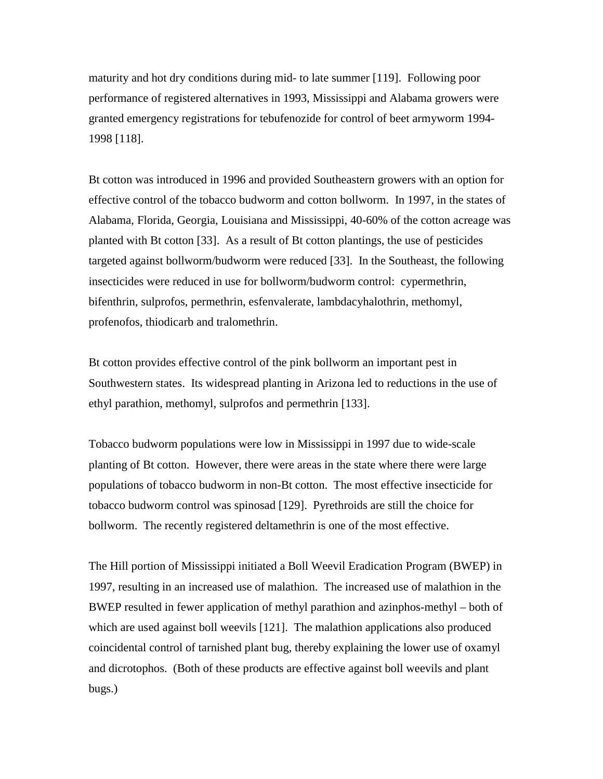maturity and hot dry conditions during mid- to late summer [119]. Following poor performance of registered alternatives in 1993, Mississippi and Alabama growers were granted emergency registrations for tebufenozide for control of beet armyworm 1994- 1998 [118].

Bt cotton was introduced in 1996 and provided Southeastern growers with an option for effective control of the tobacco budworm and cotton bollworm. In 1997, in the states of Alabama, Florida, Georgia, Louisiana and Mississippi, 40-60% of the cotton acreage was planted with Bt cotton [33]. As a result of Bt cotton plantings, the use of pesticides targeted against bollworm/budworm were reduced [33]. In the Southeast, the following insecticides were reduced in use for bollworm/budworm control: cypermethrin, bifenthrin, sulprofos, permethrin, esfenvalerate, lambdacyhalothrin, methomyl, profenofos, thiodicarb and tralomethrin.

Bt cotton provides effective control of the pink bollworm an important pest in Southwestern states. Its widespread planting in Arizona led to reductions in the use of ethyl parathion, methomyl, sulprofos and permethrin [133].

Tobacco budworm populations were low in Mississippi in 1997 due to wide-scale planting of Bt cotton. However, there were areas in the state where there were large populations of tobacco budworm in non-Bt cotton. The most effective insecticide for tobacco budworm control was spinosad [129]. Pyrethroids are still the choice for bollworm. The recently registered deltamethrin is one of the most effective.

The Hill portion of Mississippi initiated a Boll Weevil Eradication Program (BWEP) in 1997, resulting in an increased use of malathion. The increased use of malathion in the BWEP resulted in fewer application of methyl parathion and azinphos-methyl – both of which are used against boll weevils [121]. The malathion applications also produced coincidental control of tarnished plant bug, thereby explaining the lower use of oxamyl and dicrotophos. (Both of these products are effective against boll weevils and plant bugs.)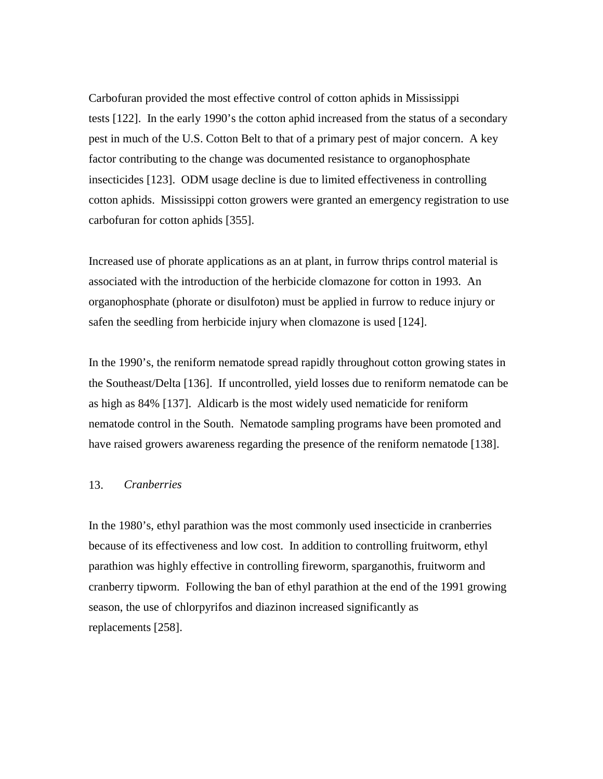Carbofuran provided the most effective control of cotton aphids in Mississippi tests [122]. In the early 1990's the cotton aphid increased from the status of a secondary pest in much of the U.S. Cotton Belt to that of a primary pest of major concern. A key factor contributing to the change was documented resistance to organophosphate insecticides [123]. ODM usage decline is due to limited effectiveness in controlling cotton aphids. Mississippi cotton growers were granted an emergency registration to use carbofuran for cotton aphids [355].

Increased use of phorate applications as an at plant, in furrow thrips control material is associated with the introduction of the herbicide clomazone for cotton in 1993. An organophosphate (phorate or disulfoton) must be applied in furrow to reduce injury or safen the seedling from herbicide injury when clomazone is used [124].

In the 1990's, the reniform nematode spread rapidly throughout cotton growing states in the Southeast/Delta [136]. If uncontrolled, yield losses due to reniform nematode can be as high as 84% [137]. Aldicarb is the most widely used nematicide for reniform nematode control in the South. Nematode sampling programs have been promoted and have raised growers awareness regarding the presence of the reniform nematode [138].

### 13. *Cranberries*

In the 1980's, ethyl parathion was the most commonly used insecticide in cranberries because of its effectiveness and low cost. In addition to controlling fruitworm, ethyl parathion was highly effective in controlling fireworm, sparganothis, fruitworm and cranberry tipworm. Following the ban of ethyl parathion at the end of the 1991 growing season, the use of chlorpyrifos and diazinon increased significantly as replacements [258].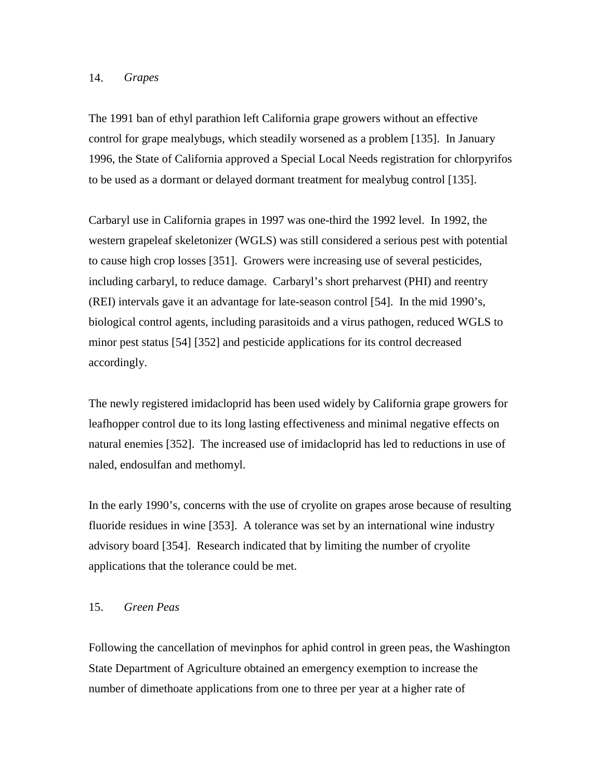### 14. *Grapes*

The 1991 ban of ethyl parathion left California grape growers without an effective control for grape mealybugs, which steadily worsened as a problem [135]. In January 1996, the State of California approved a Special Local Needs registration for chlorpyrifos to be used as a dormant or delayed dormant treatment for mealybug control [135].

Carbaryl use in California grapes in 1997 was one-third the 1992 level. In 1992, the western grapeleaf skeletonizer (WGLS) was still considered a serious pest with potential to cause high crop losses [351]. Growers were increasing use of several pesticides, including carbaryl, to reduce damage. Carbaryl's short preharvest (PHI) and reentry (REI) intervals gave it an advantage for late-season control [54]. In the mid 1990's, biological control agents, including parasitoids and a virus pathogen, reduced WGLS to minor pest status [54] [352] and pesticide applications for its control decreased accordingly.

The newly registered imidacloprid has been used widely by California grape growers for leafhopper control due to its long lasting effectiveness and minimal negative effects on natural enemies [352]. The increased use of imidacloprid has led to reductions in use of naled, endosulfan and methomyl.

In the early 1990's, concerns with the use of cryolite on grapes arose because of resulting fluoride residues in wine [353]. A tolerance was set by an international wine industry advisory board [354]. Research indicated that by limiting the number of cryolite applications that the tolerance could be met.

# 15. *Green Peas*

Following the cancellation of mevinphos for aphid control in green peas, the Washington State Department of Agriculture obtained an emergency exemption to increase the number of dimethoate applications from one to three per year at a higher rate of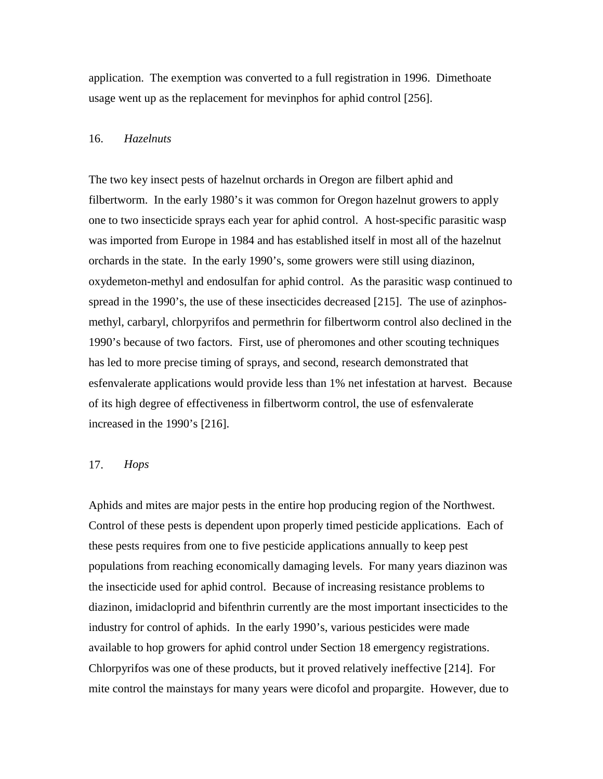application. The exemption was converted to a full registration in 1996. Dimethoate usage went up as the replacement for mevinphos for aphid control [256].

#### 16. *Hazelnuts*

The two key insect pests of hazelnut orchards in Oregon are filbert aphid and filbertworm. In the early 1980's it was common for Oregon hazelnut growers to apply one to two insecticide sprays each year for aphid control. A host-specific parasitic wasp was imported from Europe in 1984 and has established itself in most all of the hazelnut orchards in the state. In the early 1990's, some growers were still using diazinon, oxydemeton-methyl and endosulfan for aphid control. As the parasitic wasp continued to spread in the 1990's, the use of these insecticides decreased [215]. The use of azinphosmethyl, carbaryl, chlorpyrifos and permethrin for filbertworm control also declined in the 1990's because of two factors. First, use of pheromones and other scouting techniques has led to more precise timing of sprays, and second, research demonstrated that esfenvalerate applications would provide less than 1% net infestation at harvest. Because of its high degree of effectiveness in filbertworm control, the use of esfenvalerate increased in the 1990's [216].

### 17. *Hops*

Aphids and mites are major pests in the entire hop producing region of the Northwest. Control of these pests is dependent upon properly timed pesticide applications. Each of these pests requires from one to five pesticide applications annually to keep pest populations from reaching economically damaging levels. For many years diazinon was the insecticide used for aphid control. Because of increasing resistance problems to diazinon, imidacloprid and bifenthrin currently are the most important insecticides to the industry for control of aphids. In the early 1990's, various pesticides were made available to hop growers for aphid control under Section 18 emergency registrations. Chlorpyrifos was one of these products, but it proved relatively ineffective [214]. For mite control the mainstays for many years were dicofol and propargite. However, due to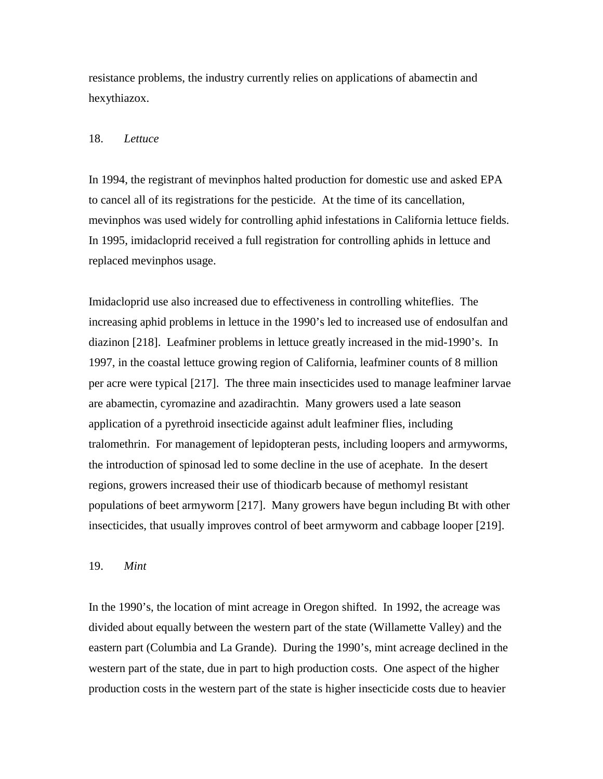resistance problems, the industry currently relies on applications of abamectin and hexythiazox.

### 18. *Lettuce*

In 1994, the registrant of mevinphos halted production for domestic use and asked EPA to cancel all of its registrations for the pesticide. At the time of its cancellation, mevinphos was used widely for controlling aphid infestations in California lettuce fields. In 1995, imidacloprid received a full registration for controlling aphids in lettuce and replaced mevinphos usage.

Imidacloprid use also increased due to effectiveness in controlling whiteflies. The increasing aphid problems in lettuce in the 1990's led to increased use of endosulfan and diazinon [218]. Leafminer problems in lettuce greatly increased in the mid-1990's. In 1997, in the coastal lettuce growing region of California, leafminer counts of 8 million per acre were typical [217]. The three main insecticides used to manage leafminer larvae are abamectin, cyromazine and azadirachtin. Many growers used a late season application of a pyrethroid insecticide against adult leafminer flies, including tralomethrin. For management of lepidopteran pests, including loopers and armyworms, the introduction of spinosad led to some decline in the use of acephate. In the desert regions, growers increased their use of thiodicarb because of methomyl resistant populations of beet armyworm [217]. Many growers have begun including Bt with other insecticides, that usually improves control of beet armyworm and cabbage looper [219].

#### 19. *Mint*

In the 1990's, the location of mint acreage in Oregon shifted. In 1992, the acreage was divided about equally between the western part of the state (Willamette Valley) and the eastern part (Columbia and La Grande). During the 1990's, mint acreage declined in the western part of the state, due in part to high production costs. One aspect of the higher production costs in the western part of the state is higher insecticide costs due to heavier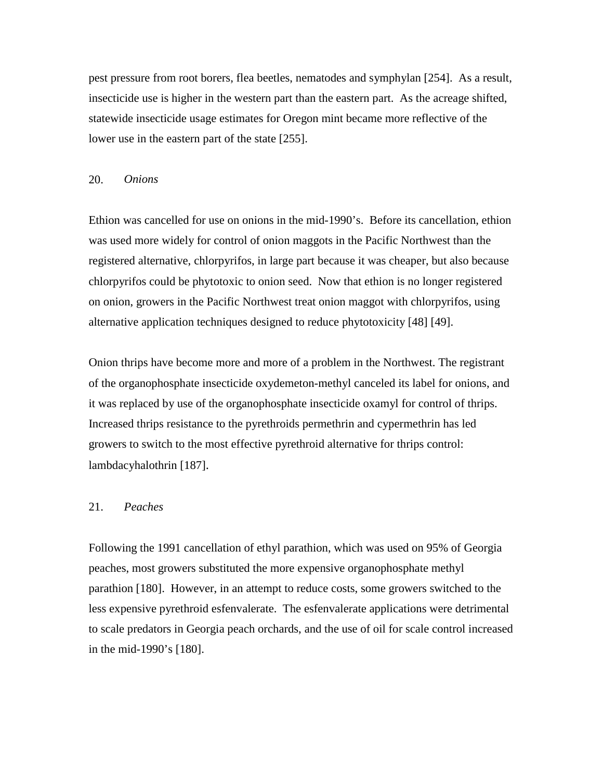pest pressure from root borers, flea beetles, nematodes and symphylan [254]. As a result, insecticide use is higher in the western part than the eastern part. As the acreage shifted, statewide insecticide usage estimates for Oregon mint became more reflective of the lower use in the eastern part of the state [255].

#### 20. *Onions*

Ethion was cancelled for use on onions in the mid-1990's. Before its cancellation, ethion was used more widely for control of onion maggots in the Pacific Northwest than the registered alternative, chlorpyrifos, in large part because it was cheaper, but also because chlorpyrifos could be phytotoxic to onion seed. Now that ethion is no longer registered on onion, growers in the Pacific Northwest treat onion maggot with chlorpyrifos, using alternative application techniques designed to reduce phytotoxicity [48] [49].

Onion thrips have become more and more of a problem in the Northwest. The registrant of the organophosphate insecticide oxydemeton-methyl canceled its label for onions, and it was replaced by use of the organophosphate insecticide oxamyl for control of thrips. Increased thrips resistance to the pyrethroids permethrin and cypermethrin has led growers to switch to the most effective pyrethroid alternative for thrips control: lambdacyhalothrin [187].

#### 21. *Peaches*

Following the 1991 cancellation of ethyl parathion, which was used on 95% of Georgia peaches, most growers substituted the more expensive organophosphate methyl parathion [180]. However, in an attempt to reduce costs, some growers switched to the less expensive pyrethroid esfenvalerate. The esfenvalerate applications were detrimental to scale predators in Georgia peach orchards, and the use of oil for scale control increased in the mid-1990's [180].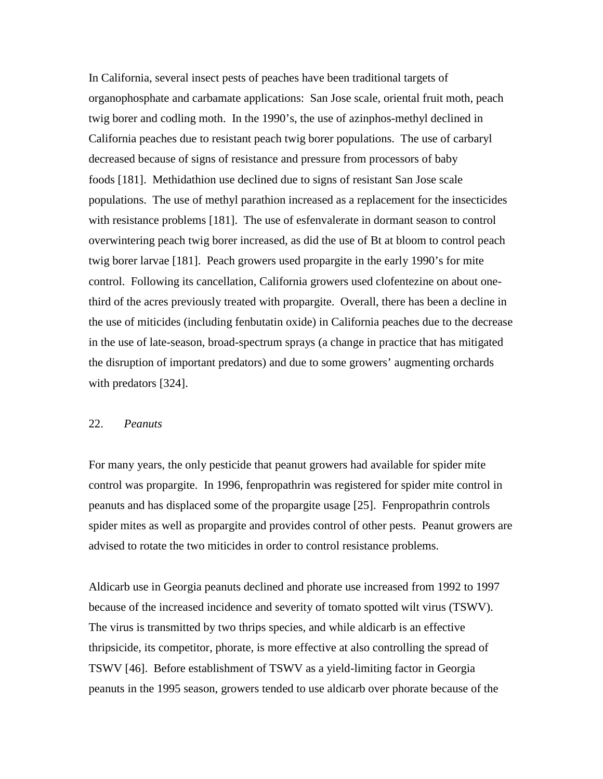In California, several insect pests of peaches have been traditional targets of organophosphate and carbamate applications: San Jose scale, oriental fruit moth, peach twig borer and codling moth. In the 1990's, the use of azinphos-methyl declined in California peaches due to resistant peach twig borer populations. The use of carbaryl decreased because of signs of resistance and pressure from processors of baby foods [181]. Methidathion use declined due to signs of resistant San Jose scale populations. The use of methyl parathion increased as a replacement for the insecticides with resistance problems [181]. The use of esfenvalerate in dormant season to control overwintering peach twig borer increased, as did the use of Bt at bloom to control peach twig borer larvae [181]. Peach growers used propargite in the early 1990's for mite control. Following its cancellation, California growers used clofentezine on about onethird of the acres previously treated with propargite. Overall, there has been a decline in the use of miticides (including fenbutatin oxide) in California peaches due to the decrease in the use of late-season, broad-spectrum sprays (a change in practice that has mitigated the disruption of important predators) and due to some growers' augmenting orchards with predators [324].

# 22. *Peanuts*

For many years, the only pesticide that peanut growers had available for spider mite control was propargite. In 1996, fenpropathrin was registered for spider mite control in peanuts and has displaced some of the propargite usage [25]. Fenpropathrin controls spider mites as well as propargite and provides control of other pests. Peanut growers are advised to rotate the two miticides in order to control resistance problems.

Aldicarb use in Georgia peanuts declined and phorate use increased from 1992 to 1997 because of the increased incidence and severity of tomato spotted wilt virus (TSWV). The virus is transmitted by two thrips species, and while aldicarb is an effective thripsicide, its competitor, phorate, is more effective at also controlling the spread of TSWV [46]. Before establishment of TSWV as a yield-limiting factor in Georgia peanuts in the 1995 season, growers tended to use aldicarb over phorate because of the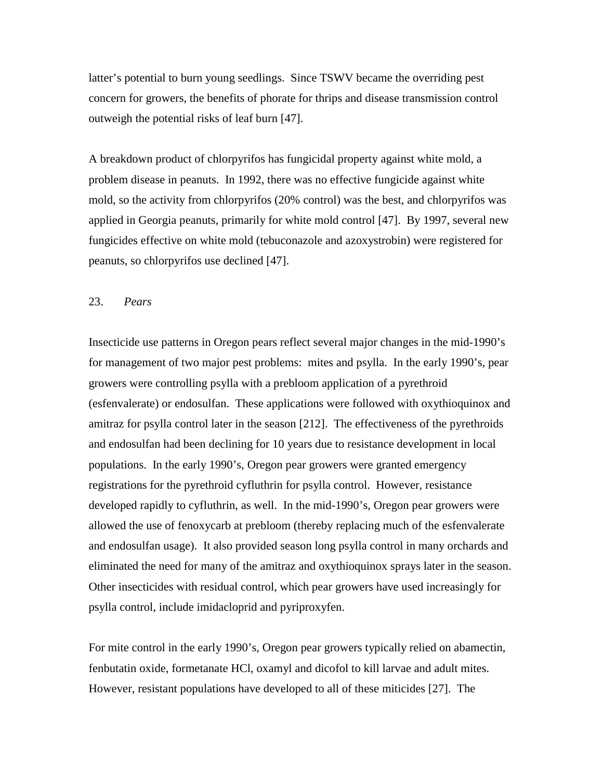latter's potential to burn young seedlings. Since TSWV became the overriding pest concern for growers, the benefits of phorate for thrips and disease transmission control outweigh the potential risks of leaf burn [47].

A breakdown product of chlorpyrifos has fungicidal property against white mold, a problem disease in peanuts. In 1992, there was no effective fungicide against white mold, so the activity from chlorpyrifos (20% control) was the best, and chlorpyrifos was applied in Georgia peanuts, primarily for white mold control [47]. By 1997, several new fungicides effective on white mold (tebuconazole and azoxystrobin) were registered for peanuts, so chlorpyrifos use declined [47].

#### 23. *Pears*

Insecticide use patterns in Oregon pears reflect several major changes in the mid-1990's for management of two major pest problems: mites and psylla. In the early 1990's, pear growers were controlling psylla with a prebloom application of a pyrethroid (esfenvalerate) or endosulfan. These applications were followed with oxythioquinox and amitraz for psylla control later in the season [212]. The effectiveness of the pyrethroids and endosulfan had been declining for 10 years due to resistance development in local populations. In the early 1990's, Oregon pear growers were granted emergency registrations for the pyrethroid cyfluthrin for psylla control. However, resistance developed rapidly to cyfluthrin, as well. In the mid-1990's, Oregon pear growers were allowed the use of fenoxycarb at prebloom (thereby replacing much of the esfenvalerate and endosulfan usage). It also provided season long psylla control in many orchards and eliminated the need for many of the amitraz and oxythioquinox sprays later in the season. Other insecticides with residual control, which pear growers have used increasingly for psylla control, include imidacloprid and pyriproxyfen.

For mite control in the early 1990's, Oregon pear growers typically relied on abamectin, fenbutatin oxide, formetanate HCl, oxamyl and dicofol to kill larvae and adult mites. However, resistant populations have developed to all of these miticides [27]. The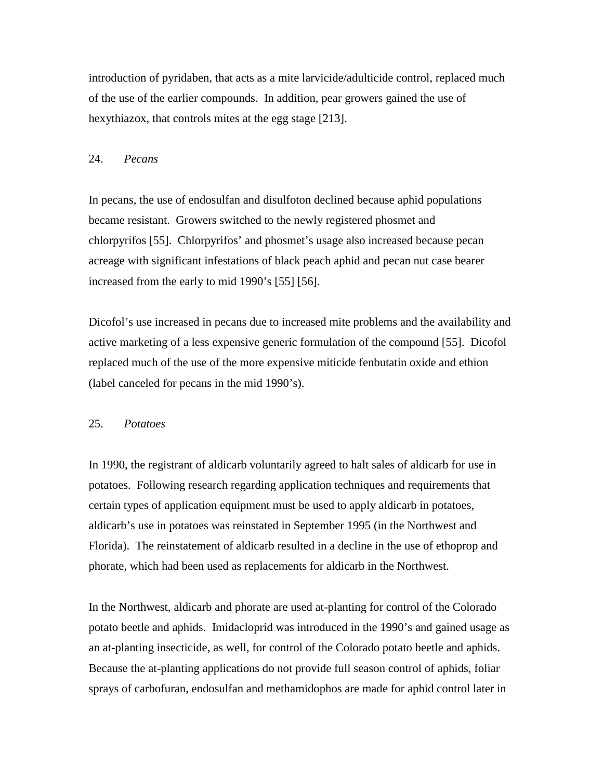introduction of pyridaben, that acts as a mite larvicide/adulticide control, replaced much of the use of the earlier compounds. In addition, pear growers gained the use of hexythiazox, that controls mites at the egg stage [213].

#### 24. *Pecans*

In pecans, the use of endosulfan and disulfoton declined because aphid populations became resistant. Growers switched to the newly registered phosmet and chlorpyrifos [55]. Chlorpyrifos' and phosmet's usage also increased because pecan acreage with significant infestations of black peach aphid and pecan nut case bearer increased from the early to mid 1990's [55] [56].

Dicofol's use increased in pecans due to increased mite problems and the availability and active marketing of a less expensive generic formulation of the compound [55]. Dicofol replaced much of the use of the more expensive miticide fenbutatin oxide and ethion (label canceled for pecans in the mid 1990's).

### 25. *Potatoes*

In 1990, the registrant of aldicarb voluntarily agreed to halt sales of aldicarb for use in potatoes. Following research regarding application techniques and requirements that certain types of application equipment must be used to apply aldicarb in potatoes, aldicarb's use in potatoes was reinstated in September 1995 (in the Northwest and Florida). The reinstatement of aldicarb resulted in a decline in the use of ethoprop and phorate, which had been used as replacements for aldicarb in the Northwest.

In the Northwest, aldicarb and phorate are used at-planting for control of the Colorado potato beetle and aphids. Imidacloprid was introduced in the 1990's and gained usage as an at-planting insecticide, as well, for control of the Colorado potato beetle and aphids. Because the at-planting applications do not provide full season control of aphids, foliar sprays of carbofuran, endosulfan and methamidophos are made for aphid control later in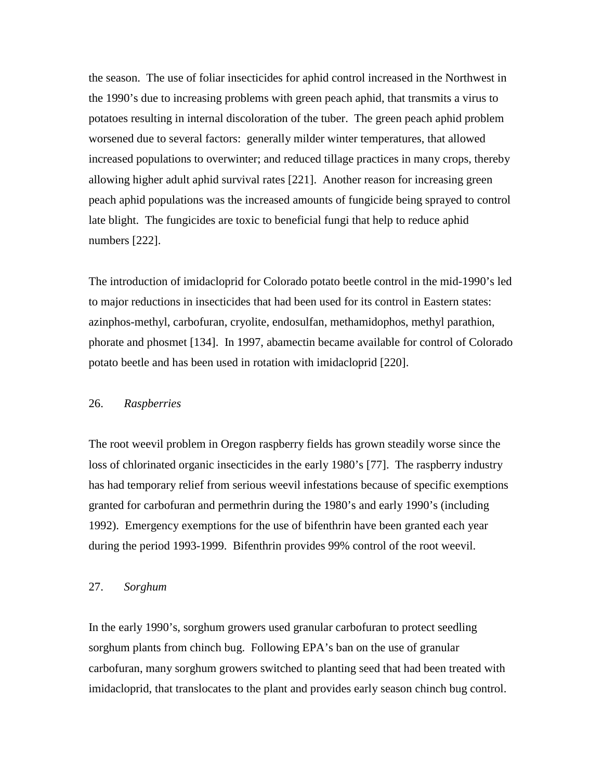the season. The use of foliar insecticides for aphid control increased in the Northwest in the 1990's due to increasing problems with green peach aphid, that transmits a virus to potatoes resulting in internal discoloration of the tuber. The green peach aphid problem worsened due to several factors: generally milder winter temperatures, that allowed increased populations to overwinter; and reduced tillage practices in many crops, thereby allowing higher adult aphid survival rates [221]. Another reason for increasing green peach aphid populations was the increased amounts of fungicide being sprayed to control late blight. The fungicides are toxic to beneficial fungi that help to reduce aphid numbers [222].

The introduction of imidacloprid for Colorado potato beetle control in the mid-1990's led to major reductions in insecticides that had been used for its control in Eastern states: azinphos-methyl, carbofuran, cryolite, endosulfan, methamidophos, methyl parathion, phorate and phosmet [134]. In 1997, abamectin became available for control of Colorado potato beetle and has been used in rotation with imidacloprid [220].

### 26. *Raspberries*

The root weevil problem in Oregon raspberry fields has grown steadily worse since the loss of chlorinated organic insecticides in the early 1980's [77]. The raspberry industry has had temporary relief from serious weevil infestations because of specific exemptions granted for carbofuran and permethrin during the 1980's and early 1990's (including 1992). Emergency exemptions for the use of bifenthrin have been granted each year during the period 1993-1999. Bifenthrin provides 99% control of the root weevil.

### 27. *Sorghum*

In the early 1990's, sorghum growers used granular carbofuran to protect seedling sorghum plants from chinch bug. Following EPA's ban on the use of granular carbofuran, many sorghum growers switched to planting seed that had been treated with imidacloprid, that translocates to the plant and provides early season chinch bug control.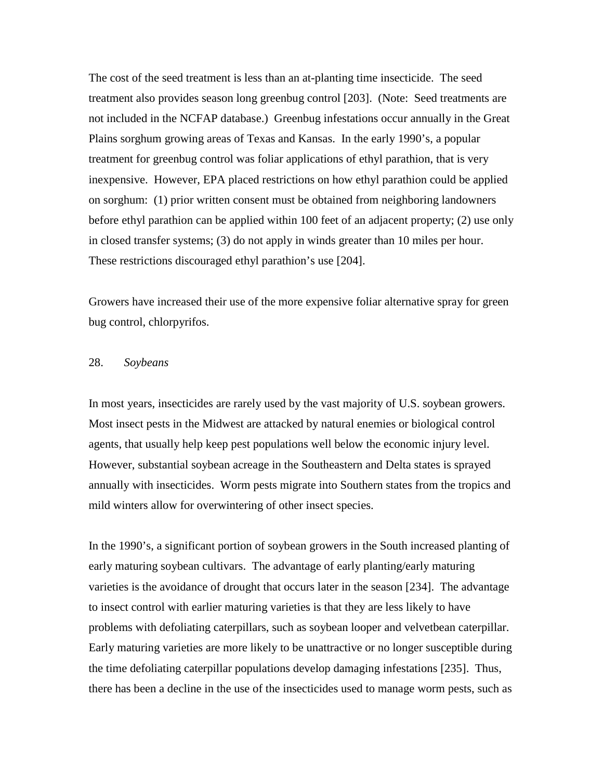The cost of the seed treatment is less than an at-planting time insecticide. The seed treatment also provides season long greenbug control [203]. (Note: Seed treatments are not included in the NCFAP database.) Greenbug infestations occur annually in the Great Plains sorghum growing areas of Texas and Kansas. In the early 1990's, a popular treatment for greenbug control was foliar applications of ethyl parathion, that is very inexpensive. However, EPA placed restrictions on how ethyl parathion could be applied on sorghum: (1) prior written consent must be obtained from neighboring landowners before ethyl parathion can be applied within 100 feet of an adjacent property; (2) use only in closed transfer systems; (3) do not apply in winds greater than 10 miles per hour. These restrictions discouraged ethyl parathion's use [204].

Growers have increased their use of the more expensive foliar alternative spray for green bug control, chlorpyrifos.

# 28. *Soybeans*

In most years, insecticides are rarely used by the vast majority of U.S. soybean growers. Most insect pests in the Midwest are attacked by natural enemies or biological control agents, that usually help keep pest populations well below the economic injury level. However, substantial soybean acreage in the Southeastern and Delta states is sprayed annually with insecticides. Worm pests migrate into Southern states from the tropics and mild winters allow for overwintering of other insect species.

In the 1990's, a significant portion of soybean growers in the South increased planting of early maturing soybean cultivars. The advantage of early planting/early maturing varieties is the avoidance of drought that occurs later in the season [234]. The advantage to insect control with earlier maturing varieties is that they are less likely to have problems with defoliating caterpillars, such as soybean looper and velvetbean caterpillar. Early maturing varieties are more likely to be unattractive or no longer susceptible during the time defoliating caterpillar populations develop damaging infestations [235]. Thus, there has been a decline in the use of the insecticides used to manage worm pests, such as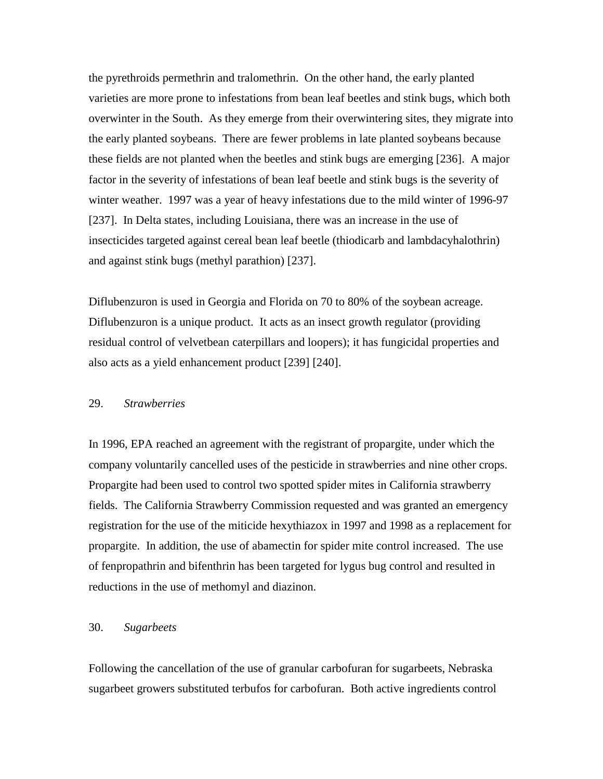the pyrethroids permethrin and tralomethrin. On the other hand, the early planted varieties are more prone to infestations from bean leaf beetles and stink bugs, which both overwinter in the South. As they emerge from their overwintering sites, they migrate into the early planted soybeans. There are fewer problems in late planted soybeans because these fields are not planted when the beetles and stink bugs are emerging [236]. A major factor in the severity of infestations of bean leaf beetle and stink bugs is the severity of winter weather. 1997 was a year of heavy infestations due to the mild winter of 1996-97 [237]. In Delta states, including Louisiana, there was an increase in the use of insecticides targeted against cereal bean leaf beetle (thiodicarb and lambdacyhalothrin) and against stink bugs (methyl parathion) [237].

Diflubenzuron is used in Georgia and Florida on 70 to 80% of the soybean acreage. Diflubenzuron is a unique product. It acts as an insect growth regulator (providing residual control of velvetbean caterpillars and loopers); it has fungicidal properties and also acts as a yield enhancement product [239] [240].

### 29. *Strawberries*

In 1996, EPA reached an agreement with the registrant of propargite, under which the company voluntarily cancelled uses of the pesticide in strawberries and nine other crops. Propargite had been used to control two spotted spider mites in California strawberry fields. The California Strawberry Commission requested and was granted an emergency registration for the use of the miticide hexythiazox in 1997 and 1998 as a replacement for propargite. In addition, the use of abamectin for spider mite control increased. The use of fenpropathrin and bifenthrin has been targeted for lygus bug control and resulted in reductions in the use of methomyl and diazinon.

# 30. *Sugarbeets*

Following the cancellation of the use of granular carbofuran for sugarbeets, Nebraska sugarbeet growers substituted terbufos for carbofuran. Both active ingredients control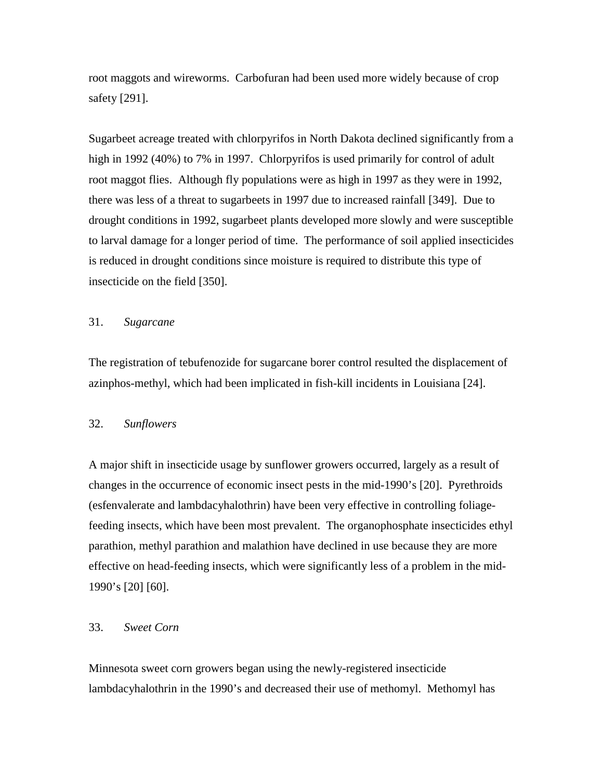root maggots and wireworms. Carbofuran had been used more widely because of crop safety [291].

Sugarbeet acreage treated with chlorpyrifos in North Dakota declined significantly from a high in 1992 (40%) to 7% in 1997. Chlorpyrifos is used primarily for control of adult root maggot flies. Although fly populations were as high in 1997 as they were in 1992, there was less of a threat to sugarbeets in 1997 due to increased rainfall [349]. Due to drought conditions in 1992, sugarbeet plants developed more slowly and were susceptible to larval damage for a longer period of time. The performance of soil applied insecticides is reduced in drought conditions since moisture is required to distribute this type of insecticide on the field [350].

### 31. *Sugarcane*

The registration of tebufenozide for sugarcane borer control resulted the displacement of azinphos-methyl, which had been implicated in fish-kill incidents in Louisiana [24].

### 32. *Sunflowers*

A major shift in insecticide usage by sunflower growers occurred, largely as a result of changes in the occurrence of economic insect pests in the mid-1990's [20]. Pyrethroids (esfenvalerate and lambdacyhalothrin) have been very effective in controlling foliagefeeding insects, which have been most prevalent. The organophosphate insecticides ethyl parathion, methyl parathion and malathion have declined in use because they are more effective on head-feeding insects, which were significantly less of a problem in the mid-1990's [20] [60].

# 33. *Sweet Corn*

Minnesota sweet corn growers began using the newly-registered insecticide lambdacyhalothrin in the 1990's and decreased their use of methomyl. Methomyl has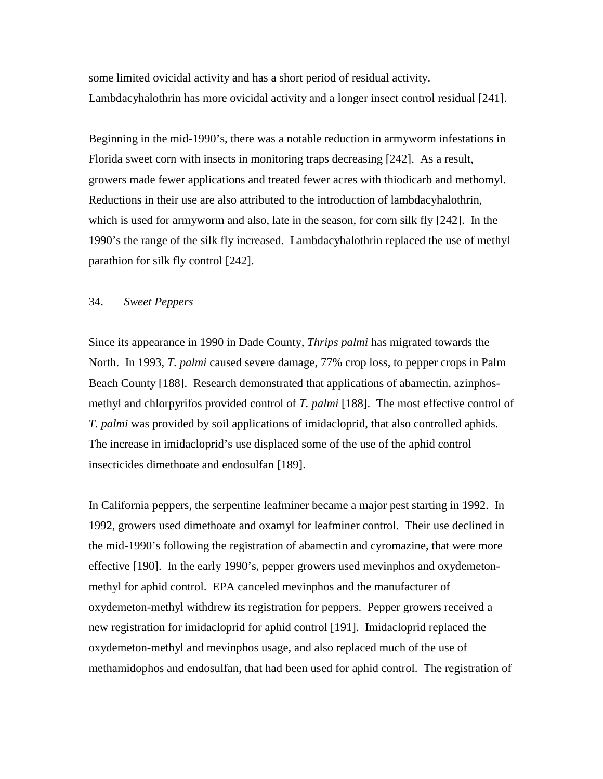some limited ovicidal activity and has a short period of residual activity. Lambdacyhalothrin has more ovicidal activity and a longer insect control residual [241].

Beginning in the mid-1990's, there was a notable reduction in armyworm infestations in Florida sweet corn with insects in monitoring traps decreasing [242]. As a result, growers made fewer applications and treated fewer acres with thiodicarb and methomyl. Reductions in their use are also attributed to the introduction of lambdacyhalothrin, which is used for armyworm and also, late in the season, for corn silk fly [242]. In the 1990's the range of the silk fly increased. Lambdacyhalothrin replaced the use of methyl parathion for silk fly control [242].

### 34. *Sweet Peppers*

Since its appearance in 1990 in Dade County, *Thrips palmi* has migrated towards the North. In 1993, *T. palmi* caused severe damage, 77% crop loss, to pepper crops in Palm Beach County [188]. Research demonstrated that applications of abamectin, azinphosmethyl and chlorpyrifos provided control of *T. palmi* [188]. The most effective control of *T. palmi* was provided by soil applications of imidacloprid, that also controlled aphids. The increase in imidacloprid's use displaced some of the use of the aphid control insecticides dimethoate and endosulfan [189].

In California peppers, the serpentine leafminer became a major pest starting in 1992. In 1992, growers used dimethoate and oxamyl for leafminer control. Their use declined in the mid-1990's following the registration of abamectin and cyromazine, that were more effective [190]. In the early 1990's, pepper growers used mevinphos and oxydemetonmethyl for aphid control. EPA canceled mevinphos and the manufacturer of oxydemeton-methyl withdrew its registration for peppers. Pepper growers received a new registration for imidacloprid for aphid control [191]. Imidacloprid replaced the oxydemeton-methyl and mevinphos usage, and also replaced much of the use of methamidophos and endosulfan, that had been used for aphid control. The registration of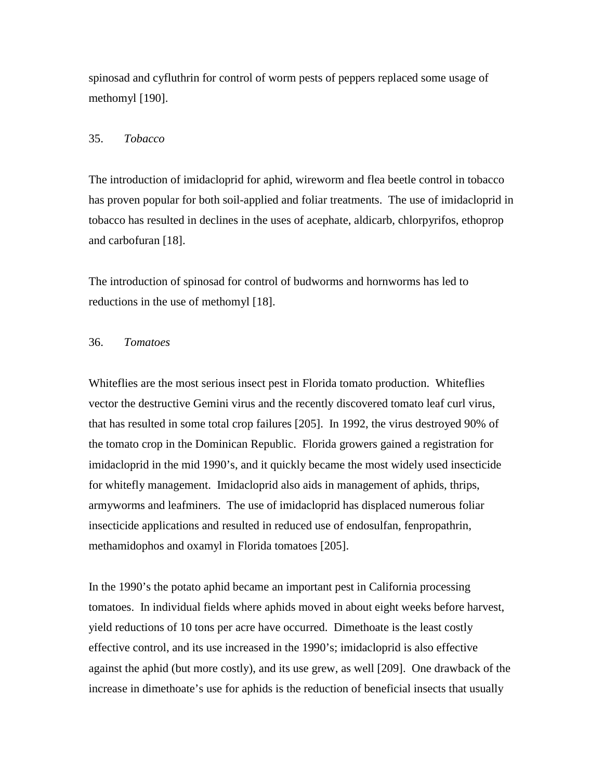spinosad and cyfluthrin for control of worm pests of peppers replaced some usage of methomyl [190].

### 35. *Tobacco*

The introduction of imidacloprid for aphid, wireworm and flea beetle control in tobacco has proven popular for both soil-applied and foliar treatments. The use of imidacloprid in tobacco has resulted in declines in the uses of acephate, aldicarb, chlorpyrifos, ethoprop and carbofuran [18].

The introduction of spinosad for control of budworms and hornworms has led to reductions in the use of methomyl [18].

## 36. *Tomatoes*

Whiteflies are the most serious insect pest in Florida tomato production. Whiteflies vector the destructive Gemini virus and the recently discovered tomato leaf curl virus, that has resulted in some total crop failures [205]. In 1992, the virus destroyed 90% of the tomato crop in the Dominican Republic. Florida growers gained a registration for imidacloprid in the mid 1990's, and it quickly became the most widely used insecticide for whitefly management. Imidacloprid also aids in management of aphids, thrips, armyworms and leafminers. The use of imidacloprid has displaced numerous foliar insecticide applications and resulted in reduced use of endosulfan, fenpropathrin, methamidophos and oxamyl in Florida tomatoes [205].

In the 1990's the potato aphid became an important pest in California processing tomatoes. In individual fields where aphids moved in about eight weeks before harvest, yield reductions of 10 tons per acre have occurred. Dimethoate is the least costly effective control, and its use increased in the 1990's; imidacloprid is also effective against the aphid (but more costly), and its use grew, as well [209]. One drawback of the increase in dimethoate's use for aphids is the reduction of beneficial insects that usually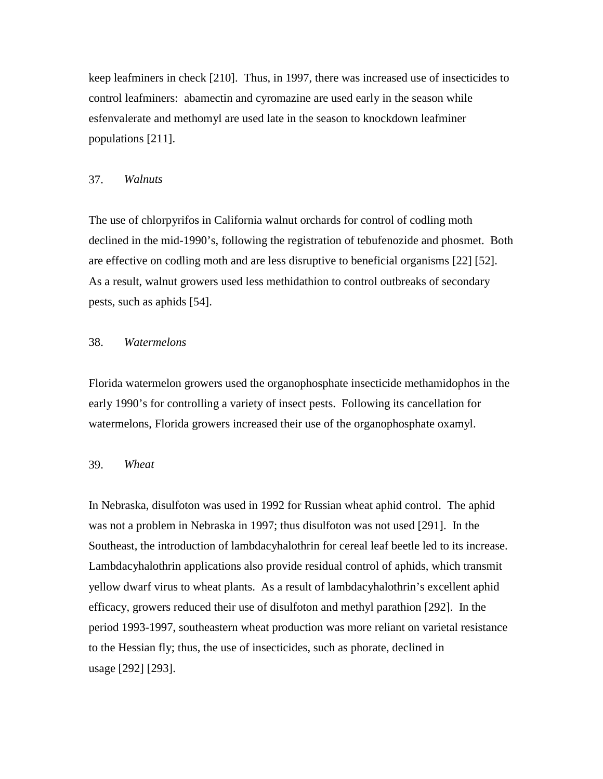keep leafminers in check [210]. Thus, in 1997, there was increased use of insecticides to control leafminers: abamectin and cyromazine are used early in the season while esfenvalerate and methomyl are used late in the season to knockdown leafminer populations [211].

### 37. *Walnuts*

The use of chlorpyrifos in California walnut orchards for control of codling moth declined in the mid-1990's, following the registration of tebufenozide and phosmet. Both are effective on codling moth and are less disruptive to beneficial organisms [22] [52]. As a result, walnut growers used less methidathion to control outbreaks of secondary pests, such as aphids [54].

# 38. *Watermelons*

Florida watermelon growers used the organophosphate insecticide methamidophos in the early 1990's for controlling a variety of insect pests. Following its cancellation for watermelons, Florida growers increased their use of the organophosphate oxamyl.

#### 39. *Wheat*

In Nebraska, disulfoton was used in 1992 for Russian wheat aphid control. The aphid was not a problem in Nebraska in 1997; thus disulfoton was not used [291]. In the Southeast, the introduction of lambdacyhalothrin for cereal leaf beetle led to its increase. Lambdacyhalothrin applications also provide residual control of aphids, which transmit yellow dwarf virus to wheat plants. As a result of lambdacyhalothrin's excellent aphid efficacy, growers reduced their use of disulfoton and methyl parathion [292]. In the period 1993-1997, southeastern wheat production was more reliant on varietal resistance to the Hessian fly; thus, the use of insecticides, such as phorate, declined in usage [292] [293].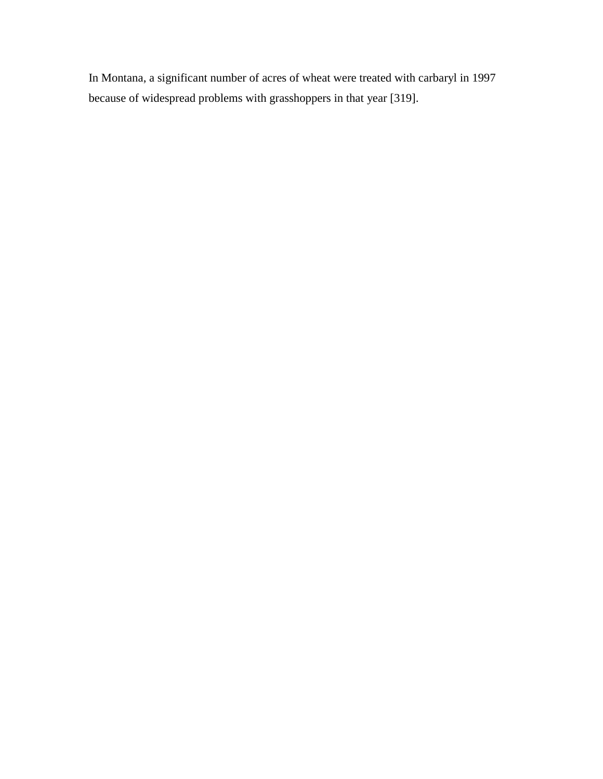In Montana, a significant number of acres of wheat were treated with carbaryl in 1997 because of widespread problems with grasshoppers in that year [319].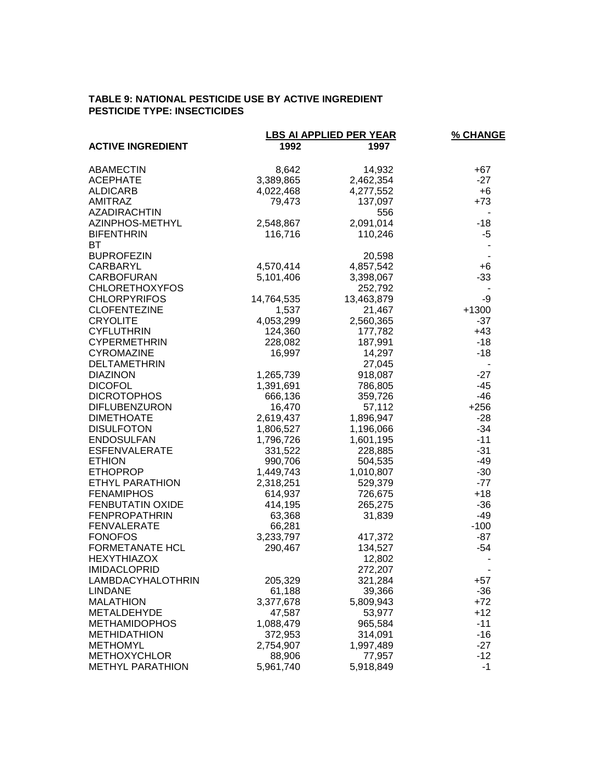## **TABLE 9: NATIONAL PESTICIDE USE BY ACTIVE INGREDIENT PESTICIDE TYPE: INSECTICIDES**

|                          | <b>LBS AI APPLIED PER YEAR</b> | % CHANGE   |         |
|--------------------------|--------------------------------|------------|---------|
| <b>ACTIVE INGREDIENT</b> | 1992                           | 1997       |         |
| <b>ABAMECTIN</b>         | 8,642                          | 14,932     | +67     |
| <b>ACEPHATE</b>          | 3,389,865                      | 2,462,354  | $-27$   |
| <b>ALDICARB</b>          | 4,022,468                      | 4,277,552  | $+6$    |
| <b>AMITRAZ</b>           | 79,473                         | 137,097    | $+73$   |
| <b>AZADIRACHTIN</b>      |                                | 556        |         |
| AZINPHOS-METHYL          | 2,548,867                      | 2,091,014  | $-18$   |
| <b>BIFENTHRIN</b>        | 116,716                        | 110,246    | $-5$    |
| ВT                       |                                |            |         |
| <b>BUPROFEZIN</b>        |                                | 20,598     |         |
| CARBARYL                 | 4,570,414                      | 4,857,542  | $+6$    |
| <b>CARBOFURAN</b>        | 5,101,406                      | 3,398,067  | $-33$   |
| <b>CHLORETHOXYFOS</b>    |                                | 252,792    |         |
| <b>CHLORPYRIFOS</b>      | 14,764,535                     | 13,463,879 | -9      |
| <b>CLOFENTEZINE</b>      | 1,537                          | 21,467     | $+1300$ |
| <b>CRYOLITE</b>          | 4,053,299                      | 2,560,365  | $-37$   |
| <b>CYFLUTHRIN</b>        | 124,360                        | 177,782    | $+43$   |
| <b>CYPERMETHRIN</b>      | 228,082                        | 187,991    | $-18$   |
| <b>CYROMAZINE</b>        | 16,997                         | 14,297     | $-18$   |
| <b>DELTAMETHRIN</b>      |                                | 27,045     |         |
| <b>DIAZINON</b>          | 1,265,739                      | 918,087    | $-27$   |
| <b>DICOFOL</b>           | 1,391,691                      | 786,805    | $-45$   |
| <b>DICROTOPHOS</b>       | 666,136                        | 359,726    | $-46$   |
| <b>DIFLUBENZURON</b>     | 16,470                         | 57,112     | $+256$  |
| <b>DIMETHOATE</b>        | 2,619,437                      | 1,896,947  | $-28$   |
| <b>DISULFOTON</b>        | 1,806,527                      | 1,196,066  | $-34$   |
| <b>ENDOSULFAN</b>        | 1,796,726                      | 1,601,195  | $-11$   |
| <b>ESFENVALERATE</b>     | 331,522                        | 228,885    | $-31$   |
| <b>ETHION</b>            | 990,706                        | 504,535    | $-49$   |
| <b>ETHOPROP</b>          | 1,449,743                      | 1,010,807  | $-30$   |
| ETHYL PARATHION          | 2,318,251                      | 529,379    | $-77$   |
| <b>FENAMIPHOS</b>        | 614,937                        | 726,675    | $+18$   |
| <b>FENBUTATIN OXIDE</b>  | 414,195                        | 265,275    | $-36$   |
| <b>FENPROPATHRIN</b>     | 63,368                         | 31,839     | -49     |
| <b>FENVALERATE</b>       | 66,281                         |            | $-100$  |
| <b>FONOFOS</b>           | 3,233,797                      | 417,372    | $-87$   |
| <b>FORMETANATE HCL</b>   | 290,467                        | 134,527    | $-54$   |
| <b>HEXYTHIAZOX</b>       |                                | 12,802     |         |
| <b>IMIDACLOPRID</b>      |                                | 272,207    |         |
| LAMBDACYHALOTHRIN        | 205,329                        | 321,284    | $+57$   |
| <b>LINDANE</b>           | 61,188                         | 39,366     | $-36$   |
| <b>MALATHION</b>         | 3,377,678                      | 5,809,943  | $+72$   |
| METALDEHYDE              | 47,587                         | 53,977     | $+12$   |
| <b>METHAMIDOPHOS</b>     | 1,088,479                      | 965,584    | $-11$   |
| <b>METHIDATHION</b>      | 372,953                        | 314,091    | $-16$   |
| <b>METHOMYL</b>          | 2,754,907                      | 1,997,489  | $-27$   |
| <b>METHOXYCHLOR</b>      | 88,906                         | 77,957     | $-12$   |
| <b>METHYL PARATHION</b>  | 5,961,740                      | 5,918,849  | $-1$    |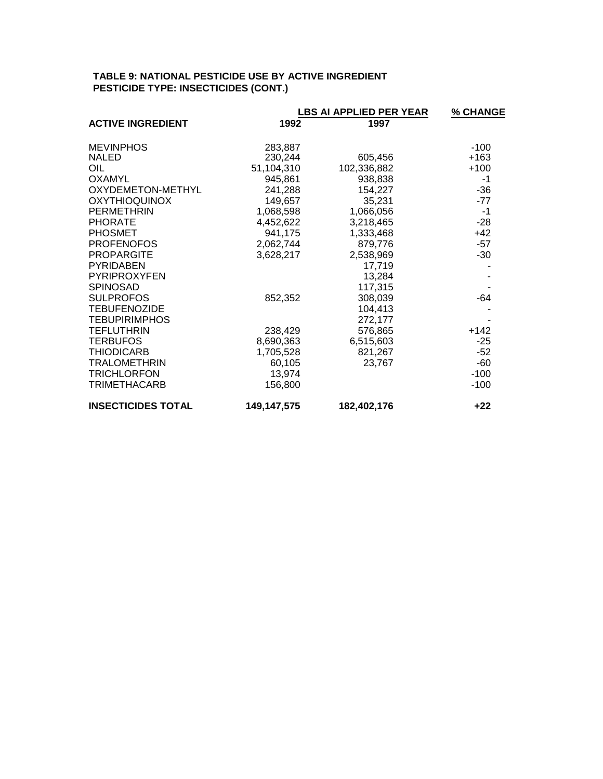# **TABLE 9: NATIONAL PESTICIDE USE BY ACTIVE INGREDIENT PESTICIDE TYPE: INSECTICIDES (CONT.)**

|                           | <b>LBS AI APPLIED PER YEAR</b> | % CHANGE    |        |
|---------------------------|--------------------------------|-------------|--------|
| <b>ACTIVE INGREDIENT</b>  | 1992                           | 1997        |        |
| <b>MEVINPHOS</b>          | 283,887                        |             | $-100$ |
| <b>NALED</b>              | 230,244                        | 605,456     | $+163$ |
| OIL                       | 51,104,310                     | 102,336,882 | $+100$ |
| <b>OXAMYL</b>             | 945,861                        | 938,838     | -1     |
| OXYDEMETON-METHYL         | 241,288                        | 154,227     | -36    |
| <b>OXYTHIOQUINOX</b>      | 149,657                        | 35,231      | $-77$  |
| <b>PERMETHRIN</b>         | 1,068,598                      | 1,066,056   | -1     |
| <b>PHORATE</b>            | 4,452,622                      | 3,218,465   | $-28$  |
| <b>PHOSMET</b>            | 941,175                        | 1,333,468   | $+42$  |
| <b>PROFENOFOS</b>         | 2,062,744                      | 879,776     | $-57$  |
| <b>PROPARGITE</b>         | 3,628,217                      | 2,538,969   | $-30$  |
| <b>PYRIDABEN</b>          |                                | 17,719      |        |
| <b>PYRIPROXYFEN</b>       |                                | 13,284      |        |
| <b>SPINOSAD</b>           |                                | 117,315     |        |
| <b>SULPROFOS</b>          | 852,352                        | 308,039     | $-64$  |
| <b>TEBUFENOZIDE</b>       |                                | 104,413     |        |
| <b>TEBUPIRIMPHOS</b>      |                                | 272,177     |        |
| <b>TEFLUTHRIN</b>         | 238,429                        | 576,865     | $+142$ |
| <b>TERBUFOS</b>           | 8,690,363                      | 6,515,603   | $-25$  |
| <b>THIODICARB</b>         | 1,705,528                      | 821,267     | $-52$  |
| <b>TRALOMETHRIN</b>       | 60,105                         | 23,767      | $-60$  |
| <b>TRICHLORFON</b>        | 13,974                         |             | $-100$ |
| <b>TRIMETHACARB</b>       | 156,800                        |             | $-100$ |
| <b>INSECTICIDES TOTAL</b> | 149,147,575                    | 182,402,176 | $+22$  |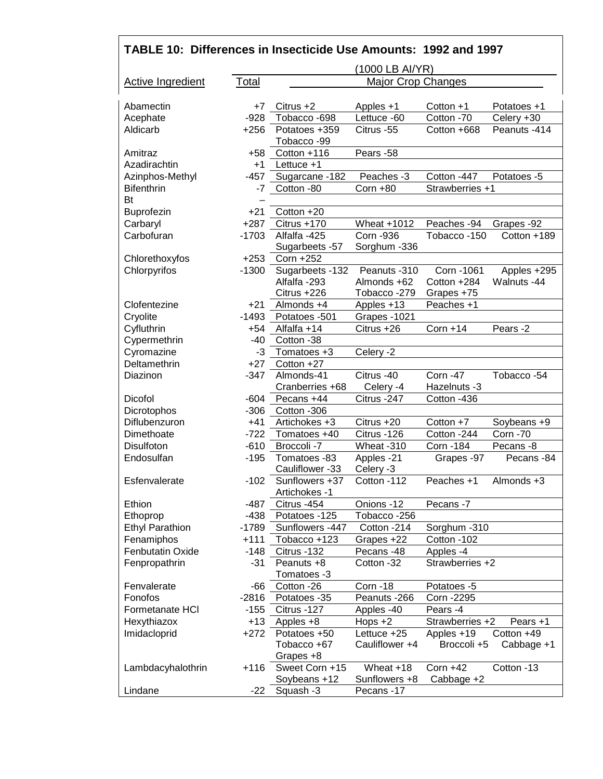| TABLE 10: Differences in Insecticide Use Amounts: 1992 and 1997 |         |                                 |                           |                 |                 |
|-----------------------------------------------------------------|---------|---------------------------------|---------------------------|-----------------|-----------------|
|                                                                 |         |                                 | (1000 LB AI/YR)           |                 |                 |
| Active Ingredient                                               | Total   |                                 | <b>Major Crop Changes</b> |                 |                 |
| Abamectin                                                       | +7      | Citrus $+2$                     | Apples +1                 | Cotton +1       | Potatoes +1     |
| Acephate                                                        | $-928$  | Tobacco - 698                   | Lettuce -60               | Cotton -70      | Celery +30      |
| Aldicarb                                                        | $+256$  | Potatoes +359                   | Citrus -55                | Cotton +668     | Peanuts -414    |
|                                                                 |         | Tobacco -99                     |                           |                 |                 |
| Amitraz                                                         | +58     | Cotton +116                     | Pears -58                 |                 |                 |
| Azadirachtin                                                    | $+1$    | Lettuce +1                      |                           |                 |                 |
| Azinphos-Methyl                                                 | $-457$  | Sugarcane -182                  | Peaches -3                | Cotton -447     | Potatoes -5     |
| <b>Bifenthrin</b><br>Bt                                         | $-7$    | Cotton -80                      | $Corn + 80$               | Strawberries +1 |                 |
| <b>Buprofezin</b>                                               | $+21$   | Cotton +20                      |                           |                 |                 |
| Carbaryl                                                        | $+287$  | Citrus +170                     | Wheat +1012               | Peaches -94     | Grapes -92      |
| Carbofuran                                                      | $-1703$ | Alfalfa -425                    | <b>Corn -936</b>          | Tobacco-150     | Cotton +189     |
|                                                                 |         | Sugarbeets -57                  | Sorghum -336              |                 |                 |
| Chlorethoxyfos                                                  | $+253$  | Corn +252                       |                           |                 |                 |
| Chlorpyrifos                                                    | $-1300$ | Sugarbeets -132                 | Peanuts -310              | Corn - 1061     | Apples +295     |
|                                                                 |         | Alfalfa-293                     | Almonds +62               | Cotton +284     | Walnuts -44     |
|                                                                 |         | Citrus +226                     | Tobacco-279               | Grapes +75      |                 |
| Clofentezine                                                    | $+21$   | Almonds +4                      | Apples +13                | Peaches +1      |                 |
| Cryolite                                                        | $-1493$ | Potatoes -501                   | Grapes -1021              |                 |                 |
| Cyfluthrin                                                      | $+54$   | Alfalfa +14                     | Citrus +26                | $Corn + 14$     | Pears -2        |
| Cypermethrin                                                    | $-40$   | Cotton -38                      |                           |                 |                 |
| Cyromazine                                                      | $-3$    | Tomatoes +3                     | Celery -2                 |                 |                 |
| Deltamethrin                                                    | $+27$   | Cotton +27                      |                           |                 |                 |
| Diazinon                                                        | $-347$  | Almonds-41                      | Citrus -40                | <b>Corn -47</b> | Tobacco -54     |
|                                                                 |         | Cranberries +68                 | Celery -4                 | Hazelnuts -3    |                 |
| Dicofol                                                         | $-604$  | Pecans +44                      | Citrus -247               | Cotton -436     |                 |
| Dicrotophos                                                     | $-306$  | Cotton -306                     |                           |                 |                 |
| Diflubenzuron                                                   | $+41$   | Artichokes +3                   | Citrus +20                | Cotton $+7$     | Soybeans +9     |
| Dimethoate                                                      | $-722$  | Tomatoes +40                    | Citrus - 126              | Cotton -244     | <b>Corn -70</b> |
| Disulfoton                                                      | $-610$  | Broccoli -7                     | Wheat -310                | Corn - 184      | Pecans -8       |
| Endosulfan                                                      | $-195$  | Tomatoes -83<br>Cauliflower -33 | Apples -21<br>Celery -3   | Grapes -97      | Pecans -84      |
| Esfenvalerate                                                   | $-102$  | Sunflowers +37                  | Cotton -112               | Peaches +1      | Almonds +3      |
|                                                                 |         | Artichokes -1                   |                           |                 |                 |
| Ethion                                                          | -487    | Citrus -454                     | Onions -12                | Pecans -7       |                 |
| Ethoprop                                                        | $-438$  | Potatoes -125                   | Tobacco -256              |                 |                 |
| <b>Ethyl Parathion</b>                                          | -1789   | Sunflowers -447                 | Cotton -214               | Sorghum -310    |                 |
| Fenamiphos                                                      | $+111$  | Tobacco +123                    | Grapes +22                | Cotton -102     |                 |
| Fenbutatin Oxide                                                | $-148$  | Citrus -132                     | Pecans -48                | Apples -4       |                 |
| Fenpropathrin                                                   | $-31$   | Peanuts +8                      | Cotton -32                | Strawberries +2 |                 |
|                                                                 |         | Tomatoes -3                     |                           |                 |                 |
| Fenvalerate                                                     | $-66$   | Cotton -26                      | Corn-18                   | Potatoes -5     |                 |
| Fonofos                                                         | $-2816$ | Potatoes -35                    | Peanuts -266              | Corn - 2295     |                 |
| Formetanate HCI                                                 | $-155$  | Citrus -127                     | Apples -40                | Pears -4        |                 |
| Hexythiazox                                                     | $+13$   | Apples +8                       | Hops $+2$                 | Strawberries +2 | Pears +1        |
| Imidacloprid                                                    | $+272$  | Potatoes +50                    | Lettuce +25               | Apples +19      | Cotton +49      |
|                                                                 |         | Tobacco +67                     | Cauliflower +4            | Broccoli +5     | Cabbage +1      |
|                                                                 |         | Grapes +8                       |                           |                 |                 |
| Lambdacyhalothrin                                               | $+116$  | Sweet Corn +15                  | Wheat +18                 | Corn $+42$      | Cotton -13      |
|                                                                 |         | Soybeans +12                    | Sunflowers +8             | Cabbage +2      |                 |
| Lindane                                                         | -22     | Squash -3                       | Pecans -17                |                 |                 |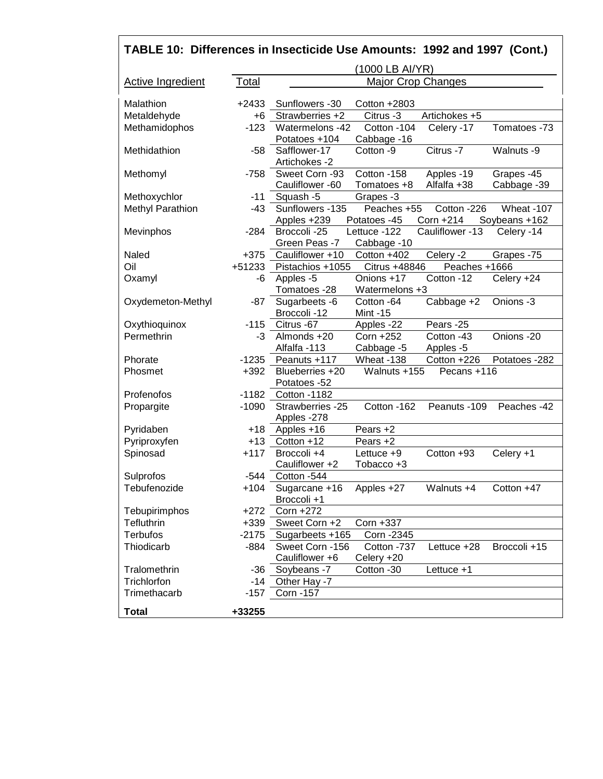| TABLE 10: Differences in Insecticide Use Amounts: 1992 and 1997 (Cont.) |          |                                 |                           |                 |               |
|-------------------------------------------------------------------------|----------|---------------------------------|---------------------------|-----------------|---------------|
|                                                                         |          |                                 | (1000 LB AI/YR)           |                 |               |
| <b>Active Ingredient</b>                                                | Total    |                                 | <b>Major Crop Changes</b> |                 |               |
| Malathion                                                               | $+2433$  | Sunflowers -30                  | Cotton $+2803$            |                 |               |
| Metaldehyde                                                             | $+6$     | Strawberries +2                 | Citrus -3                 | Artichokes +5   |               |
| Methamidophos                                                           | $-123$   | Watermelons -42                 | Cotton -104               | Celery -17      | Tomatoes -73  |
|                                                                         |          | Potatoes +104                   | Cabbage -16               |                 |               |
| Methidathion                                                            | $-58$    | Safflower-17<br>Artichokes -2   | Cotton -9                 | Citrus -7       | Walnuts -9    |
| Methomyl                                                                | -758     | Sweet Corn -93                  | Cotton -158               | Apples -19      | Grapes -45    |
|                                                                         |          | Cauliflower -60                 | Tomatoes +8               | Alfalfa +38     | Cabbage -39   |
| Methoxychlor                                                            | $-11$    | Squash -5                       | Grapes -3                 |                 |               |
| Methyl Parathion                                                        | $-43$    | Sunflowers -135                 | Peaches +55               | Cotton -226     | Wheat -107    |
|                                                                         |          | Apples +239                     | Potatoes -45              | Corn +214       | Soybeans +162 |
| Mevinphos                                                               | $-284$   | Broccoli -25                    | Lettuce -122              | Cauliflower -13 | Celery -14    |
|                                                                         |          | Green Peas -7                   | Cabbage -10               |                 |               |
| Naled                                                                   | $+375$   | Cauliflower +10                 | Cotton +402               | Celery $-2$     | Grapes -75    |
| Oil                                                                     | $+51233$ | Pistachios +1055                | Citrus +48846             | Peaches +1666   |               |
| Oxamyl                                                                  | -6       | Apples -5                       | Onions +17                | Cotton -12      | Celery +24    |
|                                                                         |          | Tomatoes -28                    | Watermelons +3            |                 |               |
| Oxydemeton-Methyl                                                       | -87      | Sugarbeets -6                   | Cotton -64                | Cabbage +2      | Onions -3     |
|                                                                         |          | Broccoli -12                    | <b>Mint -15</b>           |                 |               |
| Oxythioquinox                                                           | $-115$   | Citrus -67                      | Apples -22                | Pears -25       |               |
| Permethrin                                                              | $-3$     | Almonds +20                     | Corn +252                 | Cotton -43      | Onions -20    |
|                                                                         |          | Alfalfa-113                     | Cabbage -5                | Apples -5       |               |
| Phorate                                                                 | $-1235$  | Peanuts +117                    | Wheat -138                | Cotton +226     | Potatoes -282 |
| Phosmet                                                                 | $+392$   | Blueberries +20                 | Walnuts +155              | Pecans +116     |               |
|                                                                         |          | Potatoes -52                    |                           |                 |               |
| Profenofos                                                              | $-1182$  | Cotton -1182                    |                           |                 |               |
| Propargite                                                              | $-1090$  | Strawberries -25<br>Apples -278 | Cotton -162               | Peanuts -109    | Peaches -42   |
| Pyridaben                                                               | $+18$    | Apples +16                      | Pears +2                  |                 |               |
| Pyriproxyfen                                                            | $+13$    | Cotton +12                      | Pears +2                  |                 |               |
| Spinosad                                                                | $+117$   | Broccoli +4                     | Lettuce $+9$              | Cotton +93      | Celery +1     |
|                                                                         |          | Cauliflower +2                  | Tobacco +3                |                 |               |
| Sulprofos                                                               | $-544$   | Cotton -544                     |                           |                 |               |
| Tebufenozide                                                            | +104     | Sugarcane +16                   | Apples +27                | Walnuts +4      | Cotton +47    |
|                                                                         |          | Broccoli +1                     |                           |                 |               |
| Tebupirimphos                                                           | $+272$   | Corn +272                       |                           |                 |               |
| Tefluthrin                                                              | $+339$   | Sweet Corn +2                   | Corn +337                 |                 |               |
| <b>Terbufos</b>                                                         | $-2175$  | Sugarbeets +165                 | Corn - 2345               |                 |               |
| Thiodicarb                                                              | $-884$   | Sweet Corn -156                 | Cotton -737               | Lettuce $+28$   | Broccoli +15  |
|                                                                         |          | Cauliflower +6                  | Celery +20                |                 |               |
| Tralomethrin                                                            | -36      | Soybeans -7                     | Cotton -30                | Lettuce +1      |               |
| Trichlorfon                                                             | $-14$    | Other Hay -7                    |                           |                 |               |
| Trimethacarb                                                            | $-157$   | Corn -157                       |                           |                 |               |
|                                                                         |          |                                 |                           |                 |               |
| <b>Total</b>                                                            | +33255   |                                 |                           |                 |               |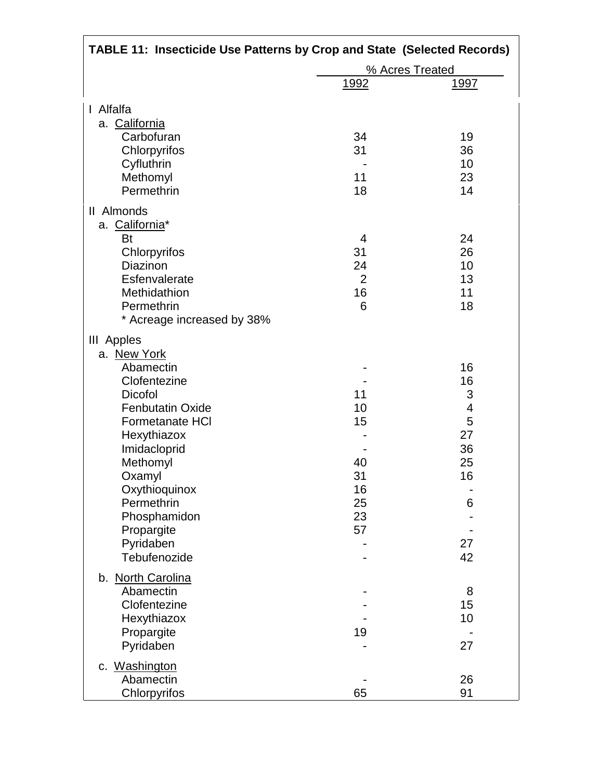| <b>TABLE 11: Insecticide Use Patterns by Crop and State (Selected Records)</b> |                |                 |
|--------------------------------------------------------------------------------|----------------|-----------------|
|                                                                                |                | % Acres Treated |
|                                                                                | <u>1992</u>    | <u> 1997 </u>   |
| Alfalfa<br>$\mathbf{I}$                                                        |                |                 |
| a. California                                                                  |                |                 |
| Carbofuran                                                                     | 34             | 19              |
| Chlorpyrifos                                                                   | 31             | 36              |
| Cyfluthrin                                                                     |                | 10              |
| Methomyl                                                                       | 11             | 23              |
| Permethrin                                                                     | 18             | 14              |
| II Almonds                                                                     |                |                 |
| a. California*                                                                 |                |                 |
| <b>Bt</b>                                                                      | $\overline{4}$ | 24              |
| Chlorpyrifos                                                                   | 31             | 26              |
| Diazinon                                                                       | 24             | 10              |
| Esfenvalerate                                                                  | $\overline{2}$ | 13              |
| Methidathion                                                                   | 16             | 11              |
| Permethrin                                                                     | 6              | 18              |
| * Acreage increased by 38%                                                     |                |                 |
| III Apples                                                                     |                |                 |
| a. New York                                                                    |                |                 |
| Abamectin                                                                      |                | 16              |
| Clofentezine                                                                   |                | 16              |
| <b>Dicofol</b>                                                                 | 11             | 3               |
| <b>Fenbutatin Oxide</b>                                                        | 10             | 4               |
| Formetanate HCI                                                                | 15             | 5               |
| Hexythiazox                                                                    |                | 27              |
| Imidacloprid                                                                   |                | 36              |
| Methomyl                                                                       | 40             | 25              |
| Oxamyl                                                                         | 31             | 16              |
| Oxythioquinox                                                                  | 16             |                 |
| Permethrin                                                                     | 25             | 6               |
| Phosphamidon                                                                   | 23             |                 |
| Propargite                                                                     | 57             |                 |
| Pyridaben                                                                      |                | 27              |
| Tebufenozide                                                                   |                | 42              |
| b. North Carolina                                                              |                |                 |
| Abamectin                                                                      |                | 8               |
| Clofentezine                                                                   |                | 15              |
| Hexythiazox                                                                    |                | 10              |
| Propargite                                                                     | 19             |                 |
| Pyridaben                                                                      |                | 27              |
| c. Washington                                                                  |                |                 |
| Abamectin                                                                      |                | 26              |
| Chlorpyrifos                                                                   | 65             | 91              |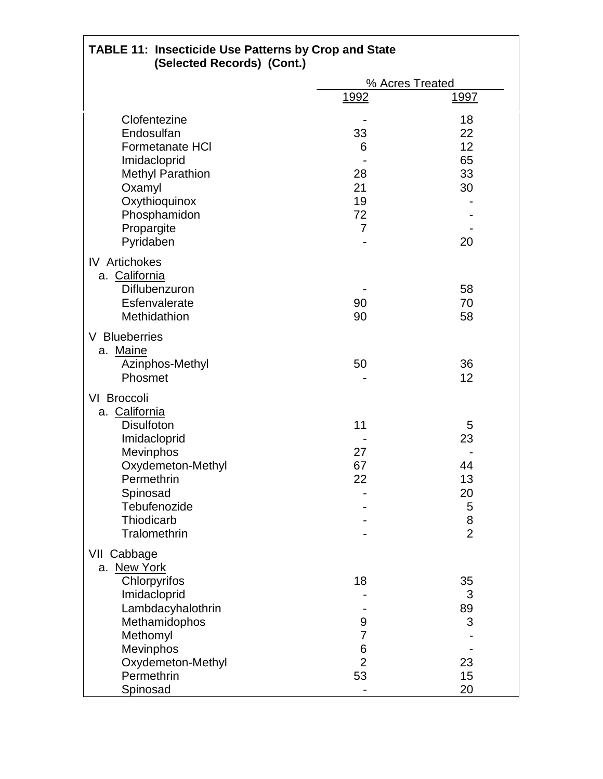| <b>TABLE 11: Insecticide Use Patterns by Crop and State</b><br>(Selected Records) (Cont.) |                |                 |
|-------------------------------------------------------------------------------------------|----------------|-----------------|
|                                                                                           |                | % Acres Treated |
|                                                                                           | <u> 1992</u>   | <u> 1997 </u>   |
| Clofentezine                                                                              |                | 18              |
| Endosulfan                                                                                | 33             | 22              |
| <b>Formetanate HCI</b>                                                                    | 6              | 12              |
| Imidacloprid                                                                              |                | 65              |
| <b>Methyl Parathion</b>                                                                   | 28             | 33              |
| Oxamyl                                                                                    | 21             | 30              |
| Oxythioquinox                                                                             | 19             |                 |
| Phosphamidon                                                                              | 72             |                 |
| Propargite                                                                                | 7              |                 |
| Pyridaben                                                                                 |                | 20              |
| <b>IV</b> Artichokes<br>a. California<br>Diflubenzuron<br>Esfenvalerate                   | 90             | 58<br>70        |
| Methidathion                                                                              | 90             | 58              |
| V Blueberries<br>a. Maine<br>Azinphos-Methyl<br>Phosmet                                   | 50             | 36<br>12        |
| VI Broccoli                                                                               |                |                 |
| a. California                                                                             |                |                 |
| <b>Disulfoton</b>                                                                         | 11             | 5               |
| Imidacloprid                                                                              |                | 23              |
| Mevinphos                                                                                 | 27             |                 |
| Oxydemeton-Methyl                                                                         | 67             | 44              |
| Permethrin                                                                                | 22             | 13              |
| Spinosad                                                                                  |                | 20              |
| Tebufenozide                                                                              |                | 5               |
| Thiodicarb                                                                                |                | 8               |
| Tralomethrin                                                                              |                | $\overline{2}$  |
| VII Cabbage                                                                               |                |                 |
| a. New York                                                                               |                |                 |
| Chlorpyrifos                                                                              | 18             | 35              |
| Imidacloprid                                                                              |                | 3               |
| Lambdacyhalothrin                                                                         |                | 89              |
| Methamidophos                                                                             | 9              | 3               |
| Methomyl                                                                                  | 7              |                 |
| <b>Mevinphos</b>                                                                          | 6              |                 |
| Oxydemeton-Methyl                                                                         | $\overline{2}$ | 23              |
| Permethrin                                                                                | 53             | 15              |
| Spinosad                                                                                  |                | 20              |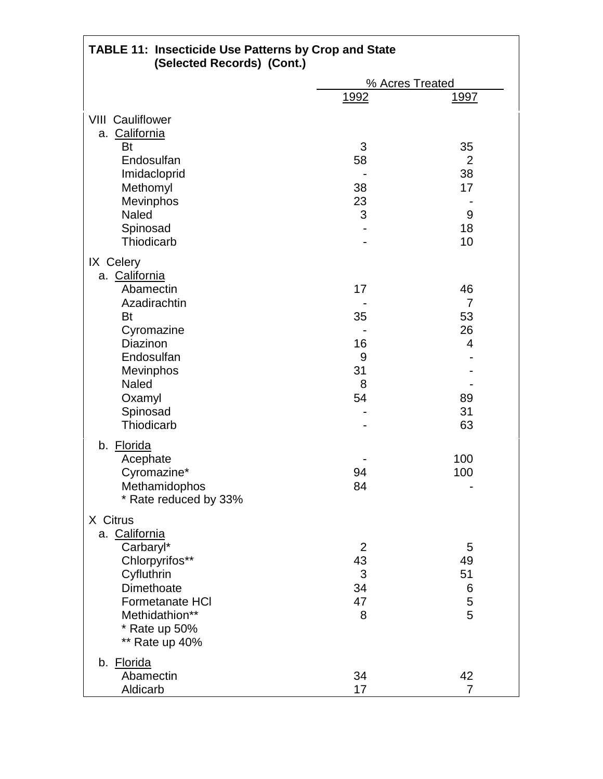| <b>TABLE 11: Insecticide Use Patterns by Crop and State</b><br>(Selected Records) (Cont.) |                |                      |
|-------------------------------------------------------------------------------------------|----------------|----------------------|
|                                                                                           |                | % Acres Treated      |
|                                                                                           | <u>1992</u>    | <u> 1997 </u>        |
|                                                                                           |                |                      |
| <b>VIII Cauliflower</b>                                                                   |                |                      |
| a. California<br>Bt                                                                       | 3              | 35                   |
| Endosulfan                                                                                | 58             | $\overline{2}$       |
| Imidacloprid                                                                              |                | 38                   |
| Methomyl                                                                                  | 38             | 17                   |
| Mevinphos                                                                                 | 23             |                      |
| <b>Naled</b>                                                                              | 3              | 9                    |
| Spinosad                                                                                  |                | 18                   |
| Thiodicarb                                                                                |                | 10                   |
|                                                                                           |                |                      |
| IX Celery                                                                                 |                |                      |
| a. California<br>Abamectin                                                                |                |                      |
| Azadirachtin                                                                              | 17             | 46<br>$\overline{7}$ |
| <b>Bt</b>                                                                                 | 35             | 53                   |
| Cyromazine                                                                                |                | 26                   |
| Diazinon                                                                                  | 16             | $\overline{4}$       |
| Endosulfan                                                                                | 9              |                      |
| <b>Mevinphos</b>                                                                          | 31             |                      |
| Naled                                                                                     | 8              |                      |
| Oxamyl                                                                                    | 54             | 89                   |
| Spinosad                                                                                  |                | 31                   |
| Thiodicarb                                                                                |                | 63                   |
|                                                                                           |                |                      |
| b. Florida                                                                                |                |                      |
| Acephate                                                                                  |                | 100                  |
| Cyromazine*                                                                               | 94             | 100                  |
| Methamidophos                                                                             | 84             |                      |
| * Rate reduced by 33%                                                                     |                |                      |
| X Citrus                                                                                  |                |                      |
| a. California                                                                             |                |                      |
| Carbaryl*                                                                                 | $\overline{2}$ | 5                    |
| Chlorpyrifos**                                                                            | 43             | 49                   |
| Cyfluthrin                                                                                | 3              | 51                   |
| Dimethoate                                                                                | 34             | 6                    |
| Formetanate HCI                                                                           | 47             | 5                    |
| Methidathion**                                                                            | 8              | 5                    |
| * Rate up 50%                                                                             |                |                      |
| ** Rate up 40%                                                                            |                |                      |
| b. Florida                                                                                |                |                      |
| Abamectin                                                                                 | 34             | 42                   |
| Aldicarb                                                                                  | 17             | 7                    |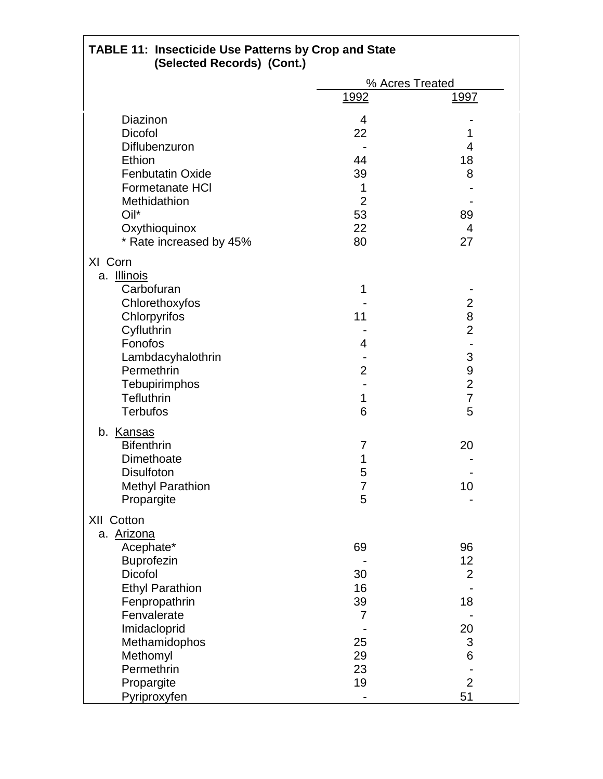| <b>TABLE 11: Insecticide Use Patterns by Crop and State</b><br>(Selected Records) (Cont.) |                |                           |  |
|-------------------------------------------------------------------------------------------|----------------|---------------------------|--|
|                                                                                           |                | % Acres Treated           |  |
|                                                                                           | <u>1992</u>    | <u> 1997</u>              |  |
| Diazinon                                                                                  | $\overline{4}$ |                           |  |
| Dicofol                                                                                   | 22             | 1                         |  |
| Diflubenzuron                                                                             |                | 4                         |  |
| Ethion                                                                                    | 44             | 18                        |  |
| <b>Fenbutatin Oxide</b>                                                                   | 39             | 8                         |  |
| <b>Formetanate HCI</b>                                                                    | 1              |                           |  |
| Methidathion                                                                              | $\overline{2}$ |                           |  |
| Oil*                                                                                      | 53             | 89                        |  |
| Oxythioquinox                                                                             | 22             | $\overline{4}$            |  |
| * Rate increased by 45%                                                                   | 80             | 27                        |  |
| XI Corn                                                                                   |                |                           |  |
| a. <b>Illinois</b>                                                                        |                |                           |  |
| Carbofuran                                                                                | 1              |                           |  |
| Chlorethoxyfos                                                                            |                | $\overline{2}$            |  |
| Chlorpyrifos                                                                              | 11             | 8                         |  |
| Cyfluthrin                                                                                |                | $\overline{2}$            |  |
| Fonofos                                                                                   | 4              |                           |  |
| Lambdacyhalothrin                                                                         |                | 3                         |  |
| Permethrin                                                                                | $\overline{2}$ | 9                         |  |
| Tebupirimphos                                                                             |                | $\overline{2}$            |  |
| <b>Tefluthrin</b>                                                                         | 1              | $\overline{7}$            |  |
| <b>Terbufos</b>                                                                           | 6              | 5                         |  |
|                                                                                           |                |                           |  |
| b. Kansas                                                                                 |                |                           |  |
| <b>Bifenthrin</b>                                                                         | 7              | 20                        |  |
| Dimethoate                                                                                | 1              |                           |  |
| <b>Disulfoton</b>                                                                         | 5              |                           |  |
| <b>Methyl Parathion</b>                                                                   | 7              | 10                        |  |
| Propargite                                                                                | 5              |                           |  |
| XII Cotton                                                                                |                |                           |  |
| a. Arizona                                                                                |                |                           |  |
| Acephate*                                                                                 | 69             | 96                        |  |
| <b>Buprofezin</b>                                                                         |                | 12                        |  |
| <b>Dicofol</b>                                                                            | 30             | $\overline{2}$            |  |
| <b>Ethyl Parathion</b>                                                                    | 16             |                           |  |
| Fenpropathrin                                                                             | 39             | 18                        |  |
| Fenvalerate                                                                               | 7              |                           |  |
| Imidacloprid                                                                              |                | 20                        |  |
| Methamidophos                                                                             | 25             | $\ensuremath{\mathsf{3}}$ |  |
| Methomyl                                                                                  | 29             | 6                         |  |
| Permethrin                                                                                | 23             |                           |  |
| Propargite                                                                                | 19             | $\overline{2}$            |  |
| Pyriproxyfen                                                                              |                | 51                        |  |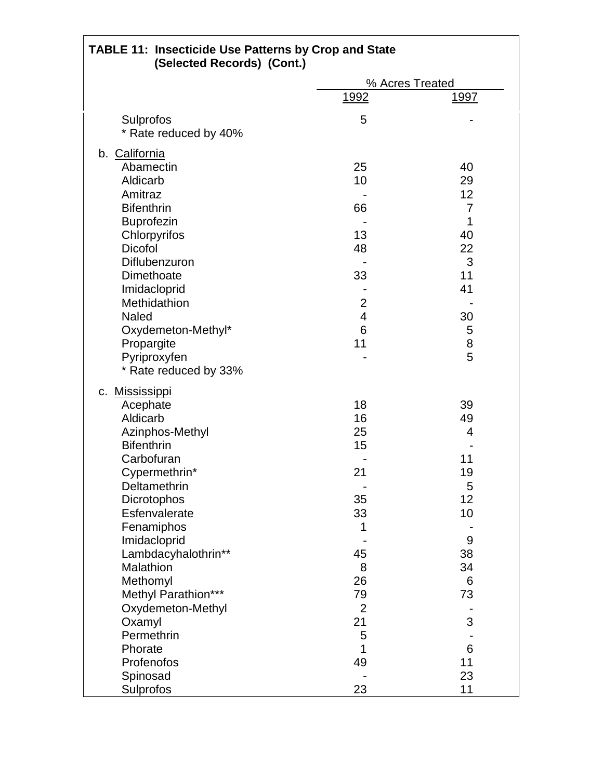| TABLE 11: Insecticide Use Patterns by Crop and State<br>(Selected Records) (Cont.) |                |                 |
|------------------------------------------------------------------------------------|----------------|-----------------|
|                                                                                    |                | % Acres Treated |
|                                                                                    | 1992           | <u> 1997</u>    |
| Sulprofos                                                                          | 5              |                 |
| * Rate reduced by 40%                                                              |                |                 |
| b. California                                                                      |                |                 |
| Abamectin                                                                          | 25             | 40              |
| Aldicarb                                                                           | 10             | 29              |
| Amitraz                                                                            |                | 12              |
| <b>Bifenthrin</b>                                                                  | 66             | $\overline{7}$  |
| <b>Buprofezin</b>                                                                  |                | 1               |
| Chlorpyrifos                                                                       | 13             | 40              |
| <b>Dicofol</b>                                                                     | 48             | 22              |
| Diflubenzuron                                                                      |                | 3               |
| Dimethoate                                                                         | 33             | 11              |
| Imidacloprid                                                                       |                | 41              |
| Methidathion                                                                       | $\overline{2}$ |                 |
| <b>Naled</b>                                                                       | $\overline{4}$ | 30              |
| Oxydemeton-Methyl*                                                                 | 6              | 5               |
| Propargite                                                                         | 11             | 8               |
| Pyriproxyfen                                                                       |                | 5               |
| * Rate reduced by 33%                                                              |                |                 |
| c. Mississippi                                                                     |                |                 |
| Acephate                                                                           | 18             | 39              |
| Aldicarb                                                                           | 16             | 49              |
| Azinphos-Methyl                                                                    | 25             | 4               |
| <b>Bifenthrin</b>                                                                  | 15             |                 |
| Carbofuran                                                                         |                | 11              |
| Cypermethrin*                                                                      | 21             | 19              |
| Deltamethrin                                                                       |                | 5               |
| Dicrotophos                                                                        | 35             | 12              |
| Esfenvalerate                                                                      | 33             | 10              |
| Fenamiphos                                                                         | 1              |                 |
| Imidacloprid                                                                       |                | 9               |
| Lambdacyhalothrin**                                                                | 45             | 38              |
| Malathion                                                                          | 8              | 34              |
| Methomyl                                                                           | 26             | 6               |
| Methyl Parathion***                                                                | 79             | 73              |
| Oxydemeton-Methyl                                                                  | $\overline{2}$ |                 |
| Oxamyl                                                                             | 21             | 3               |
| Permethrin                                                                         | 5              |                 |
| Phorate                                                                            | 1              | 6               |
| Profenofos                                                                         | 49             | 11              |
| Spinosad                                                                           |                | 23              |
| Sulprofos                                                                          | 23             | 11              |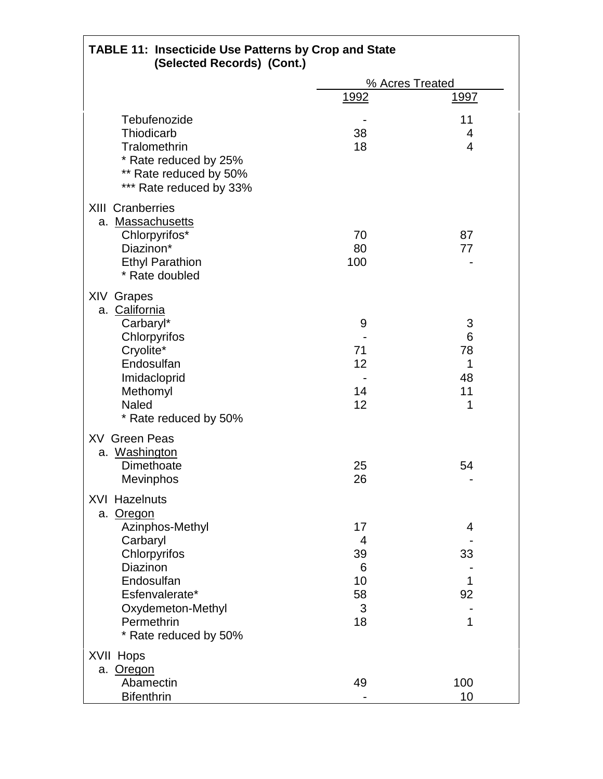| <b>TABLE 11: Insecticide Use Patterns by Crop and State</b><br>(Selected Records) (Cont.)                                                                                                |                                           |                                    |
|------------------------------------------------------------------------------------------------------------------------------------------------------------------------------------------|-------------------------------------------|------------------------------------|
|                                                                                                                                                                                          |                                           | % Acres Treated                    |
|                                                                                                                                                                                          | <u>1992</u>                               | <u> 1997 </u>                      |
| Tebufenozide<br>Thiodicarb<br>Tralomethrin<br>* Rate reduced by 25%<br>** Rate reduced by 50%<br>*** Rate reduced by 33%                                                                 | 38<br>18                                  | 11<br>4<br>$\overline{4}$          |
| <b>XIII Cranberries</b><br>a. Massachusetts<br>Chlorpyrifos*<br>Diazinon*<br><b>Ethyl Parathion</b><br>* Rate doubled                                                                    | 70<br>80<br>100                           | 87<br>77                           |
| XIV Grapes<br>a. California<br>Carbaryl*<br>Chlorpyrifos<br>Cryolite*<br>Endosulfan<br>Imidacloprid<br>Methomyl<br><b>Naled</b><br>* Rate reduced by 50%                                 | 9<br>71<br>12<br>14<br>12                 | 3<br>6<br>78<br>1<br>48<br>11<br>1 |
| <b>XV</b> Green Peas<br>a. Washington<br>Dimethoate<br>Mevinphos                                                                                                                         | 25<br>26                                  | 54                                 |
| <b>XVI Hazelnuts</b><br>a. Oregon<br>Azinphos-Methyl<br>Carbaryl<br>Chlorpyrifos<br>Diazinon<br>Endosulfan<br>Esfenvalerate*<br>Oxydemeton-Methyl<br>Permethrin<br>* Rate reduced by 50% | 17<br>4<br>39<br>6<br>10<br>58<br>3<br>18 | 4<br>33<br>1<br>92<br>1            |
| XVII Hops<br>a. Oregon<br>Abamectin<br><b>Bifenthrin</b>                                                                                                                                 | 49                                        | 100<br>10                          |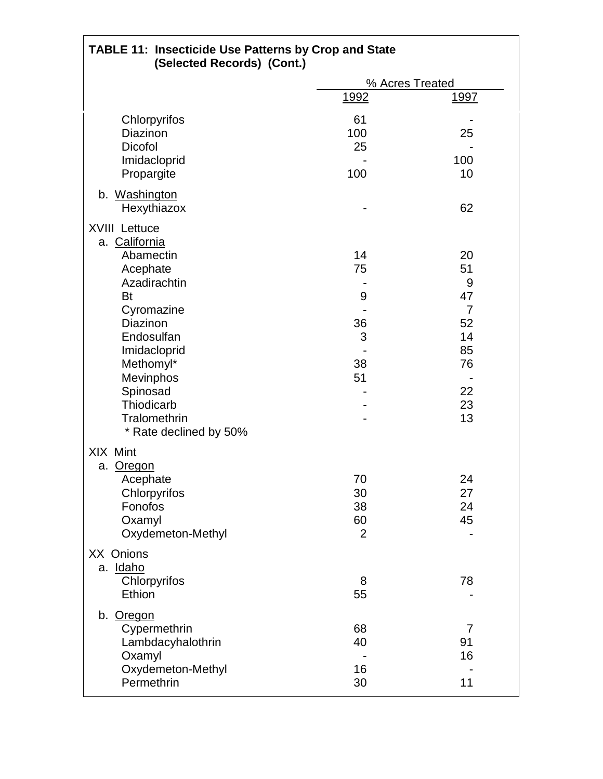| <b>TABLE 11: Insecticide Use Patterns by Crop and State</b><br>(Selected Records) (Cont.)                                                                                                                                                         |                                        |                                                                                 |
|---------------------------------------------------------------------------------------------------------------------------------------------------------------------------------------------------------------------------------------------------|----------------------------------------|---------------------------------------------------------------------------------|
|                                                                                                                                                                                                                                                   |                                        | % Acres Treated                                                                 |
|                                                                                                                                                                                                                                                   | <u>1992</u>                            | <u> 1997 </u>                                                                   |
| Chlorpyrifos<br>Diazinon<br><b>Dicofol</b><br>Imidacloprid                                                                                                                                                                                        | 61<br>100<br>25                        | 25<br>100                                                                       |
| Propargite                                                                                                                                                                                                                                        | 100                                    | 10                                                                              |
| b. Washington<br>Hexythiazox                                                                                                                                                                                                                      |                                        | 62                                                                              |
| <b>XVIII Lettuce</b><br>a. California<br>Abamectin<br>Acephate<br>Azadirachtin<br><b>Bt</b><br>Cyromazine<br>Diazinon<br>Endosulfan<br>Imidacloprid<br>Methomyl*<br>Mevinphos<br>Spinosad<br>Thiodicarb<br>Tralomethrin<br>* Rate declined by 50% | 14<br>75<br>9<br>36<br>3<br>38<br>51   | 20<br>51<br>9<br>47<br>$\overline{7}$<br>52<br>14<br>85<br>76<br>22<br>23<br>13 |
| XIX Mint<br>a. Oregon<br>Acephate<br>Chlorpyrifos<br>Fonofos<br>Oxamyl<br>Oxydemeton-Methyl                                                                                                                                                       | 70<br>30<br>38<br>60<br>$\overline{2}$ | 24<br>27<br>24<br>45                                                            |
| XX Onions<br>a. Idaho<br>Chlorpyrifos<br>Ethion                                                                                                                                                                                                   | 8<br>55                                | 78                                                                              |
| b. Oregon<br>Cypermethrin<br>Lambdacyhalothrin<br>Oxamyl<br>Oxydemeton-Methyl                                                                                                                                                                     | 68<br>40<br>16                         | $\overline{7}$<br>91<br>16                                                      |
| Permethrin                                                                                                                                                                                                                                        | 30                                     | 11                                                                              |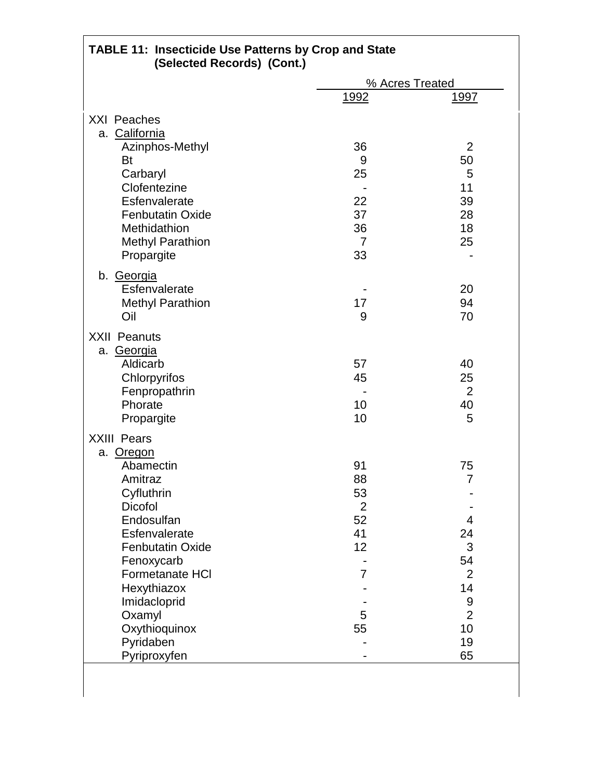| <b>TABLE 11: Insecticide Use Patterns by Crop and State</b><br>(Selected Records) (Cont.)               |                      |                                       |
|---------------------------------------------------------------------------------------------------------|----------------------|---------------------------------------|
|                                                                                                         |                      | % Acres Treated                       |
|                                                                                                         | 1992                 | <u> 1997 </u>                         |
| <b>XXI Peaches</b>                                                                                      |                      |                                       |
| a. California                                                                                           |                      |                                       |
| Azinphos-Methyl                                                                                         | 36                   | $\overline{2}$                        |
| <b>Bt</b>                                                                                               | 9                    | 50                                    |
| Carbaryl                                                                                                | 25                   | 5                                     |
| Clofentezine                                                                                            |                      | 11                                    |
| Esfenvalerate                                                                                           | 22                   | 39                                    |
| <b>Fenbutatin Oxide</b>                                                                                 | 37                   | 28                                    |
| Methidathion                                                                                            | 36                   | 18                                    |
| <b>Methyl Parathion</b>                                                                                 | 7                    | 25                                    |
| Propargite                                                                                              | 33                   |                                       |
| b. Georgia                                                                                              |                      |                                       |
| Esfenvalerate                                                                                           |                      | 20                                    |
| <b>Methyl Parathion</b>                                                                                 | 17                   | 94                                    |
| Oil                                                                                                     | 9                    | 70                                    |
| <b>XXII Peanuts</b><br>a. Georgia<br>Aldicarb<br>Chlorpyrifos<br>Fenpropathrin<br>Phorate<br>Propargite | 57<br>45<br>10<br>10 | 40<br>25<br>$\overline{2}$<br>40<br>5 |
| <b>XXIII Pears</b>                                                                                      |                      |                                       |
| a. Oregon                                                                                               |                      |                                       |
| Abamectin                                                                                               | 91                   | 75                                    |
| Amitraz                                                                                                 | 88                   | $\overline{7}$                        |
| Cyfluthrin                                                                                              | 53                   |                                       |
| <b>Dicofol</b>                                                                                          | $\overline{2}$       |                                       |
| Endosulfan                                                                                              | 52                   | 4                                     |
| Esfenvalerate                                                                                           | 41                   | 24                                    |
| <b>Fenbutatin Oxide</b>                                                                                 | 12                   | 3                                     |
| Fenoxycarb                                                                                              |                      | 54                                    |
| Formetanate HCI                                                                                         | 7                    | $\overline{2}$                        |
| Hexythiazox                                                                                             |                      | 14                                    |
| Imidacloprid                                                                                            |                      | 9                                     |
| Oxamyl                                                                                                  | 5                    | $\overline{2}$                        |
| Oxythioquinox                                                                                           | 55                   | 10                                    |
| Pyridaben                                                                                               |                      | 19                                    |
| Pyriproxyfen                                                                                            |                      | 65                                    |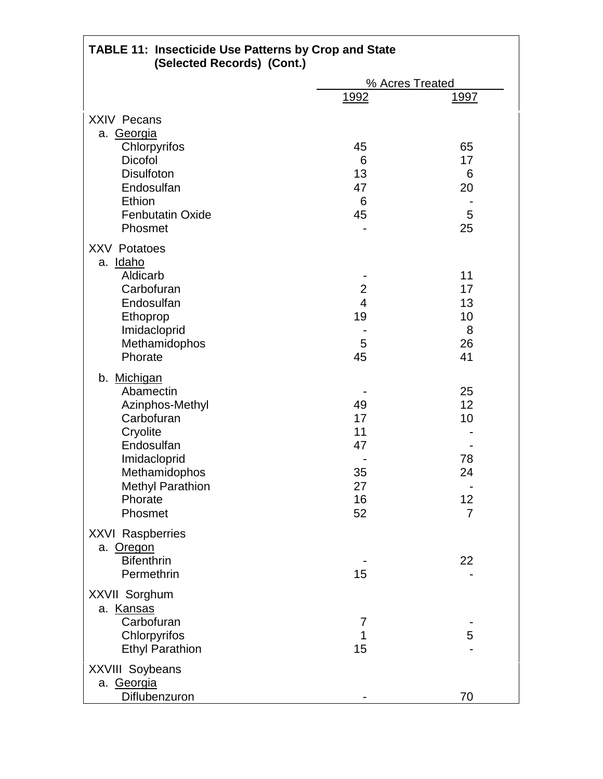| <b>TABLE 11: Insecticide Use Patterns by Crop and State</b><br>(Selected Records) (Cont.)                                                                             |                                              |                                                    |
|-----------------------------------------------------------------------------------------------------------------------------------------------------------------------|----------------------------------------------|----------------------------------------------------|
|                                                                                                                                                                       |                                              | % Acres Treated                                    |
|                                                                                                                                                                       | 1992                                         | <u>1997</u>                                        |
| <b>XXIV Pecans</b><br>a. Georgia                                                                                                                                      |                                              |                                                    |
| Chlorpyrifos                                                                                                                                                          | 45                                           | 65                                                 |
| <b>Dicofol</b>                                                                                                                                                        | 6                                            | 17                                                 |
| <b>Disulfoton</b>                                                                                                                                                     | 13                                           | 6                                                  |
| Endosulfan<br>Ethion                                                                                                                                                  | 47<br>6                                      | 20                                                 |
| <b>Fenbutatin Oxide</b>                                                                                                                                               | 45                                           | 5                                                  |
| Phosmet                                                                                                                                                               |                                              | 25                                                 |
| <b>XXV Potatoes</b>                                                                                                                                                   |                                              |                                                    |
| a. Idaho<br>Aldicarb                                                                                                                                                  |                                              | 11                                                 |
| Carbofuran                                                                                                                                                            | $\overline{c}$                               | 17                                                 |
| Endosulfan                                                                                                                                                            | $\overline{\mathbf{4}}$                      | 13                                                 |
| Ethoprop                                                                                                                                                              | 19                                           | 10                                                 |
| Imidacloprid                                                                                                                                                          |                                              | 8                                                  |
| Methamidophos                                                                                                                                                         | 5                                            | 26                                                 |
| Phorate                                                                                                                                                               | 45                                           | 41                                                 |
| b. Michigan<br>Abamectin<br>Azinphos-Methyl<br>Carbofuran<br>Cryolite<br>Endosulfan<br>Imidacloprid<br>Methamidophos<br><b>Methyl Parathion</b><br>Phorate<br>Phosmet | 49<br>17<br>11<br>47<br>35<br>27<br>16<br>52 | 25<br>12<br>10<br>78<br>24<br>12<br>$\overline{7}$ |
| <b>XXVI Raspberries</b><br>a. Oregon<br><b>Bifenthrin</b><br>Permethrin                                                                                               | 15                                           | 22                                                 |
| XXVII Sorghum<br>a. Kansas<br>Carbofuran<br>Chlorpyrifos<br><b>Ethyl Parathion</b>                                                                                    | 7<br>1<br>15                                 | 5                                                  |
| <b>XXVIII Soybeans</b><br>a. Georgia<br>Diflubenzuron                                                                                                                 |                                              | 70                                                 |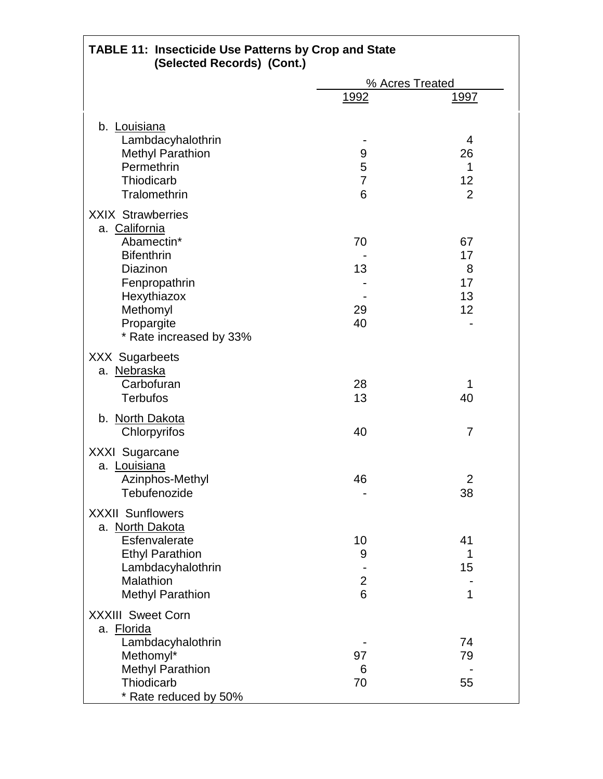| <b>TABLE 11: Insecticide Use Patterns by Crop and State</b><br>(Selected Records) (Cont.)                                                          |                                |                                 |
|----------------------------------------------------------------------------------------------------------------------------------------------------|--------------------------------|---------------------------------|
|                                                                                                                                                    |                                | % Acres Treated                 |
|                                                                                                                                                    | 1992                           | <u> 1997 </u>                   |
| b. Louisiana<br>Lambdacyhalothrin<br><b>Methyl Parathion</b><br>Permethrin<br>Thiodicarb<br>Tralomethrin                                           | 9<br>5<br>$\overline{7}$<br>6  | 4<br>26<br>1<br>12<br>2         |
| <b>XXIX Strawberries</b><br>a. California<br>Abamectin*<br><b>Bifenthrin</b><br>Diazinon<br>Fenpropathrin<br>Hexythiazox<br>Methomyl               | 70<br>13<br>29                 | 67<br>17<br>8<br>17<br>13<br>12 |
| Propargite<br>* Rate increased by 33%                                                                                                              | 40                             |                                 |
| <b>XXX Sugarbeets</b><br>a. Nebraska<br>Carbofuran<br><b>Terbufos</b>                                                                              | 28<br>13                       | 1<br>40                         |
| b. North Dakota<br>Chlorpyrifos                                                                                                                    | 40                             | $\overline{7}$                  |
| <b>XXXI Sugarcane</b><br>a. Louisiana<br>Azinphos-Methyl<br>Tebufenozide                                                                           | 46                             | $\overline{2}$<br>38            |
| <b>XXXII Sunflowers</b><br>a. North Dakota<br>Esfenvalerate<br><b>Ethyl Parathion</b><br>Lambdacyhalothrin<br>Malathion<br><b>Methyl Parathion</b> | 10<br>9<br>$\overline{c}$<br>6 | 41<br>1<br>15<br>$\mathbf{1}$   |
| <b>XXXIII Sweet Corn</b><br>a. Florida<br>Lambdacyhalothrin<br>Methomyl*<br><b>Methyl Parathion</b><br>Thiodicarb<br>* Rate reduced by 50%         | 97<br>6<br>70                  | 74<br>79<br>55                  |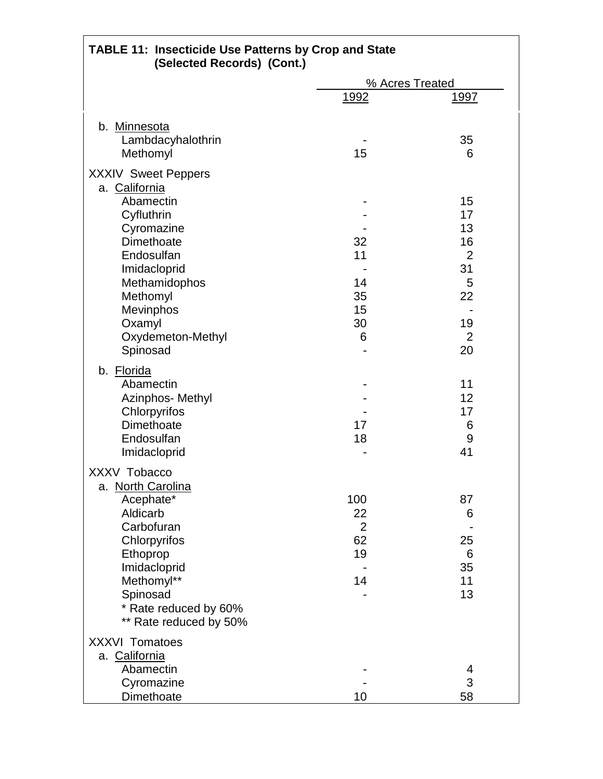| <b>TABLE 11: Insecticide Use Patterns by Crop and State</b><br>(Selected Records) (Cont.)                                                                                                                 |                                               |                                                                                 |
|-----------------------------------------------------------------------------------------------------------------------------------------------------------------------------------------------------------|-----------------------------------------------|---------------------------------------------------------------------------------|
|                                                                                                                                                                                                           |                                               | % Acres Treated                                                                 |
|                                                                                                                                                                                                           | 1992                                          | <u> 1997 </u>                                                                   |
| b. Minnesota<br>Lambdacyhalothrin<br>Methomyl                                                                                                                                                             | 15                                            | 35<br>6                                                                         |
| <b>XXXIV Sweet Peppers</b><br>a. California<br>Abamectin<br>Cyfluthrin<br>Cyromazine<br>Dimethoate<br>Endosulfan<br>Imidacloprid<br>Methamidophos<br>Methomyl<br>Mevinphos<br>Oxamyl<br>Oxydemeton-Methyl | 32<br>11<br>14<br>35<br>15<br>30<br>6         | 15<br>17<br>13<br>16<br>$\overline{2}$<br>31<br>5<br>22<br>19<br>$\overline{2}$ |
| Spinosad<br>b. Florida<br>Abamectin<br>Azinphos- Methyl<br>Chlorpyrifos<br>Dimethoate<br>Endosulfan<br>Imidacloprid                                                                                       | 17<br>18                                      | 20<br>11<br>12<br>17<br>6<br>9<br>41                                            |
| XXXV Tobacco<br>a. North Carolina<br>Acephate*<br>Aldicarb<br>Carbofuran<br>Chlorpyrifos<br>Ethoprop<br>Imidacloprid<br>Methomyl**<br>Spinosad<br>* Rate reduced by 60%<br>** Rate reduced by 50%         | 100<br>22<br>$\overline{2}$<br>62<br>19<br>14 | 87<br>6<br>25<br>6<br>35<br>11<br>13                                            |
| <b>XXXVI Tomatoes</b><br>a. California<br>Abamectin<br>Cyromazine<br>Dimethoate                                                                                                                           | 10                                            | 4<br>3<br>58                                                                    |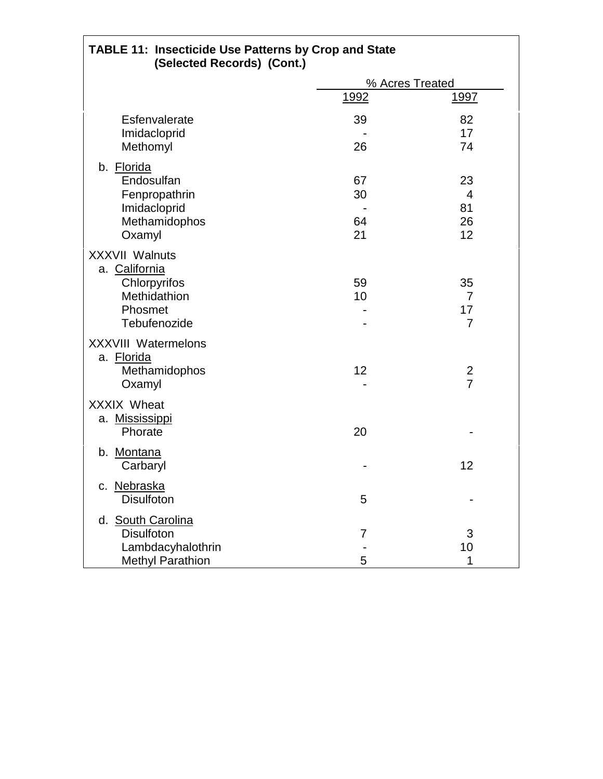| <b>TABLE 11: Insecticide Use Patterns by Crop and State</b><br>(Selected Records) (Cont.) |             |                 |  |
|-------------------------------------------------------------------------------------------|-------------|-----------------|--|
|                                                                                           |             | % Acres Treated |  |
|                                                                                           | <u>1992</u> | <u> 1997 </u>   |  |
| Esfenvalerate                                                                             | 39          | 82              |  |
| Imidacloprid<br>Methomyl                                                                  | 26          | 17<br>74        |  |
|                                                                                           |             |                 |  |
| b. Florida<br>Endosulfan                                                                  | 67          | 23              |  |
| Fenpropathrin                                                                             | 30          | 4               |  |
| Imidacloprid                                                                              |             | 81              |  |
| Methamidophos                                                                             | 64          | 26              |  |
| Oxamyl                                                                                    | 21          | 12              |  |
| <b>XXXVII Walnuts</b><br>a. California                                                    |             |                 |  |
| Chlorpyrifos                                                                              | 59          | 35              |  |
| Methidathion                                                                              | 10          | $\overline{7}$  |  |
| Phosmet                                                                                   |             | 17              |  |
| Tebufenozide                                                                              |             | $\overline{7}$  |  |
| <b>XXXVIII Watermelons</b>                                                                |             |                 |  |
| a. Florida<br>Methamidophos                                                               | 12          | 2               |  |
| Oxamyl                                                                                    |             | $\overline{7}$  |  |
| <b>XXXIX Wheat</b>                                                                        |             |                 |  |
| a. Mississippi                                                                            |             |                 |  |
| Phorate                                                                                   | 20          |                 |  |
| b. Montana                                                                                |             |                 |  |
| Carbaryl                                                                                  |             | 12              |  |
| c. Nebraska                                                                               |             |                 |  |
| <b>Disulfoton</b>                                                                         | 5           |                 |  |
| d. South Carolina                                                                         |             |                 |  |
| <b>Disulfoton</b>                                                                         | 7           | 3               |  |
| Lambdacyhalothrin                                                                         |             | 10              |  |
| <b>Methyl Parathion</b>                                                                   | 5           | 1               |  |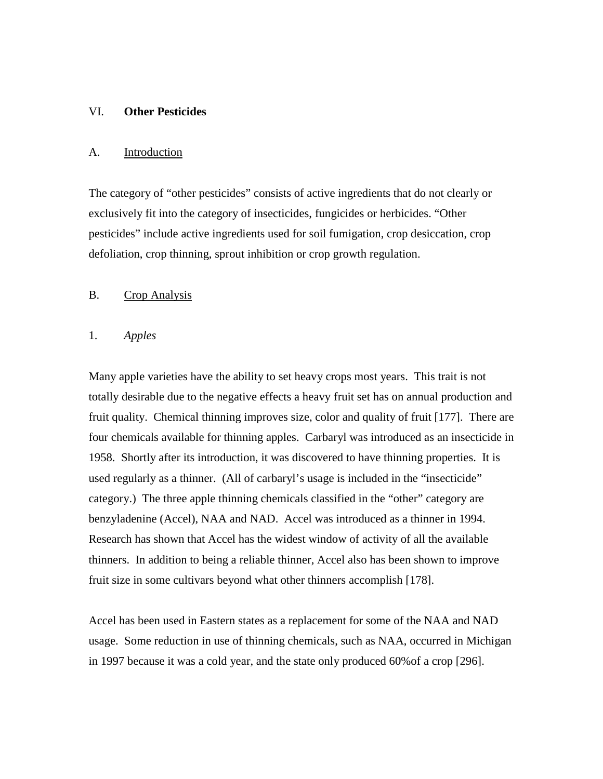#### VI. **Other Pesticides**

#### A. Introduction

The category of "other pesticides" consists of active ingredients that do not clearly or exclusively fit into the category of insecticides, fungicides or herbicides. "Other pesticides" include active ingredients used for soil fumigation, crop desiccation, crop defoliation, crop thinning, sprout inhibition or crop growth regulation.

#### B. Crop Analysis

#### 1. *Apples*

Many apple varieties have the ability to set heavy crops most years. This trait is not totally desirable due to the negative effects a heavy fruit set has on annual production and fruit quality. Chemical thinning improves size, color and quality of fruit [177]. There are four chemicals available for thinning apples. Carbaryl was introduced as an insecticide in 1958. Shortly after its introduction, it was discovered to have thinning properties. It is used regularly as a thinner. (All of carbaryl's usage is included in the "insecticide" category.) The three apple thinning chemicals classified in the "other" category are benzyladenine (Accel), NAA and NAD. Accel was introduced as a thinner in 1994. Research has shown that Accel has the widest window of activity of all the available thinners. In addition to being a reliable thinner, Accel also has been shown to improve fruit size in some cultivars beyond what other thinners accomplish [178].

Accel has been used in Eastern states as a replacement for some of the NAA and NAD usage. Some reduction in use of thinning chemicals, such as NAA, occurred in Michigan in 1997 because it was a cold year, and the state only produced 60%of a crop [296].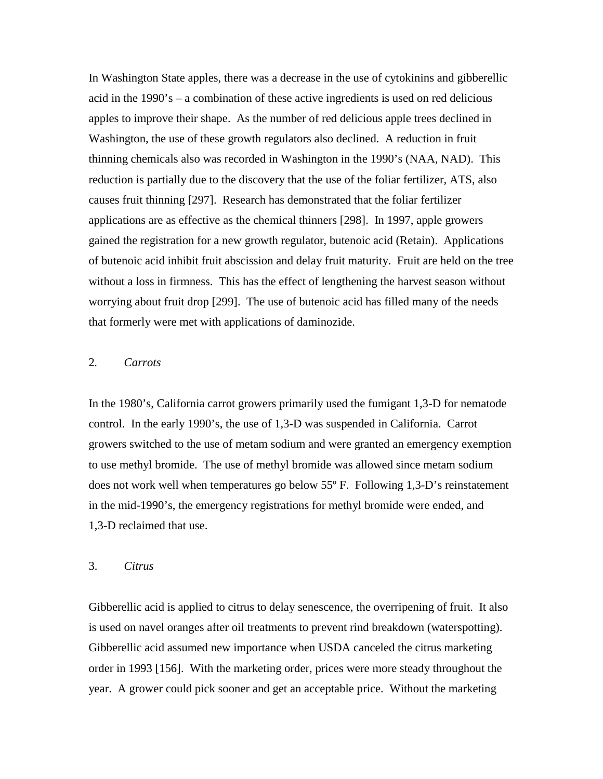In Washington State apples, there was a decrease in the use of cytokinins and gibberellic acid in the 1990's – a combination of these active ingredients is used on red delicious apples to improve their shape. As the number of red delicious apple trees declined in Washington, the use of these growth regulators also declined. A reduction in fruit thinning chemicals also was recorded in Washington in the 1990's (NAA, NAD). This reduction is partially due to the discovery that the use of the foliar fertilizer, ATS, also causes fruit thinning [297]. Research has demonstrated that the foliar fertilizer applications are as effective as the chemical thinners [298]. In 1997, apple growers gained the registration for a new growth regulator, butenoic acid (Retain). Applications of butenoic acid inhibit fruit abscission and delay fruit maturity. Fruit are held on the tree without a loss in firmness. This has the effect of lengthening the harvest season without worrying about fruit drop [299]. The use of butenoic acid has filled many of the needs that formerly were met with applications of daminozide.

# 2*. Carrots*

In the 1980's, California carrot growers primarily used the fumigant 1,3-D for nematode control. In the early 1990's, the use of 1,3-D was suspended in California. Carrot growers switched to the use of metam sodium and were granted an emergency exemption to use methyl bromide. The use of methyl bromide was allowed since metam sodium does not work well when temperatures go below 55º F. Following 1,3-D's reinstatement in the mid-1990's, the emergency registrations for methyl bromide were ended, and 1,3-D reclaimed that use.

#### 3. *Citrus*

Gibberellic acid is applied to citrus to delay senescence, the overripening of fruit. It also is used on navel oranges after oil treatments to prevent rind breakdown (waterspotting). Gibberellic acid assumed new importance when USDA canceled the citrus marketing order in 1993 [156]. With the marketing order, prices were more steady throughout the year. A grower could pick sooner and get an acceptable price. Without the marketing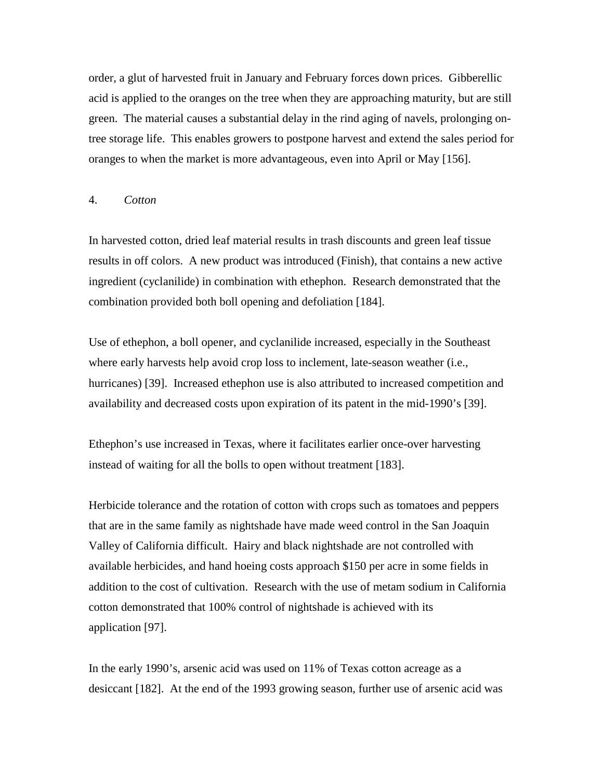order, a glut of harvested fruit in January and February forces down prices. Gibberellic acid is applied to the oranges on the tree when they are approaching maturity, but are still green. The material causes a substantial delay in the rind aging of navels, prolonging ontree storage life. This enables growers to postpone harvest and extend the sales period for oranges to when the market is more advantageous, even into April or May [156].

#### 4. *Cotton*

In harvested cotton, dried leaf material results in trash discounts and green leaf tissue results in off colors. A new product was introduced (Finish), that contains a new active ingredient (cyclanilide) in combination with ethephon. Research demonstrated that the combination provided both boll opening and defoliation [184].

Use of ethephon, a boll opener, and cyclanilide increased, especially in the Southeast where early harvests help avoid crop loss to inclement, late-season weather (i.e., hurricanes) [39]. Increased ethephon use is also attributed to increased competition and availability and decreased costs upon expiration of its patent in the mid-1990's [39].

Ethephon's use increased in Texas, where it facilitates earlier once-over harvesting instead of waiting for all the bolls to open without treatment [183].

Herbicide tolerance and the rotation of cotton with crops such as tomatoes and peppers that are in the same family as nightshade have made weed control in the San Joaquin Valley of California difficult. Hairy and black nightshade are not controlled with available herbicides, and hand hoeing costs approach \$150 per acre in some fields in addition to the cost of cultivation. Research with the use of metam sodium in California cotton demonstrated that 100% control of nightshade is achieved with its application [97].

In the early 1990's, arsenic acid was used on 11% of Texas cotton acreage as a desiccant [182]. At the end of the 1993 growing season, further use of arsenic acid was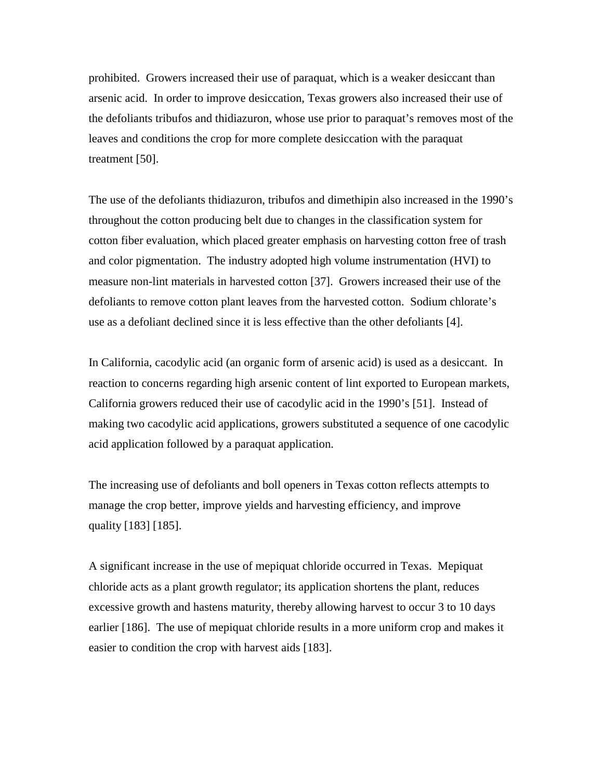prohibited. Growers increased their use of paraquat, which is a weaker desiccant than arsenic acid. In order to improve desiccation, Texas growers also increased their use of the defoliants tribufos and thidiazuron, whose use prior to paraquat's removes most of the leaves and conditions the crop for more complete desiccation with the paraquat treatment [50].

The use of the defoliants thidiazuron, tribufos and dimethipin also increased in the 1990's throughout the cotton producing belt due to changes in the classification system for cotton fiber evaluation, which placed greater emphasis on harvesting cotton free of trash and color pigmentation. The industry adopted high volume instrumentation (HVI) to measure non-lint materials in harvested cotton [37]. Growers increased their use of the defoliants to remove cotton plant leaves from the harvested cotton. Sodium chlorate's use as a defoliant declined since it is less effective than the other defoliants [4].

In California, cacodylic acid (an organic form of arsenic acid) is used as a desiccant. In reaction to concerns regarding high arsenic content of lint exported to European markets, California growers reduced their use of cacodylic acid in the 1990's [51]. Instead of making two cacodylic acid applications, growers substituted a sequence of one cacodylic acid application followed by a paraquat application.

The increasing use of defoliants and boll openers in Texas cotton reflects attempts to manage the crop better, improve yields and harvesting efficiency, and improve quality [183] [185].

A significant increase in the use of mepiquat chloride occurred in Texas. Mepiquat chloride acts as a plant growth regulator; its application shortens the plant, reduces excessive growth and hastens maturity, thereby allowing harvest to occur 3 to 10 days earlier [186]. The use of mepiquat chloride results in a more uniform crop and makes it easier to condition the crop with harvest aids [183].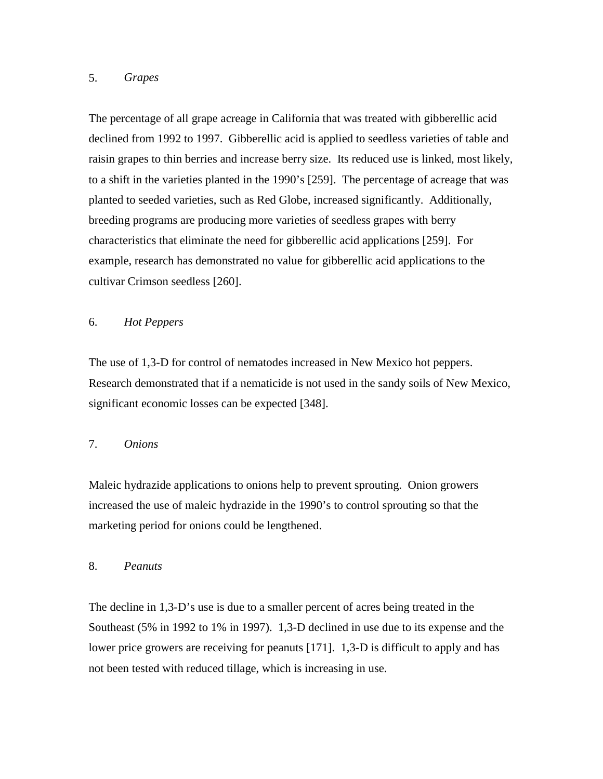## 5. *Grapes*

The percentage of all grape acreage in California that was treated with gibberellic acid declined from 1992 to 1997. Gibberellic acid is applied to seedless varieties of table and raisin grapes to thin berries and increase berry size. Its reduced use is linked, most likely, to a shift in the varieties planted in the 1990's [259]. The percentage of acreage that was planted to seeded varieties, such as Red Globe, increased significantly. Additionally, breeding programs are producing more varieties of seedless grapes with berry characteristics that eliminate the need for gibberellic acid applications [259]. For example, research has demonstrated no value for gibberellic acid applications to the cultivar Crimson seedless [260].

## 6. *Hot Peppers*

The use of 1,3-D for control of nematodes increased in New Mexico hot peppers. Research demonstrated that if a nematicide is not used in the sandy soils of New Mexico, significant economic losses can be expected [348].

# 7. *Onions*

Maleic hydrazide applications to onions help to prevent sprouting. Onion growers increased the use of maleic hydrazide in the 1990's to control sprouting so that the marketing period for onions could be lengthened.

## 8. *Peanuts*

The decline in 1,3-D's use is due to a smaller percent of acres being treated in the Southeast (5% in 1992 to 1% in 1997). 1,3-D declined in use due to its expense and the lower price growers are receiving for peanuts [171]. 1,3-D is difficult to apply and has not been tested with reduced tillage, which is increasing in use.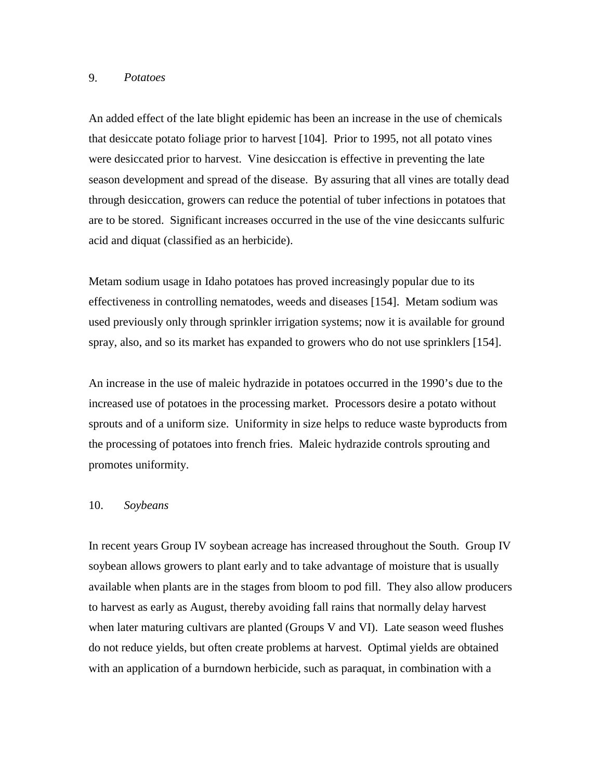#### 9. *Potatoes*

An added effect of the late blight epidemic has been an increase in the use of chemicals that desiccate potato foliage prior to harvest [104]. Prior to 1995, not all potato vines were desiccated prior to harvest. Vine desiccation is effective in preventing the late season development and spread of the disease. By assuring that all vines are totally dead through desiccation, growers can reduce the potential of tuber infections in potatoes that are to be stored. Significant increases occurred in the use of the vine desiccants sulfuric acid and diquat (classified as an herbicide).

Metam sodium usage in Idaho potatoes has proved increasingly popular due to its effectiveness in controlling nematodes, weeds and diseases [154]. Metam sodium was used previously only through sprinkler irrigation systems; now it is available for ground spray, also, and so its market has expanded to growers who do not use sprinklers [154].

An increase in the use of maleic hydrazide in potatoes occurred in the 1990's due to the increased use of potatoes in the processing market. Processors desire a potato without sprouts and of a uniform size. Uniformity in size helps to reduce waste byproducts from the processing of potatoes into french fries. Maleic hydrazide controls sprouting and promotes uniformity.

#### 10. *Soybeans*

In recent years Group IV soybean acreage has increased throughout the South. Group IV soybean allows growers to plant early and to take advantage of moisture that is usually available when plants are in the stages from bloom to pod fill. They also allow producers to harvest as early as August, thereby avoiding fall rains that normally delay harvest when later maturing cultivars are planted (Groups V and VI). Late season weed flushes do not reduce yields, but often create problems at harvest. Optimal yields are obtained with an application of a burndown herbicide, such as paraquat, in combination with a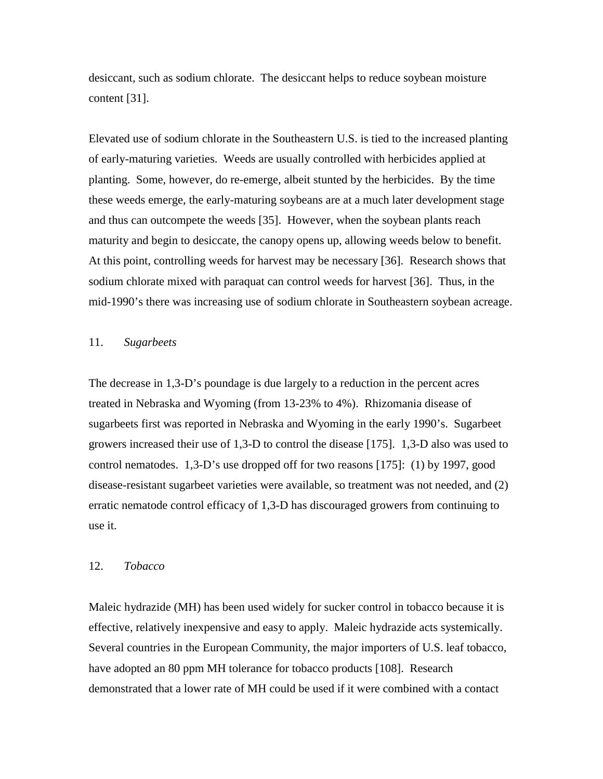desiccant, such as sodium chlorate. The desiccant helps to reduce soybean moisture content [31].

Elevated use of sodium chlorate in the Southeastern U.S. is tied to the increased planting of early-maturing varieties. Weeds are usually controlled with herbicides applied at planting. Some, however, do re-emerge, albeit stunted by the herbicides. By the time these weeds emerge, the early-maturing soybeans are at a much later development stage and thus can outcompete the weeds [35]. However, when the soybean plants reach maturity and begin to desiccate, the canopy opens up, allowing weeds below to benefit. At this point, controlling weeds for harvest may be necessary [36]. Research shows that sodium chlorate mixed with paraquat can control weeds for harvest [36]. Thus, in the mid-1990's there was increasing use of sodium chlorate in Southeastern soybean acreage.

#### 11. *Sugarbeets*

The decrease in 1,3-D's poundage is due largely to a reduction in the percent acres treated in Nebraska and Wyoming (from 13-23% to 4%). Rhizomania disease of sugarbeets first was reported in Nebraska and Wyoming in the early 1990's. Sugarbeet growers increased their use of 1,3-D to control the disease [175]. 1,3-D also was used to control nematodes. 1,3-D's use dropped off for two reasons [175]: (1) by 1997, good disease-resistant sugarbeet varieties were available, so treatment was not needed, and (2) erratic nematode control efficacy of 1,3-D has discouraged growers from continuing to use it.

#### 12. *Tobacco*

Maleic hydrazide (MH) has been used widely for sucker control in tobacco because it is effective, relatively inexpensive and easy to apply. Maleic hydrazide acts systemically. Several countries in the European Community, the major importers of U.S. leaf tobacco, have adopted an 80 ppm MH tolerance for tobacco products [108]. Research demonstrated that a lower rate of MH could be used if it were combined with a contact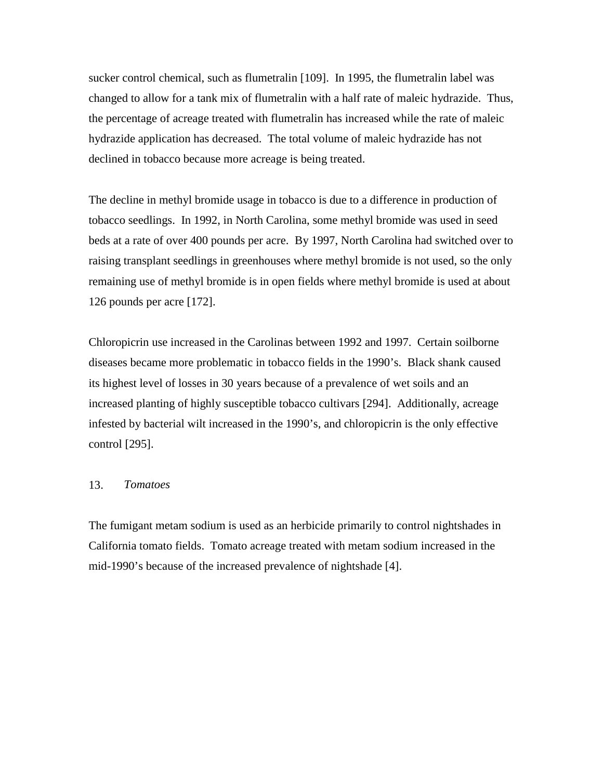sucker control chemical, such as flumetralin [109]. In 1995, the flumetralin label was changed to allow for a tank mix of flumetralin with a half rate of maleic hydrazide. Thus, the percentage of acreage treated with flumetralin has increased while the rate of maleic hydrazide application has decreased. The total volume of maleic hydrazide has not declined in tobacco because more acreage is being treated.

The decline in methyl bromide usage in tobacco is due to a difference in production of tobacco seedlings. In 1992, in North Carolina, some methyl bromide was used in seed beds at a rate of over 400 pounds per acre. By 1997, North Carolina had switched over to raising transplant seedlings in greenhouses where methyl bromide is not used, so the only remaining use of methyl bromide is in open fields where methyl bromide is used at about 126 pounds per acre [172].

Chloropicrin use increased in the Carolinas between 1992 and 1997. Certain soilborne diseases became more problematic in tobacco fields in the 1990's. Black shank caused its highest level of losses in 30 years because of a prevalence of wet soils and an increased planting of highly susceptible tobacco cultivars [294]. Additionally, acreage infested by bacterial wilt increased in the 1990's, and chloropicrin is the only effective control [295].

## 13. *Tomatoes*

The fumigant metam sodium is used as an herbicide primarily to control nightshades in California tomato fields. Tomato acreage treated with metam sodium increased in the mid-1990's because of the increased prevalence of nightshade [4].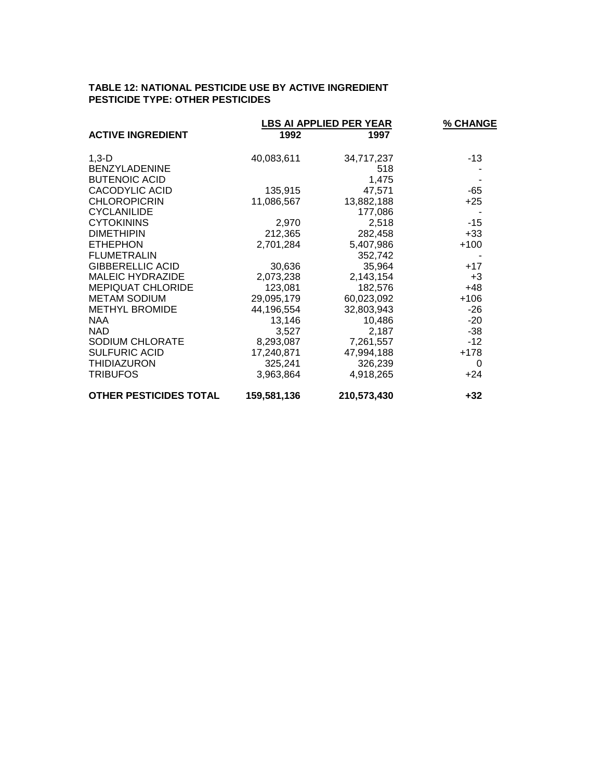#### **TABLE 12: NATIONAL PESTICIDE USE BY ACTIVE INGREDIENT PESTICIDE TYPE: OTHER PESTICIDES**

|                               | <b>LBS AI APPLIED PER YEAR</b> |             | % CHANGE |
|-------------------------------|--------------------------------|-------------|----------|
| <b>ACTIVE INGREDIENT</b>      | 1992                           | 1997        |          |
| $1,3-D$                       | 40,083,611                     | 34,717,237  | -13      |
| <b>BENZYLADENINE</b>          |                                | 518         |          |
| <b>BUTENOIC ACID</b>          |                                | 1,475       |          |
| CACODYLIC ACID                | 135,915                        | 47,571      | $-65$    |
| <b>CHLOROPICRIN</b>           | 11,086,567                     | 13,882,188  | $+25$    |
| <b>CYCLANILIDE</b>            |                                | 177,086     |          |
| <b>CYTOKININS</b>             | 2,970                          | 2,518       | $-15$    |
| <b>DIMETHIPIN</b>             | 212,365                        | 282,458     | $+33$    |
| <b>ETHEPHON</b>               | 2,701,284                      | 5,407,986   | $+100$   |
| <b>FLUMETRALIN</b>            |                                | 352,742     |          |
| <b>GIBBERELLIC ACID</b>       | 30,636                         | 35,964      | $+17$    |
| <b>MALEIC HYDRAZIDE</b>       | 2,073,238                      | 2,143,154   | $+3$     |
| <b>MEPIQUAT CHLORIDE</b>      | 123,081                        | 182,576     | $+48$    |
| <b>METAM SODIUM</b>           | 29,095,179                     | 60,023,092  | $+106$   |
| <b>METHYL BROMIDE</b>         | 44,196,554                     | 32,803,943  | -26      |
| <b>NAA</b>                    | 13,146                         | 10,486      | $-20$    |
| NAD.                          | 3,527                          | 2,187       | $-38$    |
| <b>SODIUM CHLORATE</b>        | 8,293,087                      | 7,261,557   | $-12$    |
| <b>SULFURIC ACID</b>          | 17,240,871                     | 47,994,188  | $+178$   |
| <b>THIDIAZURON</b>            | 325,241                        | 326,239     | 0        |
| <b>TRIBUFOS</b>               | 3,963,864                      | 4,918,265   | $+24$    |
| <b>OTHER PESTICIDES TOTAL</b> | 159,581,136                    | 210,573,430 | $+32$    |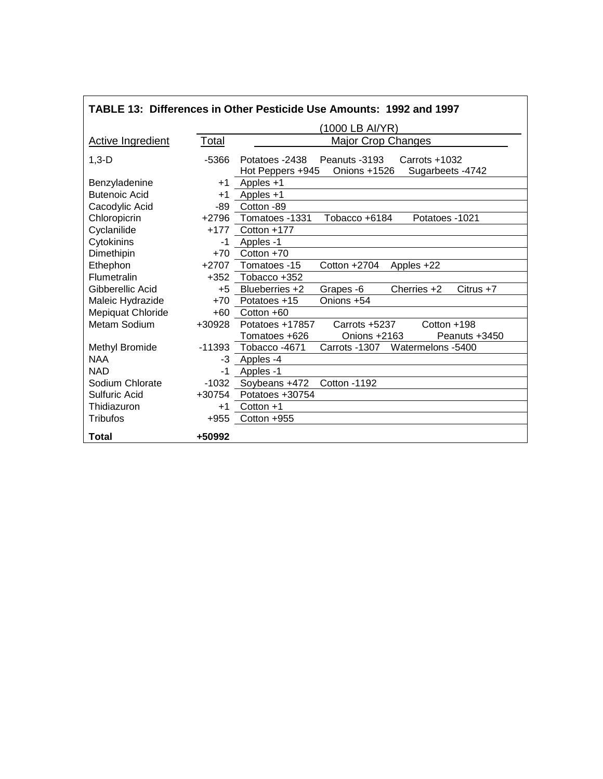| TABLE 13: Differences in Other Pesticide Use Amounts: 1992 and 1997 |          |                                                                                                           |  |  |
|---------------------------------------------------------------------|----------|-----------------------------------------------------------------------------------------------------------|--|--|
|                                                                     |          | (1000 LB AI/YR)                                                                                           |  |  |
| <b>Active Ingredient</b>                                            | Total    | <b>Major Crop Changes</b>                                                                                 |  |  |
| $1,3-D$                                                             | $-5366$  | Potatoes -2438<br>Peanuts -3193<br>Carrots +1032<br>Onions +1526<br>Sugarbeets - 4742<br>Hot Peppers +945 |  |  |
| Benzyladenine                                                       | $+1$     | Apples +1                                                                                                 |  |  |
| <b>Butenoic Acid</b>                                                | $+1$     | Apples +1                                                                                                 |  |  |
| Cacodylic Acid                                                      | -89      | Cotton -89                                                                                                |  |  |
| Chloropicrin                                                        | $+2796$  | Tomatoes -1331<br>Tobacco +6184<br>Potatoes -1021                                                         |  |  |
| Cyclanilide                                                         | $+177$   | Cotton +177                                                                                               |  |  |
| Cytokinins                                                          | $-1$     | Apples -1                                                                                                 |  |  |
| Dimethipin                                                          | $+70$    | Cotton +70                                                                                                |  |  |
| Ethephon                                                            | $+2707$  | Tomatoes -15<br>Cotton +2704<br>Apples +22                                                                |  |  |
| Flumetralin                                                         | +352     | Tobacco +352                                                                                              |  |  |
| Gibberellic Acid                                                    | $+5$     | Blueberries +2<br>Cherries +2<br>$Citrus +7$<br>Grapes -6                                                 |  |  |
| Maleic Hydrazide                                                    | $+70$    | Onions +54<br>Potatoes +15                                                                                |  |  |
| Mepiquat Chloride                                                   | $+60$    | Cotton +60                                                                                                |  |  |
| Metam Sodium                                                        | +30928   | Potatoes +17857<br>Carrots +5237<br>Cotton +198                                                           |  |  |
|                                                                     |          | Tomatoes +626<br>Onions +2163<br>Peanuts +3450                                                            |  |  |
| Methyl Bromide                                                      | $-11393$ | Tobacco-4671<br>Watermelons -5400<br>Carrots -1307                                                        |  |  |
| <b>NAA</b>                                                          | -3       | Apples -4                                                                                                 |  |  |
| <b>NAD</b>                                                          | $-1$     | Apples -1                                                                                                 |  |  |
| Sodium Chlorate                                                     | $-1032$  | Soybeans +472<br><b>Cotton -1192</b>                                                                      |  |  |
| Sulfuric Acid                                                       | +30754   | Potatoes +30754                                                                                           |  |  |
| Thidiazuron                                                         | $+1$     | Cotton $+1$                                                                                               |  |  |
| <b>Tribufos</b>                                                     | $+955$   | Cotton +955                                                                                               |  |  |
| <b>Total</b>                                                        | +50992   |                                                                                                           |  |  |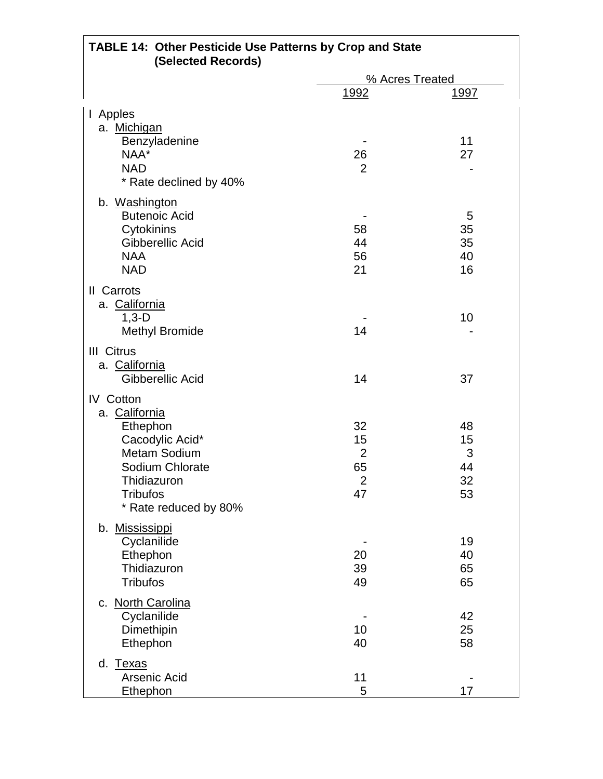| <b>TABLE 14: Other Pesticide Use Patterns by Crop and State</b><br>(Selected Records)                                                                                 |                                                          |                                 |  |  |
|-----------------------------------------------------------------------------------------------------------------------------------------------------------------------|----------------------------------------------------------|---------------------------------|--|--|
|                                                                                                                                                                       | % Acres Treated                                          |                                 |  |  |
|                                                                                                                                                                       | 1992                                                     | <u> 1997 </u>                   |  |  |
| Apples<br>$\mathsf{I}$<br>a. Michigan<br>Benzyladenine<br>NAA*<br><b>NAD</b><br>* Rate declined by 40%                                                                | 26<br>$\overline{2}$                                     | 11<br>27                        |  |  |
| b. Washington<br><b>Butenoic Acid</b><br>Cytokinins<br>Gibberellic Acid<br><b>NAA</b><br><b>NAD</b>                                                                   | 58<br>44<br>56<br>21                                     | 5<br>35<br>35<br>40<br>16       |  |  |
| <b>II</b> Carrots<br>a. California<br>$1,3-D$<br><b>Methyl Bromide</b>                                                                                                | 14                                                       | 10                              |  |  |
| III Citrus<br>a. California<br>Gibberellic Acid                                                                                                                       | 14                                                       | 37                              |  |  |
| <b>IV</b> Cotton<br>a. California<br>Ethephon<br>Cacodylic Acid*<br><b>Metam Sodium</b><br>Sodium Chlorate<br>Thidiazuron<br><b>Tribufos</b><br>* Rate reduced by 80% | 32<br>15<br>$\overline{2}$<br>65<br>$\overline{2}$<br>47 | 48<br>15<br>3<br>44<br>32<br>53 |  |  |
| b. Mississippi<br>Cyclanilide<br>Ethephon<br>Thidiazuron<br><b>Tribufos</b>                                                                                           | 20<br>39<br>49                                           | 19<br>40<br>65<br>65            |  |  |
| c. North Carolina<br>Cyclanilide<br>Dimethipin<br>Ethephon                                                                                                            | 10<br>40                                                 | 42<br>25<br>58                  |  |  |
| d.<br><b>Texas</b><br>Arsenic Acid<br>Ethephon                                                                                                                        | 11<br>5                                                  | 17                              |  |  |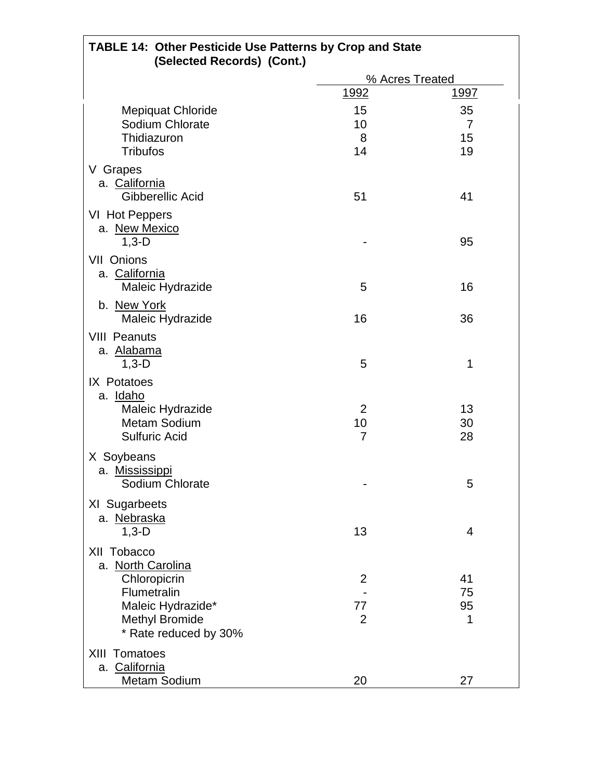| <b>TABLE 14: Other Pesticide Use Patterns by Crop and State</b><br>(Selected Records) (Cont.)                                          |                           |                     |  |
|----------------------------------------------------------------------------------------------------------------------------------------|---------------------------|---------------------|--|
|                                                                                                                                        |                           | % Acres Treated     |  |
|                                                                                                                                        | <u> 1992</u>              | <u> 1997 </u>       |  |
| <b>Mepiquat Chloride</b><br>Sodium Chlorate<br>Thidiazuron<br><b>Tribufos</b>                                                          | 15<br>10<br>8<br>14       | 35<br>7<br>15<br>19 |  |
| V Grapes<br>a. California<br>Gibberellic Acid                                                                                          | 51                        | 41                  |  |
| VI Hot Peppers<br>a. New Mexico<br>$1,3-D$                                                                                             |                           | 95                  |  |
| VII Onions<br>a. California<br>Maleic Hydrazide                                                                                        | 5                         | 16                  |  |
| b. New York<br>Maleic Hydrazide                                                                                                        | 16                        | 36                  |  |
| <b>VIII Peanuts</b><br>a. Alabama<br>$1,3-D$                                                                                           | 5                         | 1                   |  |
| IX Potatoes<br>a. Idaho<br>Maleic Hydrazide<br><b>Metam Sodium</b><br><b>Sulfuric Acid</b>                                             | $\overline{2}$<br>10<br>7 | 13<br>30<br>28      |  |
| X Soybeans<br>a. Mississippi<br>Sodium Chlorate                                                                                        |                           | 5                   |  |
| XI Sugarbeets<br>a. Nebraska<br>$1,3-D$                                                                                                | 13                        | 4                   |  |
| XII Tobacco<br>a. North Carolina<br>Chloropicrin<br>Flumetralin<br>Maleic Hydrazide*<br><b>Methyl Bromide</b><br>* Rate reduced by 30% | 2<br>77<br>$\overline{2}$ | 41<br>75<br>95<br>1 |  |
| <b>XIII Tomatoes</b><br>a. California<br><b>Metam Sodium</b>                                                                           | 20                        | 27                  |  |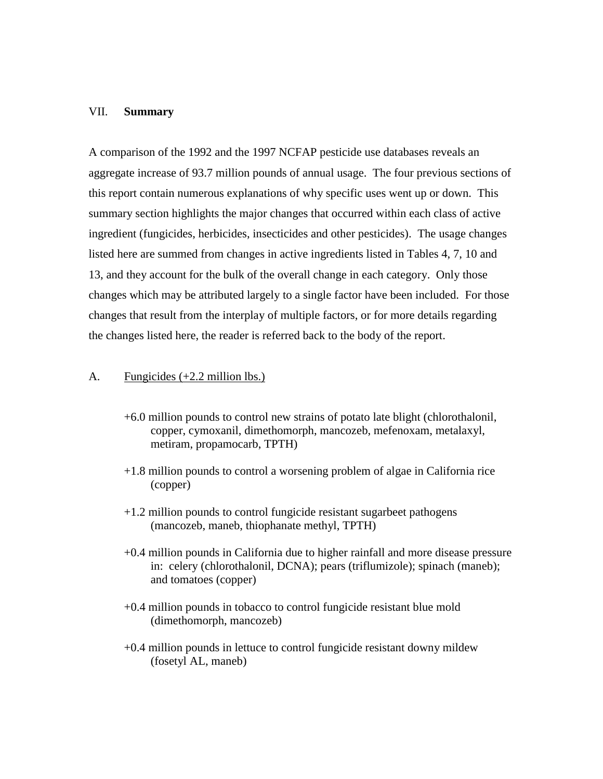#### VII. **Summary**

A comparison of the 1992 and the 1997 NCFAP pesticide use databases reveals an aggregate increase of 93.7 million pounds of annual usage. The four previous sections of this report contain numerous explanations of why specific uses went up or down. This summary section highlights the major changes that occurred within each class of active ingredient (fungicides, herbicides, insecticides and other pesticides). The usage changes listed here are summed from changes in active ingredients listed in Tables 4, 7, 10 and 13, and they account for the bulk of the overall change in each category. Only those changes which may be attributed largely to a single factor have been included. For those changes that result from the interplay of multiple factors, or for more details regarding the changes listed here, the reader is referred back to the body of the report.

#### A. Fungicides (+2.2 million lbs.)

- +6.0 million pounds to control new strains of potato late blight (chlorothalonil, copper, cymoxanil, dimethomorph, mancozeb, mefenoxam, metalaxyl, metiram, propamocarb, TPTH)
- +1.8 million pounds to control a worsening problem of algae in California rice (copper)
- +1.2 million pounds to control fungicide resistant sugarbeet pathogens (mancozeb, maneb, thiophanate methyl, TPTH)
- +0.4 million pounds in California due to higher rainfall and more disease pressure in: celery (chlorothalonil, DCNA); pears (triflumizole); spinach (maneb); and tomatoes (copper)
- +0.4 million pounds in tobacco to control fungicide resistant blue mold (dimethomorph, mancozeb)
- +0.4 million pounds in lettuce to control fungicide resistant downy mildew (fosetyl AL, maneb)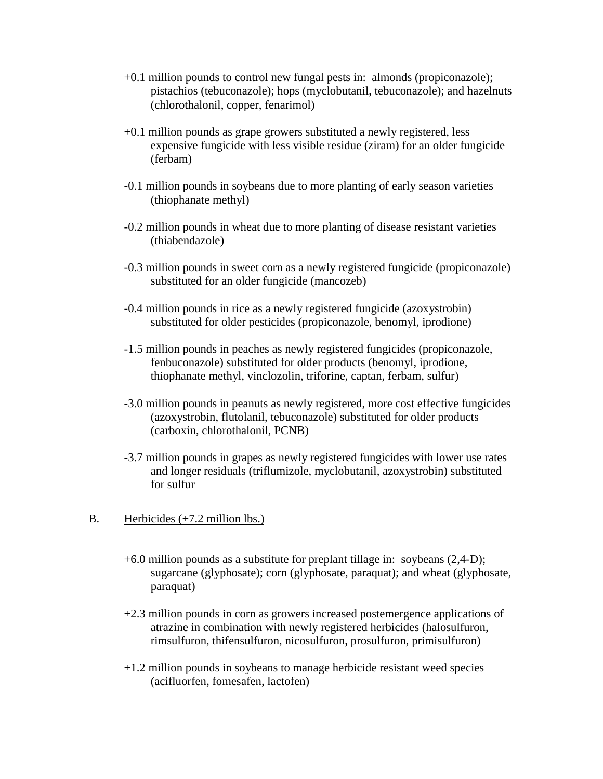- +0.1 million pounds to control new fungal pests in: almonds (propiconazole); pistachios (tebuconazole); hops (myclobutanil, tebuconazole); and hazelnuts (chlorothalonil, copper, fenarimol)
- +0.1 million pounds as grape growers substituted a newly registered, less expensive fungicide with less visible residue (ziram) for an older fungicide (ferbam)
- -0.1 million pounds in soybeans due to more planting of early season varieties (thiophanate methyl)
- -0.2 million pounds in wheat due to more planting of disease resistant varieties (thiabendazole)
- -0.3 million pounds in sweet corn as a newly registered fungicide (propiconazole) substituted for an older fungicide (mancozeb)
- -0.4 million pounds in rice as a newly registered fungicide (azoxystrobin) substituted for older pesticides (propiconazole, benomyl, iprodione)
- -1.5 million pounds in peaches as newly registered fungicides (propiconazole, fenbuconazole) substituted for older products (benomyl, iprodione, thiophanate methyl, vinclozolin, triforine, captan, ferbam, sulfur)
- -3.0 million pounds in peanuts as newly registered, more cost effective fungicides (azoxystrobin, flutolanil, tebuconazole) substituted for older products (carboxin, chlorothalonil, PCNB)
- -3.7 million pounds in grapes as newly registered fungicides with lower use rates and longer residuals (triflumizole, myclobutanil, azoxystrobin) substituted for sulfur

# B. Herbicides (+7.2 million lbs.)

- +6.0 million pounds as a substitute for preplant tillage in: soybeans (2,4-D); sugarcane (glyphosate); corn (glyphosate, paraquat); and wheat (glyphosate, paraquat)
- +2.3 million pounds in corn as growers increased postemergence applications of atrazine in combination with newly registered herbicides (halosulfuron, rimsulfuron, thifensulfuron, nicosulfuron, prosulfuron, primisulfuron)
- +1.2 million pounds in soybeans to manage herbicide resistant weed species (acifluorfen, fomesafen, lactofen)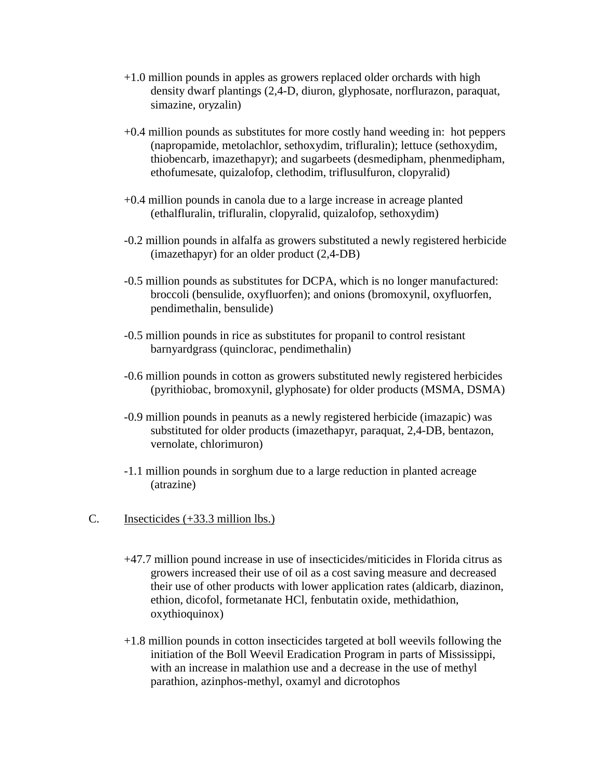- +1.0 million pounds in apples as growers replaced older orchards with high density dwarf plantings (2,4-D, diuron, glyphosate, norflurazon, paraquat, simazine, oryzalin)
- +0.4 million pounds as substitutes for more costly hand weeding in: hot peppers (napropamide, metolachlor, sethoxydim, trifluralin); lettuce (sethoxydim, thiobencarb, imazethapyr); and sugarbeets (desmedipham, phenmedipham, ethofumesate, quizalofop, clethodim, triflusulfuron, clopyralid)
- +0.4 million pounds in canola due to a large increase in acreage planted (ethalfluralin, trifluralin, clopyralid, quizalofop, sethoxydim)
- -0.2 million pounds in alfalfa as growers substituted a newly registered herbicide (imazethapyr) for an older product (2,4-DB)
- -0.5 million pounds as substitutes for DCPA, which is no longer manufactured: broccoli (bensulide, oxyfluorfen); and onions (bromoxynil, oxyfluorfen, pendimethalin, bensulide)
- -0.5 million pounds in rice as substitutes for propanil to control resistant barnyardgrass (quinclorac, pendimethalin)
- -0.6 million pounds in cotton as growers substituted newly registered herbicides (pyrithiobac, bromoxynil, glyphosate) for older products (MSMA, DSMA)
- -0.9 million pounds in peanuts as a newly registered herbicide (imazapic) was substituted for older products (imazethapyr, paraquat, 2,4-DB, bentazon, vernolate, chlorimuron)
- -1.1 million pounds in sorghum due to a large reduction in planted acreage (atrazine)
- C. Insecticides (+33.3 million lbs.)
	- +47.7 million pound increase in use of insecticides/miticides in Florida citrus as growers increased their use of oil as a cost saving measure and decreased their use of other products with lower application rates (aldicarb, diazinon, ethion, dicofol, formetanate HCl, fenbutatin oxide, methidathion, oxythioquinox)
	- +1.8 million pounds in cotton insecticides targeted at boll weevils following the initiation of the Boll Weevil Eradication Program in parts of Mississippi, with an increase in malathion use and a decrease in the use of methyl parathion, azinphos-methyl, oxamyl and dicrotophos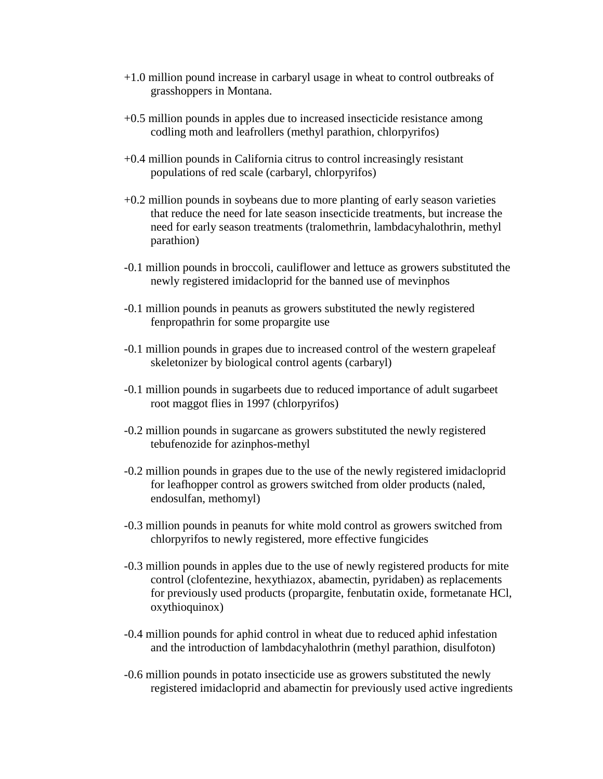- +1.0 million pound increase in carbaryl usage in wheat to control outbreaks of grasshoppers in Montana.
- +0.5 million pounds in apples due to increased insecticide resistance among codling moth and leafrollers (methyl parathion, chlorpyrifos)
- +0.4 million pounds in California citrus to control increasingly resistant populations of red scale (carbaryl, chlorpyrifos)
- +0.2 million pounds in soybeans due to more planting of early season varieties that reduce the need for late season insecticide treatments, but increase the need for early season treatments (tralomethrin, lambdacyhalothrin, methyl parathion)
- -0.1 million pounds in broccoli, cauliflower and lettuce as growers substituted the newly registered imidacloprid for the banned use of mevinphos
- -0.1 million pounds in peanuts as growers substituted the newly registered fenpropathrin for some propargite use
- -0.1 million pounds in grapes due to increased control of the western grapeleaf skeletonizer by biological control agents (carbaryl)
- -0.1 million pounds in sugarbeets due to reduced importance of adult sugarbeet root maggot flies in 1997 (chlorpyrifos)
- -0.2 million pounds in sugarcane as growers substituted the newly registered tebufenozide for azinphos-methyl
- -0.2 million pounds in grapes due to the use of the newly registered imidacloprid for leafhopper control as growers switched from older products (naled, endosulfan, methomyl)
- -0.3 million pounds in peanuts for white mold control as growers switched from chlorpyrifos to newly registered, more effective fungicides
- -0.3 million pounds in apples due to the use of newly registered products for mite control (clofentezine, hexythiazox, abamectin, pyridaben) as replacements for previously used products (propargite, fenbutatin oxide, formetanate HCl, oxythioquinox)
- -0.4 million pounds for aphid control in wheat due to reduced aphid infestation and the introduction of lambdacyhalothrin (methyl parathion, disulfoton)
- -0.6 million pounds in potato insecticide use as growers substituted the newly registered imidacloprid and abamectin for previously used active ingredients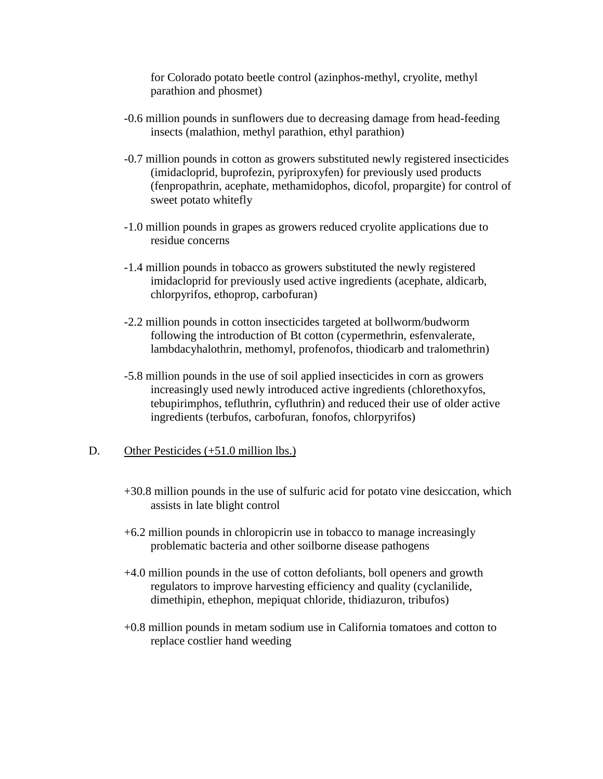for Colorado potato beetle control (azinphos-methyl, cryolite, methyl parathion and phosmet)

- -0.6 million pounds in sunflowers due to decreasing damage from head-feeding insects (malathion, methyl parathion, ethyl parathion)
- -0.7 million pounds in cotton as growers substituted newly registered insecticides (imidacloprid, buprofezin, pyriproxyfen) for previously used products (fenpropathrin, acephate, methamidophos, dicofol, propargite) for control of sweet potato whitefly
- -1.0 million pounds in grapes as growers reduced cryolite applications due to residue concerns
- -1.4 million pounds in tobacco as growers substituted the newly registered imidacloprid for previously used active ingredients (acephate, aldicarb, chlorpyrifos, ethoprop, carbofuran)
- -2.2 million pounds in cotton insecticides targeted at bollworm/budworm following the introduction of Bt cotton (cypermethrin, esfenvalerate, lambdacyhalothrin, methomyl, profenofos, thiodicarb and tralomethrin)
- -5.8 million pounds in the use of soil applied insecticides in corn as growers increasingly used newly introduced active ingredients (chlorethoxyfos, tebupirimphos, tefluthrin, cyfluthrin) and reduced their use of older active ingredients (terbufos, carbofuran, fonofos, chlorpyrifos)

# D. Other Pesticides (+51.0 million lbs.)

- +30.8 million pounds in the use of sulfuric acid for potato vine desiccation, which assists in late blight control
- +6.2 million pounds in chloropicrin use in tobacco to manage increasingly problematic bacteria and other soilborne disease pathogens
- +4.0 million pounds in the use of cotton defoliants, boll openers and growth regulators to improve harvesting efficiency and quality (cyclanilide, dimethipin, ethephon, mepiquat chloride, thidiazuron, tribufos)
- +0.8 million pounds in metam sodium use in California tomatoes and cotton to replace costlier hand weeding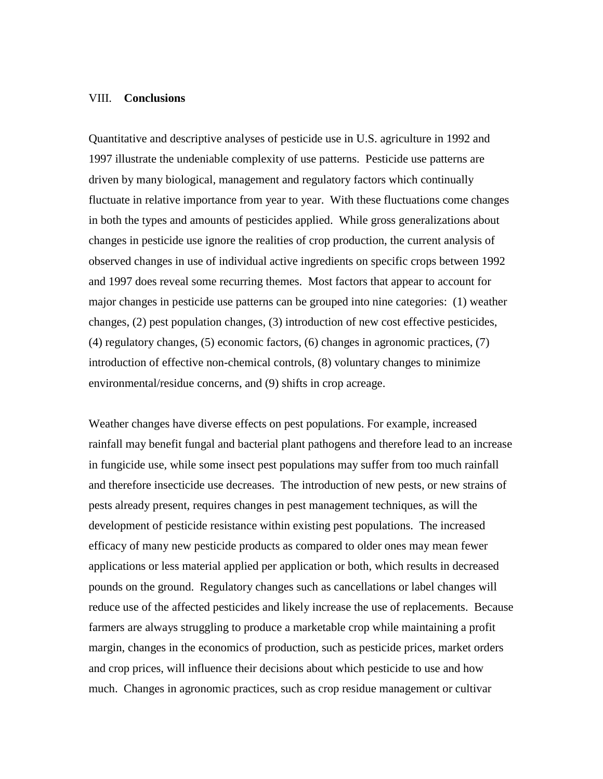#### VIII. **Conclusions**

Quantitative and descriptive analyses of pesticide use in U.S. agriculture in 1992 and 1997 illustrate the undeniable complexity of use patterns. Pesticide use patterns are driven by many biological, management and regulatory factors which continually fluctuate in relative importance from year to year. With these fluctuations come changes in both the types and amounts of pesticides applied. While gross generalizations about changes in pesticide use ignore the realities of crop production, the current analysis of observed changes in use of individual active ingredients on specific crops between 1992 and 1997 does reveal some recurring themes. Most factors that appear to account for major changes in pesticide use patterns can be grouped into nine categories: (1) weather changes, (2) pest population changes, (3) introduction of new cost effective pesticides, (4) regulatory changes, (5) economic factors, (6) changes in agronomic practices, (7) introduction of effective non-chemical controls, (8) voluntary changes to minimize environmental/residue concerns, and (9) shifts in crop acreage.

Weather changes have diverse effects on pest populations. For example, increased rainfall may benefit fungal and bacterial plant pathogens and therefore lead to an increase in fungicide use, while some insect pest populations may suffer from too much rainfall and therefore insecticide use decreases. The introduction of new pests, or new strains of pests already present, requires changes in pest management techniques, as will the development of pesticide resistance within existing pest populations. The increased efficacy of many new pesticide products as compared to older ones may mean fewer applications or less material applied per application or both, which results in decreased pounds on the ground. Regulatory changes such as cancellations or label changes will reduce use of the affected pesticides and likely increase the use of replacements. Because farmers are always struggling to produce a marketable crop while maintaining a profit margin, changes in the economics of production, such as pesticide prices, market orders and crop prices, will influence their decisions about which pesticide to use and how much. Changes in agronomic practices, such as crop residue management or cultivar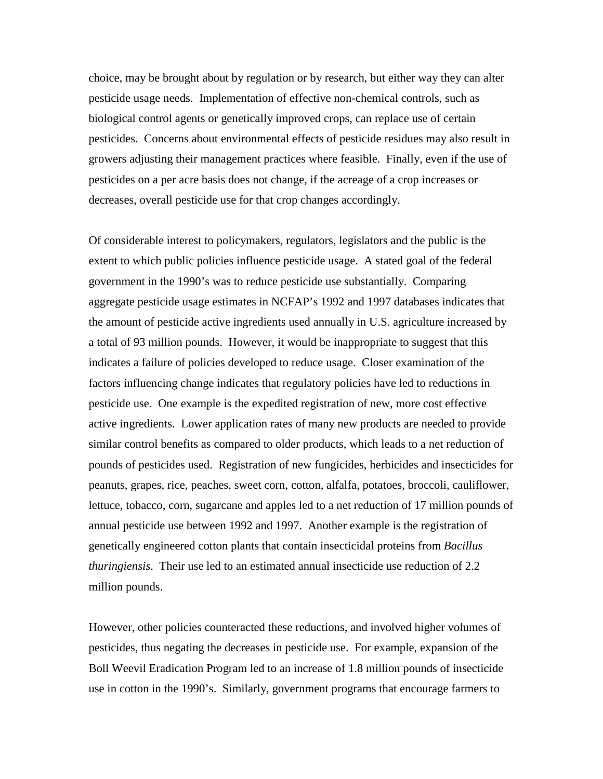choice, may be brought about by regulation or by research, but either way they can alter pesticide usage needs. Implementation of effective non-chemical controls, such as biological control agents or genetically improved crops, can replace use of certain pesticides. Concerns about environmental effects of pesticide residues may also result in growers adjusting their management practices where feasible. Finally, even if the use of pesticides on a per acre basis does not change, if the acreage of a crop increases or decreases, overall pesticide use for that crop changes accordingly.

Of considerable interest to policymakers, regulators, legislators and the public is the extent to which public policies influence pesticide usage. A stated goal of the federal government in the 1990's was to reduce pesticide use substantially. Comparing aggregate pesticide usage estimates in NCFAP's 1992 and 1997 databases indicates that the amount of pesticide active ingredients used annually in U.S. agriculture increased by a total of 93 million pounds. However, it would be inappropriate to suggest that this indicates a failure of policies developed to reduce usage. Closer examination of the factors influencing change indicates that regulatory policies have led to reductions in pesticide use. One example is the expedited registration of new, more cost effective active ingredients. Lower application rates of many new products are needed to provide similar control benefits as compared to older products, which leads to a net reduction of pounds of pesticides used. Registration of new fungicides, herbicides and insecticides for peanuts, grapes, rice, peaches, sweet corn, cotton, alfalfa, potatoes, broccoli, cauliflower, lettuce, tobacco, corn, sugarcane and apples led to a net reduction of 17 million pounds of annual pesticide use between 1992 and 1997. Another example is the registration of genetically engineered cotton plants that contain insecticidal proteins from *Bacillus thuringiensis*. Their use led to an estimated annual insecticide use reduction of 2.2 million pounds.

However, other policies counteracted these reductions, and involved higher volumes of pesticides, thus negating the decreases in pesticide use. For example, expansion of the Boll Weevil Eradication Program led to an increase of 1.8 million pounds of insecticide use in cotton in the 1990's. Similarly, government programs that encourage farmers to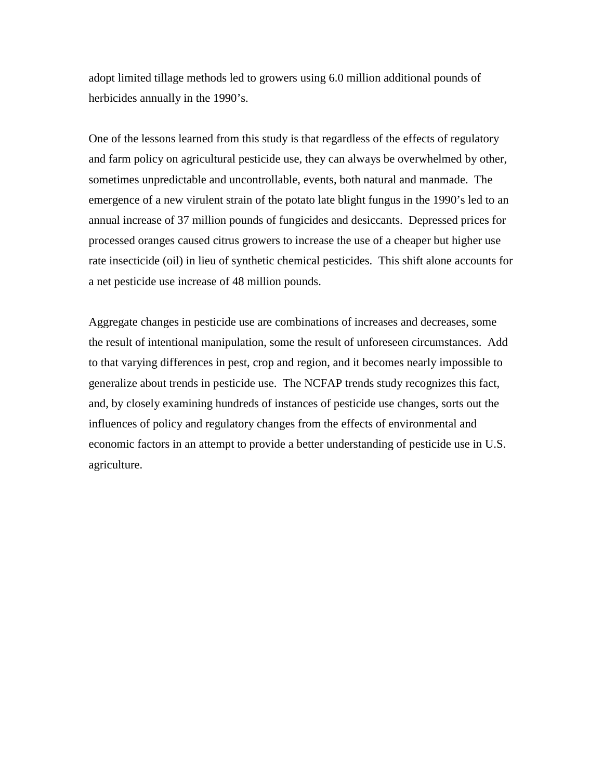adopt limited tillage methods led to growers using 6.0 million additional pounds of herbicides annually in the 1990's.

One of the lessons learned from this study is that regardless of the effects of regulatory and farm policy on agricultural pesticide use, they can always be overwhelmed by other, sometimes unpredictable and uncontrollable, events, both natural and manmade. The emergence of a new virulent strain of the potato late blight fungus in the 1990's led to an annual increase of 37 million pounds of fungicides and desiccants. Depressed prices for processed oranges caused citrus growers to increase the use of a cheaper but higher use rate insecticide (oil) in lieu of synthetic chemical pesticides. This shift alone accounts for a net pesticide use increase of 48 million pounds.

Aggregate changes in pesticide use are combinations of increases and decreases, some the result of intentional manipulation, some the result of unforeseen circumstances. Add to that varying differences in pest, crop and region, and it becomes nearly impossible to generalize about trends in pesticide use. The NCFAP trends study recognizes this fact, and, by closely examining hundreds of instances of pesticide use changes, sorts out the influences of policy and regulatory changes from the effects of environmental and economic factors in an attempt to provide a better understanding of pesticide use in U.S. agriculture.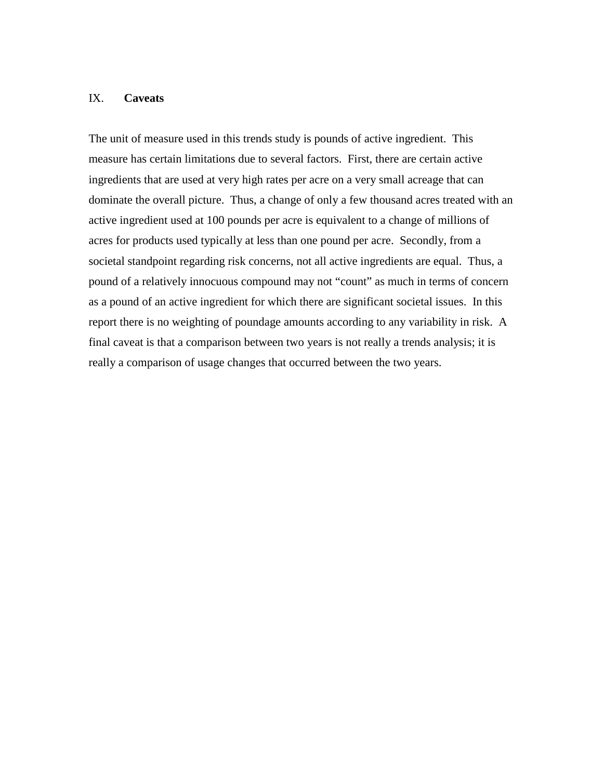## IX. **Caveats**

The unit of measure used in this trends study is pounds of active ingredient. This measure has certain limitations due to several factors. First, there are certain active ingredients that are used at very high rates per acre on a very small acreage that can dominate the overall picture. Thus, a change of only a few thousand acres treated with an active ingredient used at 100 pounds per acre is equivalent to a change of millions of acres for products used typically at less than one pound per acre. Secondly, from a societal standpoint regarding risk concerns, not all active ingredients are equal. Thus, a pound of a relatively innocuous compound may not "count" as much in terms of concern as a pound of an active ingredient for which there are significant societal issues. In this report there is no weighting of poundage amounts according to any variability in risk. A final caveat is that a comparison between two years is not really a trends analysis; it is really a comparison of usage changes that occurred between the two years.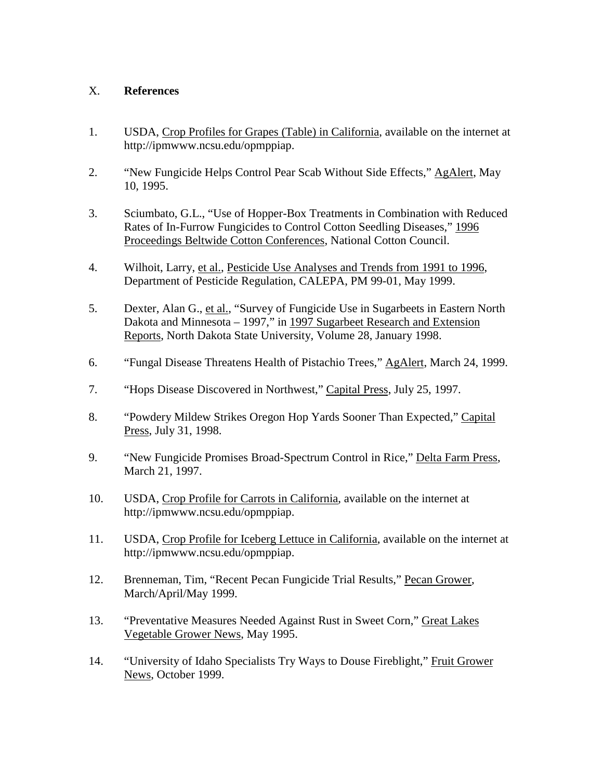# X. **References**

- 1. USDA, Crop Profiles for Grapes (Table) in California, available on the internet at http://ipmwww.ncsu.edu/opmppiap.
- 2. "New Fungicide Helps Control Pear Scab Without Side Effects," AgAlert, May 10, 1995.
- 3. Sciumbato, G.L., "Use of Hopper-Box Treatments in Combination with Reduced Rates of In-Furrow Fungicides to Control Cotton Seedling Diseases," 1996 Proceedings Beltwide Cotton Conferences, National Cotton Council.
- 4. Wilhoit, Larry, et al., Pesticide Use Analyses and Trends from 1991 to 1996, Department of Pesticide Regulation, CALEPA, PM 99-01, May 1999.
- 5. Dexter, Alan G., et al., "Survey of Fungicide Use in Sugarbeets in Eastern North Dakota and Minnesota – 1997," in 1997 Sugarbeet Research and Extension Reports, North Dakota State University, Volume 28, January 1998.
- 6. "Fungal Disease Threatens Health of Pistachio Trees," AgAlert, March 24, 1999.
- 7. "Hops Disease Discovered in Northwest," Capital Press, July 25, 1997.
- 8. "Powdery Mildew Strikes Oregon Hop Yards Sooner Than Expected," Capital Press, July 31, 1998.
- 9. "New Fungicide Promises Broad-Spectrum Control in Rice," Delta Farm Press, March 21, 1997.
- 10. USDA, Crop Profile for Carrots in California, available on the internet at http://ipmwww.ncsu.edu/opmppiap.
- 11. USDA, Crop Profile for Iceberg Lettuce in California, available on the internet at http://ipmwww.ncsu.edu/opmppiap.
- 12. Brenneman, Tim, "Recent Pecan Fungicide Trial Results," Pecan Grower, March/April/May 1999.
- 13. "Preventative Measures Needed Against Rust in Sweet Corn," Great Lakes Vegetable Grower News, May 1995.
- 14. "University of Idaho Specialists Try Ways to Douse Fireblight," Fruit Grower News, October 1999.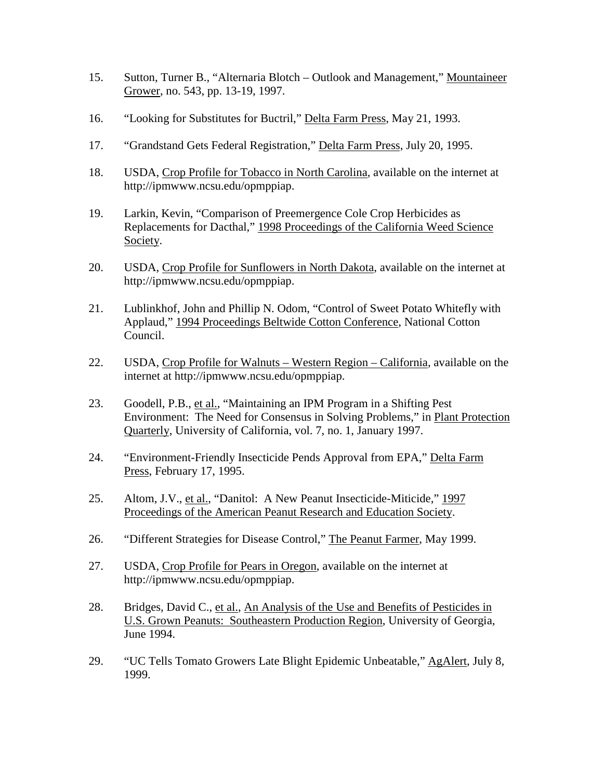- 15. Sutton, Turner B., "Alternaria Blotch Outlook and Management," Mountaineer Grower, no. 543, pp. 13-19, 1997.
- 16. "Looking for Substitutes for Buctril," Delta Farm Press, May 21, 1993.
- 17. "Grandstand Gets Federal Registration," Delta Farm Press, July 20, 1995.
- 18. USDA, Crop Profile for Tobacco in North Carolina, available on the internet at http://ipmwww.ncsu.edu/opmppiap.
- 19. Larkin, Kevin, "Comparison of Preemergence Cole Crop Herbicides as Replacements for Dacthal," 1998 Proceedings of the California Weed Science Society.
- 20. USDA, Crop Profile for Sunflowers in North Dakota, available on the internet at http://ipmwww.ncsu.edu/opmppiap.
- 21. Lublinkhof, John and Phillip N. Odom, "Control of Sweet Potato Whitefly with Applaud," 1994 Proceedings Beltwide Cotton Conference, National Cotton Council.
- 22. USDA, Crop Profile for Walnuts Western Region California, available on the internet at http://ipmwww.ncsu.edu/opmppiap.
- 23. Goodell, P.B., et al., "Maintaining an IPM Program in a Shifting Pest Environment: The Need for Consensus in Solving Problems," in Plant Protection Quarterly, University of California, vol. 7, no. 1, January 1997.
- 24. "Environment-Friendly Insecticide Pends Approval from EPA," Delta Farm Press, February 17, 1995.
- 25. Altom, J.V., et al., "Danitol: A New Peanut Insecticide-Miticide." 1997 Proceedings of the American Peanut Research and Education Society.
- 26. "Different Strategies for Disease Control," The Peanut Farmer, May 1999.
- 27. USDA, Crop Profile for Pears in Oregon, available on the internet at http://ipmwww.ncsu.edu/opmppiap.
- 28. Bridges, David C., et al., An Analysis of the Use and Benefits of Pesticides in U.S. Grown Peanuts: Southeastern Production Region, University of Georgia, June 1994.
- 29. "UC Tells Tomato Growers Late Blight Epidemic Unbeatable," AgAlert, July 8, 1999.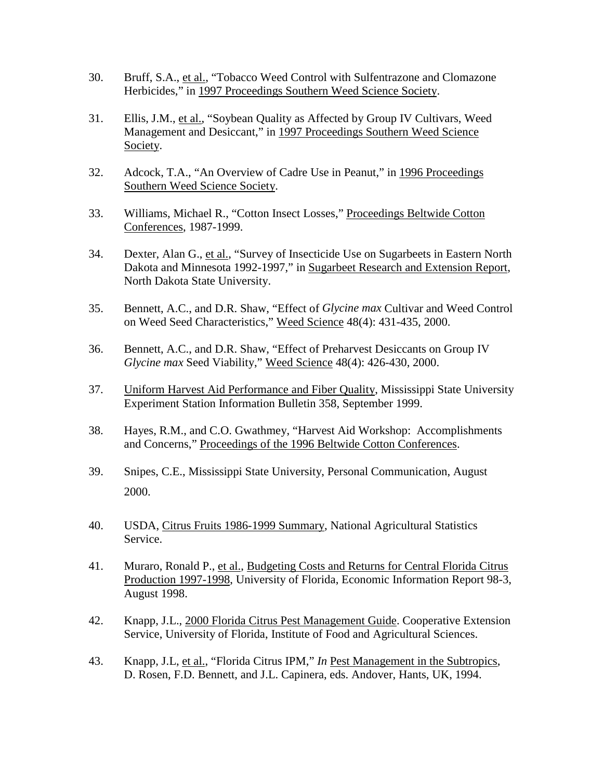- 30. Bruff, S.A., et al., "Tobacco Weed Control with Sulfentrazone and Clomazone Herbicides," in 1997 Proceedings Southern Weed Science Society.
- 31. Ellis, J.M., et al., "Soybean Quality as Affected by Group IV Cultivars, Weed Management and Desiccant," in 1997 Proceedings Southern Weed Science Society.
- 32. Adcock, T.A., "An Overview of Cadre Use in Peanut," in 1996 Proceedings Southern Weed Science Society.
- 33. Williams, Michael R., "Cotton Insect Losses," Proceedings Beltwide Cotton Conferences, 1987-1999.
- 34. Dexter, Alan G., et al., "Survey of Insecticide Use on Sugarbeets in Eastern North Dakota and Minnesota 1992-1997," in Sugarbeet Research and Extension Report, North Dakota State University.
- 35. Bennett, A.C., and D.R. Shaw, "Effect of *Glycine max* Cultivar and Weed Control on Weed Seed Characteristics," Weed Science 48(4): 431-435, 2000.
- 36. Bennett, A.C., and D.R. Shaw, "Effect of Preharvest Desiccants on Group IV *Glycine max* Seed Viability," Weed Science 48(4): 426-430, 2000.
- 37. Uniform Harvest Aid Performance and Fiber Quality, Mississippi State University Experiment Station Information Bulletin 358, September 1999.
- 38. Hayes, R.M., and C.O. Gwathmey, "Harvest Aid Workshop: Accomplishments and Concerns," Proceedings of the 1996 Beltwide Cotton Conferences.
- 39. Snipes, C.E., Mississippi State University, Personal Communication, August 2000.
- 40. USDA, Citrus Fruits 1986-1999 Summary, National Agricultural Statistics Service.
- 41. Muraro, Ronald P., et al., Budgeting Costs and Returns for Central Florida Citrus Production 1997-1998, University of Florida, Economic Information Report 98-3, August 1998.
- 42. Knapp, J.L., 2000 Florida Citrus Pest Management Guide. Cooperative Extension Service, University of Florida, Institute of Food and Agricultural Sciences.
- 43. Knapp, J.L, et al., "Florida Citrus IPM," *In* Pest Management in the Subtropics, D. Rosen, F.D. Bennett, and J.L. Capinera, eds. Andover, Hants, UK, 1994.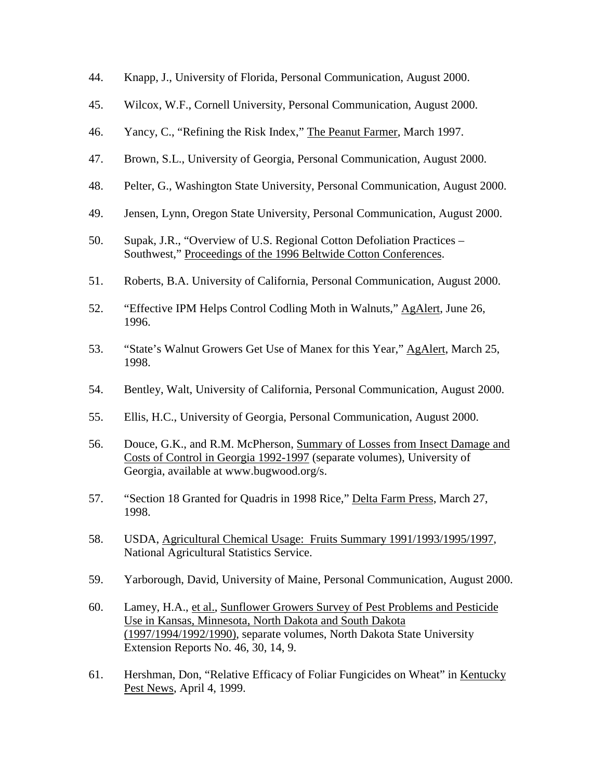- 44. Knapp, J., University of Florida, Personal Communication, August 2000.
- 45. Wilcox, W.F., Cornell University, Personal Communication, August 2000.
- 46. Yancy, C., "Refining the Risk Index," The Peanut Farmer, March 1997.
- 47. Brown, S.L., University of Georgia, Personal Communication, August 2000.
- 48. Pelter, G., Washington State University, Personal Communication, August 2000.
- 49. Jensen, Lynn, Oregon State University, Personal Communication, August 2000.
- 50. Supak, J.R., "Overview of U.S. Regional Cotton Defoliation Practices Southwest," Proceedings of the 1996 Beltwide Cotton Conferences.
- 51. Roberts, B.A. University of California, Personal Communication, August 2000.
- 52. "Effective IPM Helps Control Codling Moth in Walnuts," AgAlert, June 26, 1996.
- 53. "State's Walnut Growers Get Use of Manex for this Year," AgAlert, March 25, 1998.
- 54. Bentley, Walt, University of California, Personal Communication, August 2000.
- 55. Ellis, H.C., University of Georgia, Personal Communication, August 2000.
- 56. Douce, G.K., and R.M. McPherson, Summary of Losses from Insect Damage and Costs of Control in Georgia 1992-1997 (separate volumes), University of Georgia, available at www.bugwood.org/s.
- 57. "Section 18 Granted for Quadris in 1998 Rice," Delta Farm Press, March 27, 1998.
- 58. USDA, Agricultural Chemical Usage: Fruits Summary 1991/1993/1995/1997, National Agricultural Statistics Service.
- 59. Yarborough, David, University of Maine, Personal Communication, August 2000.
- 60. Lamey, H.A., et al., Sunflower Growers Survey of Pest Problems and Pesticide Use in Kansas, Minnesota, North Dakota and South Dakota (1997/1994/1992/1990), separate volumes, North Dakota State University Extension Reports No. 46, 30, 14, 9.
- 61. Hershman, Don, "Relative Efficacy of Foliar Fungicides on Wheat" in Kentucky Pest News, April 4, 1999.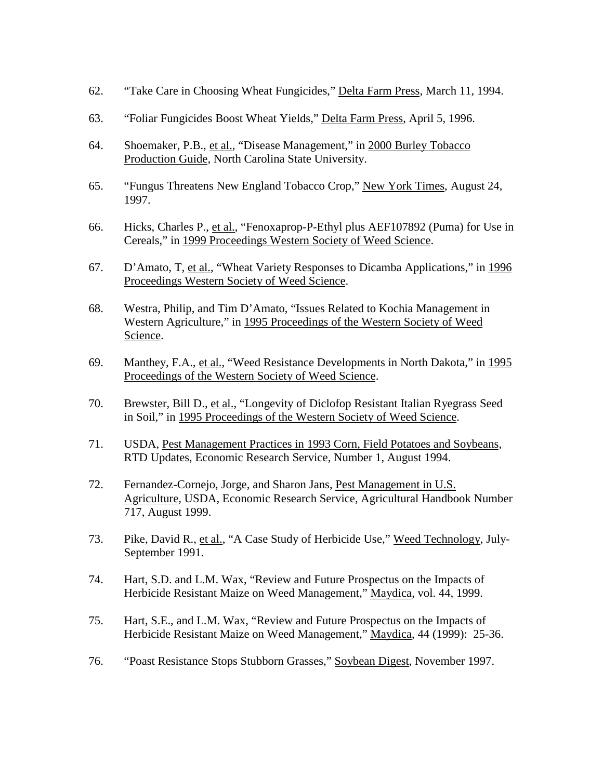- 62. "Take Care in Choosing Wheat Fungicides," Delta Farm Press, March 11, 1994.
- 63. "Foliar Fungicides Boost Wheat Yields," Delta Farm Press, April 5, 1996.
- 64. Shoemaker, P.B., et al., "Disease Management," in 2000 Burley Tobacco Production Guide, North Carolina State University.
- 65. "Fungus Threatens New England Tobacco Crop," New York Times, August 24, 1997.
- 66. Hicks, Charles P., et al., "Fenoxaprop-P-Ethyl plus AEF107892 (Puma) for Use in Cereals," in 1999 Proceedings Western Society of Weed Science.
- 67. D'Amato, T, et al., "Wheat Variety Responses to Dicamba Applications," in 1996 Proceedings Western Society of Weed Science.
- 68. Westra, Philip, and Tim D'Amato, "Issues Related to Kochia Management in Western Agriculture," in 1995 Proceedings of the Western Society of Weed Science.
- 69. Manthey, F.A., et al., "Weed Resistance Developments in North Dakota," in 1995 Proceedings of the Western Society of Weed Science.
- 70. Brewster, Bill D., et al., "Longevity of Diclofop Resistant Italian Ryegrass Seed in Soil," in 1995 Proceedings of the Western Society of Weed Science.
- 71. USDA, Pest Management Practices in 1993 Corn, Field Potatoes and Soybeans, RTD Updates, Economic Research Service, Number 1, August 1994.
- 72. Fernandez-Cornejo, Jorge, and Sharon Jans, Pest Management in U.S. Agriculture, USDA, Economic Research Service, Agricultural Handbook Number 717, August 1999.
- 73. Pike, David R., et al., "A Case Study of Herbicide Use," Weed Technology, July-September 1991.
- 74. Hart, S.D. and L.M. Wax, "Review and Future Prospectus on the Impacts of Herbicide Resistant Maize on Weed Management," Maydica, vol. 44, 1999.
- 75. Hart, S.E., and L.M. Wax, "Review and Future Prospectus on the Impacts of Herbicide Resistant Maize on Weed Management," Maydica, 44 (1999): 25-36.
- 76. "Poast Resistance Stops Stubborn Grasses," Soybean Digest, November 1997.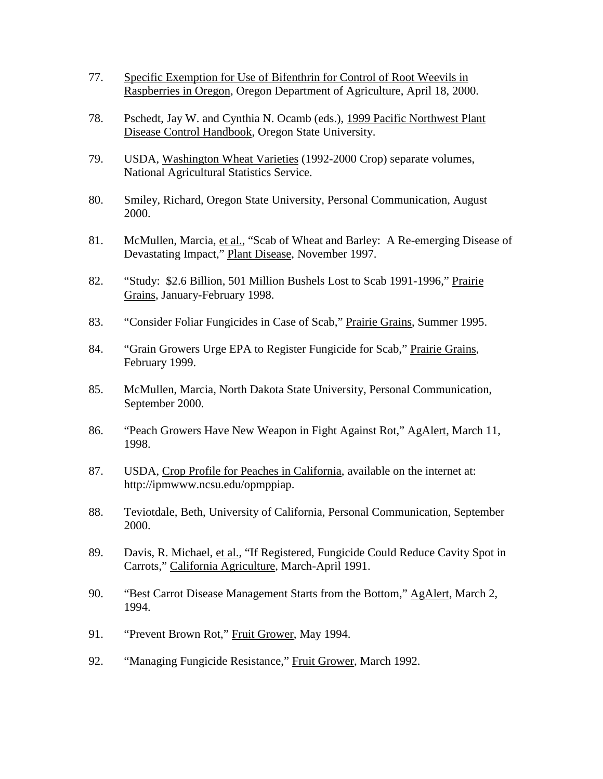- 77. Specific Exemption for Use of Bifenthrin for Control of Root Weevils in Raspberries in Oregon, Oregon Department of Agriculture, April 18, 2000.
- 78. Pschedt, Jay W. and Cynthia N. Ocamb (eds.), 1999 Pacific Northwest Plant Disease Control Handbook, Oregon State University.
- 79. USDA, Washington Wheat Varieties (1992-2000 Crop) separate volumes, National Agricultural Statistics Service.
- 80. Smiley, Richard, Oregon State University, Personal Communication, August 2000.
- 81. McMullen, Marcia, et al., "Scab of Wheat and Barley: A Re-emerging Disease of Devastating Impact," Plant Disease, November 1997.
- 82. "Study: \$2.6 Billion, 501 Million Bushels Lost to Scab 1991-1996," Prairie Grains, January-February 1998.
- 83. "Consider Foliar Fungicides in Case of Scab," Prairie Grains, Summer 1995.
- 84. "Grain Growers Urge EPA to Register Fungicide for Scab," Prairie Grains, February 1999.
- 85. McMullen, Marcia, North Dakota State University, Personal Communication, September 2000.
- 86. "Peach Growers Have New Weapon in Fight Against Rot," AgAlert, March 11, 1998.
- 87. USDA, Crop Profile for Peaches in California, available on the internet at: http://ipmwww.ncsu.edu/opmppiap.
- 88. Teviotdale, Beth, University of California, Personal Communication, September 2000.
- 89. Davis, R. Michael, et al., "If Registered, Fungicide Could Reduce Cavity Spot in Carrots," California Agriculture, March-April 1991.
- 90. "Best Carrot Disease Management Starts from the Bottom," AgAlert, March 2, 1994.
- 91. "Prevent Brown Rot," Fruit Grower, May 1994.
- 92. "Managing Fungicide Resistance," Fruit Grower, March 1992.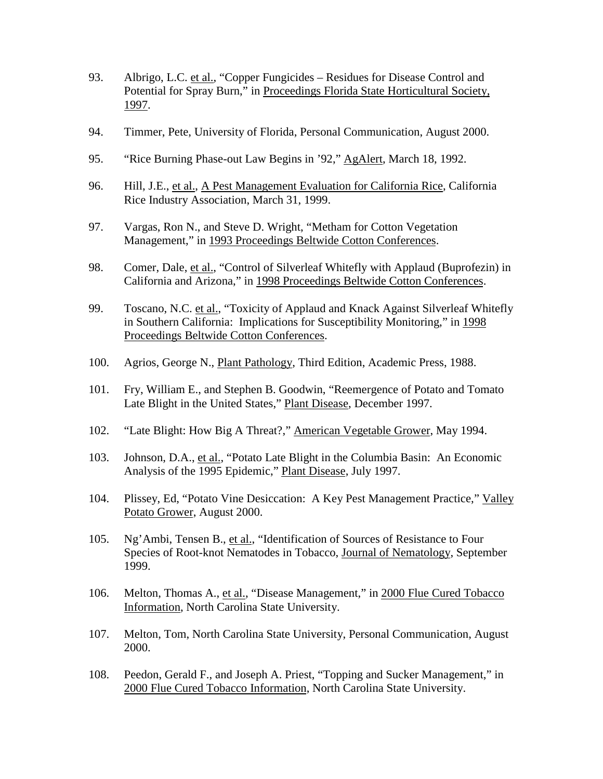- 93. Albrigo, L.C. et al., "Copper Fungicides Residues for Disease Control and Potential for Spray Burn," in Proceedings Florida State Horticultural Society, 1997.
- 94. Timmer, Pete, University of Florida, Personal Communication, August 2000.
- 95. "Rice Burning Phase-out Law Begins in '92," AgAlert, March 18, 1992.
- 96. Hill, J.E., et al., A Pest Management Evaluation for California Rice, California Rice Industry Association, March 31, 1999.
- 97. Vargas, Ron N., and Steve D. Wright, "Metham for Cotton Vegetation Management," in 1993 Proceedings Beltwide Cotton Conferences.
- 98. Comer, Dale, et al., "Control of Silverleaf Whitefly with Applaud (Buprofezin) in California and Arizona," in 1998 Proceedings Beltwide Cotton Conferences.
- 99. Toscano, N.C. et al., "Toxicity of Applaud and Knack Against Silverleaf Whitefly in Southern California: Implications for Susceptibility Monitoring," in 1998 Proceedings Beltwide Cotton Conferences.
- 100. Agrios, George N., Plant Pathology, Third Edition, Academic Press, 1988.
- 101. Fry, William E., and Stephen B. Goodwin, "Reemergence of Potato and Tomato Late Blight in the United States," Plant Disease, December 1997.
- 102. "Late Blight: How Big A Threat?," American Vegetable Grower, May 1994.
- 103. Johnson, D.A., et al., "Potato Late Blight in the Columbia Basin: An Economic Analysis of the 1995 Epidemic," Plant Disease, July 1997.
- 104. Plissey, Ed, "Potato Vine Desiccation: A Key Pest Management Practice," Valley Potato Grower, August 2000.
- 105. Ng'Ambi, Tensen B., et al., "Identification of Sources of Resistance to Four Species of Root-knot Nematodes in Tobacco, Journal of Nematology, September 1999.
- 106. Melton, Thomas A., et al., "Disease Management," in 2000 Flue Cured Tobacco Information, North Carolina State University.
- 107. Melton, Tom, North Carolina State University, Personal Communication, August 2000.
- 108. Peedon, Gerald F., and Joseph A. Priest, "Topping and Sucker Management," in 2000 Flue Cured Tobacco Information, North Carolina State University.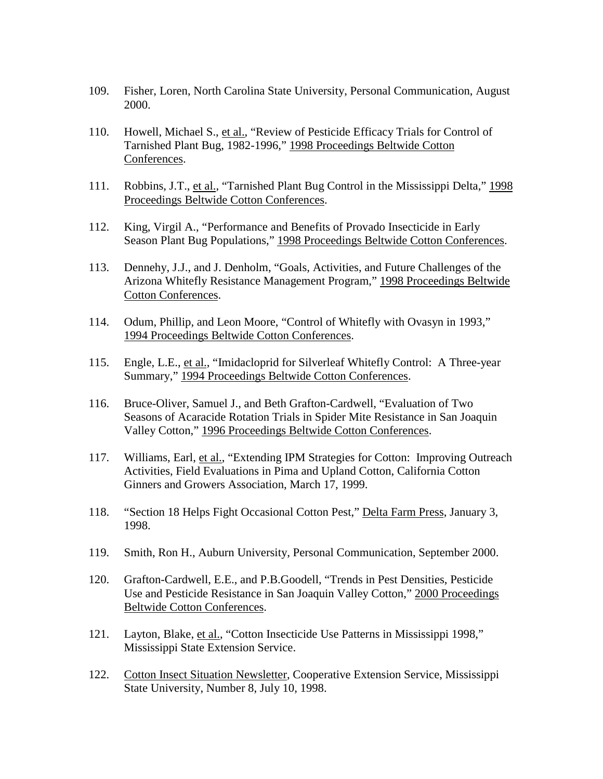- 109. Fisher, Loren, North Carolina State University, Personal Communication, August 2000.
- 110. Howell, Michael S., et al., "Review of Pesticide Efficacy Trials for Control of Tarnished Plant Bug, 1982-1996," 1998 Proceedings Beltwide Cotton Conferences.
- 111. Robbins, J.T., et al., "Tarnished Plant Bug Control in the Mississippi Delta," 1998 Proceedings Beltwide Cotton Conferences.
- 112. King, Virgil A., "Performance and Benefits of Provado Insecticide in Early Season Plant Bug Populations," 1998 Proceedings Beltwide Cotton Conferences.
- 113. Dennehy, J.J., and J. Denholm, "Goals, Activities, and Future Challenges of the Arizona Whitefly Resistance Management Program," 1998 Proceedings Beltwide Cotton Conferences.
- 114. Odum, Phillip, and Leon Moore, "Control of Whitefly with Ovasyn in 1993," 1994 Proceedings Beltwide Cotton Conferences.
- 115. Engle, L.E., et al., "Imidacloprid for Silverleaf Whitefly Control: A Three-year Summary," 1994 Proceedings Beltwide Cotton Conferences.
- 116. Bruce-Oliver, Samuel J., and Beth Grafton-Cardwell, "Evaluation of Two Seasons of Acaracide Rotation Trials in Spider Mite Resistance in San Joaquin Valley Cotton," 1996 Proceedings Beltwide Cotton Conferences.
- 117. Williams, Earl, et al., "Extending IPM Strategies for Cotton: Improving Outreach Activities, Field Evaluations in Pima and Upland Cotton, California Cotton Ginners and Growers Association, March 17, 1999.
- 118. "Section 18 Helps Fight Occasional Cotton Pest," Delta Farm Press, January 3, 1998.
- 119. Smith, Ron H., Auburn University, Personal Communication, September 2000.
- 120. Grafton-Cardwell, E.E., and P.B.Goodell, "Trends in Pest Densities, Pesticide Use and Pesticide Resistance in San Joaquin Valley Cotton," 2000 Proceedings Beltwide Cotton Conferences.
- 121. Layton, Blake, et al., "Cotton Insecticide Use Patterns in Mississippi 1998," Mississippi State Extension Service.
- 122. Cotton Insect Situation Newsletter, Cooperative Extension Service, Mississippi State University, Number 8, July 10, 1998.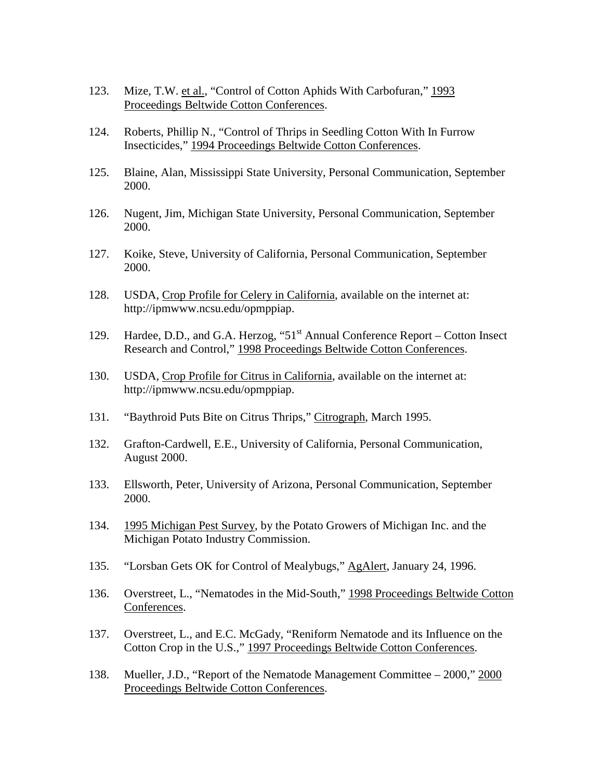- 123. Mize, T.W. et al., "Control of Cotton Aphids With Carbofuran," 1993 Proceedings Beltwide Cotton Conferences.
- 124. Roberts, Phillip N., "Control of Thrips in Seedling Cotton With In Furrow Insecticides," 1994 Proceedings Beltwide Cotton Conferences.
- 125. Blaine, Alan, Mississippi State University, Personal Communication, September 2000.
- 126. Nugent, Jim, Michigan State University, Personal Communication, September 2000.
- 127. Koike, Steve, University of California, Personal Communication, September 2000.
- 128. USDA, Crop Profile for Celery in California, available on the internet at: http://ipmwww.ncsu.edu/opmppiap.
- 129. Hardee, D.D., and G.A. Herzog, "51<sup>st</sup> Annual Conference Report Cotton Insect Research and Control," 1998 Proceedings Beltwide Cotton Conferences.
- 130. USDA, Crop Profile for Citrus in California, available on the internet at: http://ipmwww.ncsu.edu/opmppiap.
- 131. "Baythroid Puts Bite on Citrus Thrips," Citrograph, March 1995.
- 132. Grafton-Cardwell, E.E., University of California, Personal Communication, August 2000.
- 133. Ellsworth, Peter, University of Arizona, Personal Communication, September 2000.
- 134. 1995 Michigan Pest Survey, by the Potato Growers of Michigan Inc. and the Michigan Potato Industry Commission.
- 135. "Lorsban Gets OK for Control of Mealybugs," AgAlert, January 24, 1996.
- 136. Overstreet, L., "Nematodes in the Mid-South," 1998 Proceedings Beltwide Cotton Conferences.
- 137. Overstreet, L., and E.C. McGady, "Reniform Nematode and its Influence on the Cotton Crop in the U.S.," 1997 Proceedings Beltwide Cotton Conferences.
- 138. Mueller, J.D., "Report of the Nematode Management Committee 2000," 2000 Proceedings Beltwide Cotton Conferences.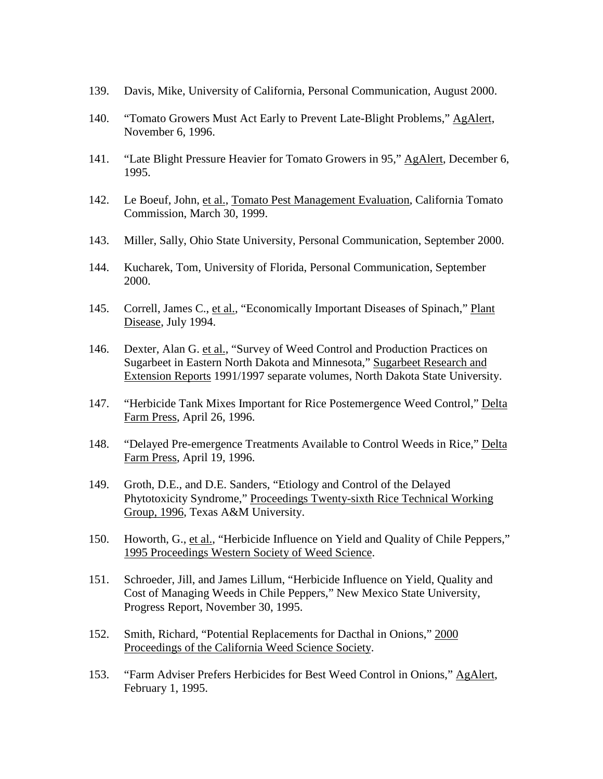- 139. Davis, Mike, University of California, Personal Communication, August 2000.
- 140. "Tomato Growers Must Act Early to Prevent Late-Blight Problems," AgAlert, November 6, 1996.
- 141. "Late Blight Pressure Heavier for Tomato Growers in 95," AgAlert, December 6, 1995.
- 142. Le Boeuf, John, et al., Tomato Pest Management Evaluation, California Tomato Commission, March 30, 1999.
- 143. Miller, Sally, Ohio State University, Personal Communication, September 2000.
- 144. Kucharek, Tom, University of Florida, Personal Communication, September 2000.
- 145. Correll, James C., et al., "Economically Important Diseases of Spinach," Plant Disease, July 1994.
- 146. Dexter, Alan G. et al., "Survey of Weed Control and Production Practices on Sugarbeet in Eastern North Dakota and Minnesota," Sugarbeet Research and Extension Reports 1991/1997 separate volumes, North Dakota State University.
- 147. "Herbicide Tank Mixes Important for Rice Postemergence Weed Control," Delta Farm Press, April 26, 1996.
- 148. "Delayed Pre-emergence Treatments Available to Control Weeds in Rice," Delta Farm Press, April 19, 1996.
- 149. Groth, D.E., and D.E. Sanders, "Etiology and Control of the Delayed Phytotoxicity Syndrome," Proceedings Twenty-sixth Rice Technical Working Group, 1996, Texas A&M University.
- 150. Howorth, G., et al., "Herbicide Influence on Yield and Quality of Chile Peppers," 1995 Proceedings Western Society of Weed Science.
- 151. Schroeder, Jill, and James Lillum, "Herbicide Influence on Yield, Quality and Cost of Managing Weeds in Chile Peppers," New Mexico State University, Progress Report, November 30, 1995.
- 152. Smith, Richard, "Potential Replacements for Dacthal in Onions," 2000 Proceedings of the California Weed Science Society.
- 153. "Farm Adviser Prefers Herbicides for Best Weed Control in Onions," AgAlert, February 1, 1995.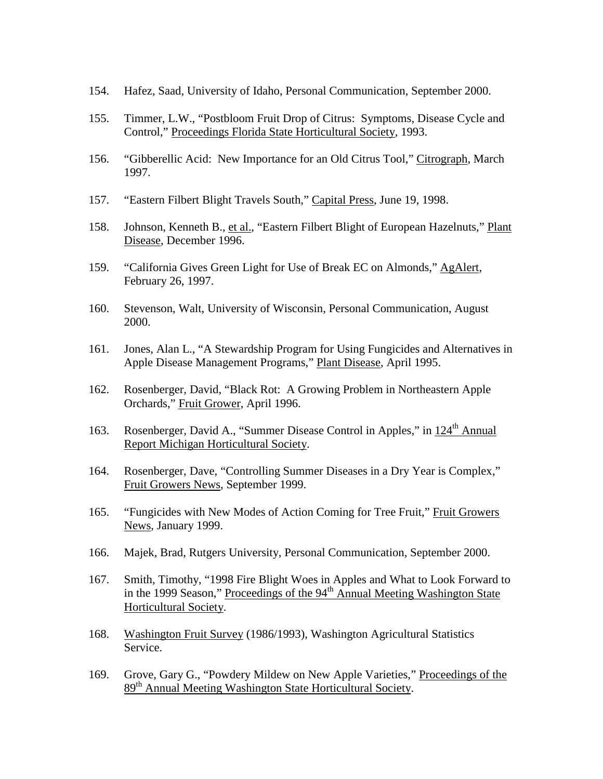- 154. Hafez, Saad, University of Idaho, Personal Communication, September 2000.
- 155. Timmer, L.W., "Postbloom Fruit Drop of Citrus: Symptoms, Disease Cycle and Control," Proceedings Florida State Horticultural Society, 1993.
- 156. "Gibberellic Acid: New Importance for an Old Citrus Tool," Citrograph, March 1997.
- 157. "Eastern Filbert Blight Travels South," Capital Press, June 19, 1998.
- 158. Johnson, Kenneth B., et al., "Eastern Filbert Blight of European Hazelnuts," Plant Disease, December 1996.
- 159. "California Gives Green Light for Use of Break EC on Almonds," AgAlert, February 26, 1997.
- 160. Stevenson, Walt, University of Wisconsin, Personal Communication, August 2000.
- 161. Jones, Alan L., "A Stewardship Program for Using Fungicides and Alternatives in Apple Disease Management Programs," Plant Disease, April 1995.
- 162. Rosenberger, David, "Black Rot: A Growing Problem in Northeastern Apple Orchards," Fruit Grower, April 1996.
- 163. Rosenberger, David A., "Summer Disease Control in Apples," in  $124<sup>th</sup>$  Annual Report Michigan Horticultural Society.
- 164. Rosenberger, Dave, "Controlling Summer Diseases in a Dry Year is Complex," Fruit Growers News, September 1999.
- 165. "Fungicides with New Modes of Action Coming for Tree Fruit," Fruit Growers News, January 1999.
- 166. Majek, Brad, Rutgers University, Personal Communication, September 2000.
- 167. Smith, Timothy, "1998 Fire Blight Woes in Apples and What to Look Forward to in the 1999 Season," Proceedings of the  $94<sup>th</sup>$  Annual Meeting Washington State Horticultural Society.
- 168. Washington Fruit Survey (1986/1993), Washington Agricultural Statistics Service.
- 169. Grove, Gary G., "Powdery Mildew on New Apple Varieties," Proceedings of the 89<sup>th</sup> Annual Meeting Washington State Horticultural Society.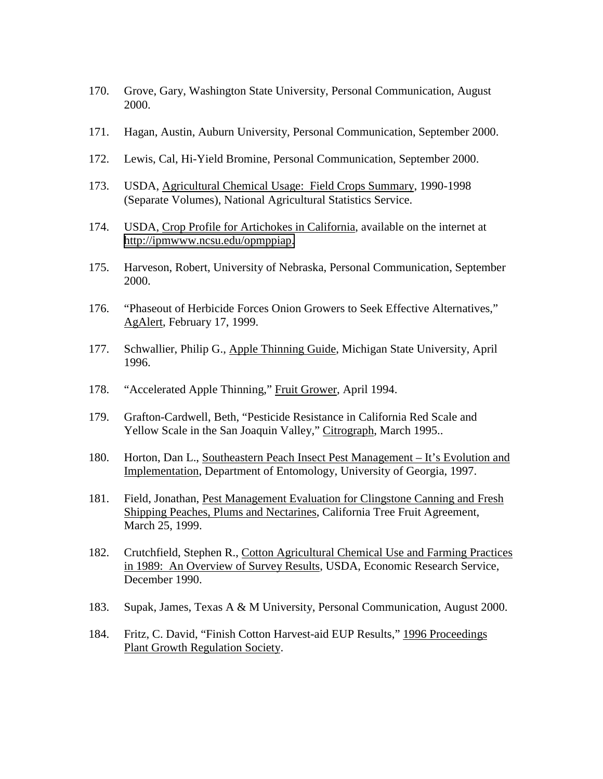- 170. Grove, Gary, Washington State University, Personal Communication, August 2000.
- 171. Hagan, Austin, Auburn University, Personal Communication, September 2000.
- 172. Lewis, Cal, Hi-Yield Bromine, Personal Communication, September 2000.
- 173. USDA, Agricultural Chemical Usage: Field Crops Summary, 1990-1998 (Separate Volumes), National Agricultural Statistics Service.
- 174. USDA, Crop Profile for Artichokes in California, available on the internet at [http://ipmwww.ncsu.edu/opmppiap.](http://ipmwww.ncsu.edu/opmppiap)
- 175. Harveson, Robert, University of Nebraska, Personal Communication, September 2000.
- 176. "Phaseout of Herbicide Forces Onion Growers to Seek Effective Alternatives," AgAlert, February 17, 1999.
- 177. Schwallier, Philip G., Apple Thinning Guide, Michigan State University, April 1996.
- 178. "Accelerated Apple Thinning," Fruit Grower, April 1994.
- 179. Grafton-Cardwell, Beth, "Pesticide Resistance in California Red Scale and Yellow Scale in the San Joaquin Valley," Citrograph, March 1995..
- 180. Horton, Dan L., Southeastern Peach Insect Pest Management It's Evolution and Implementation, Department of Entomology, University of Georgia, 1997.
- 181. Field, Jonathan, Pest Management Evaluation for Clingstone Canning and Fresh Shipping Peaches, Plums and Nectarines, California Tree Fruit Agreement, March 25, 1999.
- 182. Crutchfield, Stephen R., Cotton Agricultural Chemical Use and Farming Practices in 1989: An Overview of Survey Results, USDA, Economic Research Service, December 1990.
- 183. Supak, James, Texas A & M University, Personal Communication, August 2000.
- 184. Fritz, C. David, "Finish Cotton Harvest-aid EUP Results," 1996 Proceedings Plant Growth Regulation Society.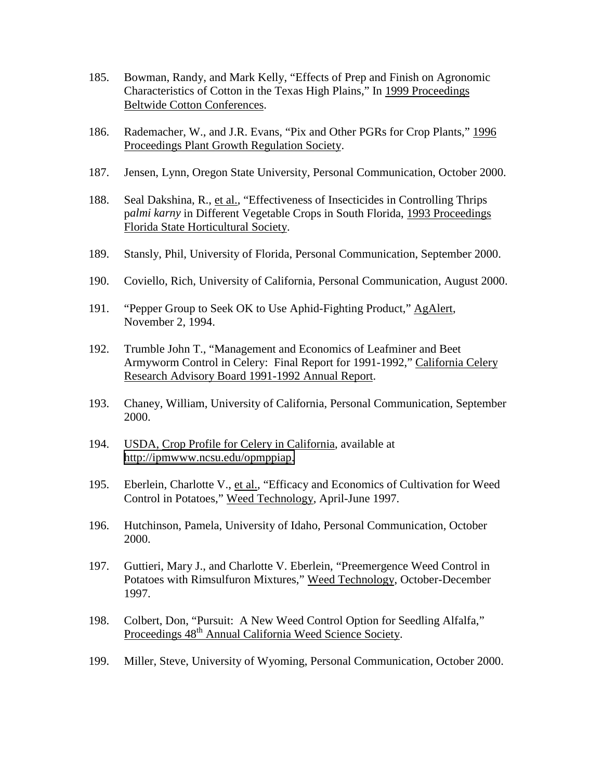- 185. Bowman, Randy, and Mark Kelly, "Effects of Prep and Finish on Agronomic Characteristics of Cotton in the Texas High Plains," In 1999 Proceedings Beltwide Cotton Conferences.
- 186. Rademacher, W., and J.R. Evans, "Pix and Other PGRs for Crop Plants," 1996 Proceedings Plant Growth Regulation Society.
- 187. Jensen, Lynn, Oregon State University, Personal Communication, October 2000.
- 188. Seal Dakshina, R., et al., "Effectiveness of Insecticides in Controlling Thrips p*almi karny* in Different Vegetable Crops in South Florida, 1993 Proceedings Florida State Horticultural Society.
- 189. Stansly, Phil, University of Florida, Personal Communication, September 2000.
- 190. Coviello, Rich, University of California, Personal Communication, August 2000.
- 191. "Pepper Group to Seek OK to Use Aphid-Fighting Product," AgAlert, November 2, 1994.
- 192. Trumble John T., "Management and Economics of Leafminer and Beet Armyworm Control in Celery: Final Report for 1991-1992," California Celery Research Advisory Board 1991-1992 Annual Report.
- 193. Chaney, William, University of California, Personal Communication, September 2000.
- 194. USDA, Crop Profile for Celery in California, available at [http://ipmwww.ncsu.edu/opmppiap.](http://ipmwww.ncsu.edu/opmppiap)
- 195. Eberlein, Charlotte V., et al., "Efficacy and Economics of Cultivation for Weed Control in Potatoes," Weed Technology, April-June 1997.
- 196. Hutchinson, Pamela, University of Idaho, Personal Communication, October 2000.
- 197. Guttieri, Mary J., and Charlotte V. Eberlein, "Preemergence Weed Control in Potatoes with Rimsulfuron Mixtures," Weed Technology, October-December 1997.
- 198. Colbert, Don, "Pursuit: A New Weed Control Option for Seedling Alfalfa," Proceedings  $48^{\text{th}}$  Annual California Weed Science Society.
- 199. Miller, Steve, University of Wyoming, Personal Communication, October 2000.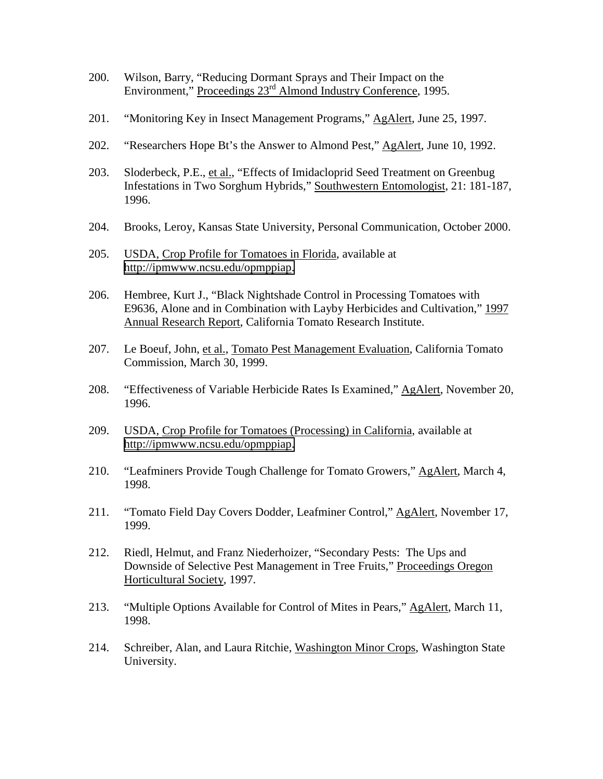- 200. Wilson, Barry, "Reducing Dormant Sprays and Their Impact on the Environment," Proceedings 23<sup>rd</sup> Almond Industry Conference, 1995.
- 201. "Monitoring Key in Insect Management Programs," AgAlert, June 25, 1997.
- 202. "Researchers Hope Bt's the Answer to Almond Pest," AgAlert, June 10, 1992.
- 203. Sloderbeck, P.E., et al., "Effects of Imidacloprid Seed Treatment on Greenbug Infestations in Two Sorghum Hybrids," Southwestern Entomologist, 21: 181-187, 1996.
- 204. Brooks, Leroy, Kansas State University, Personal Communication, October 2000.
- 205. USDA, Crop Profile for Tomatoes in Florida, available at [http://ipmwww.ncsu.edu/opmppiap.](http://ipmwww.ncsu.edu/opmppiap)
- 206. Hembree, Kurt J., "Black Nightshade Control in Processing Tomatoes with E9636, Alone and in Combination with Layby Herbicides and Cultivation," 1997 Annual Research Report, California Tomato Research Institute.
- 207. Le Boeuf, John, et al., Tomato Pest Management Evaluation, California Tomato Commission, March 30, 1999.
- 208. "Effectiveness of Variable Herbicide Rates Is Examined," AgAlert, November 20, 1996.
- 209. USDA, Crop Profile for Tomatoes (Processing) in California, available at [http://ipmwww.ncsu.edu/opmppiap.](http://ipmwww.ncsu.edu/opmppiap)
- 210. "Leafminers Provide Tough Challenge for Tomato Growers," AgAlert, March 4, 1998.
- 211. "Tomato Field Day Covers Dodder, Leafminer Control," AgAlert, November 17, 1999.
- 212. Riedl, Helmut, and Franz Niederhoizer, "Secondary Pests: The Ups and Downside of Selective Pest Management in Tree Fruits," Proceedings Oregon Horticultural Society, 1997.
- 213. "Multiple Options Available for Control of Mites in Pears," AgAlert, March 11, 1998.
- 214. Schreiber, Alan, and Laura Ritchie, Washington Minor Crops, Washington State University.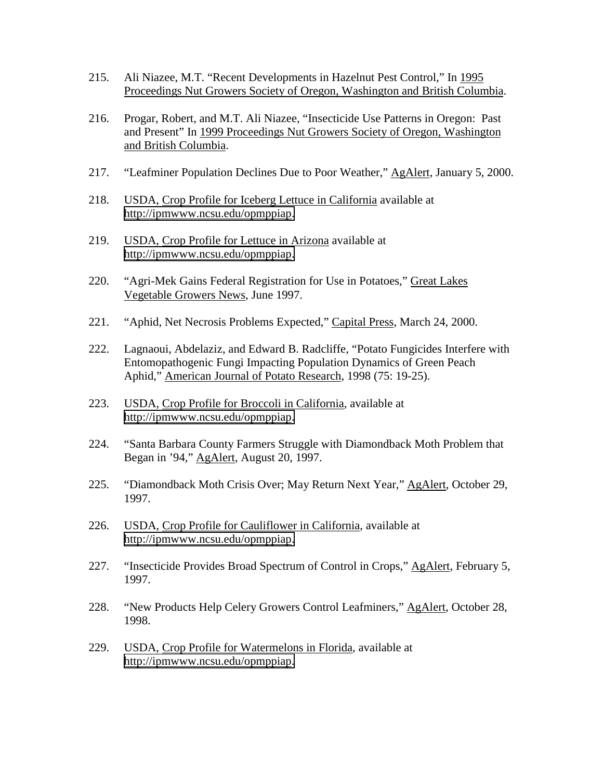- 215. Ali Niazee, M.T. "Recent Developments in Hazelnut Pest Control," In 1995 Proceedings Nut Growers Society of Oregon, Washington and British Columbia.
- 216. Progar, Robert, and M.T. Ali Niazee, "Insecticide Use Patterns in Oregon: Past and Present" In 1999 Proceedings Nut Growers Society of Oregon, Washington and British Columbia.
- 217. "Leafminer Population Declines Due to Poor Weather," AgAlert, January 5, 2000.
- 218. USDA, Crop Profile for Iceberg Lettuce in California available at [http://ipmwww.ncsu.edu/opmppiap.](http://ipmwww.ncsu.edu/opmppiap)
- 219. USDA, Crop Profile for Lettuce in Arizona available at [http://ipmwww.ncsu.edu/opmppiap.](http://ipmwww.ncsu.edu/opmppiap)
- 220. "Agri-Mek Gains Federal Registration for Use in Potatoes," Great Lakes Vegetable Growers News, June 1997.
- 221. "Aphid, Net Necrosis Problems Expected," Capital Press, March 24, 2000.
- 222. Lagnaoui, Abdelaziz, and Edward B. Radcliffe, "Potato Fungicides Interfere with Entomopathogenic Fungi Impacting Population Dynamics of Green Peach Aphid," American Journal of Potato Research, 1998 (75: 19-25).
- 223. USDA, Crop Profile for Broccoli in California, available at [http://ipmwww.ncsu.edu/opmppiap.](http://ipmwww.ncsu.edu/opmppiap)
- 224. "Santa Barbara County Farmers Struggle with Diamondback Moth Problem that Began in '94," AgAlert, August 20, 1997.
- 225. "Diamondback Moth Crisis Over; May Return Next Year," AgAlert, October 29, 1997.
- 226. USDA, Crop Profile for Cauliflower in California, available at [http://ipmwww.ncsu.edu/opmppiap.](http://ipmwww.ncsu.edu/opmppiap)
- 227. "Insecticide Provides Broad Spectrum of Control in Crops," AgAlert, February 5, 1997.
- 228. "New Products Help Celery Growers Control Leafminers," AgAlert, October 28, 1998.
- 229. USDA, Crop Profile for Watermelons in Florida, available at [http://ipmwww.ncsu.edu/opmppiap.](http://ipmwww.ncsu.edu/opmppiap)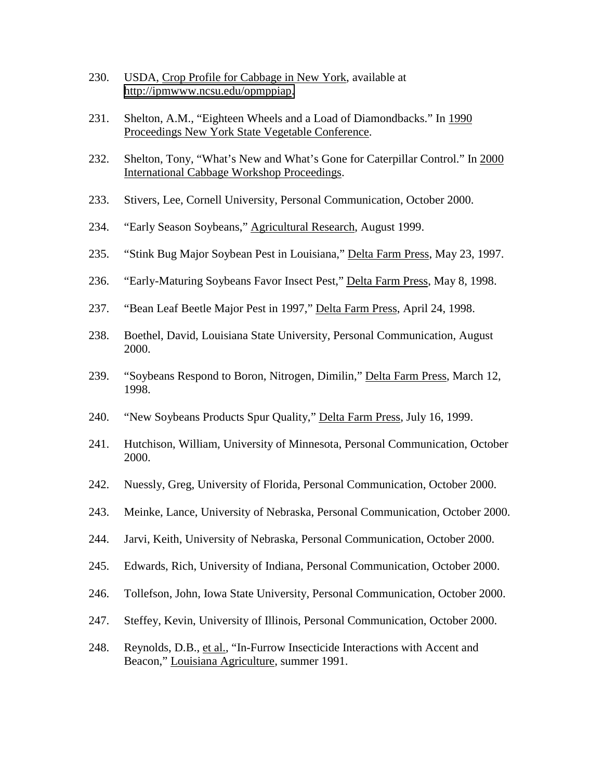- 230. USDA, Crop Profile for Cabbage in New York, available at [http://ipmwww.ncsu.edu/opmppiap.](http://ipmwww.ncsu.edu/opmppiap)
- 231. Shelton, A.M., "Eighteen Wheels and a Load of Diamondbacks." In 1990 Proceedings New York State Vegetable Conference.
- 232. Shelton, Tony, "What's New and What's Gone for Caterpillar Control." In 2000 International Cabbage Workshop Proceedings.
- 233. Stivers, Lee, Cornell University, Personal Communication, October 2000.
- 234. "Early Season Soybeans," Agricultural Research, August 1999.
- 235. "Stink Bug Major Soybean Pest in Louisiana," Delta Farm Press, May 23, 1997.
- 236. "Early-Maturing Soybeans Favor Insect Pest," Delta Farm Press, May 8, 1998.
- 237. "Bean Leaf Beetle Major Pest in 1997," Delta Farm Press, April 24, 1998.
- 238. Boethel, David, Louisiana State University, Personal Communication, August 2000.
- 239. "Soybeans Respond to Boron, Nitrogen, Dimilin," Delta Farm Press, March 12, 1998.
- 240. "New Soybeans Products Spur Quality," Delta Farm Press, July 16, 1999.
- 241. Hutchison, William, University of Minnesota, Personal Communication, October 2000.
- 242. Nuessly, Greg, University of Florida, Personal Communication, October 2000.
- 243. Meinke, Lance, University of Nebraska, Personal Communication, October 2000.
- 244. Jarvi, Keith, University of Nebraska, Personal Communication, October 2000.
- 245. Edwards, Rich, University of Indiana, Personal Communication, October 2000.
- 246. Tollefson, John, Iowa State University, Personal Communication, October 2000.
- 247. Steffey, Kevin, University of Illinois, Personal Communication, October 2000.
- 248. Reynolds, D.B., et al., "In-Furrow Insecticide Interactions with Accent and Beacon," Louisiana Agriculture, summer 1991.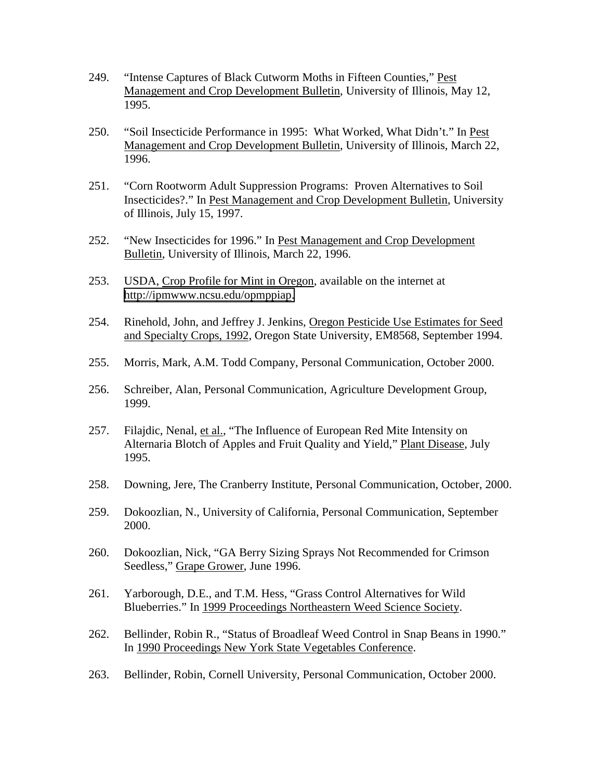- 249. "Intense Captures of Black Cutworm Moths in Fifteen Counties," Pest Management and Crop Development Bulletin, University of Illinois, May 12, 1995.
- 250. "Soil Insecticide Performance in 1995: What Worked, What Didn't." In Pest Management and Crop Development Bulletin, University of Illinois, March 22, 1996.
- 251. "Corn Rootworm Adult Suppression Programs: Proven Alternatives to Soil Insecticides?." In Pest Management and Crop Development Bulletin, University of Illinois, July 15, 1997.
- 252. "New Insecticides for 1996." In Pest Management and Crop Development Bulletin, University of Illinois, March 22, 1996.
- 253. USDA, Crop Profile for Mint in Oregon, available on the internet at [http://ipmwww.ncsu.edu/opmppiap.](http://ipmwww.ncsu.edu/opmppiap)
- 254. Rinehold, John, and Jeffrey J. Jenkins, Oregon Pesticide Use Estimates for Seed and Specialty Crops, 1992, Oregon State University, EM8568, September 1994.
- 255. Morris, Mark, A.M. Todd Company, Personal Communication, October 2000.
- 256. Schreiber, Alan, Personal Communication, Agriculture Development Group, 1999.
- 257. Filajdic, Nenal, et al., "The Influence of European Red Mite Intensity on Alternaria Blotch of Apples and Fruit Quality and Yield," Plant Disease, July 1995.
- 258. Downing, Jere, The Cranberry Institute, Personal Communication, October, 2000.
- 259. Dokoozlian, N., University of California, Personal Communication, September 2000.
- 260. Dokoozlian, Nick, "GA Berry Sizing Sprays Not Recommended for Crimson Seedless," Grape Grower, June 1996.
- 261. Yarborough, D.E., and T.M. Hess, "Grass Control Alternatives for Wild Blueberries." In 1999 Proceedings Northeastern Weed Science Society.
- 262. Bellinder, Robin R., "Status of Broadleaf Weed Control in Snap Beans in 1990." In 1990 Proceedings New York State Vegetables Conference.
- 263. Bellinder, Robin, Cornell University, Personal Communication, October 2000.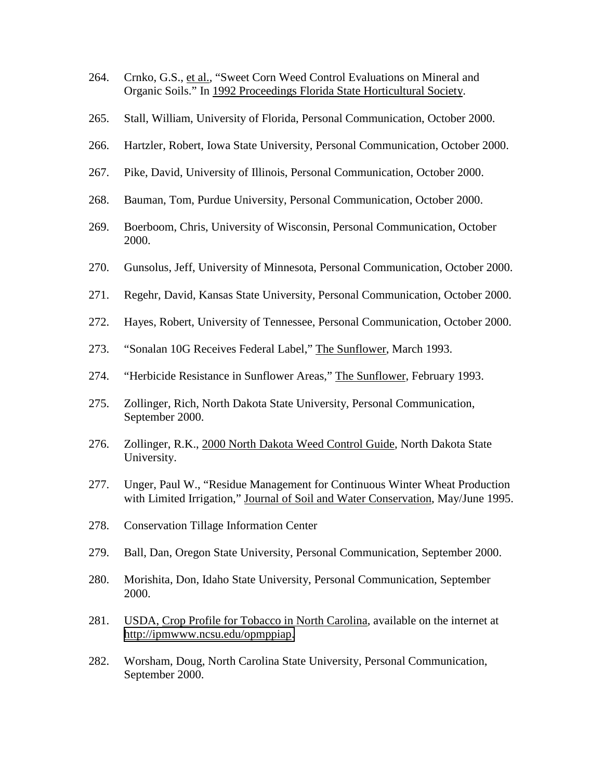- 264. Crnko, G.S., et al., "Sweet Corn Weed Control Evaluations on Mineral and Organic Soils." In 1992 Proceedings Florida State Horticultural Society.
- 265. Stall, William, University of Florida, Personal Communication, October 2000.
- 266. Hartzler, Robert, Iowa State University, Personal Communication, October 2000.
- 267. Pike, David, University of Illinois, Personal Communication, October 2000.
- 268. Bauman, Tom, Purdue University, Personal Communication, October 2000.
- 269. Boerboom, Chris, University of Wisconsin, Personal Communication, October 2000.
- 270. Gunsolus, Jeff, University of Minnesota, Personal Communication, October 2000.
- 271. Regehr, David, Kansas State University, Personal Communication, October 2000.
- 272. Hayes, Robert, University of Tennessee, Personal Communication, October 2000.
- 273. "Sonalan 10G Receives Federal Label," The Sunflower, March 1993.
- 274. "Herbicide Resistance in Sunflower Areas," The Sunflower, February 1993.
- 275. Zollinger, Rich, North Dakota State University, Personal Communication, September 2000.
- 276. Zollinger, R.K., 2000 North Dakota Weed Control Guide, North Dakota State University.
- 277. Unger, Paul W., "Residue Management for Continuous Winter Wheat Production with Limited Irrigation," Journal of Soil and Water Conservation, May/June 1995.
- 278. Conservation Tillage Information Center
- 279. Ball, Dan, Oregon State University, Personal Communication, September 2000.
- 280. Morishita, Don, Idaho State University, Personal Communication, September 2000.
- 281. USDA, Crop Profile for Tobacco in North Carolina, available on the internet at [http://ipmwww.ncsu.edu/opmppiap.](http://ipmwww.ncsu.edu/opmppiap)
- 282. Worsham, Doug, North Carolina State University, Personal Communication, September 2000.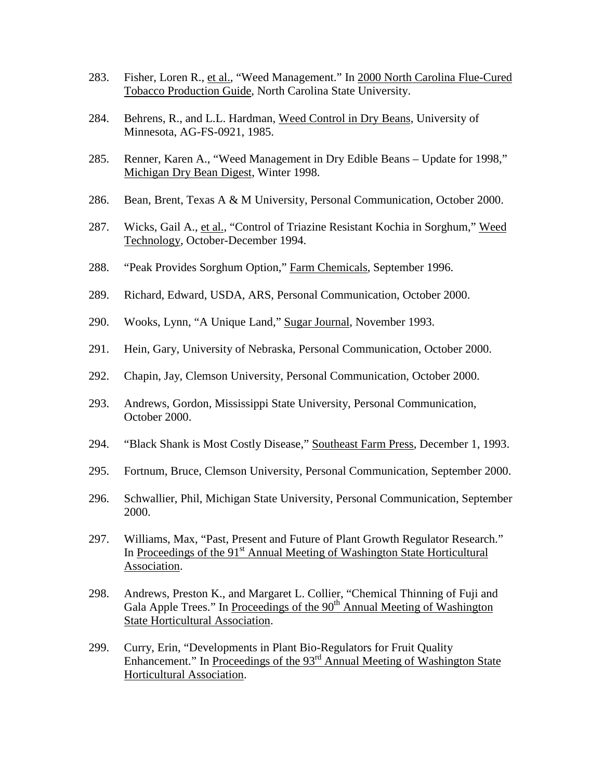- 283. Fisher, Loren R., et al., "Weed Management." In 2000 North Carolina Flue-Cured Tobacco Production Guide, North Carolina State University.
- 284. Behrens, R., and L.L. Hardman, Weed Control in Dry Beans, University of Minnesota, AG-FS-0921, 1985.
- 285. Renner, Karen A., "Weed Management in Dry Edible Beans Update for 1998," Michigan Dry Bean Digest, Winter 1998.
- 286. Bean, Brent, Texas A & M University, Personal Communication, October 2000.
- 287. Wicks, Gail A., et al., "Control of Triazine Resistant Kochia in Sorghum," Weed Technology, October-December 1994.
- 288. "Peak Provides Sorghum Option," Farm Chemicals, September 1996.
- 289. Richard, Edward, USDA, ARS, Personal Communication, October 2000.
- 290. Wooks, Lynn, "A Unique Land," Sugar Journal, November 1993.
- 291. Hein, Gary, University of Nebraska, Personal Communication, October 2000.
- 292. Chapin, Jay, Clemson University, Personal Communication, October 2000.
- 293. Andrews, Gordon, Mississippi State University, Personal Communication, October 2000.
- 294. "Black Shank is Most Costly Disease," Southeast Farm Press, December 1, 1993.
- 295. Fortnum, Bruce, Clemson University, Personal Communication, September 2000.
- 296. Schwallier, Phil, Michigan State University, Personal Communication, September 2000.
- 297. Williams, Max, "Past, Present and Future of Plant Growth Regulator Research." In Proceedings of the 91<sup>st</sup> Annual Meeting of Washington State Horticultural Association.
- 298. Andrews, Preston K., and Margaret L. Collier, "Chemical Thinning of Fuji and Gala Apple Trees." In Proceedings of the  $90<sup>th</sup>$  Annual Meeting of Washington State Horticultural Association.
- 299. Curry, Erin, "Developments in Plant Bio-Regulators for Fruit Quality Enhancement." In Proceedings of the  $93<sup>rd</sup>$  Annual Meeting of Washington State Horticultural Association.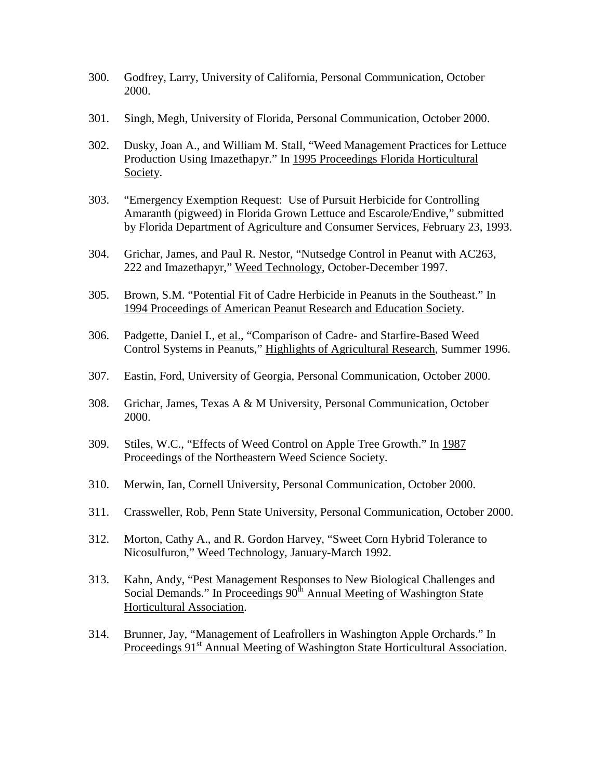- 300. Godfrey, Larry, University of California, Personal Communication, October 2000.
- 301. Singh, Megh, University of Florida, Personal Communication, October 2000.
- 302. Dusky, Joan A., and William M. Stall, "Weed Management Practices for Lettuce Production Using Imazethapyr." In 1995 Proceedings Florida Horticultural Society.
- 303. "Emergency Exemption Request: Use of Pursuit Herbicide for Controlling Amaranth (pigweed) in Florida Grown Lettuce and Escarole/Endive," submitted by Florida Department of Agriculture and Consumer Services, February 23, 1993.
- 304. Grichar, James, and Paul R. Nestor, "Nutsedge Control in Peanut with AC263, 222 and Imazethapyr," Weed Technology, October-December 1997.
- 305. Brown, S.M. "Potential Fit of Cadre Herbicide in Peanuts in the Southeast." In 1994 Proceedings of American Peanut Research and Education Society.
- 306. Padgette, Daniel I., et al., "Comparison of Cadre- and Starfire-Based Weed Control Systems in Peanuts," Highlights of Agricultural Research, Summer 1996.
- 307. Eastin, Ford, University of Georgia, Personal Communication, October 2000.
- 308. Grichar, James, Texas A & M University, Personal Communication, October 2000.
- 309. Stiles, W.C., "Effects of Weed Control on Apple Tree Growth." In 1987 Proceedings of the Northeastern Weed Science Society.
- 310. Merwin, Ian, Cornell University, Personal Communication, October 2000.
- 311. Crassweller, Rob, Penn State University, Personal Communication, October 2000.
- 312. Morton, Cathy A., and R. Gordon Harvey, "Sweet Corn Hybrid Tolerance to Nicosulfuron," Weed Technology, January-March 1992.
- 313. Kahn, Andy, "Pest Management Responses to New Biological Challenges and Social Demands." In Proceedings 90<sup>th</sup> Annual Meeting of Washington State Horticultural Association.
- 314. Brunner, Jay, "Management of Leafrollers in Washington Apple Orchards." In Proceedings 91<sup>st</sup> Annual Meeting of Washington State Horticultural Association.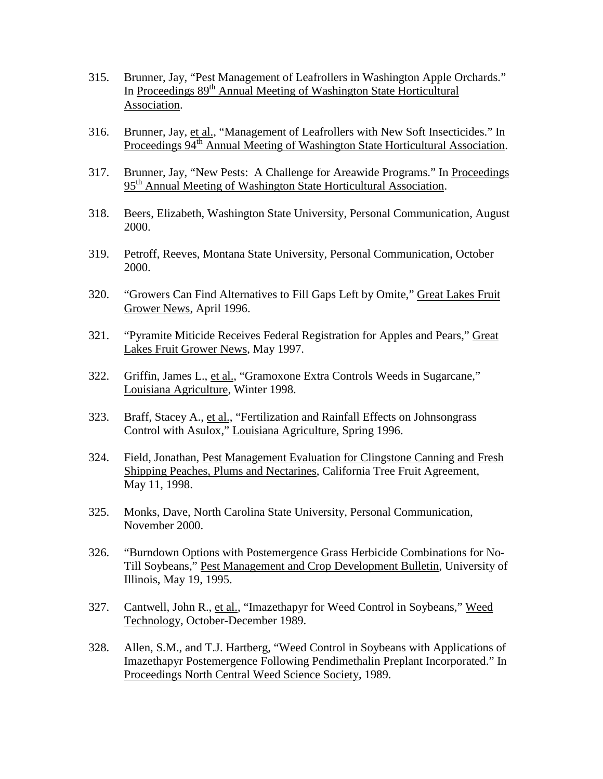- 315. Brunner, Jay, "Pest Management of Leafrollers in Washington Apple Orchards." In Proceedings 89<sup>th</sup> Annual Meeting of Washington State Horticultural Association.
- 316. Brunner, Jay, et al., "Management of Leafrollers with New Soft Insecticides." In Proceedings 94<sup>th</sup> Annual Meeting of Washington State Horticultural Association.
- 317. Brunner, Jay, "New Pests: A Challenge for Areawide Programs." In Proceedings 95<sup>th</sup> Annual Meeting of Washington State Horticultural Association.
- 318. Beers, Elizabeth, Washington State University, Personal Communication, August 2000.
- 319. Petroff, Reeves, Montana State University, Personal Communication, October 2000.
- 320. "Growers Can Find Alternatives to Fill Gaps Left by Omite," Great Lakes Fruit Grower News, April 1996.
- 321. "Pyramite Miticide Receives Federal Registration for Apples and Pears," Great Lakes Fruit Grower News, May 1997.
- 322. Griffin, James L., et al., "Gramoxone Extra Controls Weeds in Sugarcane," Louisiana Agriculture, Winter 1998.
- 323. Braff, Stacey A., et al., "Fertilization and Rainfall Effects on Johnsongrass Control with Asulox," Louisiana Agriculture, Spring 1996.
- 324. Field, Jonathan, Pest Management Evaluation for Clingstone Canning and Fresh Shipping Peaches, Plums and Nectarines, California Tree Fruit Agreement, May 11, 1998.
- 325. Monks, Dave, North Carolina State University, Personal Communication, November 2000.
- 326. "Burndown Options with Postemergence Grass Herbicide Combinations for No-Till Soybeans," Pest Management and Crop Development Bulletin, University of Illinois, May 19, 1995.
- 327. Cantwell, John R., et al., "Imazethapyr for Weed Control in Soybeans," Weed Technology, October-December 1989.
- 328. Allen, S.M., and T.J. Hartberg, "Weed Control in Soybeans with Applications of Imazethapyr Postemergence Following Pendimethalin Preplant Incorporated." In Proceedings North Central Weed Science Society, 1989.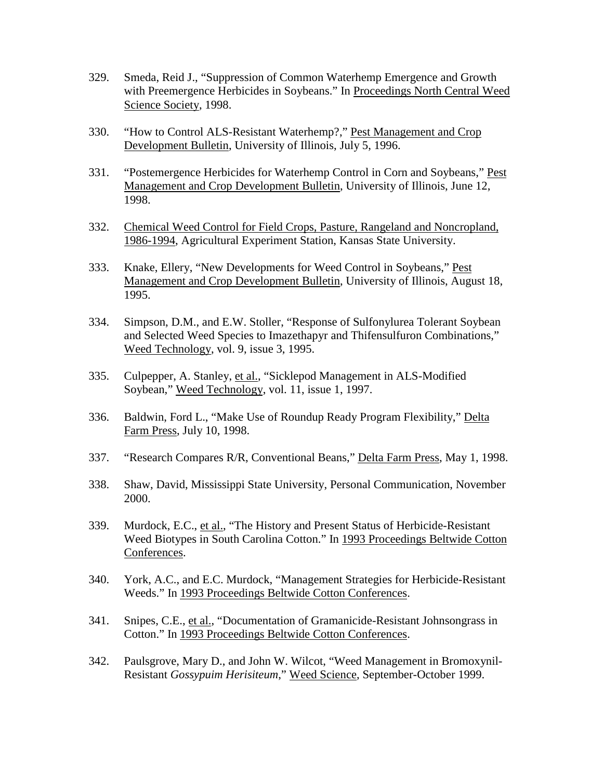- 329. Smeda, Reid J., "Suppression of Common Waterhemp Emergence and Growth with Preemergence Herbicides in Soybeans." In Proceedings North Central Weed Science Society, 1998.
- 330. "How to Control ALS-Resistant Waterhemp?," Pest Management and Crop Development Bulletin, University of Illinois, July 5, 1996.
- 331. "Postemergence Herbicides for Waterhemp Control in Corn and Soybeans," Pest Management and Crop Development Bulletin, University of Illinois, June 12, 1998.
- 332. Chemical Weed Control for Field Crops, Pasture, Rangeland and Noncropland, 1986-1994, Agricultural Experiment Station, Kansas State University.
- 333. Knake, Ellery, "New Developments for Weed Control in Soybeans," Pest Management and Crop Development Bulletin, University of Illinois, August 18, 1995.
- 334. Simpson, D.M., and E.W. Stoller, "Response of Sulfonylurea Tolerant Soybean and Selected Weed Species to Imazethapyr and Thifensulfuron Combinations," Weed Technology, vol. 9, issue 3, 1995.
- 335. Culpepper, A. Stanley, et al., "Sicklepod Management in ALS-Modified Soybean," Weed Technology, vol. 11, issue 1, 1997.
- 336. Baldwin, Ford L., "Make Use of Roundup Ready Program Flexibility," Delta Farm Press, July 10, 1998.
- 337. "Research Compares R/R, Conventional Beans," Delta Farm Press, May 1, 1998.
- 338. Shaw, David, Mississippi State University, Personal Communication, November 2000.
- 339. Murdock, E.C., et al., "The History and Present Status of Herbicide-Resistant Weed Biotypes in South Carolina Cotton." In 1993 Proceedings Beltwide Cotton Conferences.
- 340. York, A.C., and E.C. Murdock, "Management Strategies for Herbicide-Resistant Weeds." In 1993 Proceedings Beltwide Cotton Conferences.
- 341. Snipes, C.E., et al., "Documentation of Gramanicide-Resistant Johnsongrass in Cotton." In 1993 Proceedings Beltwide Cotton Conferences.
- 342. Paulsgrove, Mary D., and John W. Wilcot, "Weed Management in Bromoxynil-Resistant *Gossypuim Herisiteum*," Weed Science, September-October 1999.